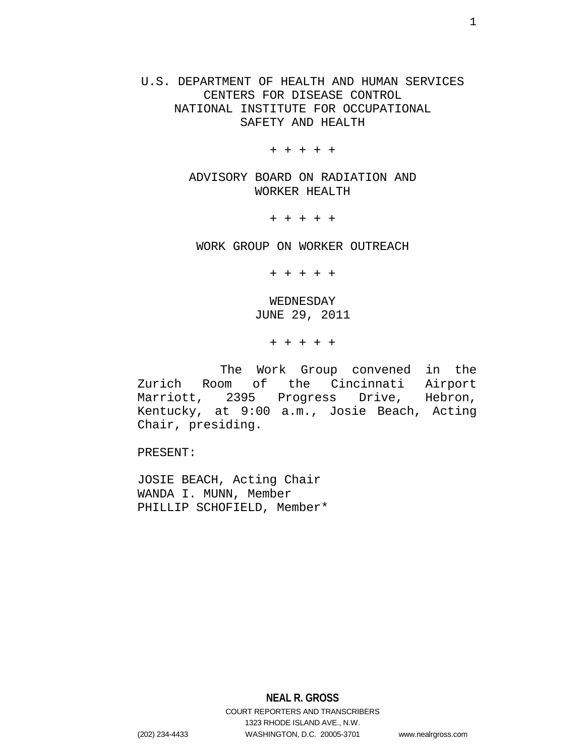U.S. DEPARTMENT OF HEALTH AND HUMAN SERVICES CENTERS FOR DISEASE CONTROL NATIONAL INSTITUTE FOR OCCUPATIONAL SAFETY AND HEALTH

+ + + + +

ADVISORY BOARD ON RADIATION AND WORKER HEALTH

+ + + + +

WORK GROUP ON WORKER OUTREACH

+ + + + +

WEDNESDAY JUNE 29, 2011

+ + + + +

 The Work Group convened in the Zurich Room of the Cincinnati Airport Marriott, 2395 Progress Drive, Hebron, Kentucky, at 9:00 a.m., Josie Beach, Acting Chair, presiding.

PRESENT:

JOSIE BEACH, Acting Chair WANDA I. MUNN, Member PHILLIP SCHOFIELD, Member\*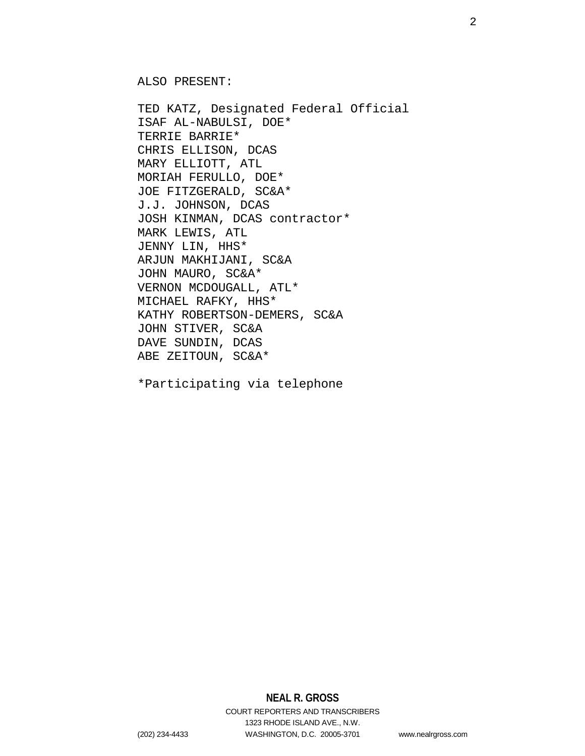ALSO PRESENT:

TED KATZ, Designated Federal Official ISAF AL-NABULSI, DOE\* TERRIE BARRIE\* CHRIS ELLISON, DCAS MARY ELLIOTT, ATL MORIAH FERULLO, DOE\* JOE FITZGERALD, SC&A\* J.J. JOHNSON, DCAS JOSH KINMAN, DCAS contractor\* MARK LEWIS, ATL JENNY LIN, HHS\* ARJUN MAKHIJANI, SC&A JOHN MAURO, SC&A\* VERNON MCDOUGALL, ATL\* MICHAEL RAFKY, HHS\* KATHY ROBERTSON-DEMERS, SC&A JOHN STIVER, SC&A DAVE SUNDIN, DCAS ABE ZEITOUN, SC&A\*

\*Participating via telephone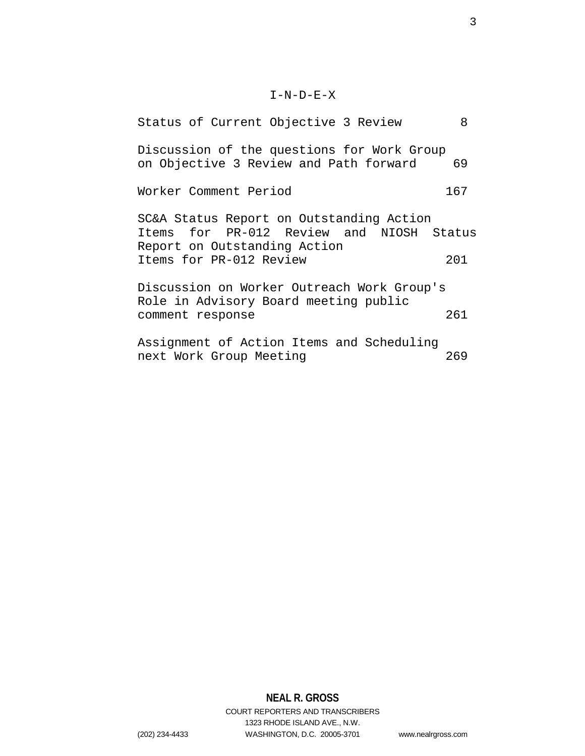# $I-N-D-E-X$

| Status of Current Objective 3 Review                                                                                 | 8   |  |
|----------------------------------------------------------------------------------------------------------------------|-----|--|
| Discussion of the questions for Work Group<br>on Objective 3 Review and Path forward                                 | 69  |  |
| Worker Comment Period                                                                                                | 167 |  |
| SC&A Status Report on Outstanding Action<br>Items for PR-012 Review and NIOSH Status<br>Report on Outstanding Action |     |  |
| Items for PR-012 Review                                                                                              | 201 |  |
| Discussion on Worker Outreach Work Group's<br>Role in Advisory Board meeting public<br>261<br>comment response       |     |  |
|                                                                                                                      |     |  |
| Assignment of Action Items and Scheduling<br>next Work Group Meeting                                                 | 269 |  |

# **NEAL R. GROSS** COURT REPORTERS AND TRANSCRIBERS 1323 RHODE ISLAND AVE., N.W.

(202) 234-4433 WASHINGTON, D.C. 20005-3701 www.nealrgross.com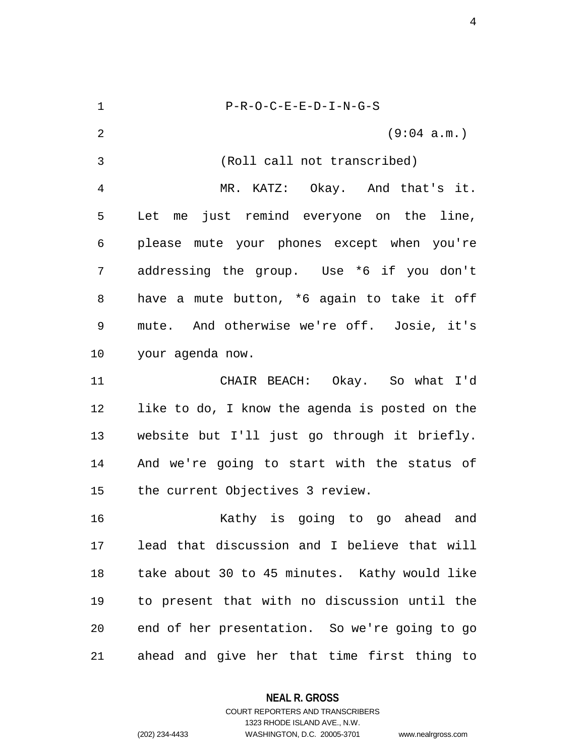1 P-R-O-C-E-E-D-I-N-G-S 2 (9:04 a.m.) 3 (Roll call not transcribed) 4 MR. KATZ: Okay. And that's it. 5 Let me just remind everyone on the line, 6 please mute your phones except when you're 7 addressing the group. Use \*6 if you don't 8 have a mute button, \*6 again to take it off 9 mute. And otherwise we're off. Josie, it's 10 your agenda now. 11 CHAIR BEACH: Okay. So what I'd 12 like to do, I know the agenda is posted on the 13 website but I'll just go through it briefly. 14 And we're going to start with the status of 15 the current Objectives 3 review. 16 Kathy is going to go ahead and 17 lead that discussion and I believe that will 18 take about 30 to 45 minutes. Kathy would like 19 to present that with no discussion until the 20 end of her presentation. So we're going to go 21 ahead and give her that time first thing to

**NEAL R. GROSS**

COURT REPORTERS AND TRANSCRIBERS 1323 RHODE ISLAND AVE., N.W. (202) 234-4433 WASHINGTON, D.C. 20005-3701 www.nealrgross.com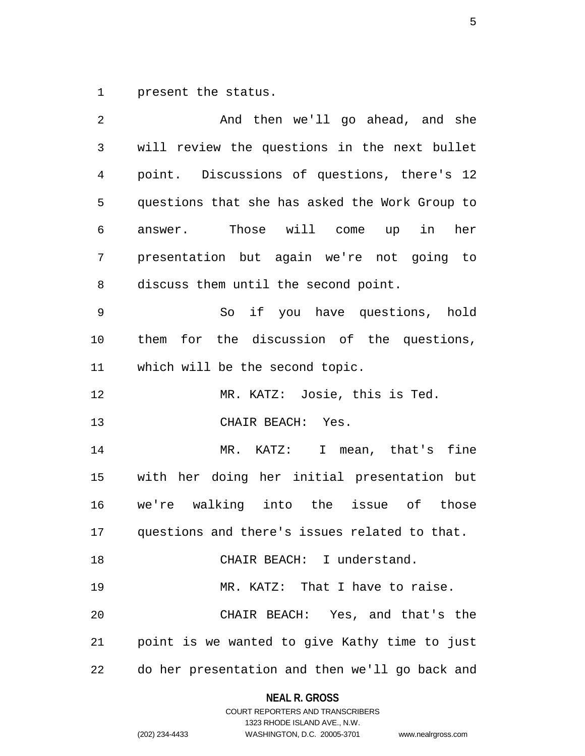1 present the status.

| 2  | And then we'll go ahead, and she               |
|----|------------------------------------------------|
| 3  | will review the questions in the next bullet   |
| 4  | point. Discussions of questions, there's 12    |
| 5  | questions that she has asked the Work Group to |
| 6  | answer. Those will come up in her              |
| 7  | presentation but again we're not going to      |
| 8  | discuss them until the second point.           |
| 9  | So if you have questions, hold                 |
| 10 | them for the discussion of the questions,      |
| 11 | which will be the second topic.                |
| 12 | MR. KATZ: Josie, this is Ted.                  |
| 13 | CHAIR BEACH: Yes.                              |
| 14 | MR. KATZ: I mean, that's fine                  |
| 15 | with her doing her initial presentation but    |
| 16 | we're walking into the issue of those          |
| 17 | questions and there's issues related to that.  |
| 18 | CHAIR BEACH: I understand.                     |
| 19 | MR. KATZ: That I have to raise.                |
| 20 | CHAIR BEACH: Yes, and that's the               |
| 21 | point is we wanted to give Kathy time to just  |
| 22 | do her presentation and then we'll go back and |

**NEAL R. GROSS** COURT REPORTERS AND TRANSCRIBERS

1323 RHODE ISLAND AVE., N.W.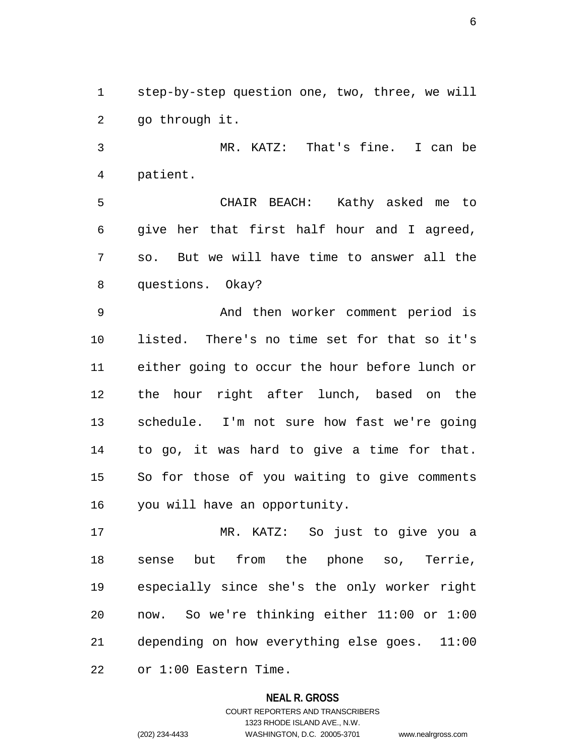1 step-by-step question one, two, three, we will 2 go through it.

3 MR. KATZ: That's fine. I can be 4 patient.

5 CHAIR BEACH: Kathy asked me to 6 give her that first half hour and I agreed, 7 so. But we will have time to answer all the 8 questions. Okay?

9 And then worker comment period is 10 listed. There's no time set for that so it's 11 either going to occur the hour before lunch or 12 the hour right after lunch, based on the 13 schedule. I'm not sure how fast we're going 14 to go, it was hard to give a time for that. 15 So for those of you waiting to give comments 16 you will have an opportunity.

17 MR. KATZ: So just to give you a 18 sense but from the phone so, Terrie, 19 especially since she's the only worker right 20 now. So we're thinking either 11:00 or 1:00 21 depending on how everything else goes. 11:00 22 or 1:00 Eastern Time.

#### **NEAL R. GROSS**

## COURT REPORTERS AND TRANSCRIBERS 1323 RHODE ISLAND AVE., N.W. (202) 234-4433 WASHINGTON, D.C. 20005-3701 www.nealrgross.com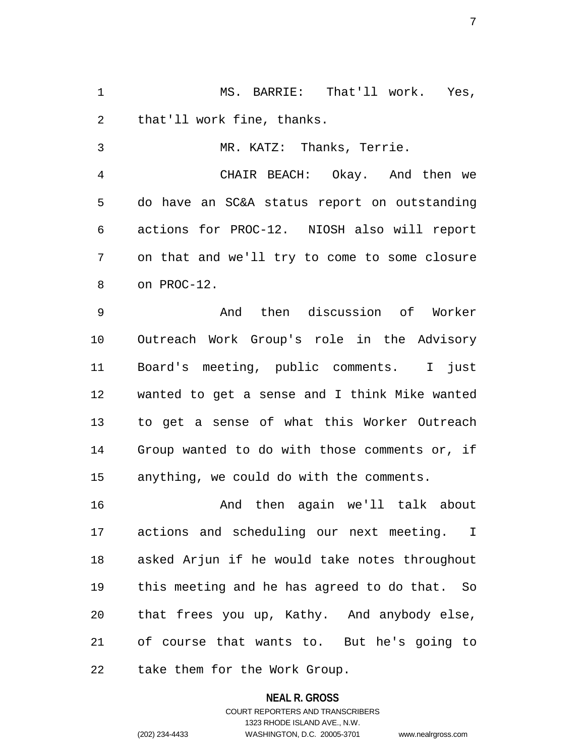1 MS. BARRIE: That'll work. Yes, 2 that'll work fine, thanks.

3 MR. KATZ: Thanks, Terrie.

4 CHAIR BEACH: Okay. And then we 5 do have an SC&A status report on outstanding 6 actions for PROC-12. NIOSH also will report 7 on that and we'll try to come to some closure 8 on PROC-12.

9 And then discussion of Worker 10 Outreach Work Group's role in the Advisory 11 Board's meeting, public comments. I just 12 wanted to get a sense and I think Mike wanted 13 to get a sense of what this Worker Outreach 14 Group wanted to do with those comments or, if 15 anything, we could do with the comments.

16 And then again we'll talk about 17 actions and scheduling our next meeting. I 18 asked Arjun if he would take notes throughout 19 this meeting and he has agreed to do that. So 20 that frees you up, Kathy. And anybody else, 21 of course that wants to. But he's going to 22 take them for the Work Group.

> **NEAL R. GROSS** COURT REPORTERS AND TRANSCRIBERS 1323 RHODE ISLAND AVE., N.W. (202) 234-4433 WASHINGTON, D.C. 20005-3701 www.nealrgross.com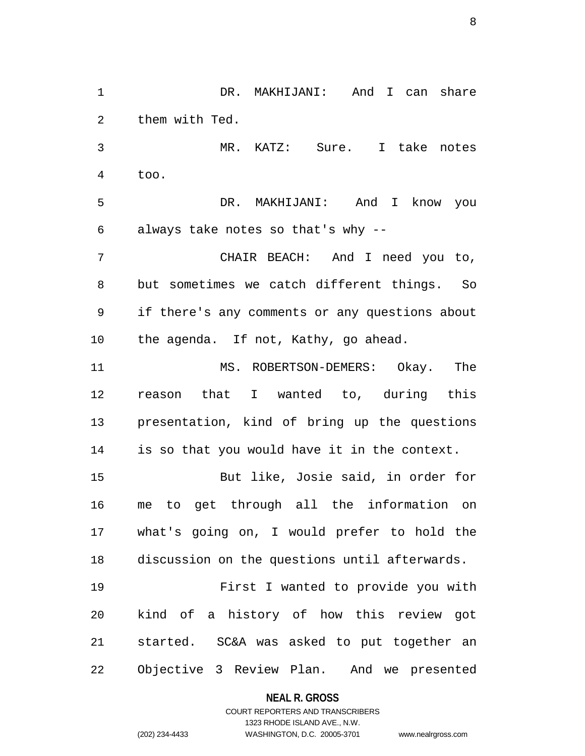1 DR. MAKHIJANI: And I can share 2 them with Ted. 3 MR. KATZ: Sure. I take notes 4 too. 5 DR. MAKHIJANI: And I know you 6 always take notes so that's why -- 7 CHAIR BEACH: And I need you to, 8 but sometimes we catch different things. So 9 if there's any comments or any questions about 10 the agenda. If not, Kathy, go ahead. 11 MS. ROBERTSON-DEMERS: Okay. The 12 reason that I wanted to, during this 13 presentation, kind of bring up the questions 14 is so that you would have it in the context. 15 But like, Josie said, in order for 16 me to get through all the information on 17 what's going on, I would prefer to hold the 18 discussion on the questions until afterwards. 19 First I wanted to provide you with 20 kind of a history of how this review got 21 started. SC&A was asked to put together an 22 Objective 3 Review Plan. And we presented

**NEAL R. GROSS**

COURT REPORTERS AND TRANSCRIBERS 1323 RHODE ISLAND AVE., N.W. (202) 234-4433 WASHINGTON, D.C. 20005-3701 www.nealrgross.com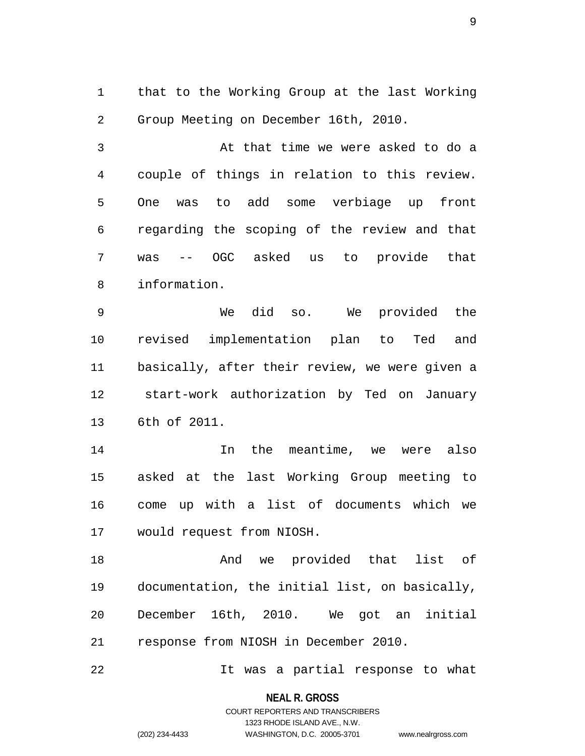1 that to the Working Group at the last Working 2 Group Meeting on December 16th, 2010.

3 At that time we were asked to do a 4 couple of things in relation to this review. 5 One was to add some verbiage up front 6 regarding the scoping of the review and that 7 was -- OGC asked us to provide that 8 information.

9 We did so. We provided the 10 revised implementation plan to Ted and 11 basically, after their review, we were given a 12 start-work authorization by Ted on January 13 6th of 2011.

14 In the meantime, we were also 15 asked at the last Working Group meeting to 16 come up with a list of documents which we 17 would request from NIOSH.

18 And we provided that list of 19 documentation, the initial list, on basically, 20 December 16th, 2010. We got an initial 21 response from NIOSH in December 2010.

22 It was a partial response to what

**NEAL R. GROSS** COURT REPORTERS AND TRANSCRIBERS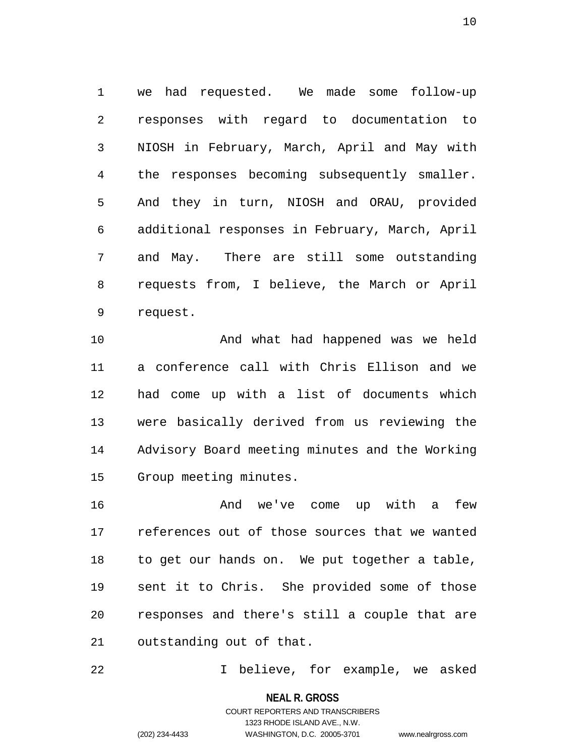1 we had requested. We made some follow-up 2 responses with regard to documentation to 3 NIOSH in February, March, April and May with 4 the responses becoming subsequently smaller. 5 And they in turn, NIOSH and ORAU, provided 6 additional responses in February, March, April 7 and May. There are still some outstanding 8 requests from, I believe, the March or April 9 request.

10 And what had happened was we held 11 a conference call with Chris Ellison and we 12 had come up with a list of documents which 13 were basically derived from us reviewing the 14 Advisory Board meeting minutes and the Working 15 Group meeting minutes.

16 And we've come up with a few 17 references out of those sources that we wanted 18 to get our hands on. We put together a table, 19 sent it to Chris. She provided some of those 20 responses and there's still a couple that are 21 outstanding out of that.

22 I believe, for example, we asked

**NEAL R. GROSS**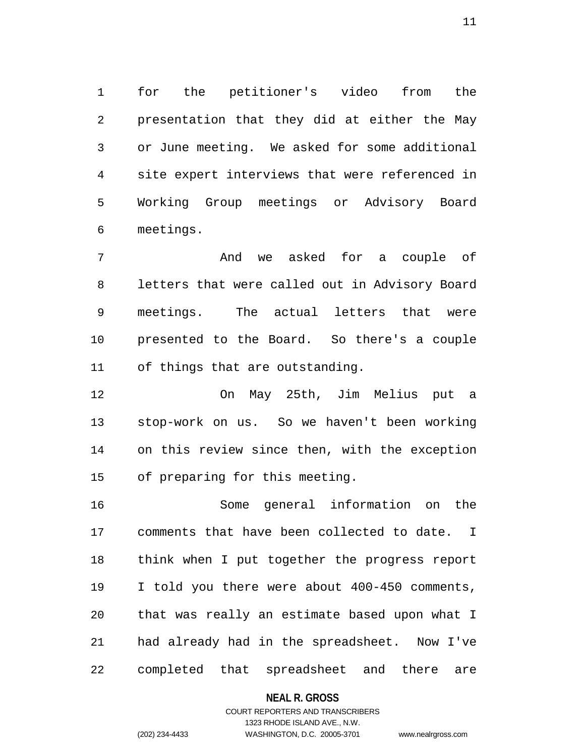1 for the petitioner's video from the 2 presentation that they did at either the May 3 or June meeting. We asked for some additional 4 site expert interviews that were referenced in 5 Working Group meetings or Advisory Board 6 meetings.

7 And we asked for a couple of 8 letters that were called out in Advisory Board 9 meetings. The actual letters that were 10 presented to the Board. So there's a couple 11 of things that are outstanding.

12 On May 25th, Jim Melius put a 13 stop-work on us. So we haven't been working 14 on this review since then, with the exception 15 of preparing for this meeting.

16 Some general information on the 17 comments that have been collected to date. I 18 think when I put together the progress report 19 I told you there were about 400-450 comments, 20 that was really an estimate based upon what I 21 had already had in the spreadsheet. Now I've 22 completed that spreadsheet and there are

#### **NEAL R. GROSS**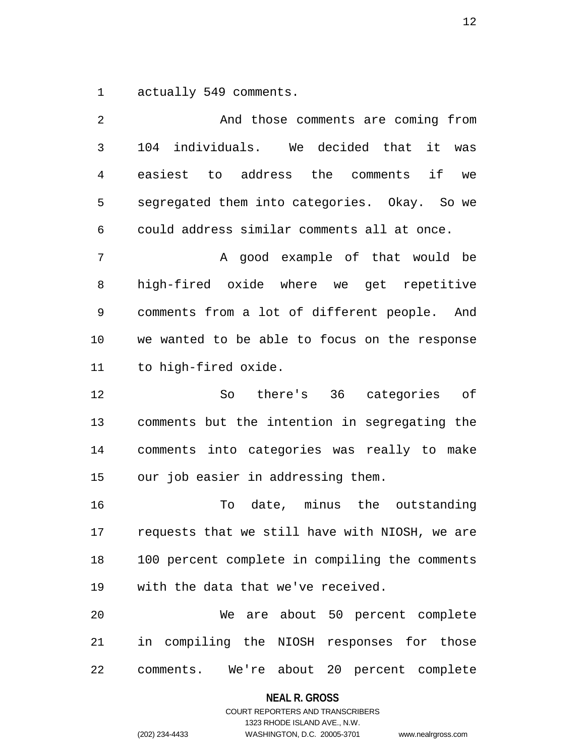1 actually 549 comments.

| 2  | And those comments are coming from               |
|----|--------------------------------------------------|
| 3  | individuals. We decided that<br>104<br>it<br>was |
| 4  | easiest to address the comments<br>if<br>we      |
| 5  | segregated them into categories. Okay. So we     |
| 6  | could address similar comments all at once.      |
| 7  | A good example of that would be                  |
| 8  | high-fired oxide where we get repetitive         |
| 9  | comments from a lot of different people. And     |
| 10 | we wanted to be able to focus on the response    |
| 11 | to high-fired oxide.                             |
| 12 | there's 36 categories of<br>So                   |
| 13 | comments but the intention in segregating the    |
| 14 | comments into categories was really to make      |
| 15 | our job easier in addressing them.               |
| 16 | date, minus the outstanding<br>To                |
| 17 | requests that we still have with NIOSH, we are   |
| 18 | 100 percent complete in compiling the comments   |
| 19 | with the data that we've received.               |
| 20 | We are about 50 percent complete                 |
| 21 | in compiling the NIOSH responses for those       |
| 22 | We're about 20 percent complete<br>comments.     |

**NEAL R. GROSS**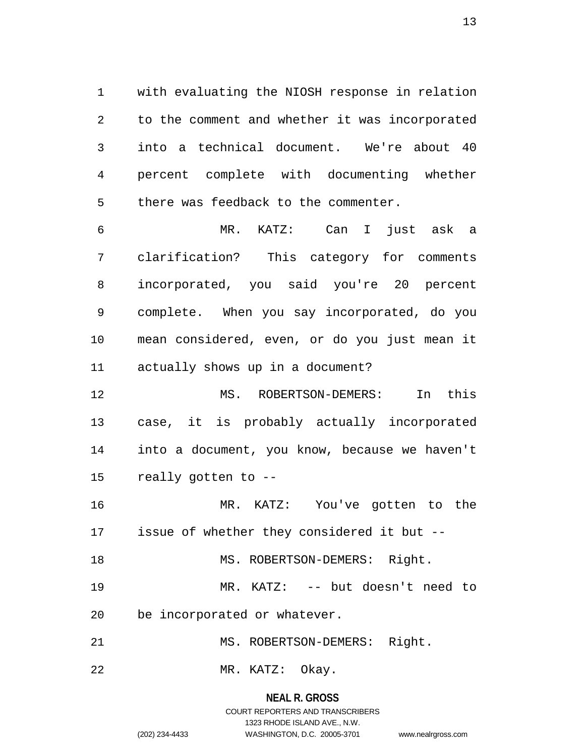1 with evaluating the NIOSH response in relation 2 to the comment and whether it was incorporated 3 into a technical document. We're about 40 4 percent complete with documenting whether 5 there was feedback to the commenter.

6 MR. KATZ: Can I just ask a 7 clarification? This category for comments 8 incorporated, you said you're 20 percent 9 complete. When you say incorporated, do you 10 mean considered, even, or do you just mean it 11 actually shows up in a document?

12 MS. ROBERTSON-DEMERS: In this 13 case, it is probably actually incorporated 14 into a document, you know, because we haven't 15 really gotten to --

16 MR. KATZ: You've gotten to the 17 issue of whether they considered it but --

18 MS. ROBERTSON-DEMERS: Right.

19 MR. KATZ: -- but doesn't need to

20 be incorporated or whatever.

21 MS. ROBERTSON-DEMERS: Right.

22 MR. KATZ: Okay.

## **NEAL R. GROSS**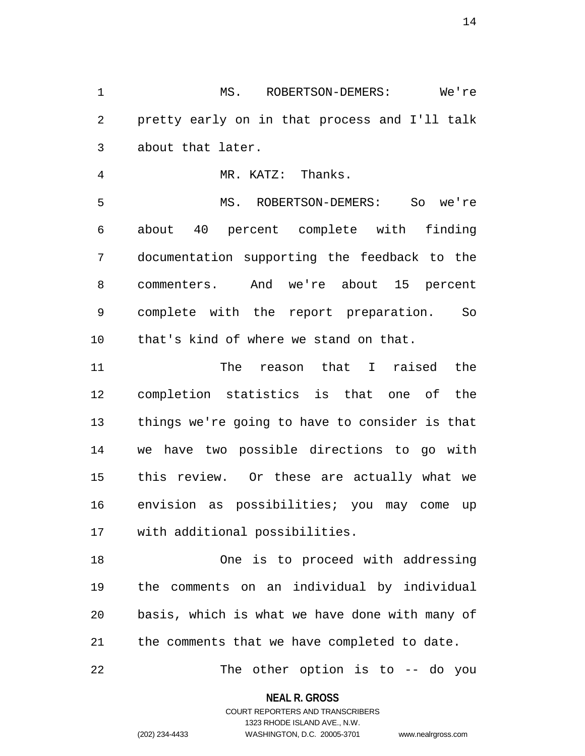1 MS. ROBERTSON-DEMERS: We're 2 pretty early on in that process and I'll talk 3 about that later.

4 MR. KATZ: Thanks.

5 MS. ROBERTSON-DEMERS: So we're 6 about 40 percent complete with finding 7 documentation supporting the feedback to the 8 commenters. And we're about 15 percent 9 complete with the report preparation. So 10 that's kind of where we stand on that.

11 The reason that I raised the 12 completion statistics is that one of the 13 things we're going to have to consider is that 14 we have two possible directions to go with 15 this review. Or these are actually what we 16 envision as possibilities; you may come up 17 with additional possibilities.

18 One is to proceed with addressing 19 the comments on an individual by individual 20 basis, which is what we have done with many of 21 the comments that we have completed to date.

22 The other option is to -- do you

**NEAL R. GROSS**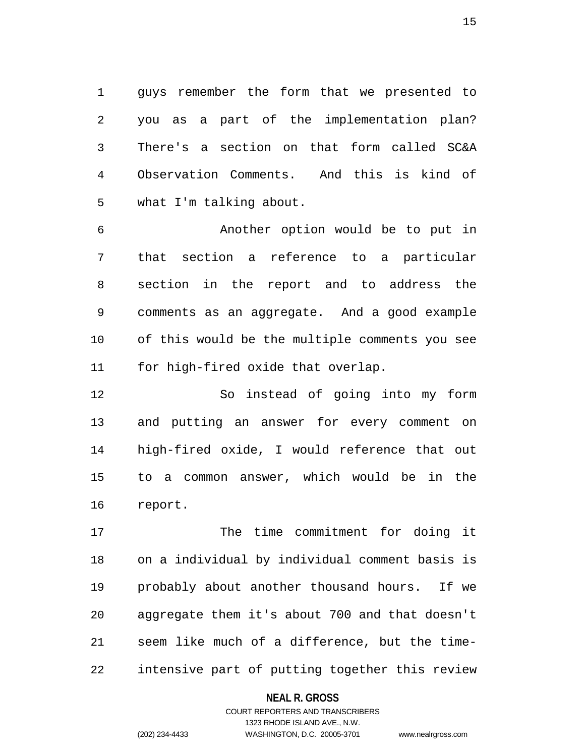1 guys remember the form that we presented to 2 you as a part of the implementation plan? 3 There's a section on that form called SC&A 4 Observation Comments. And this is kind of 5 what I'm talking about.

6 Another option would be to put in 7 that section a reference to a particular 8 section in the report and to address the 9 comments as an aggregate. And a good example 10 of this would be the multiple comments you see 11 for high-fired oxide that overlap.

12 So instead of going into my form 13 and putting an answer for every comment on 14 high-fired oxide, I would reference that out 15 to a common answer, which would be in the 16 report.

17 The time commitment for doing it 18 on a individual by individual comment basis is 19 probably about another thousand hours. If we 20 aggregate them it's about 700 and that doesn't 21 seem like much of a difference, but the time-22 intensive part of putting together this review

#### **NEAL R. GROSS**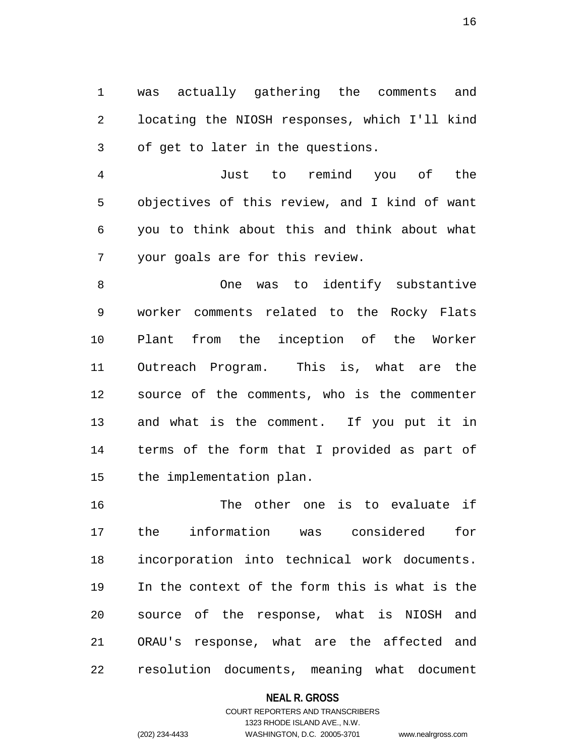1 was actually gathering the comments and 2 locating the NIOSH responses, which I'll kind 3 of get to later in the questions.

4 Just to remind you of the 5 objectives of this review, and I kind of want 6 you to think about this and think about what 7 your goals are for this review.

8 One was to identify substantive 9 worker comments related to the Rocky Flats 10 Plant from the inception of the Worker 11 Outreach Program. This is, what are the 12 source of the comments, who is the commenter 13 and what is the comment. If you put it in 14 terms of the form that I provided as part of 15 the implementation plan.

16 The other one is to evaluate if 17 the information was considered for 18 incorporation into technical work documents. 19 In the context of the form this is what is the 20 source of the response, what is NIOSH and 21 ORAU's response, what are the affected and 22 resolution documents, meaning what document

#### **NEAL R. GROSS**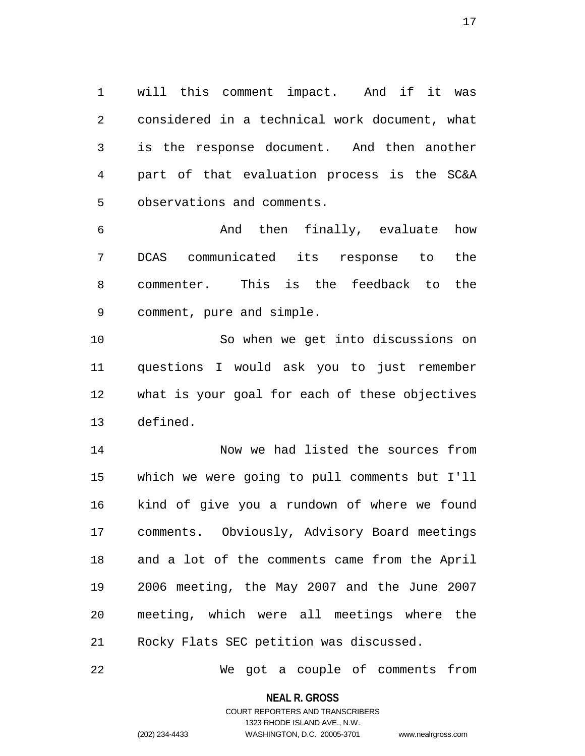1 will this comment impact. And if it was 2 considered in a technical work document, what 3 is the response document. And then another 4 part of that evaluation process is the SC&A 5 observations and comments.

6 And then finally, evaluate how 7 DCAS communicated its response to the 8 commenter. This is the feedback to the 9 comment, pure and simple.

10 So when we get into discussions on 11 questions I would ask you to just remember 12 what is your goal for each of these objectives 13 defined.

14 Now we had listed the sources from 15 which we were going to pull comments but I'll 16 kind of give you a rundown of where we found 17 comments. Obviously, Advisory Board meetings 18 and a lot of the comments came from the April 19 2006 meeting, the May 2007 and the June 2007 20 meeting, which were all meetings where the 21 Rocky Flats SEC petition was discussed.

22 We got a couple of comments from

**NEAL R. GROSS**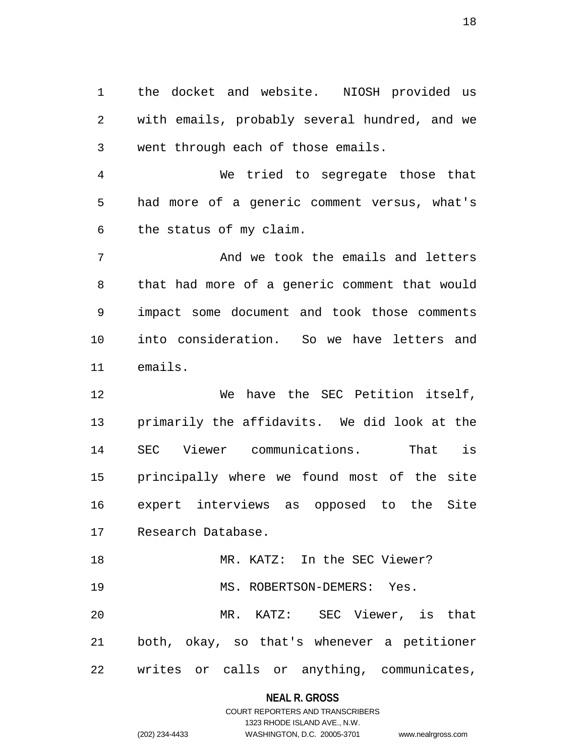1 the docket and website. NIOSH provided us 2 with emails, probably several hundred, and we 3 went through each of those emails.

4 We tried to segregate those that 5 had more of a generic comment versus, what's 6 the status of my claim.

7 And we took the emails and letters 8 that had more of a generic comment that would 9 impact some document and took those comments 10 into consideration. So we have letters and 11 emails.

12 We have the SEC Petition itself, 13 primarily the affidavits. We did look at the 14 SEC Viewer communications. That is 15 principally where we found most of the site 16 expert interviews as opposed to the Site 17 Research Database.

18 MR. KATZ: In the SEC Viewer? 19 MS. ROBERTSON-DEMERS: Yes. 20 MR. KATZ: SEC Viewer, is that 21 both, okay, so that's whenever a petitioner 22 writes or calls or anything, communicates,

#### **NEAL R. GROSS**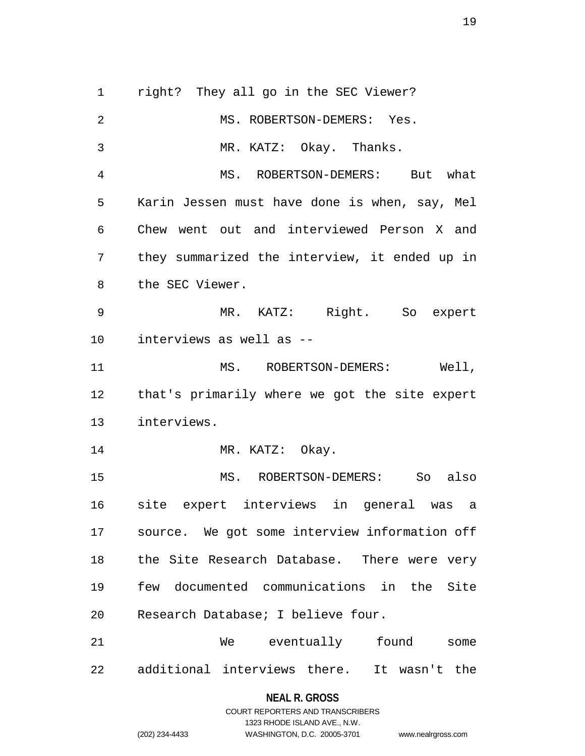1 right? They all go in the SEC Viewer? 2 MS. ROBERTSON-DEMERS: Yes. 3 MR. KATZ: Okay. Thanks. 4 MS. ROBERTSON-DEMERS: But what 5 Karin Jessen must have done is when, say, Mel 6 Chew went out and interviewed Person X and 7 they summarized the interview, it ended up in 8 the SEC Viewer. 9 MR. KATZ: Right. So expert 10 interviews as well as -- 11 MS. ROBERTSON-DEMERS: Well, 12 that's primarily where we got the site expert 13 interviews. 14 MR. KATZ: Okay. 15 MS. ROBERTSON-DEMERS: So also 16 site expert interviews in general was a 17 source. We got some interview information off 18 the Site Research Database. There were very 19 few documented communications in the Site 20 Research Database; I believe four. 21 We eventually found some 22 additional interviews there. It wasn't the

#### **NEAL R. GROSS**

COURT REPORTERS AND TRANSCRIBERS 1323 RHODE ISLAND AVE., N.W. (202) 234-4433 WASHINGTON, D.C. 20005-3701 www.nealrgross.com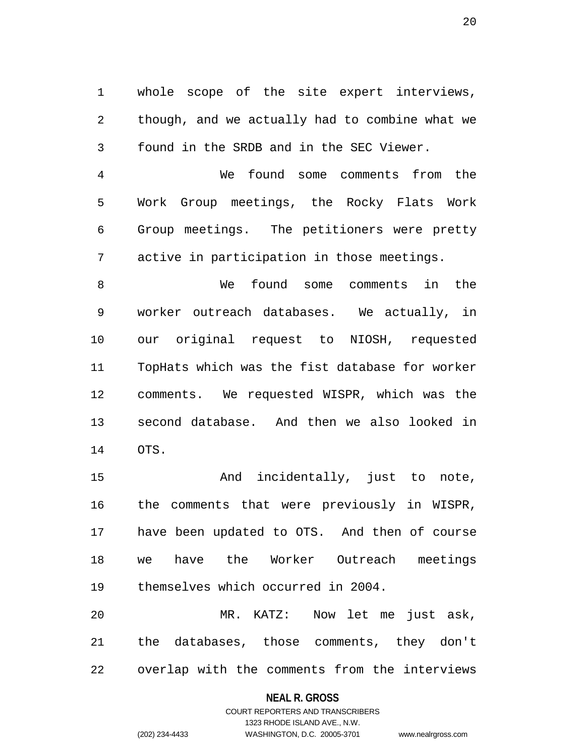1 whole scope of the site expert interviews, 2 though, and we actually had to combine what we 3 found in the SRDB and in the SEC Viewer.

4 We found some comments from the 5 Work Group meetings, the Rocky Flats Work 6 Group meetings. The petitioners were pretty 7 active in participation in those meetings.

8 We found some comments in the 9 worker outreach databases. We actually, in 10 our original request to NIOSH, requested 11 TopHats which was the fist database for worker 12 comments. We requested WISPR, which was the 13 second database. And then we also looked in 14 OTS.

15 And incidentally, just to note, 16 the comments that were previously in WISPR, 17 have been updated to OTS. And then of course 18 we have the Worker Outreach meetings 19 themselves which occurred in 2004.

20 MR. KATZ: Now let me just ask, 21 the databases, those comments, they don't 22 overlap with the comments from the interviews

#### **NEAL R. GROSS**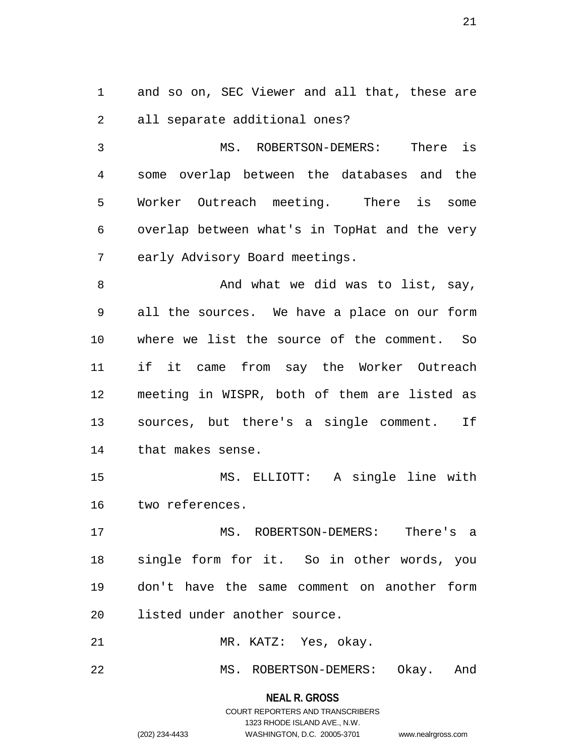1 and so on, SEC Viewer and all that, these are 2 all separate additional ones?

3 MS. ROBERTSON-DEMERS: There is 4 some overlap between the databases and the 5 Worker Outreach meeting. There is some 6 overlap between what's in TopHat and the very 7 early Advisory Board meetings.

8 And what we did was to list, say, 9 all the sources. We have a place on our form 10 where we list the source of the comment. So 11 if it came from say the Worker Outreach 12 meeting in WISPR, both of them are listed as 13 sources, but there's a single comment. If 14 that makes sense.

15 MS. ELLIOTT: A single line with 16 two references.

17 MS. ROBERTSON-DEMERS: There's a 18 single form for it. So in other words, you 19 don't have the same comment on another form 20 listed under another source.

21 MR. KATZ: Yes, okay.

22 MS. ROBERTSON-DEMERS: Okay. And

## **NEAL R. GROSS**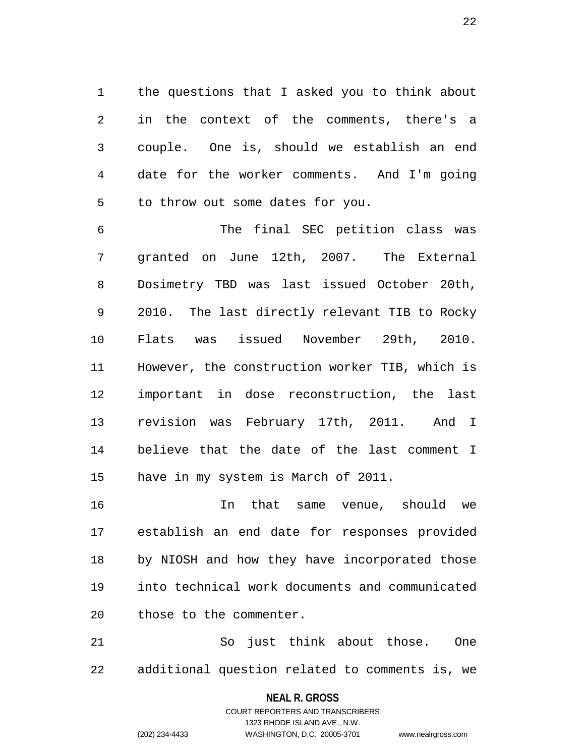1 the questions that I asked you to think about 2 in the context of the comments, there's a 3 couple. One is, should we establish an end 4 date for the worker comments. And I'm going 5 to throw out some dates for you.

6 The final SEC petition class was 7 granted on June 12th, 2007. The External 8 Dosimetry TBD was last issued October 20th, 9 2010. The last directly relevant TIB to Rocky 10 Flats was issued November 29th, 2010. 11 However, the construction worker TIB, which is 12 important in dose reconstruction, the last 13 revision was February 17th, 2011. And I 14 believe that the date of the last comment I 15 have in my system is March of 2011.

16 In that same venue, should we 17 establish an end date for responses provided 18 by NIOSH and how they have incorporated those 19 into technical work documents and communicated 20 those to the commenter.

21 So just think about those. One 22 additional question related to comments is, we

**NEAL R. GROSS**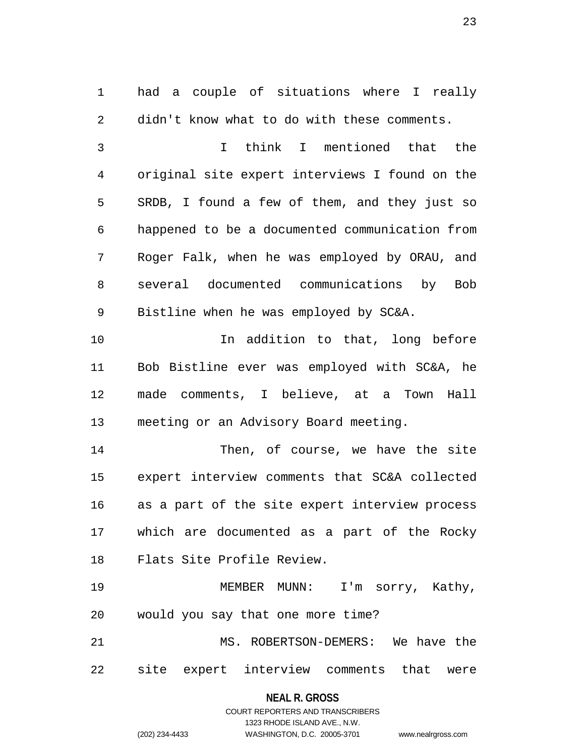1 had a couple of situations where I really 2 didn't know what to do with these comments.

3 I think I mentioned that the 4 original site expert interviews I found on the 5 SRDB, I found a few of them, and they just so 6 happened to be a documented communication from 7 Roger Falk, when he was employed by ORAU, and 8 several documented communications by Bob 9 Bistline when he was employed by SC&A.

10 In addition to that, long before 11 Bob Bistline ever was employed with SC&A, he 12 made comments, I believe, at a Town Hall 13 meeting or an Advisory Board meeting.

14 Then, of course, we have the site 15 expert interview comments that SC&A collected 16 as a part of the site expert interview process 17 which are documented as a part of the Rocky 18 Flats Site Profile Review.

19 MEMBER MUNN: I'm sorry, Kathy, 20 would you say that one more time?

21 MS. ROBERTSON-DEMERS: We have the 22 site expert interview comments that were

## **NEAL R. GROSS**

## COURT REPORTERS AND TRANSCRIBERS 1323 RHODE ISLAND AVE., N.W. (202) 234-4433 WASHINGTON, D.C. 20005-3701 www.nealrgross.com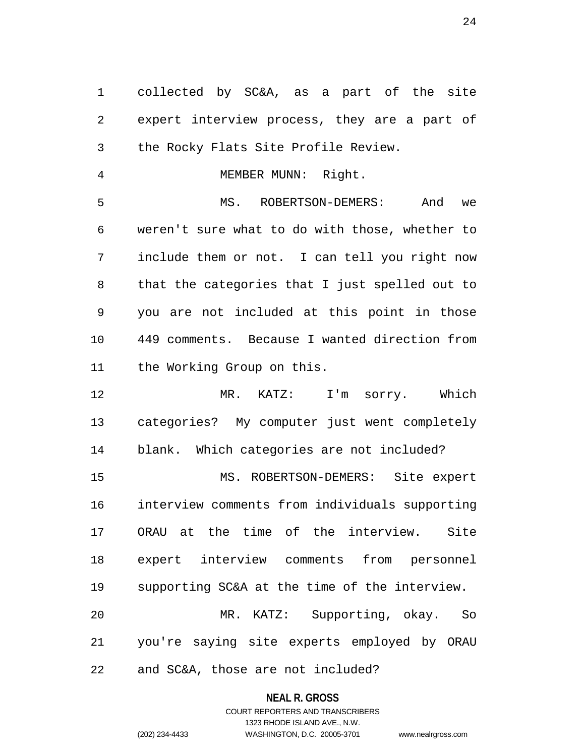1 collected by SC&A, as a part of the site 2 expert interview process, they are a part of 3 the Rocky Flats Site Profile Review.

4 MEMBER MUNN: Right.

5 MS. ROBERTSON-DEMERS: And we 6 weren't sure what to do with those, whether to 7 include them or not. I can tell you right now 8 that the categories that I just spelled out to 9 you are not included at this point in those 10 449 comments. Because I wanted direction from 11 the Working Group on this.

12 MR. KATZ: I'm sorry. Which 13 categories? My computer just went completely 14 blank. Which categories are not included? 15 MS. ROBERTSON-DEMERS: Site expert 16 interview comments from individuals supporting 17 ORAU at the time of the interview. Site 18 expert interview comments from personnel 19 supporting SC&A at the time of the interview. 20 MR. KATZ: Supporting, okay. So 21 you're saying site experts employed by ORAU

22 and SC&A, those are not included?

#### **NEAL R. GROSS**

COURT REPORTERS AND TRANSCRIBERS 1323 RHODE ISLAND AVE., N.W. (202) 234-4433 WASHINGTON, D.C. 20005-3701 www.nealrgross.com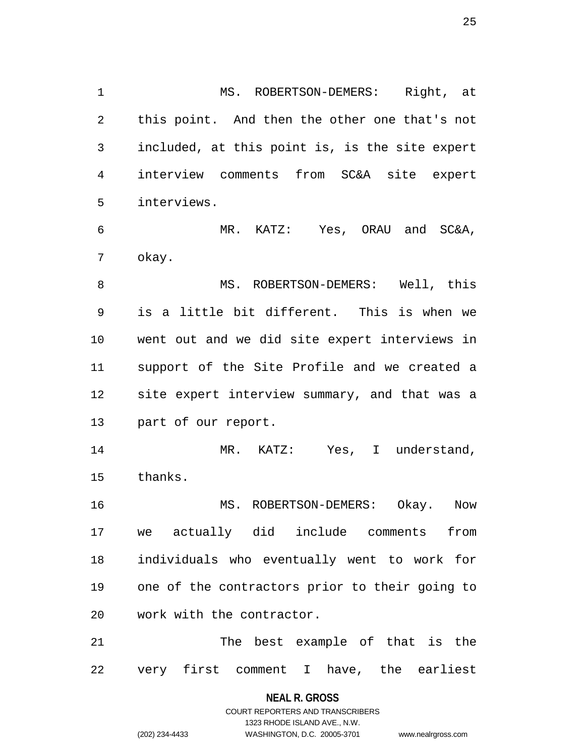1 MS. ROBERTSON-DEMERS: Right, at 2 this point. And then the other one that's not 3 included, at this point is, is the site expert 4 interview comments from SC&A site expert 5 interviews. 6 MR. KATZ: Yes, ORAU and SC&A, 7 okay. 8 MS. ROBERTSON-DEMERS: Well, this 9 is a little bit different. This is when we

14 MR. KATZ: Yes, I understand, 15 thanks.

10 went out and we did site expert interviews in

11 support of the Site Profile and we created a

12 site expert interview summary, and that was a

13 part of our report.

16 MS. ROBERTSON-DEMERS: Okay. Now 17 we actually did include comments from 18 individuals who eventually went to work for 19 one of the contractors prior to their going to 20 work with the contractor.

21 The best example of that is the 22 very first comment I have, the earliest

> **NEAL R. GROSS** COURT REPORTERS AND TRANSCRIBERS 1323 RHODE ISLAND AVE., N.W. (202) 234-4433 WASHINGTON, D.C. 20005-3701 www.nealrgross.com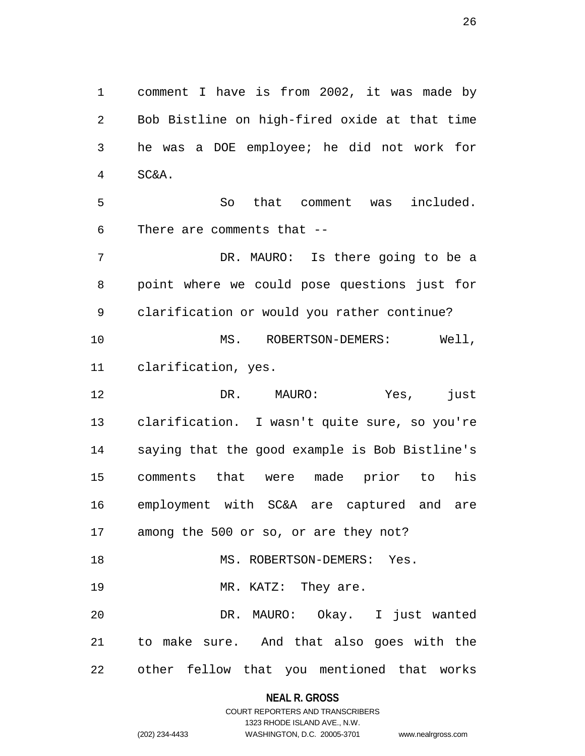1 comment I have is from 2002, it was made by 2 Bob Bistline on high-fired oxide at that time 3 he was a DOE employee; he did not work for 4 SC&A. 5 So that comment was included. 6 There are comments that -- 7 DR. MAURO: Is there going to be a 8 point where we could pose questions just for 9 clarification or would you rather continue? 10 MS. ROBERTSON-DEMERS: Well, 11 clarification, yes. 12 DR. MAURO: Yes, just 13 clarification. I wasn't quite sure, so you're 14 saying that the good example is Bob Bistline's 15 comments that were made prior to his 16 employment with SC&A are captured and are 17 among the 500 or so, or are they not? 18 MS. ROBERTSON-DEMERS: Yes. 19 MR. KATZ: They are. 20 DR. MAURO: Okay. I just wanted 21 to make sure. And that also goes with the 22 other fellow that you mentioned that works

**NEAL R. GROSS**

## COURT REPORTERS AND TRANSCRIBERS 1323 RHODE ISLAND AVE., N.W. (202) 234-4433 WASHINGTON, D.C. 20005-3701 www.nealrgross.com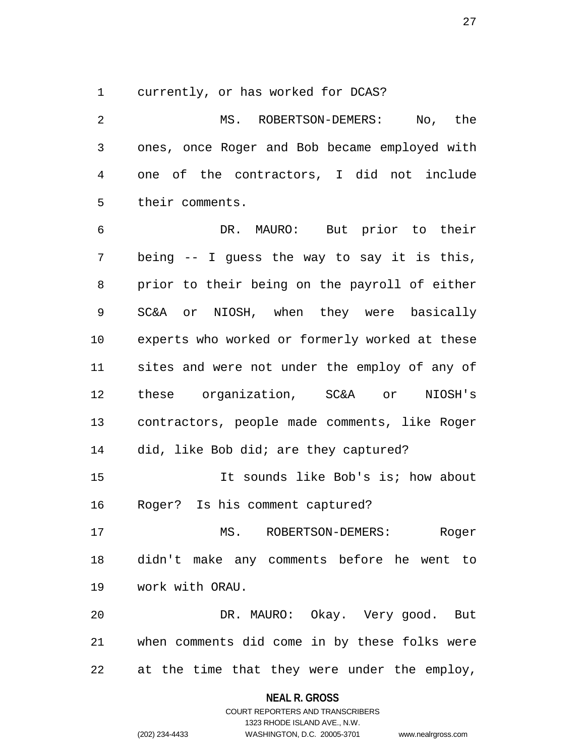1 currently, or has worked for DCAS?

2 MS. ROBERTSON-DEMERS: No, the 3 ones, once Roger and Bob became employed with 4 one of the contractors, I did not include 5 their comments. 6 DR. MAURO: But prior to their 7 being -- I guess the way to say it is this, 8 prior to their being on the payroll of either 9 SC&A or NIOSH, when they were basically 10 experts who worked or formerly worked at these 11 sites and were not under the employ of any of

12 these organization, SC&A or NIOSH's 13 contractors, people made comments, like Roger 14 did, like Bob did; are they captured?

15 It sounds like Bob's is; how about 16 Roger? Is his comment captured?

17 MS. ROBERTSON-DEMERS: Roger 18 didn't make any comments before he went to 19 work with ORAU.

20 DR. MAURO: Okay. Very good. But 21 when comments did come in by these folks were 22 at the time that they were under the employ,

#### **NEAL R. GROSS**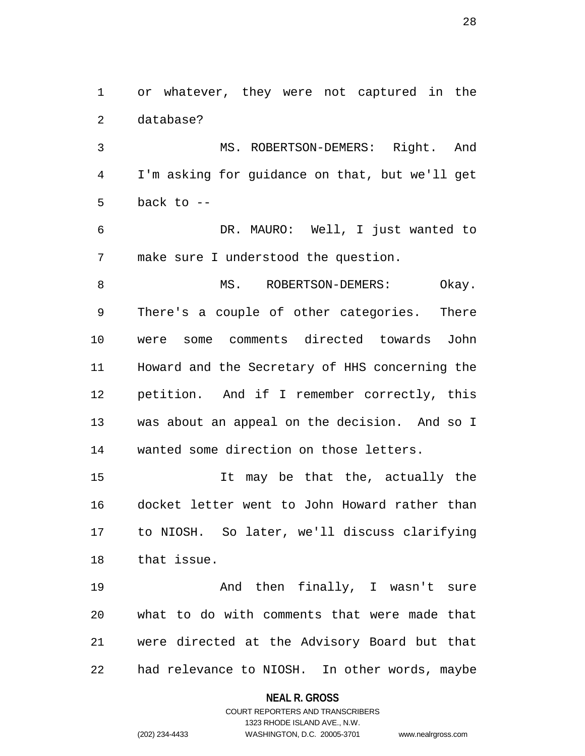1 or whatever, they were not captured in the 2 database?

3 MS. ROBERTSON-DEMERS: Right. And 4 I'm asking for guidance on that, but we'll get  $5$  back to  $-$ 

6 DR. MAURO: Well, I just wanted to 7 make sure I understood the question.

8 MS. ROBERTSON-DEMERS: Okay. 9 There's a couple of other categories. There 10 were some comments directed towards John 11 Howard and the Secretary of HHS concerning the 12 petition. And if I remember correctly, this 13 was about an appeal on the decision. And so I 14 wanted some direction on those letters.

15 It may be that the, actually the 16 docket letter went to John Howard rather than 17 to NIOSH. So later, we'll discuss clarifying 18 that issue.

19 And then finally, I wasn't sure 20 what to do with comments that were made that 21 were directed at the Advisory Board but that 22 had relevance to NIOSH. In other words, maybe

**NEAL R. GROSS**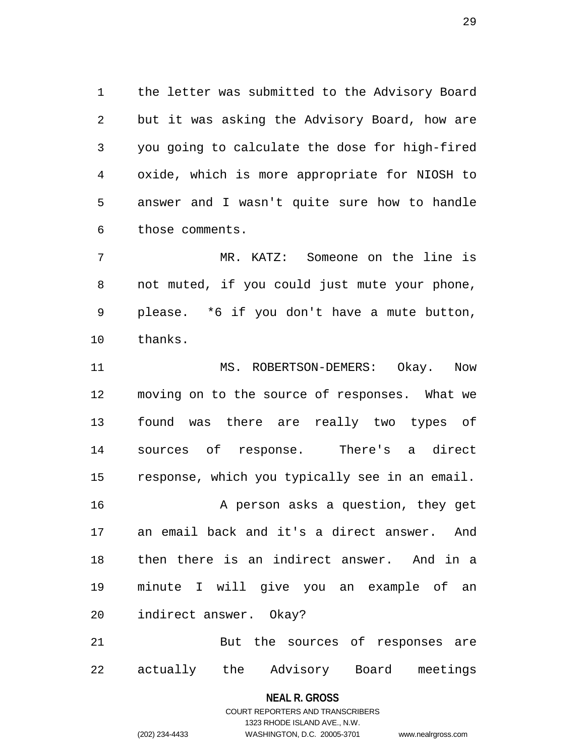1 the letter was submitted to the Advisory Board 2 but it was asking the Advisory Board, how are 3 you going to calculate the dose for high-fired 4 oxide, which is more appropriate for NIOSH to 5 answer and I wasn't quite sure how to handle 6 those comments.

7 MR. KATZ: Someone on the line is 8 not muted, if you could just mute your phone, 9 please. \*6 if you don't have a mute button, 10 thanks.

11 MS. ROBERTSON-DEMERS: Okay. Now 12 moving on to the source of responses. What we 13 found was there are really two types of 14 sources of response. There's a direct 15 response, which you typically see in an email. 16 A person asks a question, they get 17 an email back and it's a direct answer. And 18 then there is an indirect answer. And in a 19 minute I will give you an example of an 20 indirect answer. Okay? 21 But the sources of responses are

22 actually the Advisory Board meetings

**NEAL R. GROSS**

COURT REPORTERS AND TRANSCRIBERS 1323 RHODE ISLAND AVE., N.W. (202) 234-4433 WASHINGTON, D.C. 20005-3701 www.nealrgross.com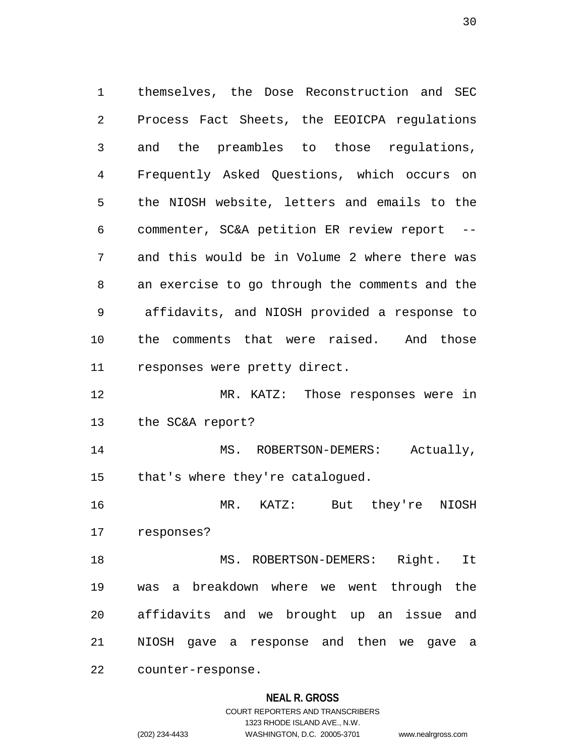1 themselves, the Dose Reconstruction and SEC 2 Process Fact Sheets, the EEOICPA regulations 3 and the preambles to those regulations, 4 Frequently Asked Questions, which occurs on 5 the NIOSH website, letters and emails to the 6 commenter, SC&A petition ER review report -- 7 and this would be in Volume 2 where there was 8 an exercise to go through the comments and the 9 affidavits, and NIOSH provided a response to 10 the comments that were raised. And those 11 responses were pretty direct. 12 MR. KATZ: Those responses were in

13 the SC&A report?

14 MS. ROBERTSON-DEMERS: Actually, 15 that's where they're catalogued.

16 MR. KATZ: But they're NIOSH 17 responses?

18 MS. ROBERTSON-DEMERS: Right. It 19 was a breakdown where we went through the 20 affidavits and we brought up an issue and 21 NIOSH gave a response and then we gave a

22 counter-response.

## **NEAL R. GROSS**

## COURT REPORTERS AND TRANSCRIBERS 1323 RHODE ISLAND AVE., N.W. (202) 234-4433 WASHINGTON, D.C. 20005-3701 www.nealrgross.com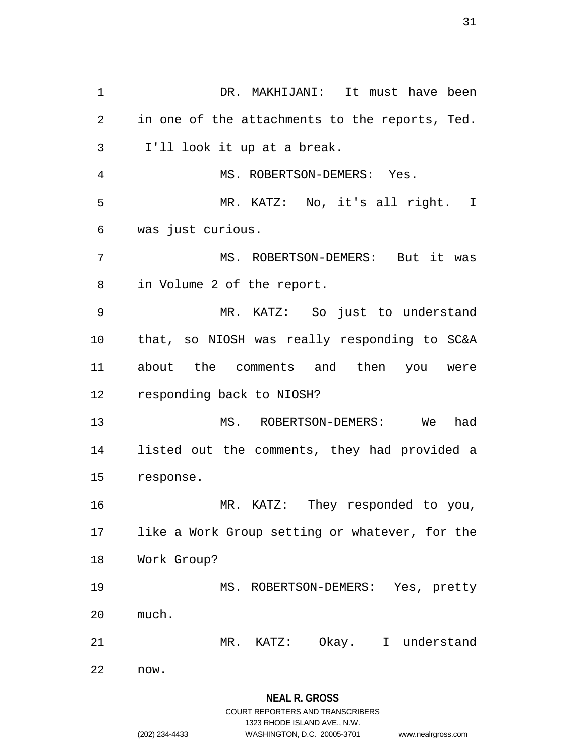1 DR. MAKHIJANI: It must have been 2 in one of the attachments to the reports, Ted. 3 I'll look it up at a break. 4 MS. ROBERTSON-DEMERS: Yes. 5 MR. KATZ: No, it's all right. I 6 was just curious. 7 MS. ROBERTSON-DEMERS: But it was 8 in Volume 2 of the report. 9 MR. KATZ: So just to understand 10 that, so NIOSH was really responding to SC&A 11 about the comments and then you were 12 responding back to NIOSH? 13 MS. ROBERTSON-DEMERS: We had 14 listed out the comments, they had provided a 15 response. 16 MR. KATZ: They responded to you, 17 like a Work Group setting or whatever, for the 18 Work Group? 19 MS. ROBERTSON-DEMERS: Yes, pretty 20 much. 21 MR. KATZ: Okay. I understand 22 now.

1323 RHODE ISLAND AVE., N.W.

(202) 234-4433 WASHINGTON, D.C. 20005-3701 www.nealrgross.com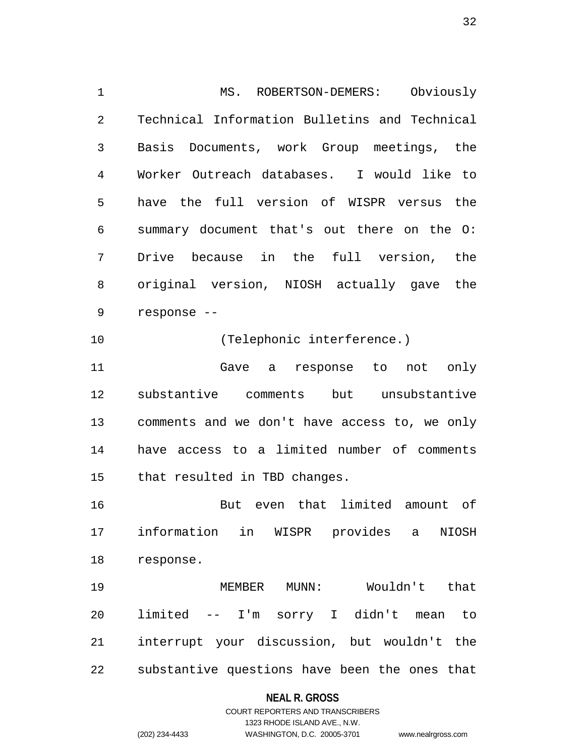1 MS. ROBERTSON-DEMERS: Obviously 2 Technical Information Bulletins and Technical 3 Basis Documents, work Group meetings, the 4 Worker Outreach databases. I would like to 5 have the full version of WISPR versus the 6 summary document that's out there on the O: 7 Drive because in the full version, the 8 original version, NIOSH actually gave the 9 response -- 10 (Telephonic interference.) 11 Gave a response to not only 12 substantive comments but unsubstantive 13 comments and we don't have access to, we only 14 have access to a limited number of comments 15 that resulted in TBD changes. 16 But even that limited amount of 17 information in WISPR provides a NIOSH 18 response. 19 MEMBER MUNN: Wouldn't that

20 limited -- I'm sorry I didn't mean to 21 interrupt your discussion, but wouldn't the 22 substantive questions have been the ones that

#### **NEAL R. GROSS**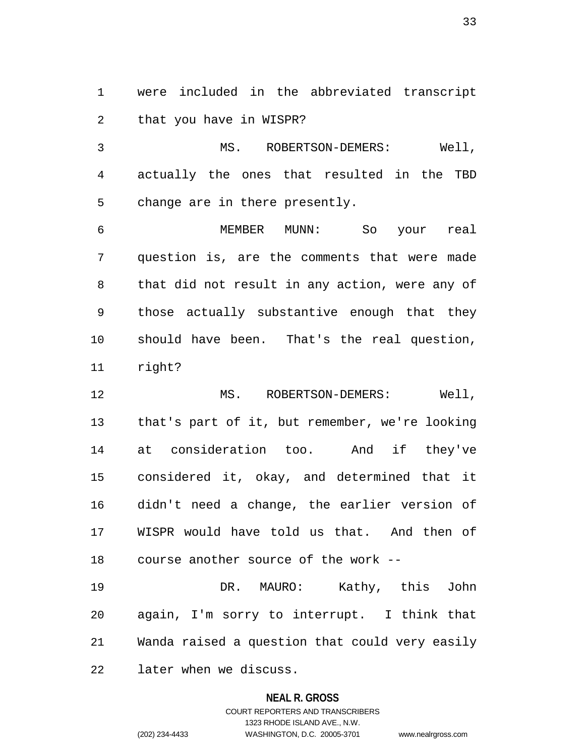1 were included in the abbreviated transcript 2 that you have in WISPR?

3 MS. ROBERTSON-DEMERS: Well, 4 actually the ones that resulted in the TBD 5 change are in there presently.

6 MEMBER MUNN: So your real 7 question is, are the comments that were made 8 that did not result in any action, were any of 9 those actually substantive enough that they 10 should have been. That's the real question, 11 right?

12 MS. ROBERTSON-DEMERS: Well, 13 that's part of it, but remember, we're looking 14 at consideration too. And if they've 15 considered it, okay, and determined that it 16 didn't need a change, the earlier version of 17 WISPR would have told us that. And then of 18 course another source of the work --

19 DR. MAURO: Kathy, this John 20 again, I'm sorry to interrupt. I think that 21 Wanda raised a question that could very easily 22 later when we discuss.

#### **NEAL R. GROSS**

COURT REPORTERS AND TRANSCRIBERS 1323 RHODE ISLAND AVE., N.W. (202) 234-4433 WASHINGTON, D.C. 20005-3701 www.nealrgross.com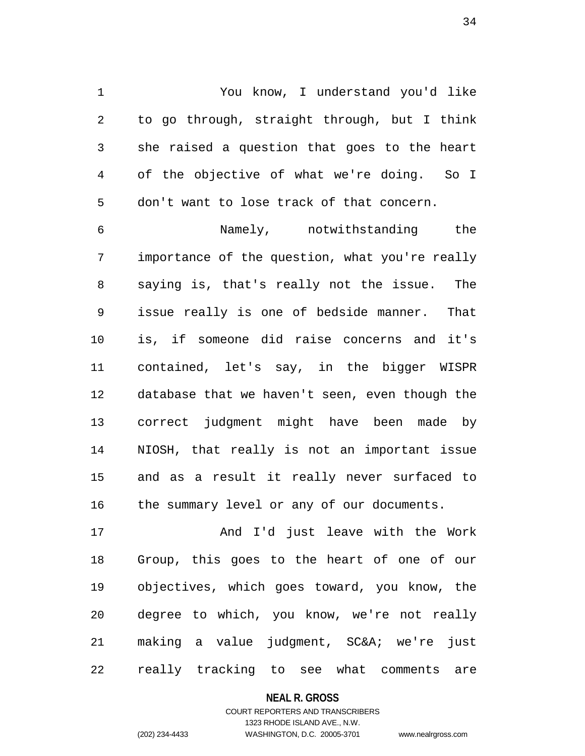1 You know, I understand you'd like 2 to go through, straight through, but I think 3 she raised a question that goes to the heart 4 of the objective of what we're doing. So I 5 don't want to lose track of that concern.

6 Namely, notwithstanding the 7 importance of the question, what you're really 8 saying is, that's really not the issue. The 9 issue really is one of bedside manner. That 10 is, if someone did raise concerns and it's 11 contained, let's say, in the bigger WISPR 12 database that we haven't seen, even though the 13 correct judgment might have been made by 14 NIOSH, that really is not an important issue 15 and as a result it really never surfaced to 16 the summary level or any of our documents.

17 And I'd just leave with the Work 18 Group, this goes to the heart of one of our 19 objectives, which goes toward, you know, the 20 degree to which, you know, we're not really 21 making a value judgment, SC&A; we're just 22 really tracking to see what comments are

#### **NEAL R. GROSS**

## COURT REPORTERS AND TRANSCRIBERS 1323 RHODE ISLAND AVE., N.W. (202) 234-4433 WASHINGTON, D.C. 20005-3701 www.nealrgross.com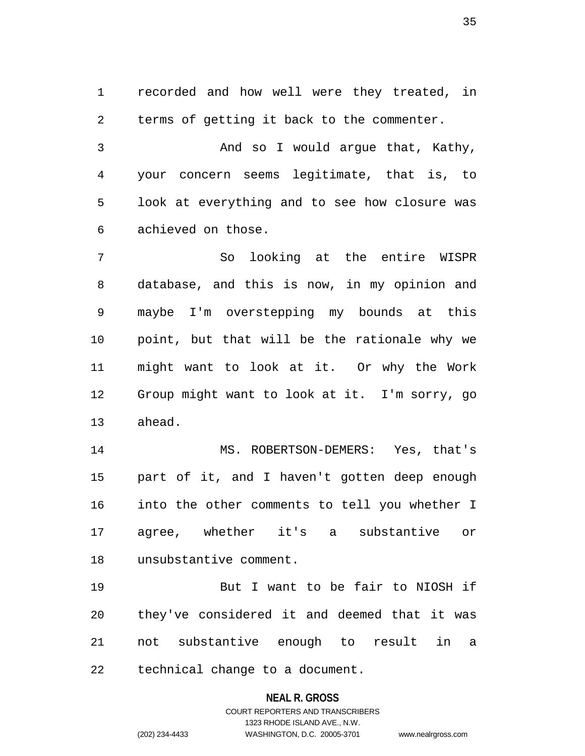1 recorded and how well were they treated, in 2 terms of getting it back to the commenter.

3 And so I would argue that, Kathy, 4 your concern seems legitimate, that is, to 5 look at everything and to see how closure was 6 achieved on those.

7 So looking at the entire WISPR 8 database, and this is now, in my opinion and 9 maybe I'm overstepping my bounds at this 10 point, but that will be the rationale why we 11 might want to look at it. Or why the Work 12 Group might want to look at it. I'm sorry, go 13 ahead.

14 MS. ROBERTSON-DEMERS: Yes, that's 15 part of it, and I haven't gotten deep enough 16 into the other comments to tell you whether I 17 agree, whether it's a substantive or 18 unsubstantive comment.

19 But I want to be fair to NIOSH if 20 they've considered it and deemed that it was 21 not substantive enough to result in a 22 technical change to a document.

**NEAL R. GROSS**

COURT REPORTERS AND TRANSCRIBERS 1323 RHODE ISLAND AVE., N.W. (202) 234-4433 WASHINGTON, D.C. 20005-3701 www.nealrgross.com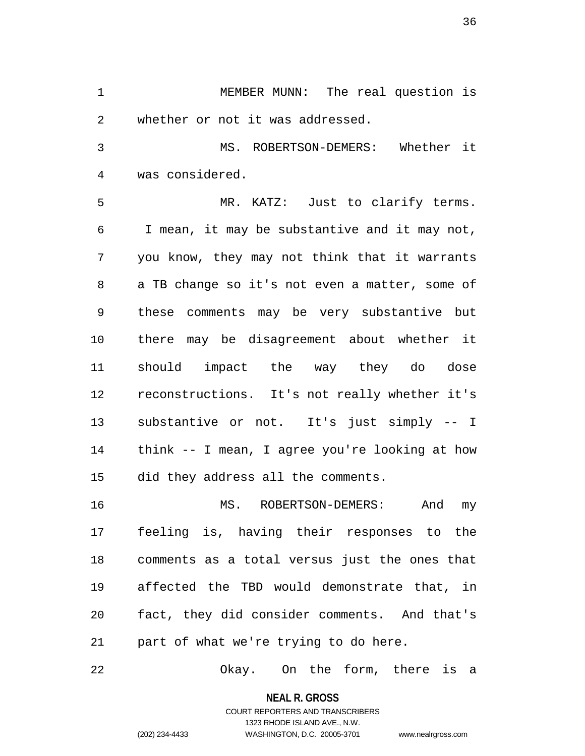1 MEMBER MUNN: The real question is 2 whether or not it was addressed.

3 MS. ROBERTSON-DEMERS: Whether it 4 was considered.

5 MR. KATZ: Just to clarify terms. 6 I mean, it may be substantive and it may not, 7 you know, they may not think that it warrants 8 a TB change so it's not even a matter, some of 9 these comments may be very substantive but 10 there may be disagreement about whether it 11 should impact the way they do dose 12 reconstructions. It's not really whether it's 13 substantive or not. It's just simply -- I 14 think -- I mean, I agree you're looking at how 15 did they address all the comments.

16 MS. ROBERTSON-DEMERS: And my 17 feeling is, having their responses to the 18 comments as a total versus just the ones that 19 affected the TBD would demonstrate that, in 20 fact, they did consider comments. And that's 21 part of what we're trying to do here.

22 Okay. On the form, there is a

**NEAL R. GROSS** COURT REPORTERS AND TRANSCRIBERS

1323 RHODE ISLAND AVE., N.W.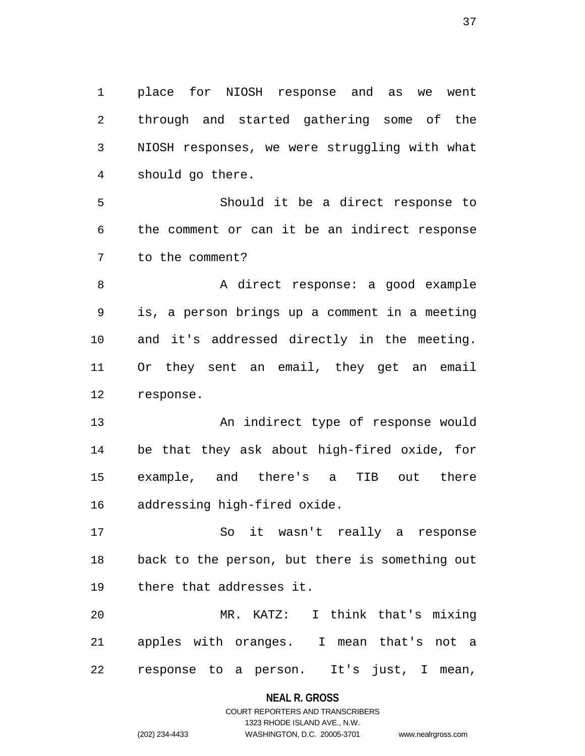1 place for NIOSH response and as we went 2 through and started gathering some of the 3 NIOSH responses, we were struggling with what 4 should go there.

5 Should it be a direct response to 6 the comment or can it be an indirect response 7 to the comment?

8 A direct response: a good example 9 is, a person brings up a comment in a meeting 10 and it's addressed directly in the meeting. 11 Or they sent an email, they get an email 12 response.

13 An indirect type of response would 14 be that they ask about high-fired oxide, for 15 example, and there's a TIB out there 16 addressing high-fired oxide.

17 So it wasn't really a response 18 back to the person, but there is something out 19 there that addresses it.

20 MR. KATZ: I think that's mixing 21 apples with oranges. I mean that's not a 22 response to a person. It's just, I mean,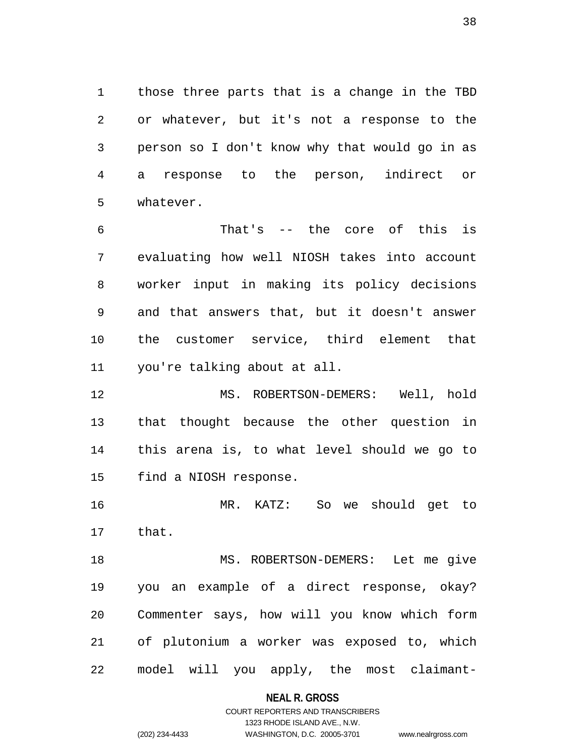1 those three parts that is a change in the TBD 2 or whatever, but it's not a response to the 3 person so I don't know why that would go in as 4 a response to the person, indirect or 5 whatever.

6 That's -- the core of this is 7 evaluating how well NIOSH takes into account 8 worker input in making its policy decisions 9 and that answers that, but it doesn't answer 10 the customer service, third element that 11 you're talking about at all.

12 MS. ROBERTSON-DEMERS: Well, hold 13 that thought because the other question in 14 this arena is, to what level should we go to 15 find a NIOSH response.

16 MR. KATZ: So we should get to 17 that.

18 MS. ROBERTSON-DEMERS: Let me give 19 you an example of a direct response, okay? 20 Commenter says, how will you know which form 21 of plutonium a worker was exposed to, which 22 model will you apply, the most claimant-

#### **NEAL R. GROSS**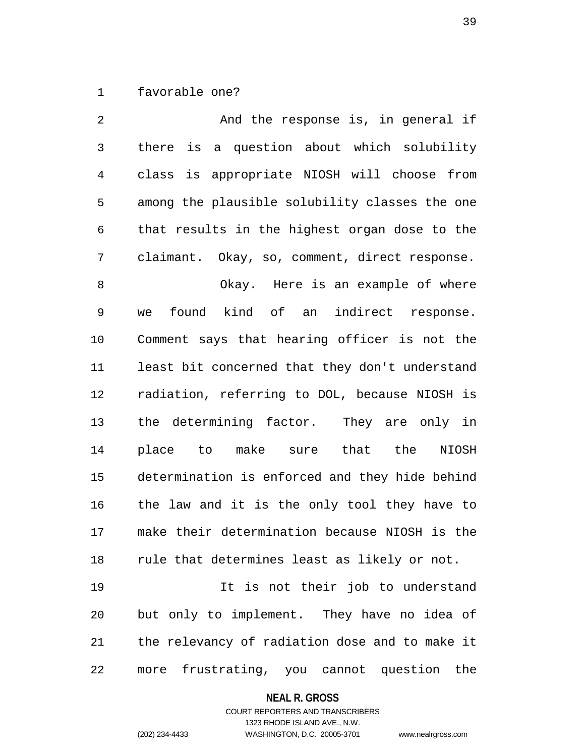1 favorable one?

2 And the response is, in general if 3 there is a question about which solubility 4 class is appropriate NIOSH will choose from 5 among the plausible solubility classes the one 6 that results in the highest organ dose to the 7 claimant. Okay, so, comment, direct response. 8 Okay. Here is an example of where 9 we found kind of an indirect response. 10 Comment says that hearing officer is not the 11 least bit concerned that they don't understand 12 radiation, referring to DOL, because NIOSH is 13 the determining factor. They are only in 14 place to make sure that the NIOSH 15 determination is enforced and they hide behind 16 the law and it is the only tool they have to 17 make their determination because NIOSH is the 18 rule that determines least as likely or not. 19 It is not their job to understand 20 but only to implement. They have no idea of 21 the relevancy of radiation dose and to make it 22 more frustrating, you cannot question the

**NEAL R. GROSS**

COURT REPORTERS AND TRANSCRIBERS 1323 RHODE ISLAND AVE., N.W. (202) 234-4433 WASHINGTON, D.C. 20005-3701 www.nealrgross.com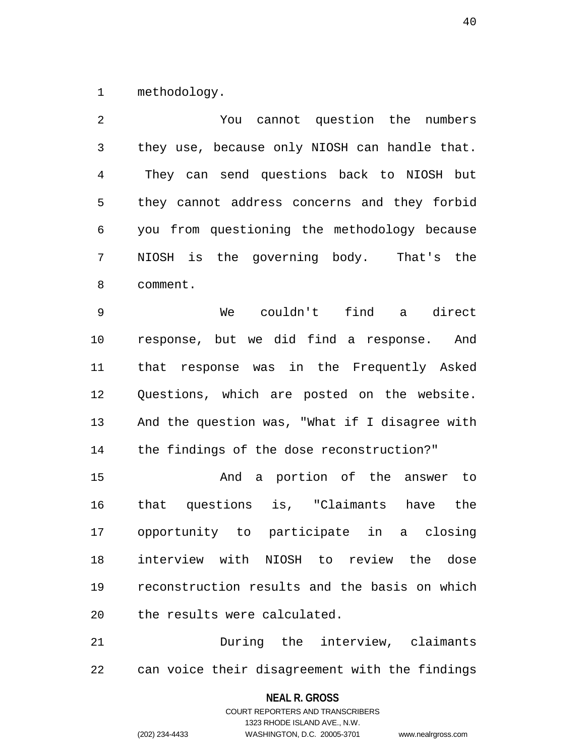1 methodology.

2 You cannot question the numbers 3 they use, because only NIOSH can handle that. 4 They can send questions back to NIOSH but 5 they cannot address concerns and they forbid 6 you from questioning the methodology because 7 NIOSH is the governing body. That's the 8 comment. 9 We couldn't find a direct 10 response, but we did find a response. And 11 that response was in the Frequently Asked 12 Questions, which are posted on the website. 13 And the question was, "What if I disagree with 14 the findings of the dose reconstruction?" 15 And a portion of the answer to 16 that questions is, "Claimants have the 17 opportunity to participate in a closing 18 interview with NIOSH to review the dose 19 reconstruction results and the basis on which 20 the results were calculated. 21 During the interview, claimants

22 can voice their disagreement with the findings

#### **NEAL R. GROSS**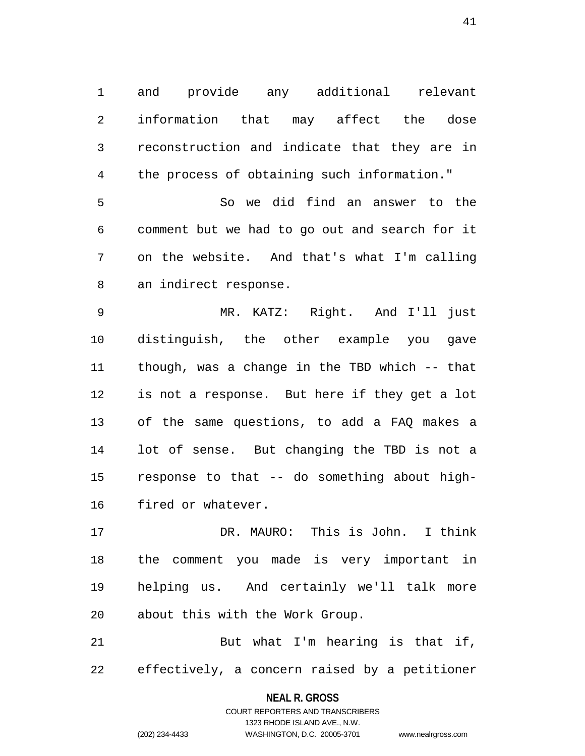1 and provide any additional relevant 2 information that may affect the dose 3 reconstruction and indicate that they are in 4 the process of obtaining such information."

5 So we did find an answer to the 6 comment but we had to go out and search for it 7 on the website. And that's what I'm calling 8 an indirect response.

9 MR. KATZ: Right. And I'll just 10 distinguish, the other example you gave 11 though, was a change in the TBD which -- that 12 is not a response. But here if they get a lot 13 of the same questions, to add a FAQ makes a 14 lot of sense. But changing the TBD is not a 15 response to that -- do something about high-16 fired or whatever.

17 DR. MAURO: This is John. I think 18 the comment you made is very important in 19 helping us. And certainly we'll talk more 20 about this with the Work Group.

21 But what I'm hearing is that if, 22 effectively, a concern raised by a petitioner

#### **NEAL R. GROSS**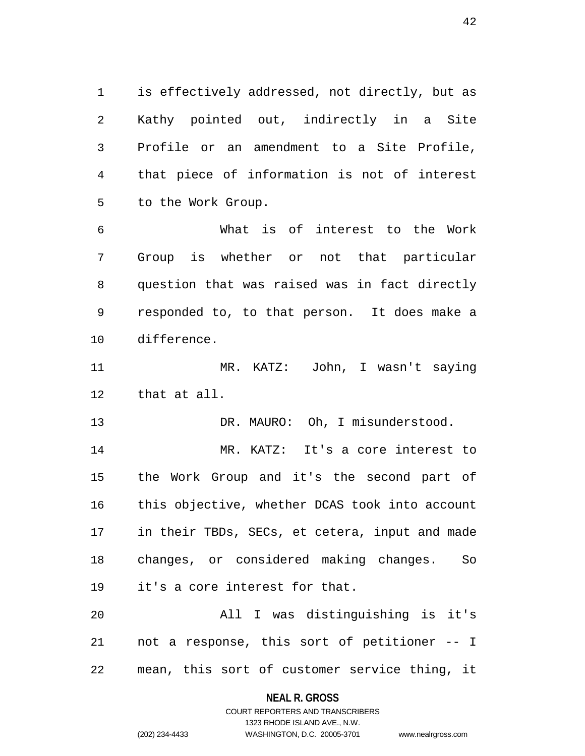1 is effectively addressed, not directly, but as 2 Kathy pointed out, indirectly in a Site 3 Profile or an amendment to a Site Profile, 4 that piece of information is not of interest 5 to the Work Group.

6 What is of interest to the Work 7 Group is whether or not that particular 8 question that was raised was in fact directly 9 responded to, to that person. It does make a 10 difference.

11 MR. KATZ: John, I wasn't saying 12 that at all.

13 DR. MAURO: Oh, I misunderstood.

14 MR. KATZ: It's a core interest to 15 the Work Group and it's the second part of 16 this objective, whether DCAS took into account 17 in their TBDs, SECs, et cetera, input and made 18 changes, or considered making changes. So 19 it's a core interest for that.

20 All I was distinguishing is it's 21 not a response, this sort of petitioner -- I 22 mean, this sort of customer service thing, it

**NEAL R. GROSS**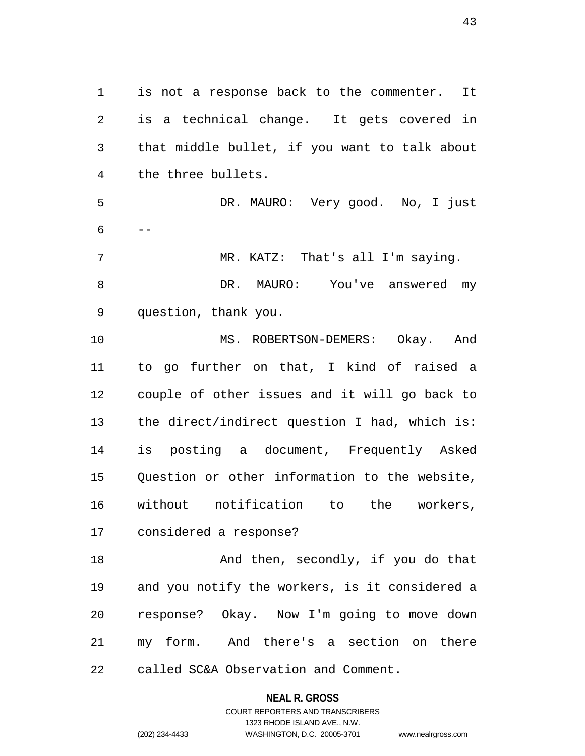1 is not a response back to the commenter. It 2 is a technical change. It gets covered in 3 that middle bullet, if you want to talk about 4 the three bullets. 5 DR. MAURO: Very good. No, I just  $6 - -$ 7 MR. KATZ: That's all I'm saying. 8 DR. MAURO: You've answered my 9 question, thank you. 10 MS. ROBERTSON-DEMERS: Okay. And 11 to go further on that, I kind of raised a 12 couple of other issues and it will go back to 13 the direct/indirect question I had, which is: 14 is posting a document, Frequently Asked 15 Question or other information to the website, 16 without notification to the workers, 17 considered a response? 18 And then, secondly, if you do that 19 and you notify the workers, is it considered a 20 response? Okay. Now I'm going to move down

22 called SC&A Observation and Comment.

**NEAL R. GROSS** COURT REPORTERS AND TRANSCRIBERS

21 my form. And there's a section on there

1323 RHODE ISLAND AVE., N.W. (202) 234-4433 WASHINGTON, D.C. 20005-3701 www.nealrgross.com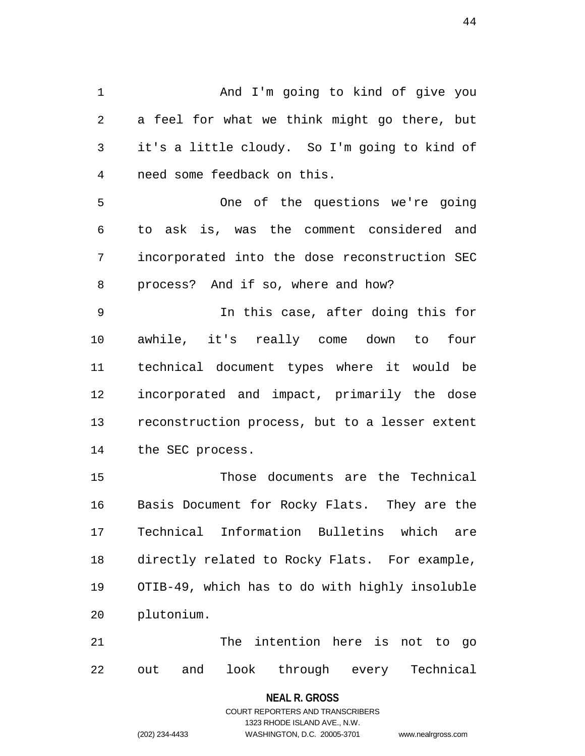1 And I'm going to kind of give you 2 a feel for what we think might go there, but 3 it's a little cloudy. So I'm going to kind of 4 need some feedback on this. 5 One of the questions we're going 6 to ask is, was the comment considered and 7 incorporated into the dose reconstruction SEC 8 process? And if so, where and how? 9 In this case, after doing this for 10 awhile, it's really come down to four 11 technical document types where it would be 12 incorporated and impact, primarily the dose 13 reconstruction process, but to a lesser extent 14 the SEC process. 15 Those documents are the Technical 16 Basis Document for Rocky Flats. They are the

17 Technical Information Bulletins which are 18 directly related to Rocky Flats. For example, 19 OTIB-49, which has to do with highly insoluble 20 plutonium.

21 The intention here is not to go 22 out and look through every Technical

#### **NEAL R. GROSS**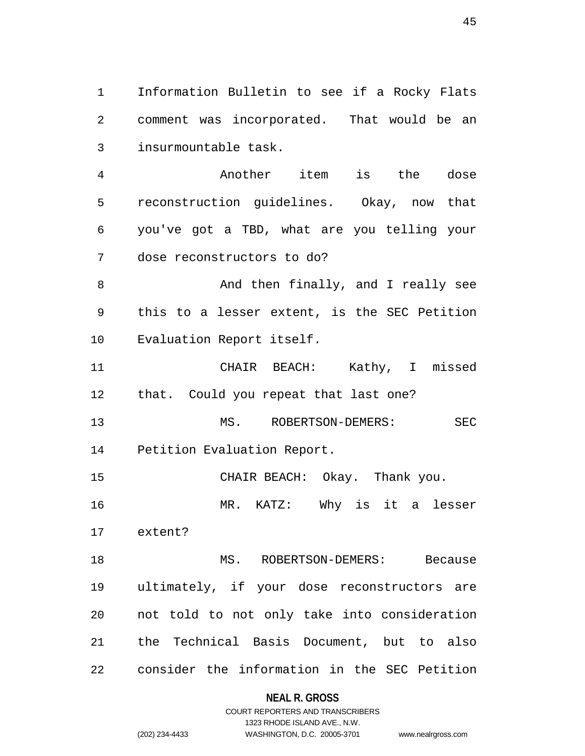1 Information Bulletin to see if a Rocky Flats 2 comment was incorporated. That would be an 3 insurmountable task.

4 Another item is the dose 5 reconstruction guidelines. Okay, now that 6 you've got a TBD, what are you telling your 7 dose reconstructors to do?

8 And then finally, and I really see 9 this to a lesser extent, is the SEC Petition 10 Evaluation Report itself.

11 CHAIR BEACH: Kathy, I missed 12 that. Could you repeat that last one?

13 MS. ROBERTSON-DEMERS: SEC 14 Petition Evaluation Report.

15 CHAIR BEACH: Okay. Thank you.

16 MR. KATZ: Why is it a lesser

17 extent?

18 MS. ROBERTSON-DEMERS: Because 19 ultimately, if your dose reconstructors are 20 not told to not only take into consideration 21 the Technical Basis Document, but to also 22 consider the information in the SEC Petition

## **NEAL R. GROSS**

## COURT REPORTERS AND TRANSCRIBERS 1323 RHODE ISLAND AVE., N.W. (202) 234-4433 WASHINGTON, D.C. 20005-3701 www.nealrgross.com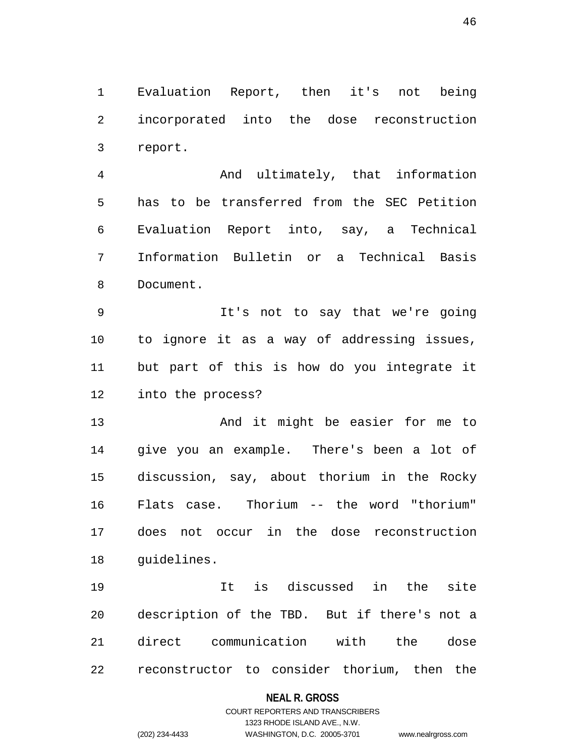1 Evaluation Report, then it's not being 2 incorporated into the dose reconstruction 3 report.

4 And ultimately, that information 5 has to be transferred from the SEC Petition 6 Evaluation Report into, say, a Technical 7 Information Bulletin or a Technical Basis 8 Document.

9 It's not to say that we're going 10 to ignore it as a way of addressing issues, 11 but part of this is how do you integrate it 12 into the process?

13 And it might be easier for me to 14 give you an example. There's been a lot of 15 discussion, say, about thorium in the Rocky 16 Flats case. Thorium -- the word "thorium" 17 does not occur in the dose reconstruction 18 guidelines.

19 It is discussed in the site 20 description of the TBD. But if there's not a 21 direct communication with the dose 22 reconstructor to consider thorium, then the

#### **NEAL R. GROSS**

## COURT REPORTERS AND TRANSCRIBERS 1323 RHODE ISLAND AVE., N.W. (202) 234-4433 WASHINGTON, D.C. 20005-3701 www.nealrgross.com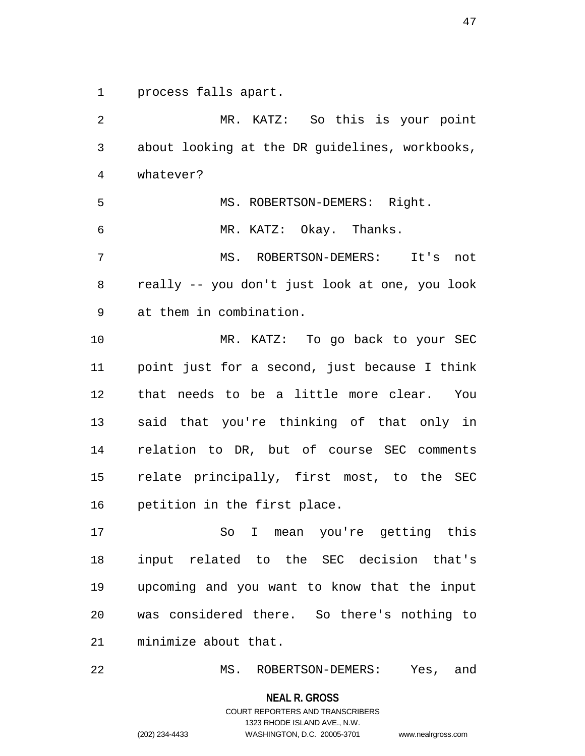1 process falls apart.

2 MR. KATZ: So this is your point 3 about looking at the DR guidelines, workbooks, 4 whatever? 5 MS. ROBERTSON-DEMERS: Right. 6 MR. KATZ: Okay. Thanks. 7 MS. ROBERTSON-DEMERS: It's not 8 really -- you don't just look at one, you look 9 at them in combination. 10 MR. KATZ: To go back to your SEC 11 point just for a second, just because I think 12 that needs to be a little more clear. You 13 said that you're thinking of that only in 14 relation to DR, but of course SEC comments 15 relate principally, first most, to the SEC 16 petition in the first place. 17 So I mean you're getting this 18 input related to the SEC decision that's 19 upcoming and you want to know that the input 20 was considered there. So there's nothing to 21 minimize about that.

22 MS. ROBERTSON-DEMERS: Yes, and

**NEAL R. GROSS**

COURT REPORTERS AND TRANSCRIBERS 1323 RHODE ISLAND AVE., N.W. (202) 234-4433 WASHINGTON, D.C. 20005-3701 www.nealrgross.com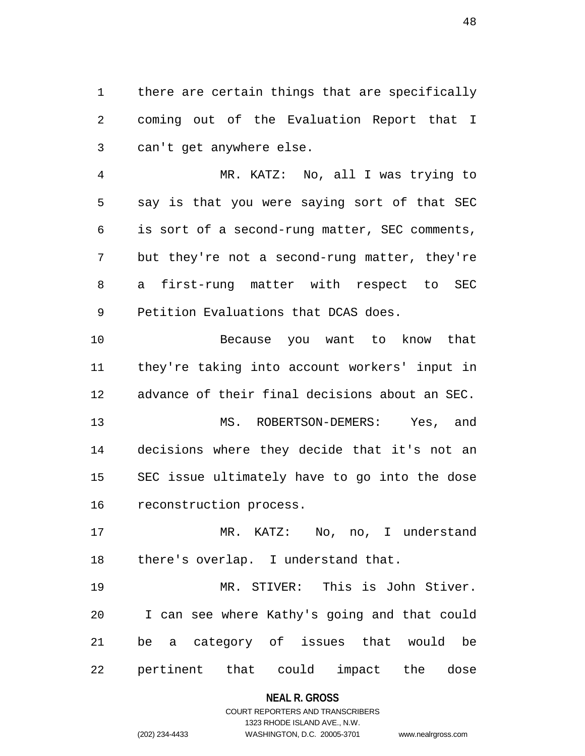1 there are certain things that are specifically 2 coming out of the Evaluation Report that I 3 can't get anywhere else.

4 MR. KATZ: No, all I was trying to 5 say is that you were saying sort of that SEC 6 is sort of a second-rung matter, SEC comments, 7 but they're not a second-rung matter, they're 8 a first-rung matter with respect to SEC 9 Petition Evaluations that DCAS does.

10 Because you want to know that 11 they're taking into account workers' input in 12 advance of their final decisions about an SEC. 13 MS. ROBERTSON-DEMERS: Yes, and 14 decisions where they decide that it's not an 15 SEC issue ultimately have to go into the dose 16 reconstruction process.

17 MR. KATZ: No, no, I understand 18 there's overlap. I understand that.

19 MR. STIVER: This is John Stiver. 20 I can see where Kathy's going and that could 21 be a category of issues that would be 22 pertinent that could impact the dose

#### **NEAL R. GROSS**

## COURT REPORTERS AND TRANSCRIBERS 1323 RHODE ISLAND AVE., N.W. (202) 234-4433 WASHINGTON, D.C. 20005-3701 www.nealrgross.com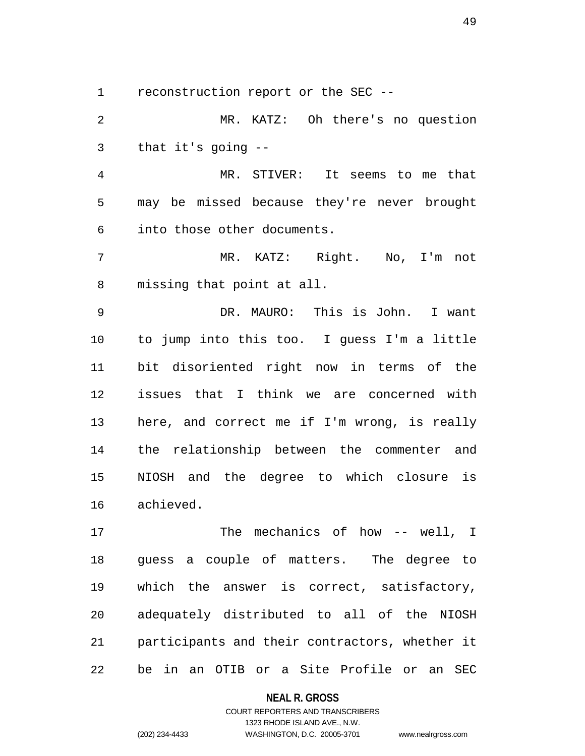1 reconstruction report or the SEC --

2 MR. KATZ: Oh there's no question 3 that it's going --

4 MR. STIVER: It seems to me that 5 may be missed because they're never brought 6 into those other documents.

7 MR. KATZ: Right. No, I'm not 8 missing that point at all.

9 DR. MAURO: This is John. I want 10 to jump into this too. I guess I'm a little 11 bit disoriented right now in terms of the 12 issues that I think we are concerned with 13 here, and correct me if I'm wrong, is really 14 the relationship between the commenter and 15 NIOSH and the degree to which closure is 16 achieved.

17 The mechanics of how -- well, I 18 guess a couple of matters. The degree to 19 which the answer is correct, satisfactory, 20 adequately distributed to all of the NIOSH 21 participants and their contractors, whether it 22 be in an OTIB or a Site Profile or an SEC

#### **NEAL R. GROSS**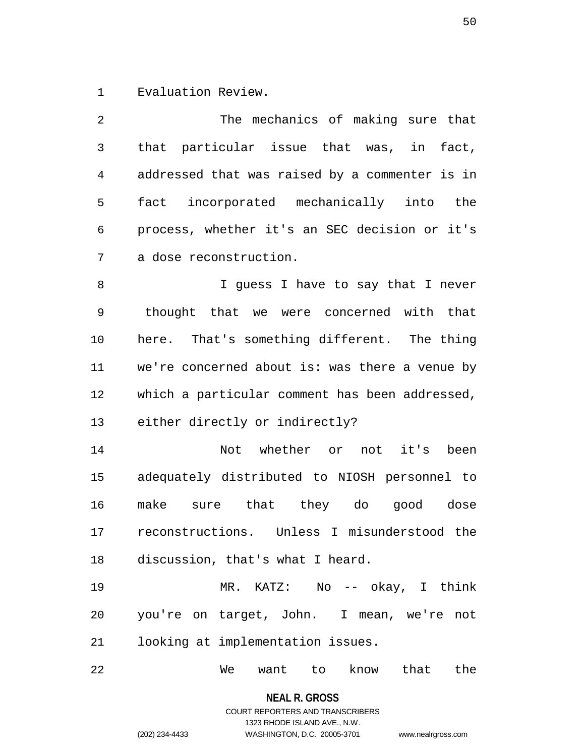1 Evaluation Review.

| 2  | The mechanics of making sure that              |
|----|------------------------------------------------|
| 3  | that particular issue that was, in fact,       |
| 4  | addressed that was raised by a commenter is in |
| 5  | fact incorporated mechanically into the        |
| 6  | process, whether it's an SEC decision or it's  |
| 7  | a dose reconstruction.                         |
| 8  | I guess I have to say that I never             |
| 9  | thought that we were concerned with that       |
| 10 | here. That's something different. The thing    |
| 11 | we're concerned about is: was there a venue by |
| 12 | which a particular comment has been addressed, |
| 13 | either directly or indirectly?                 |
| 14 | Not whether or not it's<br>been                |
| 15 | adequately distributed to NIOSH personnel to   |
| 16 | make sure that they do good dose               |
| 17 | reconstructions. Unless I misunderstood the    |
| 18 | discussion, that's what I heard.               |
| 19 | MR. KATZ: No -- okay, I think                  |
| 20 | you're on target, John. I mean, we're not      |
| 21 | looking at implementation issues.              |
| 22 | know that<br>We<br>want<br>the<br>to           |

**NEAL R. GROSS**

## COURT REPORTERS AND TRANSCRIBERS 1323 RHODE ISLAND AVE., N.W. (202) 234-4433 WASHINGTON, D.C. 20005-3701 www.nealrgross.com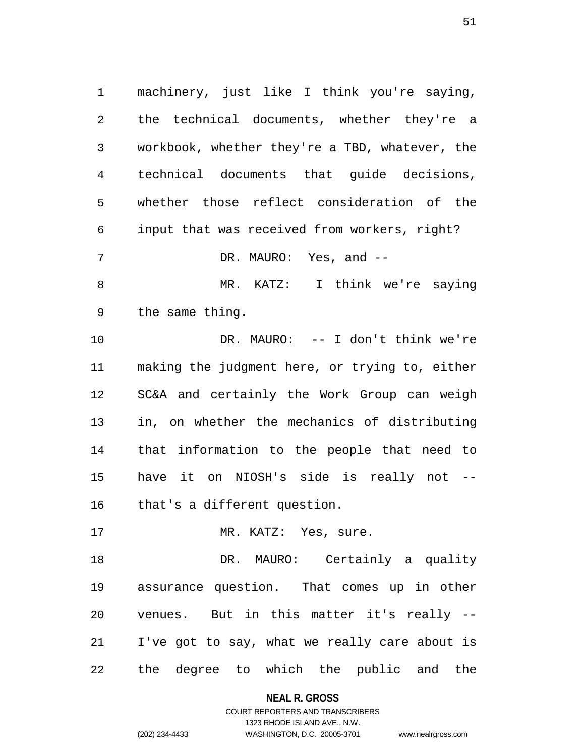1 machinery, just like I think you're saying, 2 the technical documents, whether they're a 3 workbook, whether they're a TBD, whatever, the 4 technical documents that guide decisions, 5 whether those reflect consideration of the 6 input that was received from workers, right? 7 DR. MAURO: Yes, and --8 MR. KATZ: I think we're saying 9 the same thing. 10 DR. MAURO: -- I don't think we're 11 making the judgment here, or trying to, either 12 SC&A and certainly the Work Group can weigh 13 in, on whether the mechanics of distributing 14 that information to the people that need to 15 have it on NIOSH's side is really not -- 16 that's a different question. 17 MR. KATZ: Yes, sure. 18 DR. MAURO: Certainly a quality 19 assurance question. That comes up in other

21 I've got to say, what we really care about is 22 the degree to which the public and the

20 venues. But in this matter it's really --

**NEAL R. GROSS**

COURT REPORTERS AND TRANSCRIBERS 1323 RHODE ISLAND AVE., N.W. (202) 234-4433 WASHINGTON, D.C. 20005-3701 www.nealrgross.com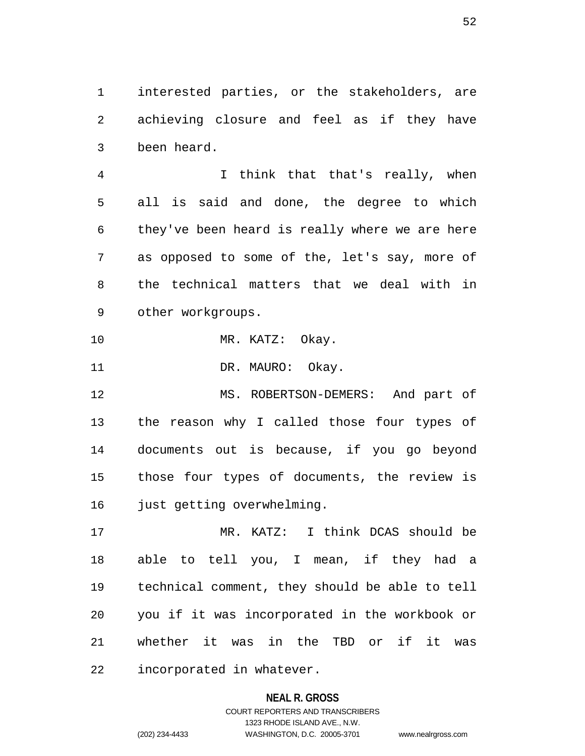1 interested parties, or the stakeholders, are 2 achieving closure and feel as if they have 3 been heard.

4 I think that that's really, when 5 all is said and done, the degree to which 6 they've been heard is really where we are here 7 as opposed to some of the, let's say, more of 8 the technical matters that we deal with in 9 other workgroups.

10 MR. KATZ: Okay.

11 DR. MAURO: Okay.

12 MS. ROBERTSON-DEMERS: And part of 13 the reason why I called those four types of 14 documents out is because, if you go beyond 15 those four types of documents, the review is 16 just getting overwhelming.

17 MR. KATZ: I think DCAS should be 18 able to tell you, I mean, if they had a 19 technical comment, they should be able to tell 20 you if it was incorporated in the workbook or 21 whether it was in the TBD or if it was 22 incorporated in whatever.

#### **NEAL R. GROSS**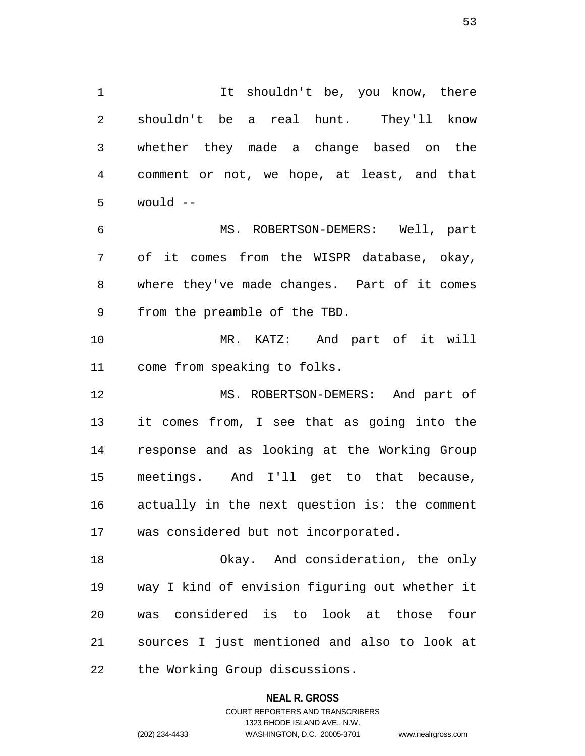1 1 It shouldn't be, you know, there 2 shouldn't be a real hunt. They'll know 3 whether they made a change based on the 4 comment or not, we hope, at least, and that  $5$  would  $-$ 6 MS. ROBERTSON-DEMERS: Well, part 7 of it comes from the WISPR database, okay, 8 where they've made changes. Part of it comes 9 from the preamble of the TBD.

10 MR. KATZ: And part of it will 11 come from speaking to folks.

12 MS. ROBERTSON-DEMERS: And part of 13 it comes from, I see that as going into the 14 response and as looking at the Working Group 15 meetings. And I'll get to that because, 16 actually in the next question is: the comment 17 was considered but not incorporated.

18 Okay. And consideration, the only 19 way I kind of envision figuring out whether it 20 was considered is to look at those four 21 sources I just mentioned and also to look at 22 the Working Group discussions.

### **NEAL R. GROSS**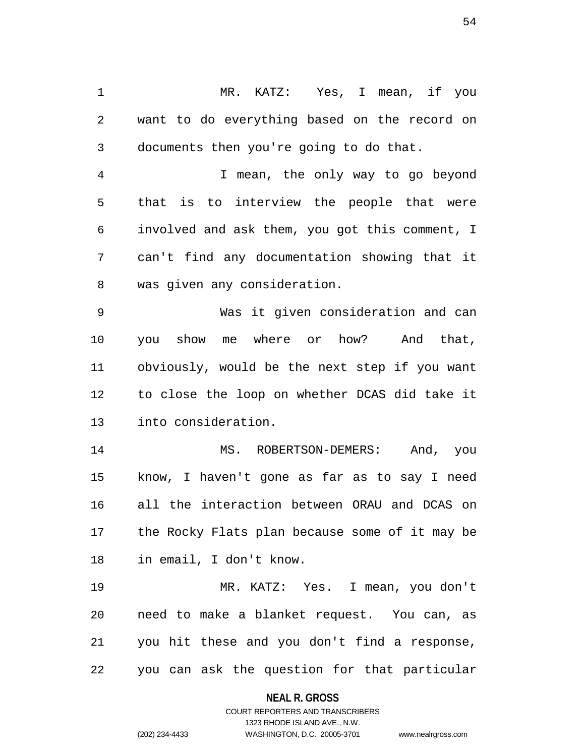1 MR. KATZ: Yes, I mean, if you 2 want to do everything based on the record on 3 documents then you're going to do that.

4 I mean, the only way to go beyond 5 that is to interview the people that were 6 involved and ask them, you got this comment, I 7 can't find any documentation showing that it 8 was given any consideration.

9 Was it given consideration and can 10 you show me where or how? And that, 11 obviously, would be the next step if you want 12 to close the loop on whether DCAS did take it 13 into consideration.

14 MS. ROBERTSON-DEMERS: And, you 15 know, I haven't gone as far as to say I need 16 all the interaction between ORAU and DCAS on 17 the Rocky Flats plan because some of it may be 18 in email, I don't know.

19 MR. KATZ: Yes. I mean, you don't 20 need to make a blanket request. You can, as 21 you hit these and you don't find a response, 22 you can ask the question for that particular

**NEAL R. GROSS**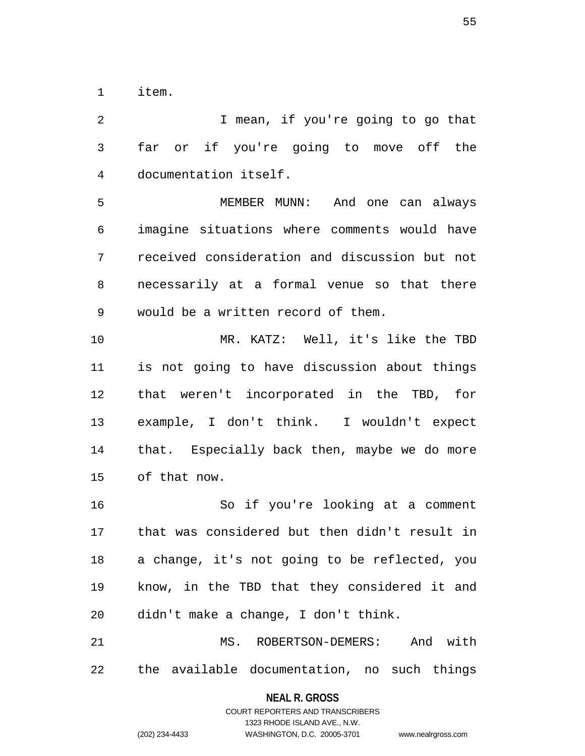1 item.

2 I mean, if you're going to go that 3 far or if you're going to move off the 4 documentation itself. 5 MEMBER MUNN: And one can always 6 imagine situations where comments would have 7 received consideration and discussion but not 8 necessarily at a formal venue so that there 9 would be a written record of them. 10 MR. KATZ: Well, it's like the TBD 11 is not going to have discussion about things 12 that weren't incorporated in the TBD, for 13 example, I don't think. I wouldn't expect 14 that. Especially back then, maybe we do more 15 of that now. 16 So if you're looking at a comment 17 that was considered but then didn't result in 18 a change, it's not going to be reflected, you 19 know, in the TBD that they considered it and 20 didn't make a change, I don't think. 21 MS. ROBERTSON-DEMERS: And with 22 the available documentation, no such things

> **NEAL R. GROSS** COURT REPORTERS AND TRANSCRIBERS

> > 1323 RHODE ISLAND AVE., N.W.

(202) 234-4433 WASHINGTON, D.C. 20005-3701 www.nealrgross.com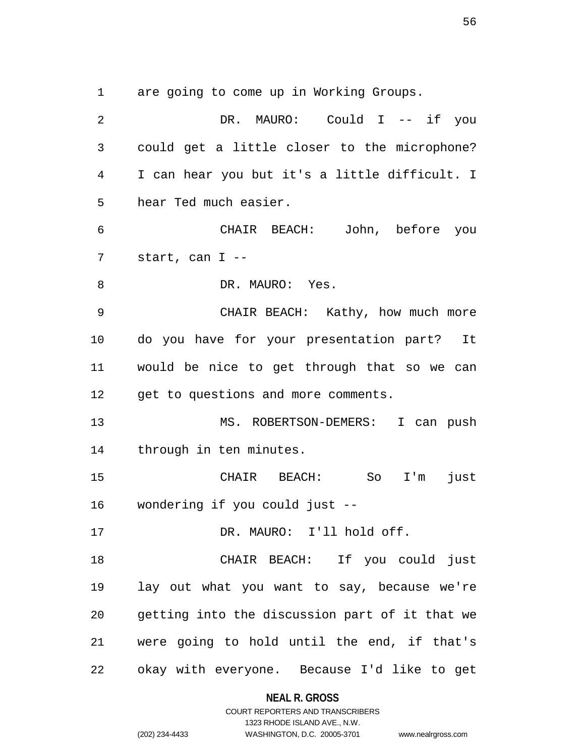1 are going to come up in Working Groups.

| $\overline{2}$ | DR. MAURO: Could I -- if you                   |
|----------------|------------------------------------------------|
| 3              | could get a little closer to the microphone?   |
| 4              | I can hear you but it's a little difficult. I  |
| 5              | hear Ted much easier.                          |
| 6              | CHAIR BEACH: John, before you                  |
| 7              | start, can $I$ --                              |
| 8              | DR. MAURO: Yes.                                |
| 9              | CHAIR BEACH: Kathy, how much more              |
| 10             | do you have for your presentation part? It     |
| 11             | would be nice to get through that so we can    |
| 12             | get to questions and more comments.            |
| 13             | MS. ROBERTSON-DEMERS: I can push               |
| 14             | through in ten minutes.                        |
| 15             | CHAIR BEACH: So I'm<br>just                    |
|                | 16 wondering if you could just --              |
| 17             | DR. MAURO: I'll hold off.                      |
| 18             | CHAIR BEACH: If you could just                 |
| 19             | lay out what you want to say, because we're    |
| 20             | getting into the discussion part of it that we |
| 21             | were going to hold until the end, if that's    |
| 22             | okay with everyone. Because I'd like to get    |

**NEAL R. GROSS** COURT REPORTERS AND TRANSCRIBERS

1323 RHODE ISLAND AVE., N.W. (202) 234-4433 WASHINGTON, D.C. 20005-3701 www.nealrgross.com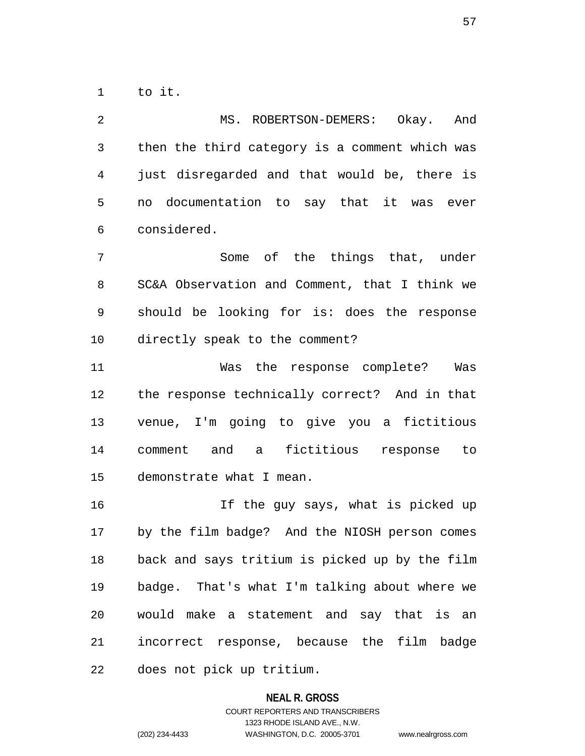1 to it.

2 MS. ROBERTSON-DEMERS: Okay. And 3 then the third category is a comment which was 4 just disregarded and that would be, there is 5 no documentation to say that it was ever 6 considered. 7 Some of the things that, under 8 SC&A Observation and Comment, that I think we 9 should be looking for is: does the response 10 directly speak to the comment? 11 Was the response complete? Was 12 the response technically correct? And in that 13 venue, I'm going to give you a fictitious 14 comment and a fictitious response to 15 demonstrate what I mean. 16 If the guy says, what is picked up 17 by the film badge? And the NIOSH person comes 18 back and says tritium is picked up by the film 19 badge. That's what I'm talking about where we 20 would make a statement and say that is an 21 incorrect response, because the film badge

22 does not pick up tritium.

### **NEAL R. GROSS**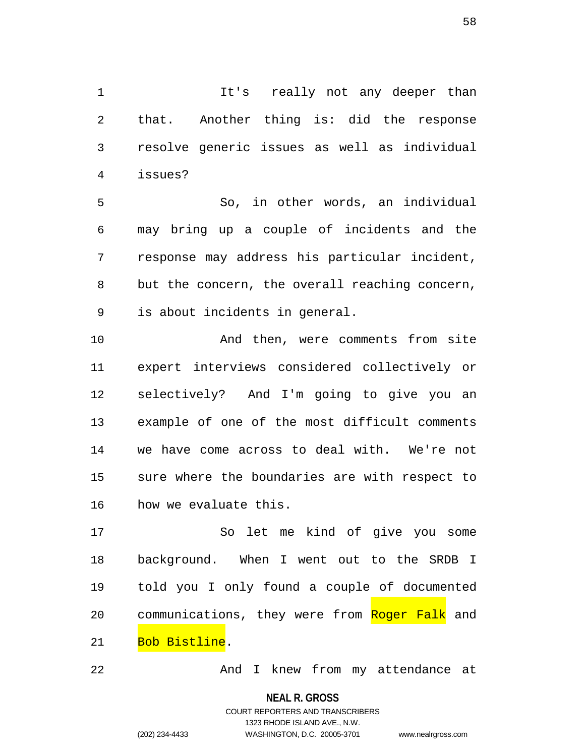1 It's really not any deeper than 2 that. Another thing is: did the response 3 resolve generic issues as well as individual 4 issues?

5 So, in other words, an individual 6 may bring up a couple of incidents and the 7 response may address his particular incident, 8 but the concern, the overall reaching concern, 9 is about incidents in general.

10 And then, were comments from site 11 expert interviews considered collectively or 12 selectively? And I'm going to give you an 13 example of one of the most difficult comments 14 we have come across to deal with. We're not 15 sure where the boundaries are with respect to 16 how we evaluate this.

17 So let me kind of give you some 18 background. When I went out to the SRDB I 19 told you I only found a couple of documented 20 communications, they were from Roger Falk and 21 Bob Bistline.

22 And I knew from my attendance at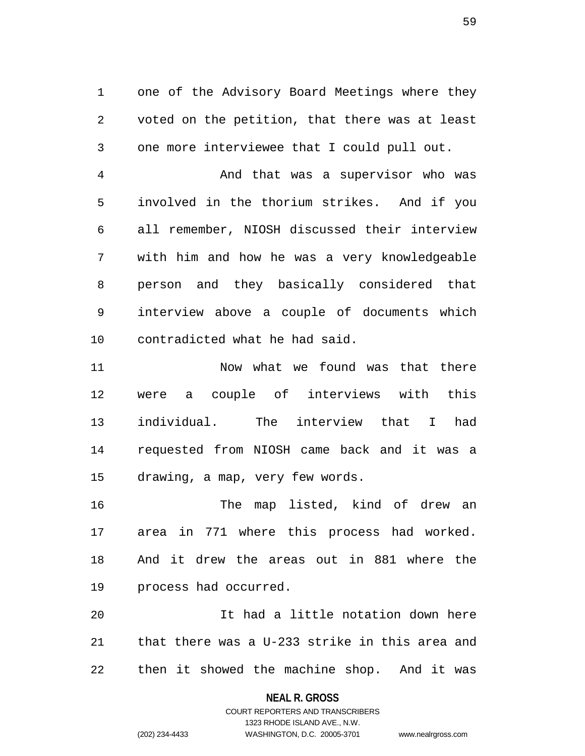1 one of the Advisory Board Meetings where they 2 voted on the petition, that there was at least 3 one more interviewee that I could pull out.

4 And that was a supervisor who was 5 involved in the thorium strikes. And if you 6 all remember, NIOSH discussed their interview 7 with him and how he was a very knowledgeable 8 person and they basically considered that 9 interview above a couple of documents which 10 contradicted what he had said.

11 Now what we found was that there 12 were a couple of interviews with this 13 individual. The interview that I had 14 requested from NIOSH came back and it was a 15 drawing, a map, very few words.

16 The map listed, kind of drew an 17 area in 771 where this process had worked. 18 And it drew the areas out in 881 where the 19 process had occurred.

20 It had a little notation down here 21 that there was a U-233 strike in this area and 22 then it showed the machine shop. And it was

### **NEAL R. GROSS**

## COURT REPORTERS AND TRANSCRIBERS 1323 RHODE ISLAND AVE., N.W. (202) 234-4433 WASHINGTON, D.C. 20005-3701 www.nealrgross.com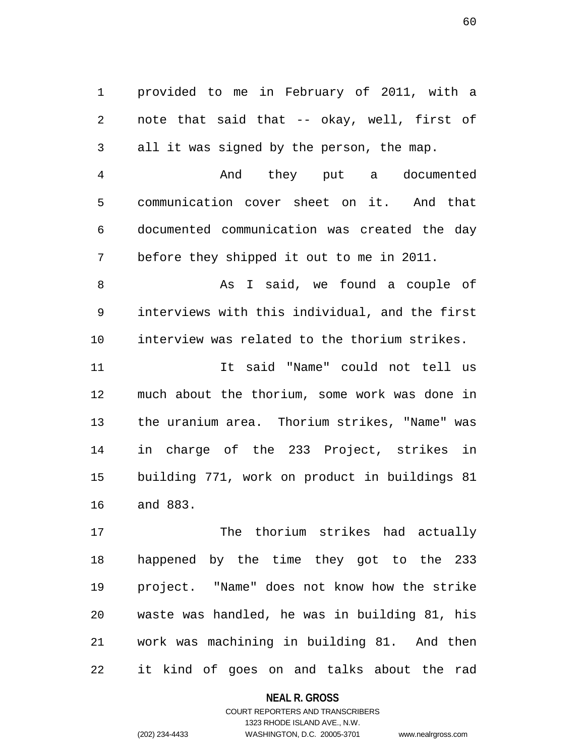1 provided to me in February of 2011, with a 2 note that said that -- okay, well, first of 3 all it was signed by the person, the map.

4 And they put a documented 5 communication cover sheet on it. And that 6 documented communication was created the day 7 before they shipped it out to me in 2011.

8 As I said, we found a couple of 9 interviews with this individual, and the first 10 interview was related to the thorium strikes.

11 It said "Name" could not tell us 12 much about the thorium, some work was done in 13 the uranium area. Thorium strikes, "Name" was 14 in charge of the 233 Project, strikes in 15 building 771, work on product in buildings 81 16 and 883.

17 The thorium strikes had actually 18 happened by the time they got to the 233 19 project. "Name" does not know how the strike 20 waste was handled, he was in building 81, his 21 work was machining in building 81. And then 22 it kind of goes on and talks about the rad

#### **NEAL R. GROSS**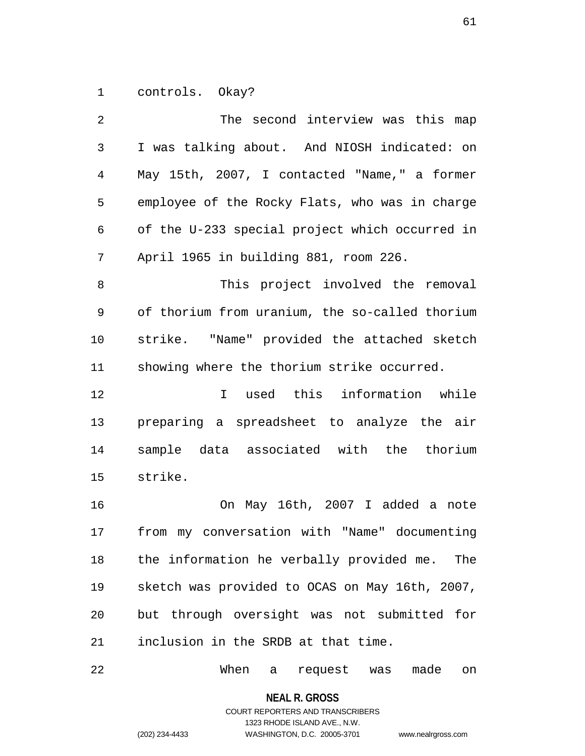1 controls. Okay?

| 2  | The second interview was this map               |
|----|-------------------------------------------------|
| 3  | I was talking about. And NIOSH indicated: on    |
| 4  | May 15th, 2007, I contacted "Name," a former    |
| 5  | employee of the Rocky Flats, who was in charge  |
| 6  | of the U-233 special project which occurred in  |
| 7  | April 1965 in building 881, room 226.           |
| 8  | This project involved the removal               |
| 9  | of thorium from uranium, the so-called thorium  |
| 10 | strike. "Name" provided the attached sketch     |
| 11 | showing where the thorium strike occurred.      |
| 12 | I used this information while                   |
| 13 | preparing a spreadsheet to analyze the air      |
| 14 | sample data associated with the thorium         |
| 15 | strike.                                         |
| 16 | On May 16th, 2007 I added a note                |
| 17 | my conversation with "Name" documenting<br>from |
| 18 | the information he verbally provided me. The    |
| 19 | sketch was provided to OCAS on May 16th, 2007,  |
| 20 | but through oversight was not submitted for     |
| 21 | inclusion in the SRDB at that time.             |

22 When a request was made on

**NEAL R. GROSS**

COURT REPORTERS AND TRANSCRIBERS 1323 RHODE ISLAND AVE., N.W. (202) 234-4433 WASHINGTON, D.C. 20005-3701 www.nealrgross.com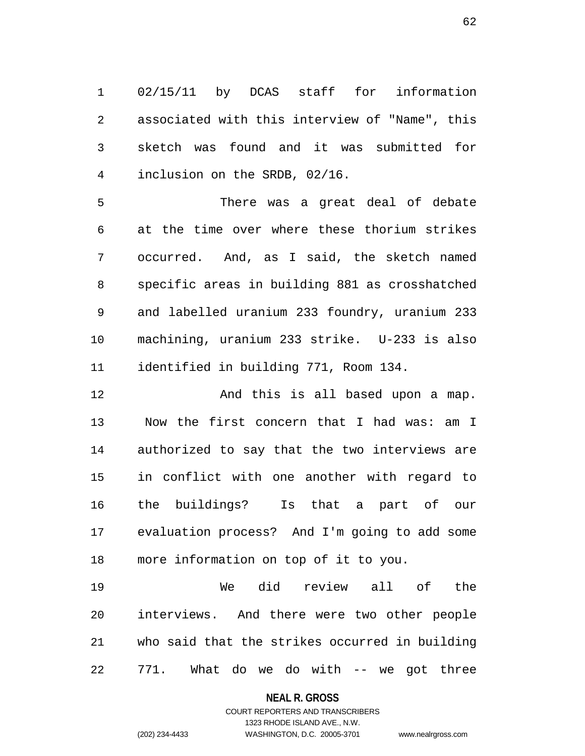1 02/15/11 by DCAS staff for information 2 associated with this interview of "Name", this 3 sketch was found and it was submitted for 4 inclusion on the SRDB, 02/16.

5 There was a great deal of debate 6 at the time over where these thorium strikes 7 occurred. And, as I said, the sketch named 8 specific areas in building 881 as crosshatched 9 and labelled uranium 233 foundry, uranium 233 10 machining, uranium 233 strike. U-233 is also 11 identified in building 771, Room 134.

12 And this is all based upon a map. 13 Now the first concern that I had was: am I 14 authorized to say that the two interviews are 15 in conflict with one another with regard to 16 the buildings? Is that a part of our 17 evaluation process? And I'm going to add some 18 more information on top of it to you.

19 We did review all of the 20 interviews. And there were two other people 21 who said that the strikes occurred in building 22 771. What do we do with -- we got three

#### **NEAL R. GROSS**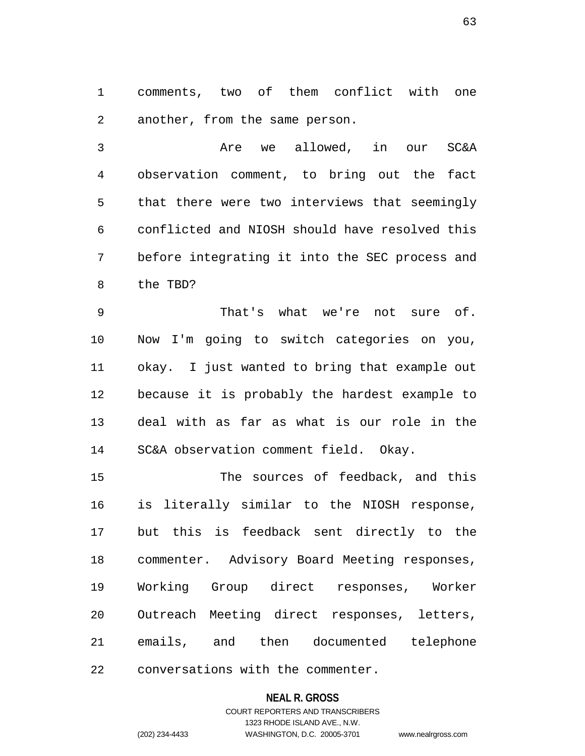1 comments, two of them conflict with one 2 another, from the same person.

3 Are we allowed, in our SC&A 4 observation comment, to bring out the fact 5 that there were two interviews that seemingly 6 conflicted and NIOSH should have resolved this 7 before integrating it into the SEC process and 8 the TBD?

9 That's what we're not sure of. 10 Now I'm going to switch categories on you, 11 okay. I just wanted to bring that example out 12 because it is probably the hardest example to 13 deal with as far as what is our role in the 14 SC&A observation comment field. Okay.

15 The sources of feedback, and this 16 is literally similar to the NIOSH response, 17 but this is feedback sent directly to the 18 commenter. Advisory Board Meeting responses, 19 Working Group direct responses, Worker 20 Outreach Meeting direct responses, letters, 21 emails, and then documented telephone 22 conversations with the commenter.

### **NEAL R. GROSS**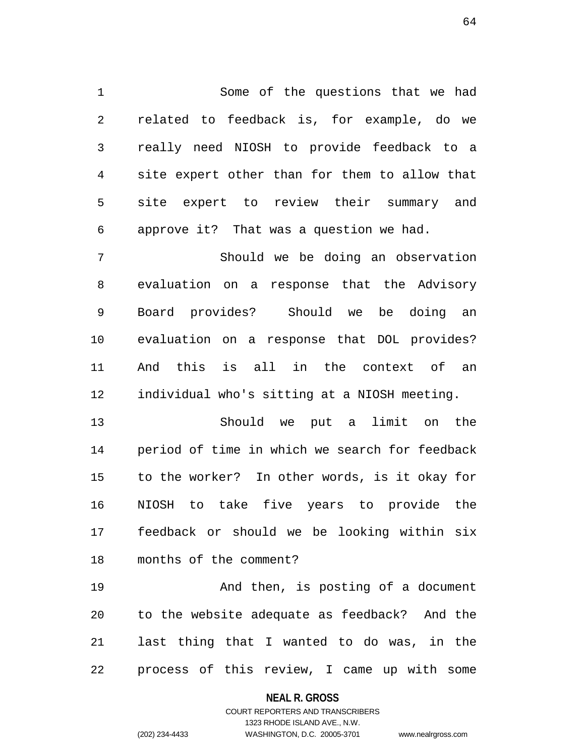1 Some of the questions that we had 2 related to feedback is, for example, do we 3 really need NIOSH to provide feedback to a 4 site expert other than for them to allow that 5 site expert to review their summary and 6 approve it? That was a question we had.

7 Should we be doing an observation 8 evaluation on a response that the Advisory 9 Board provides? Should we be doing an 10 evaluation on a response that DOL provides? 11 And this is all in the context of an 12 individual who's sitting at a NIOSH meeting.

13 Should we put a limit on the 14 period of time in which we search for feedback 15 to the worker? In other words, is it okay for 16 NIOSH to take five years to provide the 17 feedback or should we be looking within six 18 months of the comment?

19 And then, is posting of a document 20 to the website adequate as feedback? And the 21 last thing that I wanted to do was, in the 22 process of this review, I came up with some

**NEAL R. GROSS**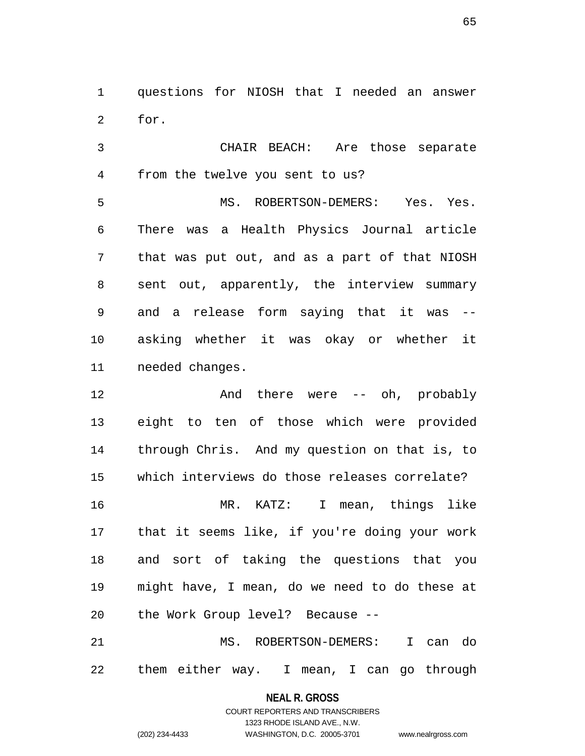1 questions for NIOSH that I needed an answer 2 for.

3 CHAIR BEACH: Are those separate 4 from the twelve you sent to us?

5 MS. ROBERTSON-DEMERS: Yes. Yes. 6 There was a Health Physics Journal article 7 that was put out, and as a part of that NIOSH 8 sent out, apparently, the interview summary 9 and a release form saying that it was -- 10 asking whether it was okay or whether it 11 needed changes.

12 And there were -- oh, probably 13 eight to ten of those which were provided 14 through Chris. And my question on that is, to 15 which interviews do those releases correlate? 16 MR. KATZ: I mean, things like 17 that it seems like, if you're doing your work 18 and sort of taking the questions that you 19 might have, I mean, do we need to do these at 20 the Work Group level? Because --

21 MS. ROBERTSON-DEMERS: I can do 22 them either way. I mean, I can go through

**NEAL R. GROSS**

COURT REPORTERS AND TRANSCRIBERS 1323 RHODE ISLAND AVE., N.W. (202) 234-4433 WASHINGTON, D.C. 20005-3701 www.nealrgross.com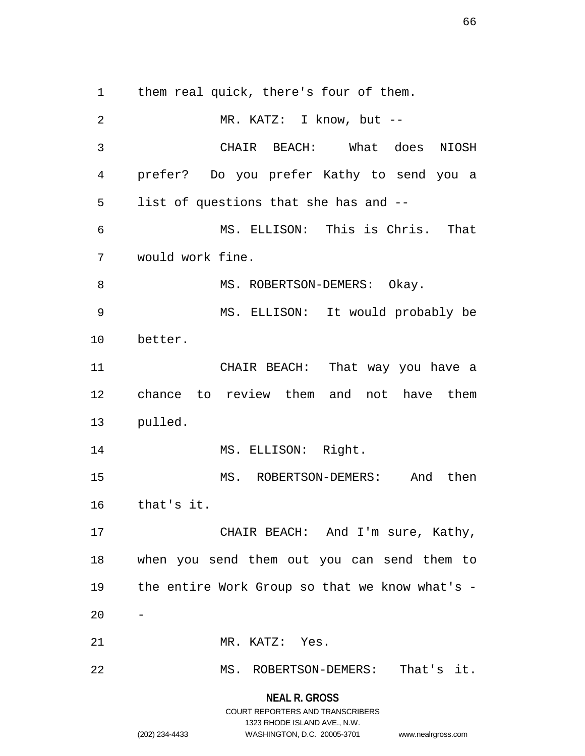1 them real quick, there's four of them. 2 MR. KATZ: I know, but -- 3 CHAIR BEACH: What does NIOSH 4 prefer? Do you prefer Kathy to send you a 5 list of questions that she has and -- 6 MS. ELLISON: This is Chris. That 7 would work fine. 8 MS. ROBERTSON-DEMERS: Okay. 9 MS. ELLISON: It would probably be 10 better. 11 CHAIR BEACH: That way you have a 12 chance to review them and not have them 13 pulled. 14 MS. ELLISON: Right. 15 MS. ROBERTSON-DEMERS: And then 16 that's it. 17 CHAIR BEACH: And I'm sure, Kathy, 18 when you send them out you can send them to 19 the entire Work Group so that we know what's -  $20$ 21 MR. KATZ: Yes. 22 MS. ROBERTSON-DEMERS: That's it.

# **NEAL R. GROSS** COURT REPORTERS AND TRANSCRIBERS 1323 RHODE ISLAND AVE., N.W. (202) 234-4433 WASHINGTON, D.C. 20005-3701 www.nealrgross.com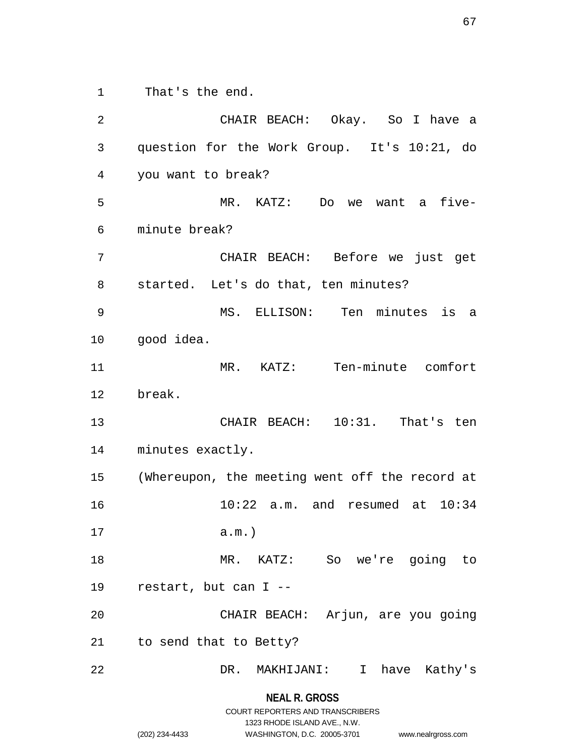1 That's the end.

2 CHAIR BEACH: Okay. So I have a 3 question for the Work Group. It's 10:21, do 4 you want to break? 5 MR. KATZ: Do we want a five-6 minute break? 7 CHAIR BEACH: Before we just get 8 started. Let's do that, ten minutes? 9 MS. ELLISON: Ten minutes is a 10 good idea. 11 MR. KATZ: Ten-minute comfort 12 break. 13 CHAIR BEACH: 10:31. That's ten 14 minutes exactly. 15 (Whereupon, the meeting went off the record at 16 10:22 a.m. and resumed at 10:34 17 a.m.) 18 MR. KATZ: So we're going to 19 restart, but can I -- 20 CHAIR BEACH: Arjun, are you going 21 to send that to Betty? 22 DR. MAKHIJANI: I have Kathy's

#### **NEAL R. GROSS**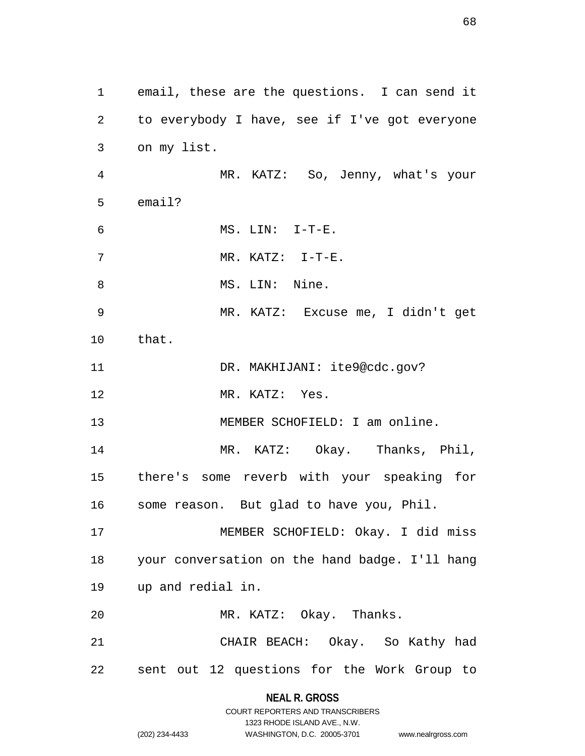1 email, these are the questions. I can send it 2 to everybody I have, see if I've got everyone 3 on my list. 4 MR. KATZ: So, Jenny, what's your 5 email? 6 MS. LIN: I-T-E. 7 MR. KATZ: I-T-E. 8 MS. LIN: Nine. 9 MR. KATZ: Excuse me, I didn't get 10 that. 11 DR. MAKHIJANI: ite9@cdc.gov? 12 MR. KATZ: Yes. 13 MEMBER SCHOFIELD: I am online. 14 MR. KATZ: Okay. Thanks, Phil, 15 there's some reverb with your speaking for 16 some reason. But glad to have you, Phil. 17 MEMBER SCHOFIELD: Okay. I did miss 18 your conversation on the hand badge. I'll hang 19 up and redial in. 20 MR. KATZ: Okay. Thanks. 21 CHAIR BEACH: Okay. So Kathy had 22 sent out 12 questions for the Work Group to

> **NEAL R. GROSS** COURT REPORTERS AND TRANSCRIBERS

> > 1323 RHODE ISLAND AVE., N.W.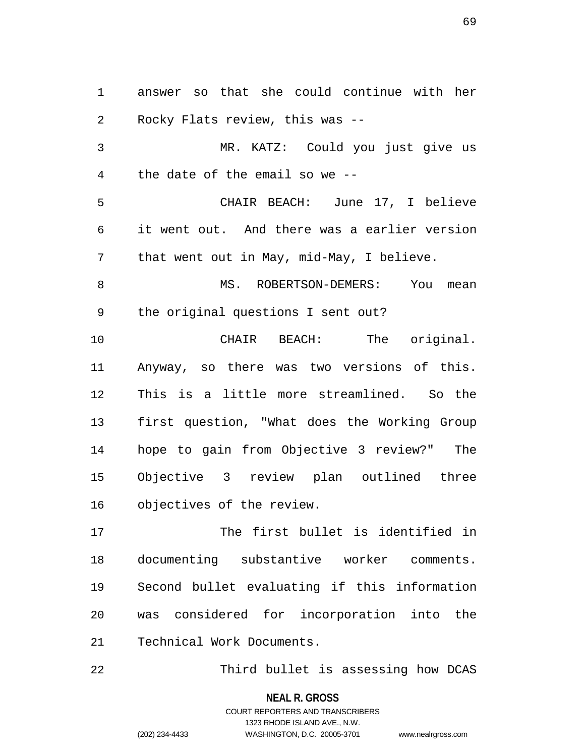1 answer so that she could continue with her 2 Rocky Flats review, this was -- 3 MR. KATZ: Could you just give us 4 the date of the email so we -- 5 CHAIR BEACH: June 17, I believe 6 it went out. And there was a earlier version 7 that went out in May, mid-May, I believe. 8 MS. ROBERTSON-DEMERS: You mean 9 the original questions I sent out? 10 CHAIR BEACH: The original. 11 Anyway, so there was two versions of this. 12 This is a little more streamlined. So the 13 first question, "What does the Working Group 14 hope to gain from Objective 3 review?" The 15 Objective 3 review plan outlined three 16 objectives of the review. 17 The first bullet is identified in

18 documenting substantive worker comments. 19 Second bullet evaluating if this information 20 was considered for incorporation into the 21 Technical Work Documents.

22 Third bullet is assessing how DCAS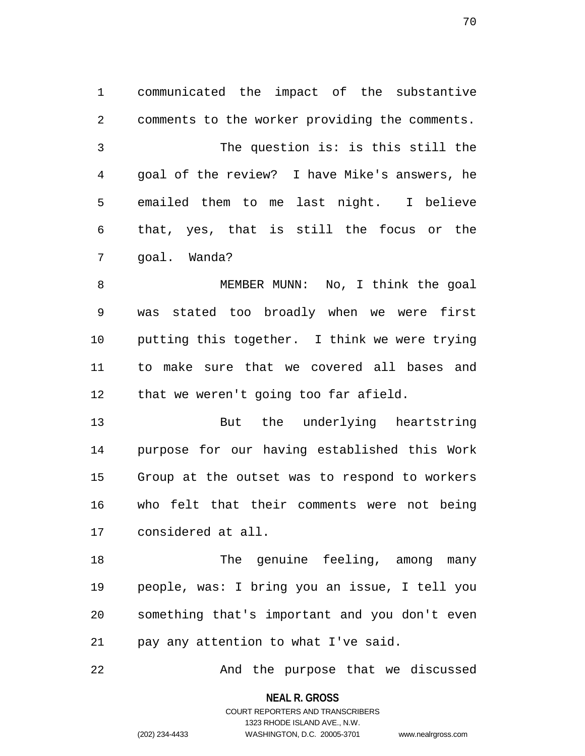1 communicated the impact of the substantive 2 comments to the worker providing the comments. 3 The question is: is this still the 4 goal of the review? I have Mike's answers, he 5 emailed them to me last night. I believe 6 that, yes, that is still the focus or the 7 goal. Wanda?

8 MEMBER MUNN: No, I think the goal 9 was stated too broadly when we were first 10 putting this together. I think we were trying 11 to make sure that we covered all bases and 12 that we weren't going too far afield.

13 But the underlying heartstring 14 purpose for our having established this Work 15 Group at the outset was to respond to workers 16 who felt that their comments were not being 17 considered at all.

18 The genuine feeling, among many 19 people, was: I bring you an issue, I tell you 20 something that's important and you don't even 21 pay any attention to what I've said.

22 And the purpose that we discussed

**NEAL R. GROSS**

COURT REPORTERS AND TRANSCRIBERS 1323 RHODE ISLAND AVE., N.W. (202) 234-4433 WASHINGTON, D.C. 20005-3701 www.nealrgross.com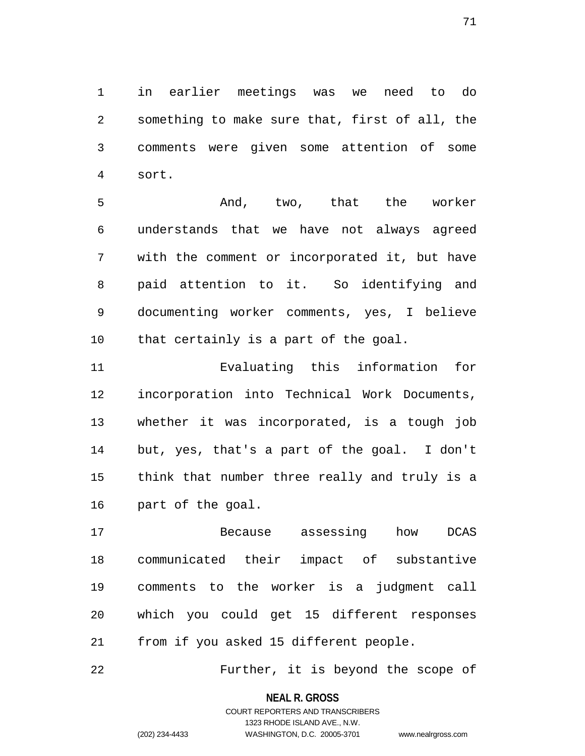1 in earlier meetings was we need to do 2 something to make sure that, first of all, the 3 comments were given some attention of some 4 sort.

5 And, two, that the worker 6 understands that we have not always agreed 7 with the comment or incorporated it, but have 8 paid attention to it. So identifying and 9 documenting worker comments, yes, I believe 10 that certainly is a part of the goal.

11 Evaluating this information for 12 incorporation into Technical Work Documents, 13 whether it was incorporated, is a tough job 14 but, yes, that's a part of the goal. I don't 15 think that number three really and truly is a 16 part of the goal.

17 Because assessing how DCAS 18 communicated their impact of substantive 19 comments to the worker is a judgment call 20 which you could get 15 different responses 21 from if you asked 15 different people.

22 Further, it is beyond the scope of

**NEAL R. GROSS**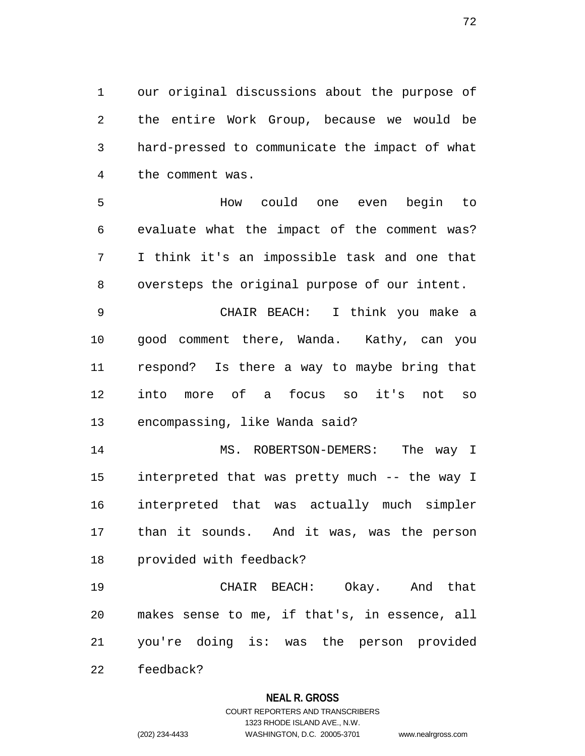1 our original discussions about the purpose of 2 the entire Work Group, because we would be 3 hard-pressed to communicate the impact of what 4 the comment was.

5 How could one even begin to 6 evaluate what the impact of the comment was? 7 I think it's an impossible task and one that 8 oversteps the original purpose of our intent.

9 CHAIR BEACH: I think you make a 10 good comment there, Wanda. Kathy, can you 11 respond? Is there a way to maybe bring that 12 into more of a focus so it's not so 13 encompassing, like Wanda said?

14 MS. ROBERTSON-DEMERS: The way I 15 interpreted that was pretty much -- the way I 16 interpreted that was actually much simpler 17 than it sounds. And it was, was the person 18 provided with feedback?

19 CHAIR BEACH: Okay. And that 20 makes sense to me, if that's, in essence, all 21 you're doing is: was the person provided

**NEAL R. GROSS**

22 feedback?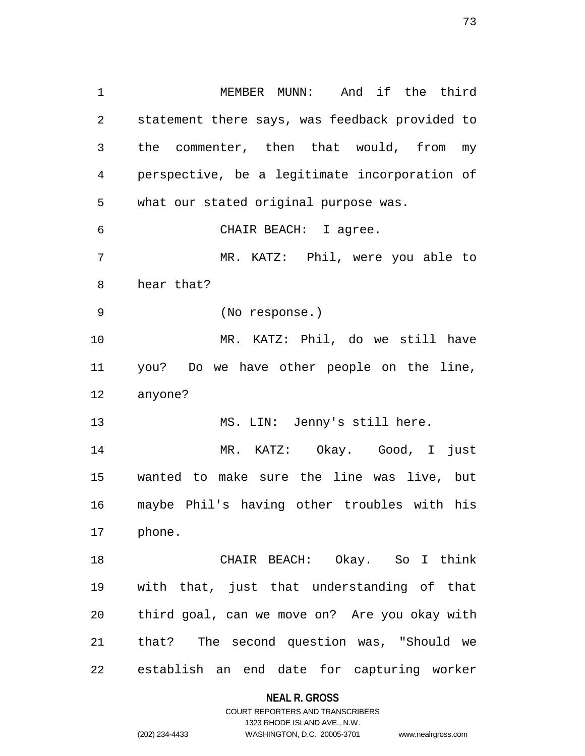1 MEMBER MUNN: And if the third 2 statement there says, was feedback provided to 3 the commenter, then that would, from my 4 perspective, be a legitimate incorporation of 5 what our stated original purpose was. 6 CHAIR BEACH: I agree. 7 MR. KATZ: Phil, were you able to 8 hear that? 9 (No response.) 10 MR. KATZ: Phil, do we still have 11 you? Do we have other people on the line, 12 anyone? 13 MS. LIN: Jenny's still here. 14 MR. KATZ: Okay. Good, I just 15 wanted to make sure the line was live, but 16 maybe Phil's having other troubles with his 17 phone. 18 CHAIR BEACH: Okay. So I think 19 with that, just that understanding of that 20 third goal, can we move on? Are you okay with

22 establish an end date for capturing worker

21 that? The second question was, "Should we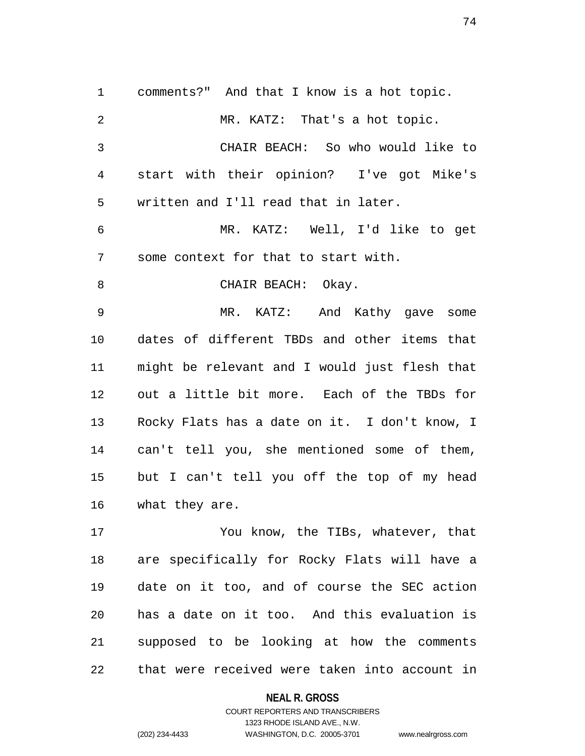1 comments?" And that I know is a hot topic. 2 MR. KATZ: That's a hot topic. 3 CHAIR BEACH: So who would like to 4 start with their opinion? I've got Mike's 5 written and I'll read that in later. 6 MR. KATZ: Well, I'd like to get 7 some context for that to start with. 8 CHAIR BEACH: Okay. 9 MR. KATZ: And Kathy gave some 10 dates of different TBDs and other items that 11 might be relevant and I would just flesh that 12 out a little bit more. Each of the TBDs for 13 Rocky Flats has a date on it. I don't know, I 14 can't tell you, she mentioned some of them, 15 but I can't tell you off the top of my head 16 what they are. 17 You know, the TIBs, whatever, that

18 are specifically for Rocky Flats will have a 19 date on it too, and of course the SEC action 20 has a date on it too. And this evaluation is 21 supposed to be looking at how the comments 22 that were received were taken into account in

**NEAL R. GROSS**

COURT REPORTERS AND TRANSCRIBERS 1323 RHODE ISLAND AVE., N.W. (202) 234-4433 WASHINGTON, D.C. 20005-3701 www.nealrgross.com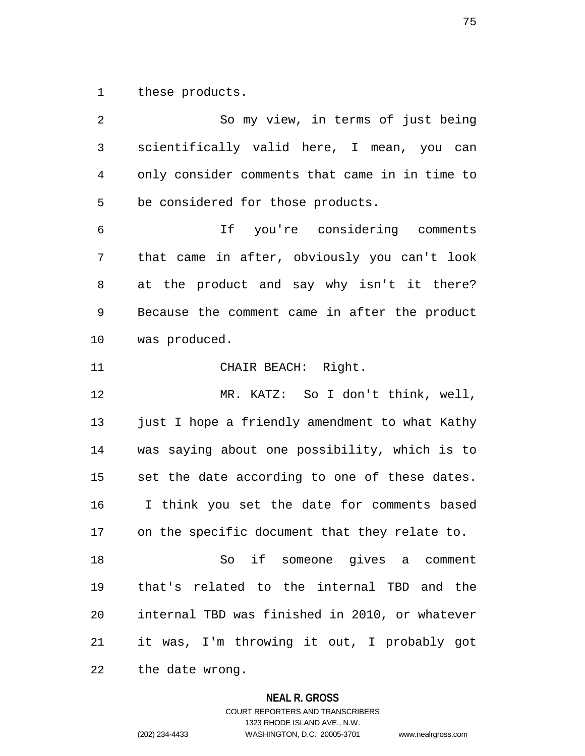1 these products.

2 So my view, in terms of just being 3 scientifically valid here, I mean, you can 4 only consider comments that came in in time to 5 be considered for those products. 6 If you're considering comments 7 that came in after, obviously you can't look 8 at the product and say why isn't it there? 9 Because the comment came in after the product 10 was produced. 11 CHAIR BEACH: Right. 12 MR. KATZ: So I don't think, well, 13 just I hope a friendly amendment to what Kathy 14 was saying about one possibility, which is to 15 set the date according to one of these dates. 16 I think you set the date for comments based 17 on the specific document that they relate to. 18 So if someone gives a comment 19 that's related to the internal TBD and the 20 internal TBD was finished in 2010, or whatever 21 it was, I'm throwing it out, I probably got 22 the date wrong.

### **NEAL R. GROSS**

COURT REPORTERS AND TRANSCRIBERS 1323 RHODE ISLAND AVE., N.W. (202) 234-4433 WASHINGTON, D.C. 20005-3701 www.nealrgross.com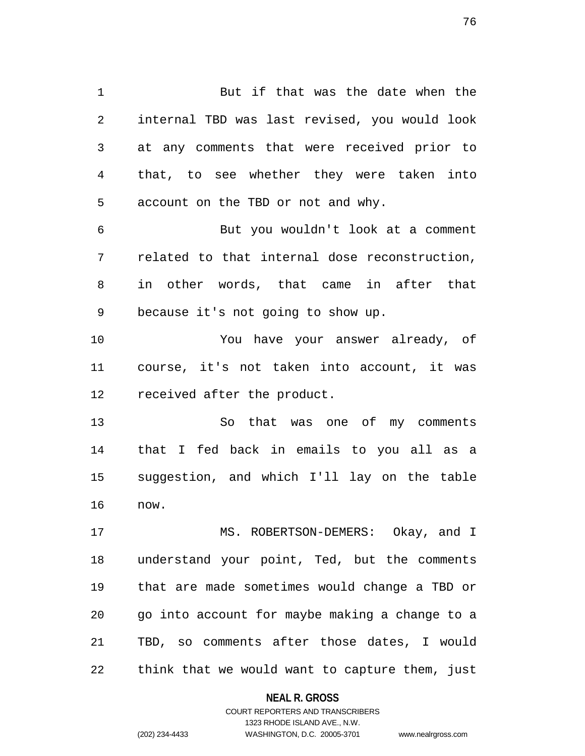1 But if that was the date when the 2 internal TBD was last revised, you would look 3 at any comments that were received prior to 4 that, to see whether they were taken into 5 account on the TBD or not and why. 6 But you wouldn't look at a comment

7 related to that internal dose reconstruction, 8 in other words, that came in after that 9 because it's not going to show up.

10 You have your answer already, of 11 course, it's not taken into account, it was 12 received after the product.

13 So that was one of my comments 14 that I fed back in emails to you all as a 15 suggestion, and which I'll lay on the table 16 now.

17 MS. ROBERTSON-DEMERS: Okay, and I 18 understand your point, Ted, but the comments 19 that are made sometimes would change a TBD or 20 go into account for maybe making a change to a 21 TBD, so comments after those dates, I would 22 think that we would want to capture them, just

### **NEAL R. GROSS**

### COURT REPORTERS AND TRANSCRIBERS 1323 RHODE ISLAND AVE., N.W. (202) 234-4433 WASHINGTON, D.C. 20005-3701 www.nealrgross.com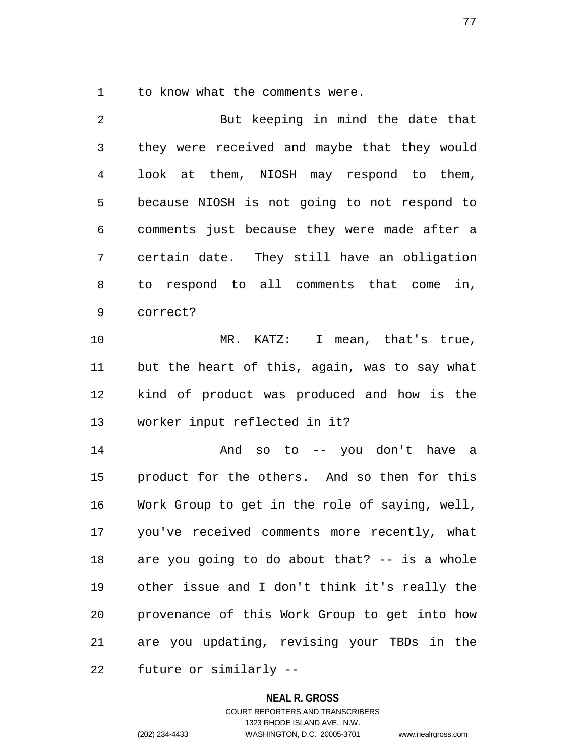1 to know what the comments were.

2 But keeping in mind the date that 3 they were received and maybe that they would 4 look at them, NIOSH may respond to them, 5 because NIOSH is not going to not respond to 6 comments just because they were made after a 7 certain date. They still have an obligation 8 to respond to all comments that come in, 9 correct?

10 MR. KATZ: I mean, that's true, 11 but the heart of this, again, was to say what 12 kind of product was produced and how is the 13 worker input reflected in it?

14 And so to -- you don't have a 15 product for the others. And so then for this 16 Work Group to get in the role of saying, well, 17 you've received comments more recently, what 18 are you going to do about that? -- is a whole 19 other issue and I don't think it's really the 20 provenance of this Work Group to get into how 21 are you updating, revising your TBDs in the 22 future or similarly --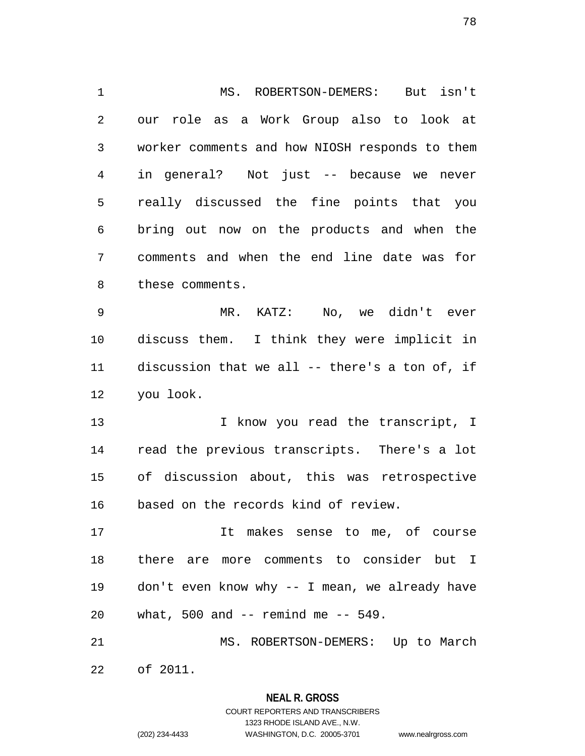1 MS. ROBERTSON-DEMERS: But isn't 2 our role as a Work Group also to look at 3 worker comments and how NIOSH responds to them 4 in general? Not just -- because we never 5 really discussed the fine points that you 6 bring out now on the products and when the 7 comments and when the end line date was for 8 these comments. 9 MR. KATZ: No, we didn't ever 10 discuss them. I think they were implicit in 11 discussion that we all -- there's a ton of, if 12 you look. 13 13 I know you read the transcript, I 14 read the previous transcripts. There's a lot 15 of discussion about, this was retrospective 16 based on the records kind of review. 17 It makes sense to me, of course 18 there are more comments to consider but I 19 don't even know why -- I mean, we already have 20 what, 500 and -- remind me -- 549.

21 MS. ROBERTSON-DEMERS: Up to March 22 of 2011.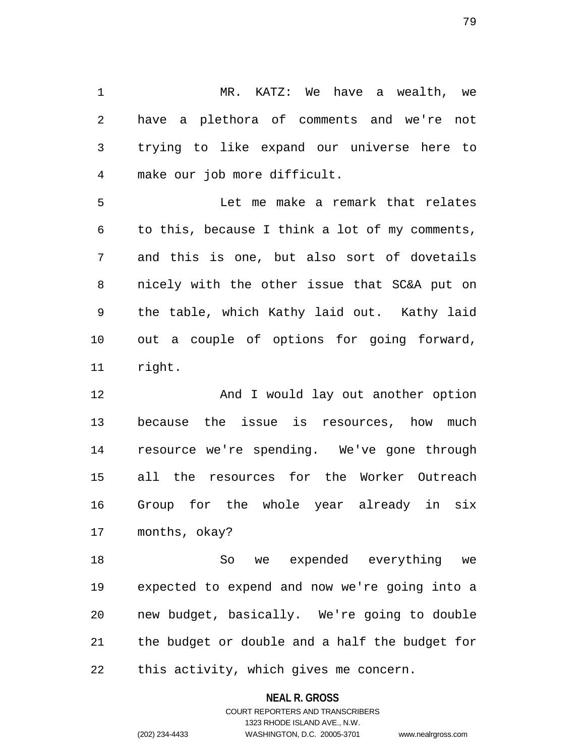1 MR. KATZ: We have a wealth, we 2 have a plethora of comments and we're not 3 trying to like expand our universe here to 4 make our job more difficult.

5 Let me make a remark that relates 6 to this, because I think a lot of my comments, 7 and this is one, but also sort of dovetails 8 nicely with the other issue that SC&A put on 9 the table, which Kathy laid out. Kathy laid 10 out a couple of options for going forward, 11 right.

12 And I would lay out another option 13 because the issue is resources, how much 14 resource we're spending. We've gone through 15 all the resources for the Worker Outreach 16 Group for the whole year already in six 17 months, okay?

18 So we expended everything we 19 expected to expend and now we're going into a 20 new budget, basically. We're going to double 21 the budget or double and a half the budget for 22 this activity, which gives me concern.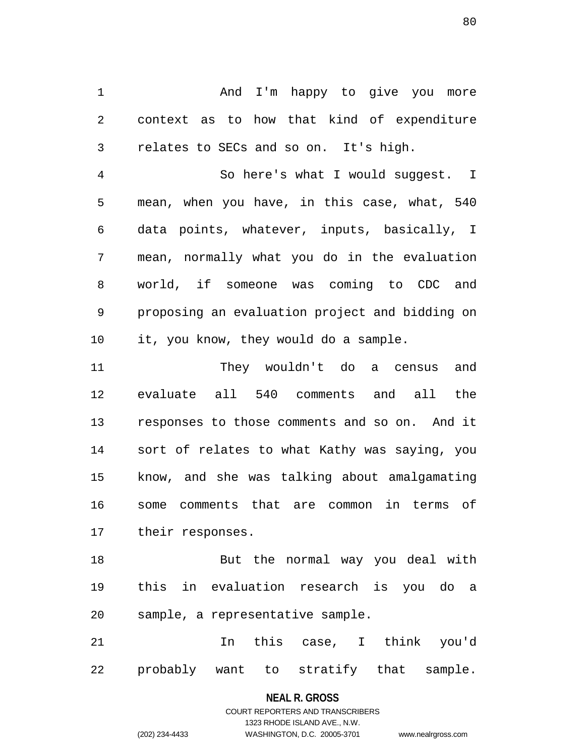1 And I'm happy to give you more 2 context as to how that kind of expenditure 3 relates to SECs and so on. It's high.

4 So here's what I would suggest. I 5 mean, when you have, in this case, what, 540 6 data points, whatever, inputs, basically, I 7 mean, normally what you do in the evaluation 8 world, if someone was coming to CDC and 9 proposing an evaluation project and bidding on 10 it, you know, they would do a sample.

11 They wouldn't do a census and 12 evaluate all 540 comments and all the 13 responses to those comments and so on. And it 14 sort of relates to what Kathy was saying, you 15 know, and she was talking about amalgamating 16 some comments that are common in terms of 17 their responses.

18 But the normal way you deal with 19 this in evaluation research is you do a 20 sample, a representative sample.

21 In this case, I think you'd 22 probably want to stratify that sample.

### **NEAL R. GROSS**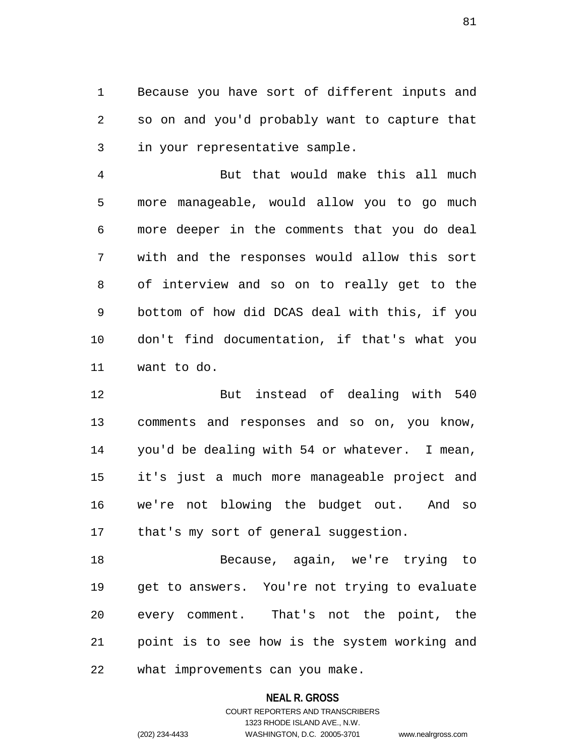1 Because you have sort of different inputs and 2 so on and you'd probably want to capture that 3 in your representative sample.

4 But that would make this all much 5 more manageable, would allow you to go much 6 more deeper in the comments that you do deal 7 with and the responses would allow this sort 8 of interview and so on to really get to the 9 bottom of how did DCAS deal with this, if you 10 don't find documentation, if that's what you 11 want to do.

12 But instead of dealing with 540 13 comments and responses and so on, you know, 14 you'd be dealing with 54 or whatever. I mean, 15 it's just a much more manageable project and 16 we're not blowing the budget out. And so 17 that's my sort of general suggestion.

18 Because, again, we're trying to 19 get to answers. You're not trying to evaluate 20 every comment. That's not the point, the 21 point is to see how is the system working and 22 what improvements can you make.

### **NEAL R. GROSS**

## COURT REPORTERS AND TRANSCRIBERS 1323 RHODE ISLAND AVE., N.W. (202) 234-4433 WASHINGTON, D.C. 20005-3701 www.nealrgross.com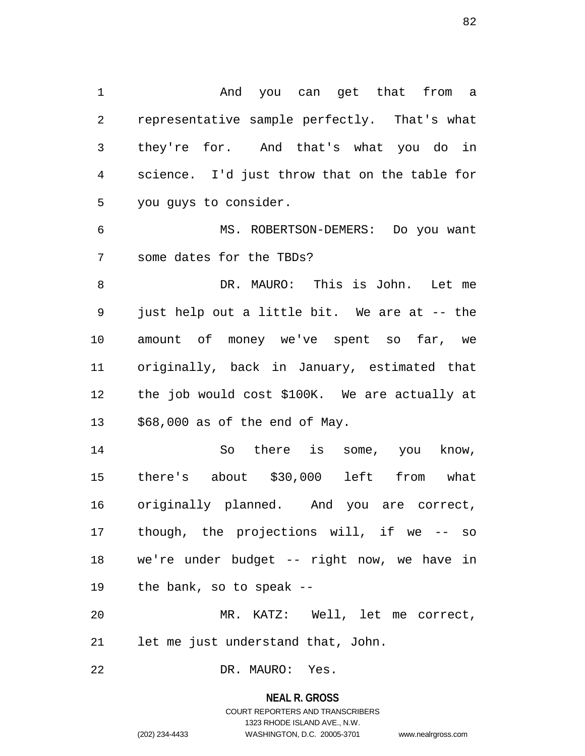1 And you can get that from a 2 representative sample perfectly. That's what 3 they're for. And that's what you do in 4 science. I'd just throw that on the table for 5 you guys to consider.

6 MS. ROBERTSON-DEMERS: Do you want 7 some dates for the TBDs?

8 DR. MAURO: This is John. Let me 9 just help out a little bit. We are at -- the 10 amount of money we've spent so far, we 11 originally, back in January, estimated that 12 the job would cost \$100K. We are actually at 13 \$68,000 as of the end of May.

14 So there is some, you know, 15 there's about \$30,000 left from what 16 originally planned. And you are correct, 17 though, the projections will, if we -- so 18 we're under budget -- right now, we have in 19 the bank, so to speak --

20 MR. KATZ: Well, let me correct, 21 let me just understand that, John.

22 DR. MAURO: Yes.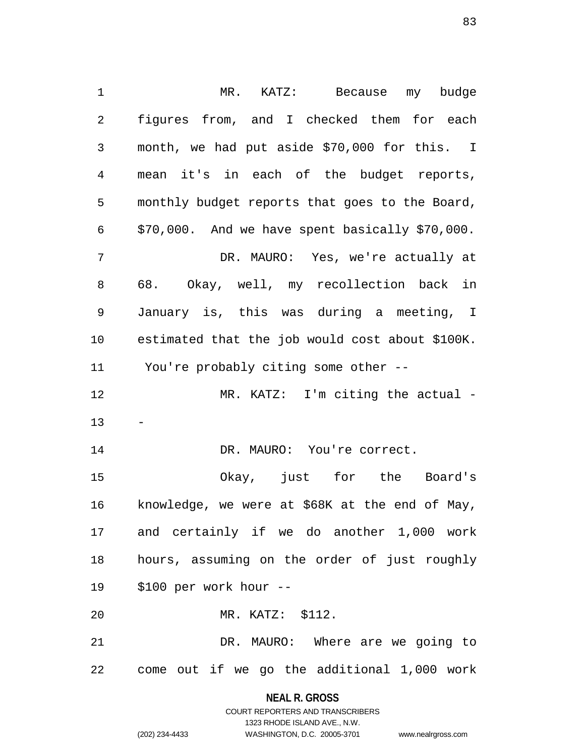1 MR. KATZ: Because my budge 2 figures from, and I checked them for each 3 month, we had put aside \$70,000 for this. I 4 mean it's in each of the budget reports, 5 monthly budget reports that goes to the Board, 6 \$70,000. And we have spent basically \$70,000. 7 DR. MAURO: Yes, we're actually at 8 68. Okay, well, my recollection back in 9 January is, this was during a meeting, I 10 estimated that the job would cost about \$100K. 11 You're probably citing some other -- 12 MR. KATZ: I'm citing the actual - 13 14 DR. MAURO: You're correct. 15 Okay, just for the Board's 16 knowledge, we were at \$68K at the end of May, 17 and certainly if we do another 1,000 work 18 hours, assuming on the order of just roughly 19 \$100 per work hour -- 20 MR. KATZ: \$112. 21 DR. MAURO: Where are we going to 22 come out if we go the additional 1,000 work

> **NEAL R. GROSS** COURT REPORTERS AND TRANSCRIBERS

> > 1323 RHODE ISLAND AVE., N.W.

(202) 234-4433 WASHINGTON, D.C. 20005-3701 www.nealrgross.com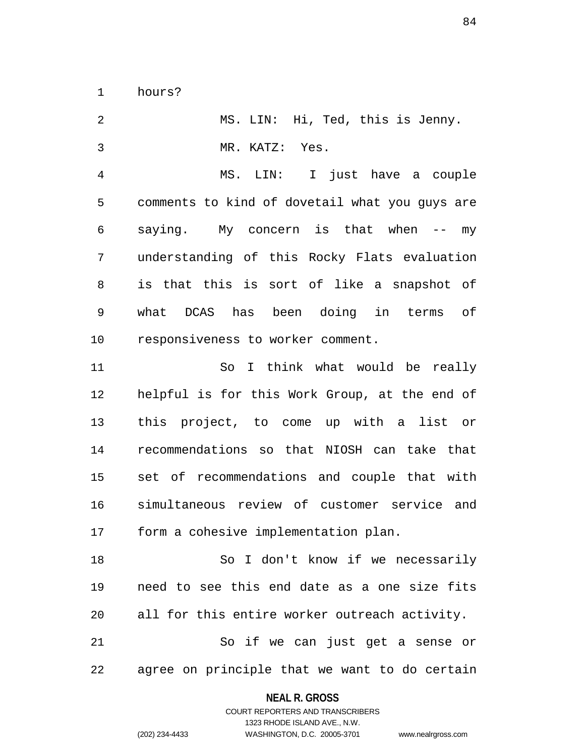1 hours?

2 MS. LIN: Hi, Ted, this is Jenny. 3 MR. KATZ: Yes.

4 MS. LIN: I just have a couple 5 comments to kind of dovetail what you guys are 6 saying. My concern is that when -- my 7 understanding of this Rocky Flats evaluation 8 is that this is sort of like a snapshot of 9 what DCAS has been doing in terms of 10 responsiveness to worker comment.

11 So I think what would be really 12 helpful is for this Work Group, at the end of 13 this project, to come up with a list or 14 recommendations so that NIOSH can take that 15 set of recommendations and couple that with 16 simultaneous review of customer service and 17 form a cohesive implementation plan.

18 So I don't know if we necessarily 19 need to see this end date as a one size fits 20 all for this entire worker outreach activity.

21 So if we can just get a sense or 22 agree on principle that we want to do certain

### **NEAL R. GROSS** COURT REPORTERS AND TRANSCRIBERS

1323 RHODE ISLAND AVE., N.W.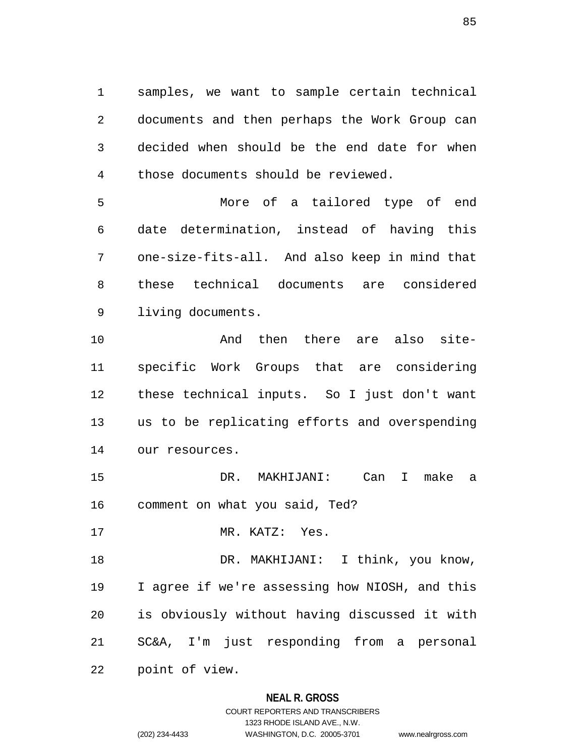1 samples, we want to sample certain technical 2 documents and then perhaps the Work Group can 3 decided when should be the end date for when 4 those documents should be reviewed.

5 More of a tailored type of end 6 date determination, instead of having this 7 one-size-fits-all. And also keep in mind that 8 these technical documents are considered 9 living documents.

10 And then there are also site-11 specific Work Groups that are considering 12 these technical inputs. So I just don't want 13 us to be replicating efforts and overspending 14 our resources.

15 DR. MAKHIJANI: Can I make a 16 comment on what you said, Ted?

17 MR. KATZ: Yes.

18 DR. MAKHIJANI: I think, you know, 19 I agree if we're assessing how NIOSH, and this 20 is obviously without having discussed it with 21 SC&A, I'm just responding from a personal 22 point of view.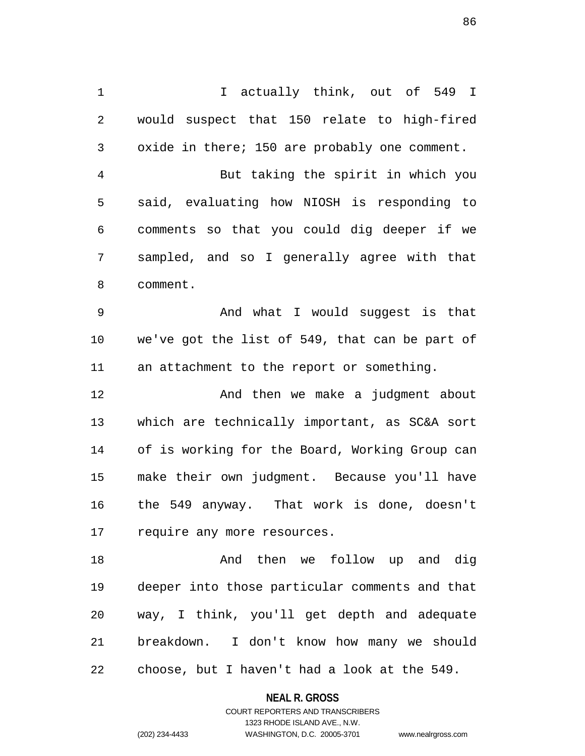1 I actually think, out of 549 I 2 would suspect that 150 relate to high-fired 3 oxide in there; 150 are probably one comment. 4 But taking the spirit in which you 5 said, evaluating how NIOSH is responding to 6 comments so that you could dig deeper if we 7 sampled, and so I generally agree with that 8 comment. 9 And what I would suggest is that 10 we've got the list of 549, that can be part of 11 an attachment to the report or something.

12 **And then we make a judgment about** 13 which are technically important, as SC&A sort 14 of is working for the Board, Working Group can 15 make their own judgment. Because you'll have 16 the 549 anyway. That work is done, doesn't 17 require any more resources.

18 And then we follow up and dig 19 deeper into those particular comments and that 20 way, I think, you'll get depth and adequate 21 breakdown. I don't know how many we should 22 choose, but I haven't had a look at the 549.

> **NEAL R. GROSS** COURT REPORTERS AND TRANSCRIBERS

1323 RHODE ISLAND AVE., N.W. (202) 234-4433 WASHINGTON, D.C. 20005-3701 www.nealrgross.com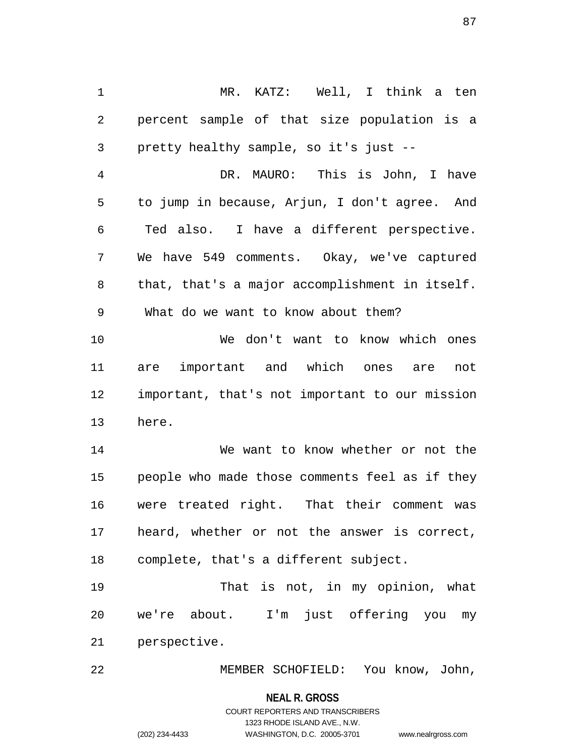1 MR. KATZ: Well, I think a ten 2 percent sample of that size population is a 3 pretty healthy sample, so it's just -- 4 DR. MAURO: This is John, I have 5 to jump in because, Arjun, I don't agree. And 6 Ted also. I have a different perspective. 7 We have 549 comments. Okay, we've captured 8 that, that's a major accomplishment in itself. 9 What do we want to know about them? 10 We don't want to know which ones 11 are important and which ones are not 12 important, that's not important to our mission 13 here. 14 We want to know whether or not the 15 people who made those comments feel as if they 16 were treated right. That their comment was 17 heard, whether or not the answer is correct, 18 complete, that's a different subject. 19 That is not, in my opinion, what 20 we're about. I'm just offering you my 21 perspective.

22 MEMBER SCHOFIELD: You know, John,

**NEAL R. GROSS**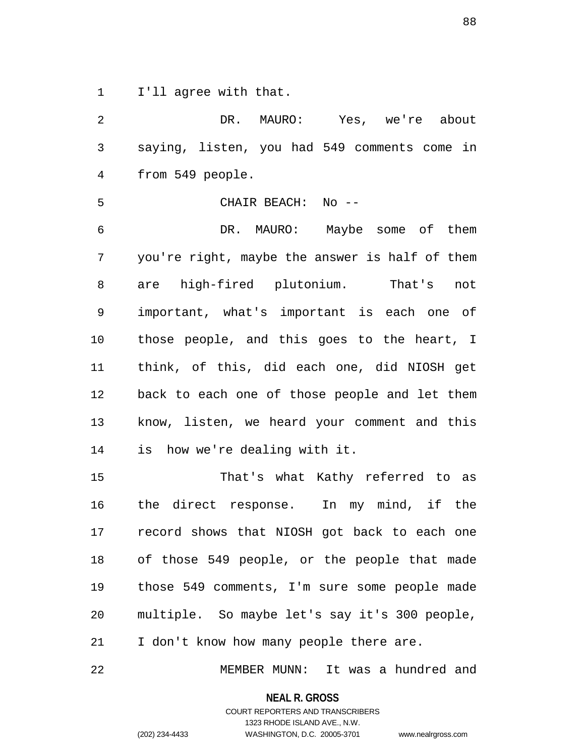1 I'll agree with that.

2 DR. MAURO: Yes, we're about 3 saying, listen, you had 549 comments come in 4 from 549 people. 5 CHAIR BEACH: No -- 6 DR. MAURO: Maybe some of them 7 you're right, maybe the answer is half of them 8 are high-fired plutonium. That's not 9 important, what's important is each one of 10 those people, and this goes to the heart, I 11 think, of this, did each one, did NIOSH get 12 back to each one of those people and let them 13 know, listen, we heard your comment and this 14 is how we're dealing with it. 15 That's what Kathy referred to as

16 the direct response. In my mind, if the 17 record shows that NIOSH got back to each one 18 of those 549 people, or the people that made 19 those 549 comments, I'm sure some people made 20 multiple. So maybe let's say it's 300 people, 21 I don't know how many people there are.

22 MEMBER MUNN: It was a hundred and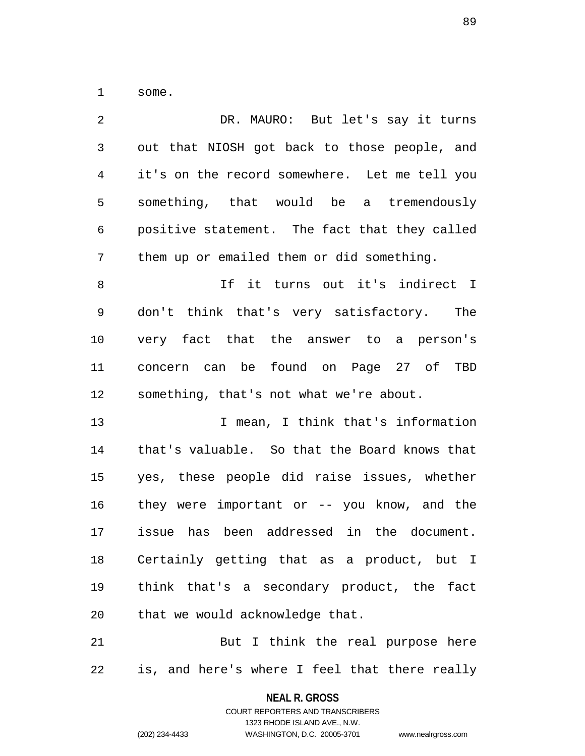1 some.

| 2           | DR. MAURO: But let's say it turns              |
|-------------|------------------------------------------------|
| $\mathsf 3$ | out that NIOSH got back to those people, and   |
| 4           | it's on the record somewhere. Let me tell you  |
| 5           | something, that would be a tremendously        |
| 6           | positive statement. The fact that they called  |
| 7           | them up or emailed them or did something.      |
| $\,8\,$     | If it turns out it's indirect I                |
| 9           | don't think that's very satisfactory. The      |
| 10          | very fact that the answer to a person's        |
| 11          | concern can be found on Page 27 of TBD         |
| 12          | something, that's not what we're about.        |
| 13          | I mean, I think that's information             |
| 14          | that's valuable. So that the Board knows that  |
| 15          | yes, these people did raise issues, whether    |
| 16          | they were important or $-$ - you know, and the |
| 17          | issue has been addressed in the document.      |
| 18          | Certainly getting that as a product, but I     |
| 19          | think that's a secondary product, the fact     |
| 20          | that we would acknowledge that.                |
|             |                                                |

21 But I think the real purpose here 22 is, and here's where I feel that there really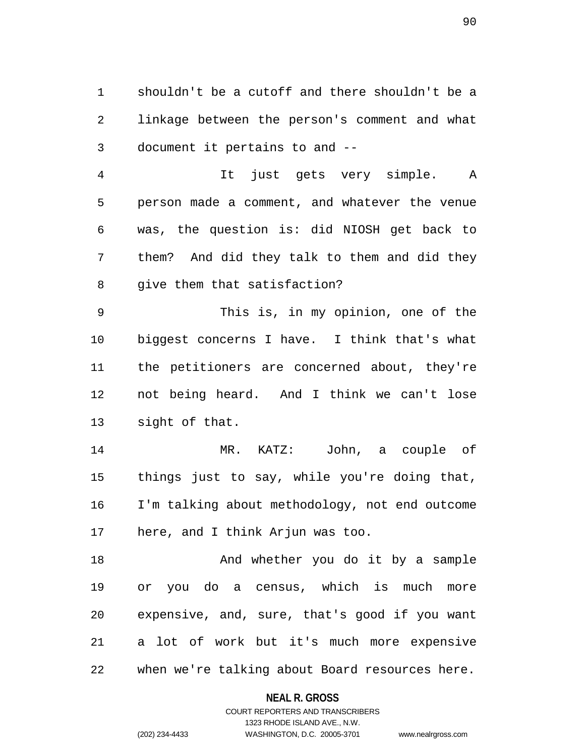1 shouldn't be a cutoff and there shouldn't be a 2 linkage between the person's comment and what 3 document it pertains to and --

4 It just gets very simple. A 5 person made a comment, and whatever the venue 6 was, the question is: did NIOSH get back to 7 them? And did they talk to them and did they 8 give them that satisfaction?

9 This is, in my opinion, one of the 10 biggest concerns I have. I think that's what 11 the petitioners are concerned about, they're 12 not being heard. And I think we can't lose 13 sight of that.

14 MR. KATZ: John, a couple of 15 things just to say, while you're doing that, 16 I'm talking about methodology, not end outcome 17 here, and I think Arjun was too.

18 And whether you do it by a sample 19 or you do a census, which is much more 20 expensive, and, sure, that's good if you want 21 a lot of work but it's much more expensive 22 when we're talking about Board resources here.

### **NEAL R. GROSS**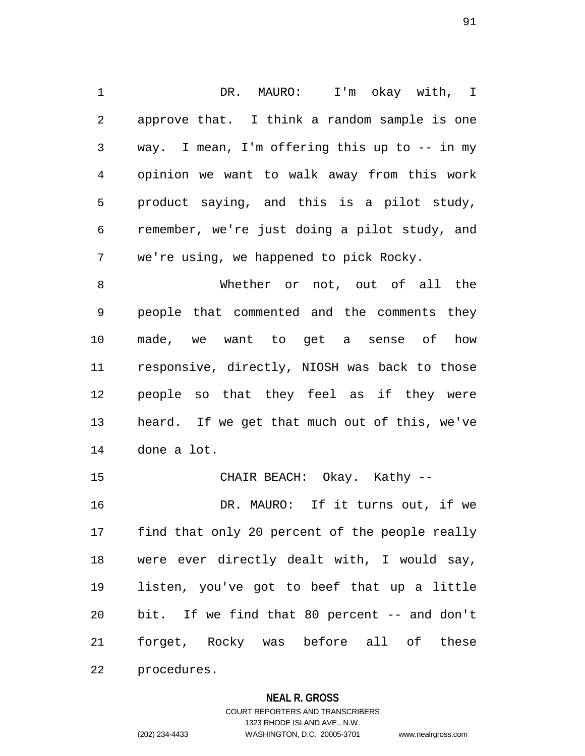1 DR. MAURO: I'm okay with, I 2 approve that. I think a random sample is one 3 way. I mean, I'm offering this up to -- in my 4 opinion we want to walk away from this work 5 product saying, and this is a pilot study, 6 remember, we're just doing a pilot study, and 7 we're using, we happened to pick Rocky.

8 Whether or not, out of all the 9 people that commented and the comments they 10 made, we want to get a sense of how 11 responsive, directly, NIOSH was back to those 12 people so that they feel as if they were 13 heard. If we get that much out of this, we've 14 done a lot.

15 CHAIR BEACH: Okay. Kathy -- 16 DR. MAURO: If it turns out, if we 17 find that only 20 percent of the people really 18 were ever directly dealt with, I would say, 19 listen, you've got to beef that up a little 20 bit. If we find that 80 percent -- and don't 21 forget, Rocky was before all of these 22 procedures.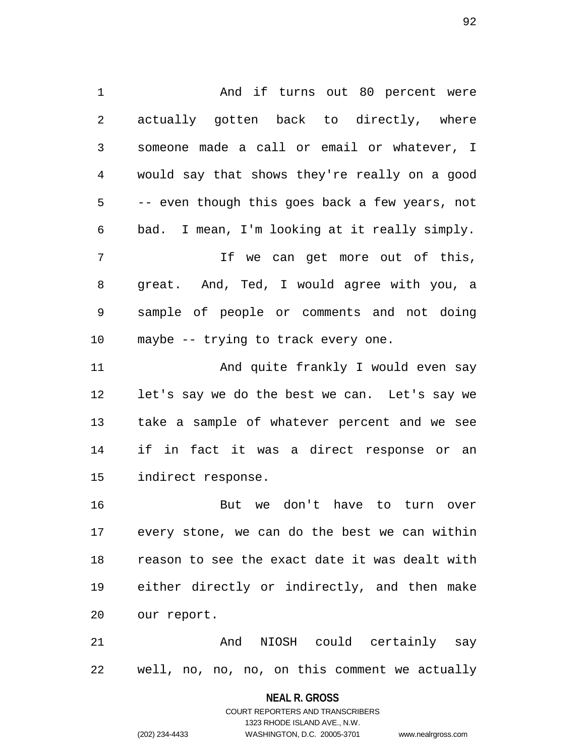1 And if turns out 80 percent were 2 actually gotten back to directly, where 3 someone made a call or email or whatever, I 4 would say that shows they're really on a good 5 -- even though this goes back a few years, not 6 bad. I mean, I'm looking at it really simply. 7 If we can get more out of this, 8 great. And, Ted, I would agree with you, a 9 sample of people or comments and not doing 10 maybe -- trying to track every one. 11 And quite frankly I would even say 12 let's say we do the best we can. Let's say we 13 take a sample of whatever percent and we see 14 if in fact it was a direct response or an 15 indirect response. 16 But we don't have to turn over

17 every stone, we can do the best we can within 18 reason to see the exact date it was dealt with 19 either directly or indirectly, and then make 20 our report.

21 6 And NIOSH could certainly say 22 well, no, no, no, on this comment we actually

**NEAL R. GROSS**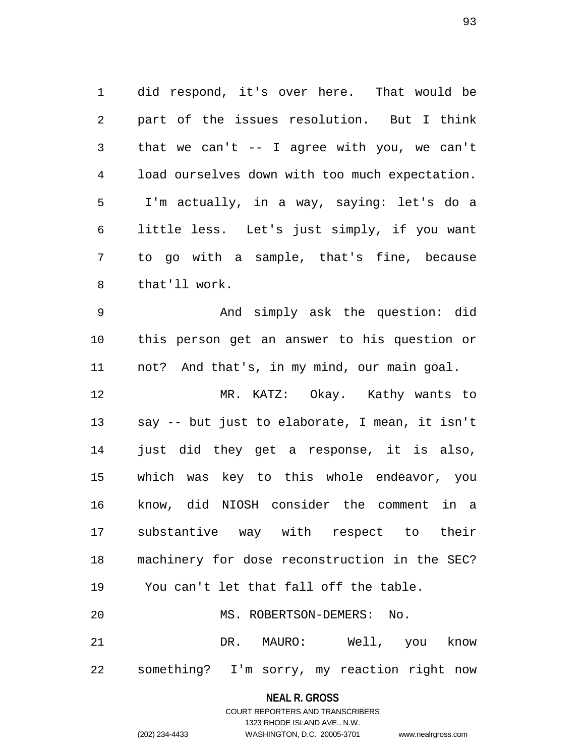1 did respond, it's over here. That would be 2 part of the issues resolution. But I think 3 that we can't -- I agree with you, we can't 4 load ourselves down with too much expectation. 5 I'm actually, in a way, saying: let's do a 6 little less. Let's just simply, if you want 7 to go with a sample, that's fine, because 8 that'll work.

9 And simply ask the question: did 10 this person get an answer to his question or 11 not? And that's, in my mind, our main goal.

12 MR. KATZ: Okay. Kathy wants to 13 say -- but just to elaborate, I mean, it isn't 14 just did they get a response, it is also, 15 which was key to this whole endeavor, you 16 know, did NIOSH consider the comment in a 17 substantive way with respect to their 18 machinery for dose reconstruction in the SEC? 19 You can't let that fall off the table. 20 MS. ROBERTSON-DEMERS: No. 21 DR. MAURO: Well, you know

22 something? I'm sorry, my reaction right now

**NEAL R. GROSS** COURT REPORTERS AND TRANSCRIBERS

1323 RHODE ISLAND AVE., N.W.

(202) 234-4433 WASHINGTON, D.C. 20005-3701 www.nealrgross.com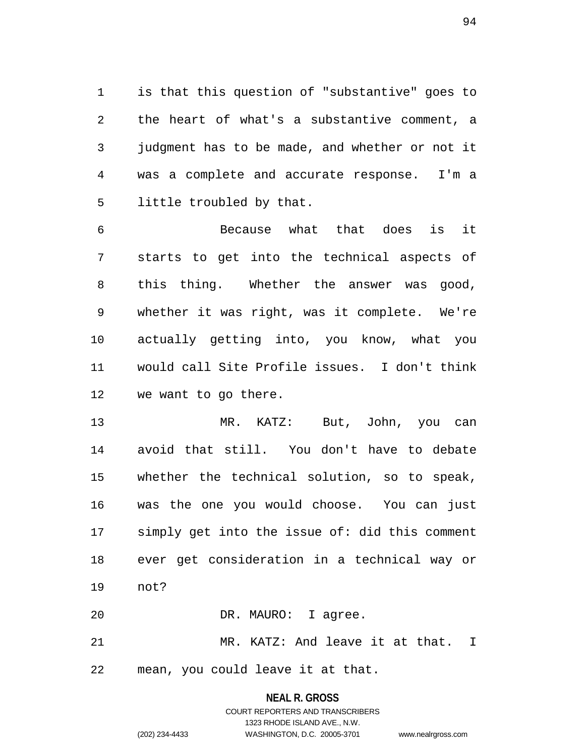1 is that this question of "substantive" goes to 2 the heart of what's a substantive comment, a 3 judgment has to be made, and whether or not it 4 was a complete and accurate response. I'm a 5 little troubled by that.

6 Because what that does is it 7 starts to get into the technical aspects of 8 this thing. Whether the answer was good, 9 whether it was right, was it complete. We're 10 actually getting into, you know, what you 11 would call Site Profile issues. I don't think 12 we want to go there.

13 MR. KATZ: But, John, you can 14 avoid that still. You don't have to debate 15 whether the technical solution, so to speak, 16 was the one you would choose. You can just 17 simply get into the issue of: did this comment 18 ever get consideration in a technical way or 19 not?

21 MR. KATZ: And leave it at that. I

22 mean, you could leave it at that.

20 DR. MAURO: I agree.

## **NEAL R. GROSS** COURT REPORTERS AND TRANSCRIBERS 1323 RHODE ISLAND AVE., N.W. (202) 234-4433 WASHINGTON, D.C. 20005-3701 www.nealrgross.com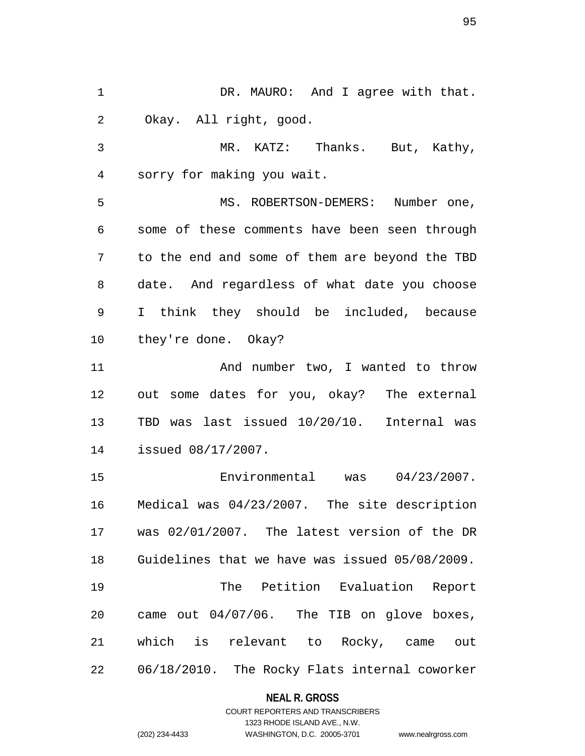1 DR. MAURO: And I agree with that. 2 Okay. All right, good. 3 MR. KATZ: Thanks. But, Kathy, 4 sorry for making you wait. 5 MS. ROBERTSON-DEMERS: Number one, 6 some of these comments have been seen through 7 to the end and some of them are beyond the TBD 8 date. And regardless of what date you choose 9 I think they should be included, because 10 they're done. Okay? 11 And number two, I wanted to throw 12 out some dates for you, okay? The external 13 TBD was last issued 10/20/10. Internal was 14 issued 08/17/2007. 15 Environmental was 04/23/2007. 16 Medical was 04/23/2007. The site description 17 was 02/01/2007. The latest version of the DR 18 Guidelines that we have was issued 05/08/2009. 19 The Petition Evaluation Report 20 came out 04/07/06. The TIB on glove boxes, 21 which is relevant to Rocky, came out 22 06/18/2010. The Rocky Flats internal coworker

### **NEAL R. GROSS**

### COURT REPORTERS AND TRANSCRIBERS 1323 RHODE ISLAND AVE., N.W. (202) 234-4433 WASHINGTON, D.C. 20005-3701 www.nealrgross.com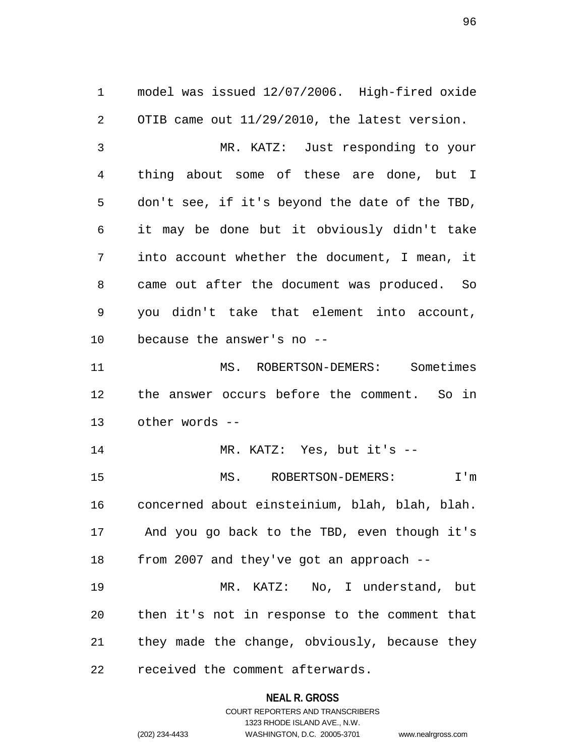1 model was issued 12/07/2006. High-fired oxide 2 OTIB came out 11/29/2010, the latest version. 3 MR. KATZ: Just responding to your 4 thing about some of these are done, but I 5 don't see, if it's beyond the date of the TBD, 6 it may be done but it obviously didn't take 7 into account whether the document, I mean, it 8 came out after the document was produced. So 9 you didn't take that element into account, 10 because the answer's no -- 11 MS. ROBERTSON-DEMERS: Sometimes 12 the answer occurs before the comment. So in 13 other words -- 14 MR. KATZ: Yes, but it's -- 15 MS. ROBERTSON-DEMERS: I'm 16 concerned about einsteinium, blah, blah, blah. 17 And you go back to the TBD, even though it's 18 from 2007 and they've got an approach -- 19 MR. KATZ: No, I understand, but 20 then it's not in response to the comment that 21 they made the change, obviously, because they 22 received the comment afterwards.

#### **NEAL R. GROSS**

COURT REPORTERS AND TRANSCRIBERS 1323 RHODE ISLAND AVE., N.W. (202) 234-4433 WASHINGTON, D.C. 20005-3701 www.nealrgross.com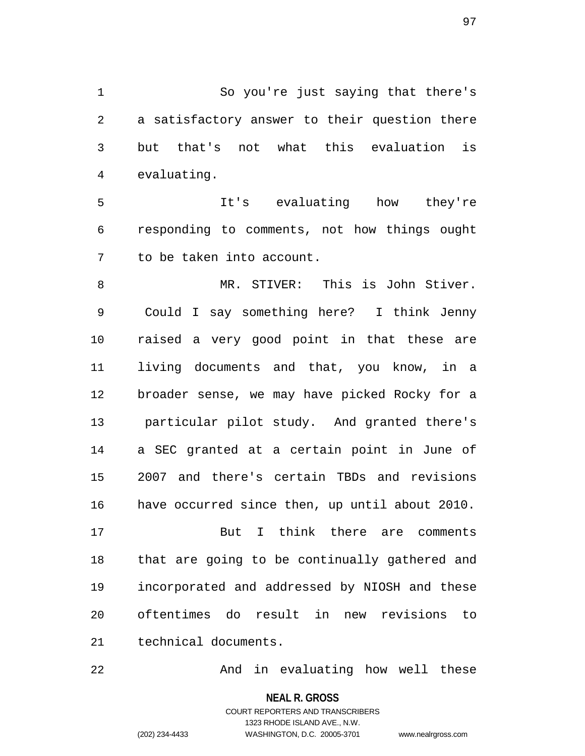1 So you're just saying that there's 2 a satisfactory answer to their question there 3 but that's not what this evaluation is 4 evaluating.

5 It's evaluating how they're 6 responding to comments, not how things ought 7 to be taken into account.

8 MR. STIVER: This is John Stiver. 9 Could I say something here? I think Jenny 10 raised a very good point in that these are 11 living documents and that, you know, in a 12 broader sense, we may have picked Rocky for a 13 particular pilot study. And granted there's 14 a SEC granted at a certain point in June of 15 2007 and there's certain TBDs and revisions 16 have occurred since then, up until about 2010.

17 But I think there are comments 18 that are going to be continually gathered and 19 incorporated and addressed by NIOSH and these 20 oftentimes do result in new revisions to 21 technical documents.

22 And in evaluating how well these

**NEAL R. GROSS** COURT REPORTERS AND TRANSCRIBERS

1323 RHODE ISLAND AVE., N.W.

(202) 234-4433 WASHINGTON, D.C. 20005-3701 www.nealrgross.com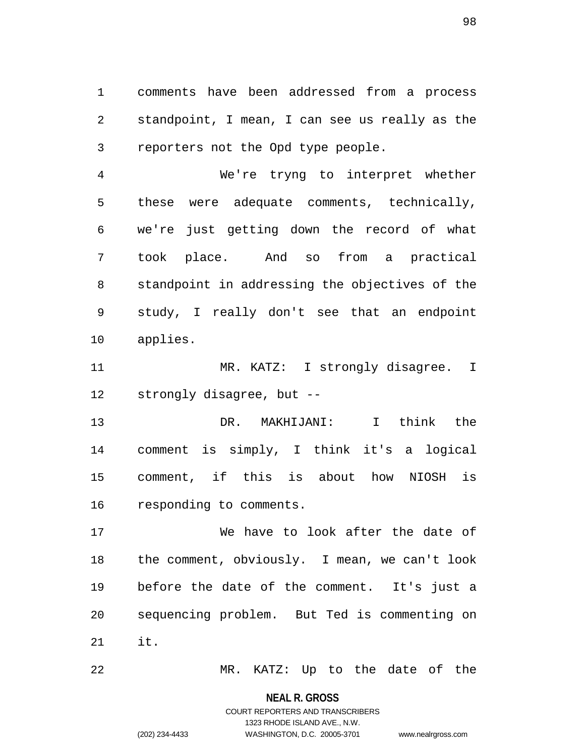1 comments have been addressed from a process 2 standpoint, I mean, I can see us really as the 3 reporters not the Opd type people.

4 We're tryng to interpret whether 5 these were adequate comments, technically, 6 we're just getting down the record of what 7 took place. And so from a practical 8 standpoint in addressing the objectives of the 9 study, I really don't see that an endpoint 10 applies.

11 MR. KATZ: I strongly disagree. I 12 strongly disagree, but --

13 DR. MAKHIJANI: I think the 14 comment is simply, I think it's a logical 15 comment, if this is about how NIOSH is 16 responding to comments.

17 We have to look after the date of 18 the comment, obviously. I mean, we can't look 19 before the date of the comment. It's just a 20 sequencing problem. But Ted is commenting on 21 it.

22 MR. KATZ: Up to the date of the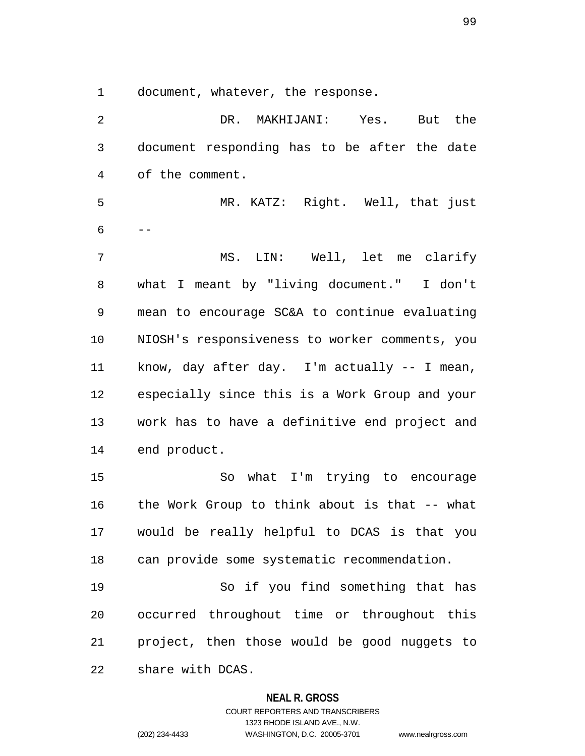1 document, whatever, the response.

2 DR. MAKHIJANI: Yes. But the 3 document responding has to be after the date 4 of the comment. 5 MR. KATZ: Right. Well, that just  $6 - -$ 7 MS. LIN: Well, let me clarify 8 what I meant by "living document." I don't 9 mean to encourage SC&A to continue evaluating 10 NIOSH's responsiveness to worker comments, you 11 know, day after day. I'm actually -- I mean, 12 especially since this is a Work Group and your 13 work has to have a definitive end project and 14 end product. 15 So what I'm trying to encourage 16 the Work Group to think about is that -- what 17 would be really helpful to DCAS is that you 18 can provide some systematic recommendation. 19 So if you find something that has 20 occurred throughout time or throughout this 21 project, then those would be good nuggets to 22 share with DCAS.

#### **NEAL R. GROSS**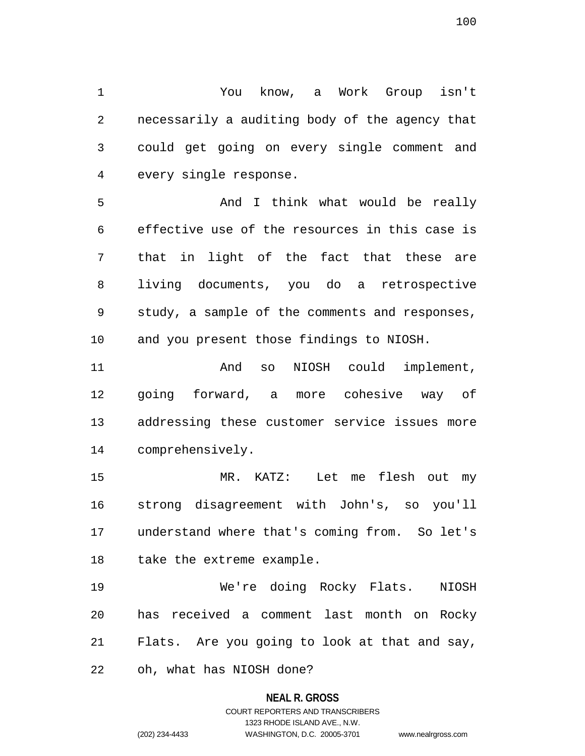1 You know, a Work Group isn't 2 necessarily a auditing body of the agency that 3 could get going on every single comment and 4 every single response.

5 And I think what would be really 6 effective use of the resources in this case is 7 that in light of the fact that these are 8 living documents, you do a retrospective 9 study, a sample of the comments and responses, 10 and you present those findings to NIOSH.

11 And so NIOSH could implement, 12 going forward, a more cohesive way of 13 addressing these customer service issues more 14 comprehensively.

15 MR. KATZ: Let me flesh out my 16 strong disagreement with John's, so you'll 17 understand where that's coming from. So let's 18 take the extreme example.

19 We're doing Rocky Flats. NIOSH 20 has received a comment last month on Rocky 21 Flats. Are you going to look at that and say,

22 oh, what has NIOSH done?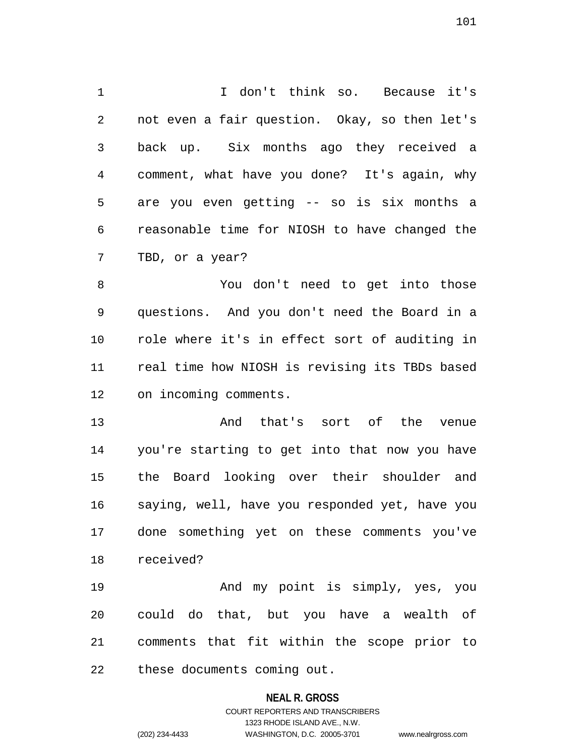1 I don't think so. Because it's 2 not even a fair question. Okay, so then let's 3 back up. Six months ago they received a 4 comment, what have you done? It's again, why 5 are you even getting -- so is six months a 6 reasonable time for NIOSH to have changed the 7 TBD, or a year?

8 You don't need to get into those 9 questions. And you don't need the Board in a 10 role where it's in effect sort of auditing in 11 real time how NIOSH is revising its TBDs based 12 on incoming comments.

13 And that's sort of the venue 14 you're starting to get into that now you have 15 the Board looking over their shoulder and 16 saying, well, have you responded yet, have you 17 done something yet on these comments you've 18 received?

19 And my point is simply, yes, you 20 could do that, but you have a wealth of 21 comments that fit within the scope prior to 22 these documents coming out.

### **NEAL R. GROSS**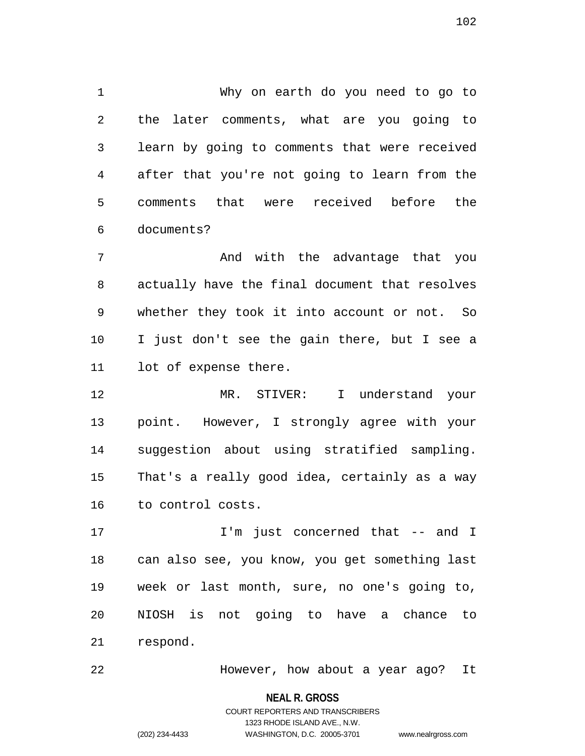1 Why on earth do you need to go to 2 the later comments, what are you going to 3 learn by going to comments that were received 4 after that you're not going to learn from the 5 comments that were received before the 6 documents?

7 And with the advantage that you 8 actually have the final document that resolves 9 whether they took it into account or not. So 10 I just don't see the gain there, but I see a 11 lot of expense there.

12 MR. STIVER: I understand your 13 point. However, I strongly agree with your 14 suggestion about using stratified sampling. 15 That's a really good idea, certainly as a way 16 to control costs.

17 I'm just concerned that -- and I 18 can also see, you know, you get something last 19 week or last month, sure, no one's going to, 20 NIOSH is not going to have a chance to 21 respond.

22 However, how about a year ago? It

**NEAL R. GROSS**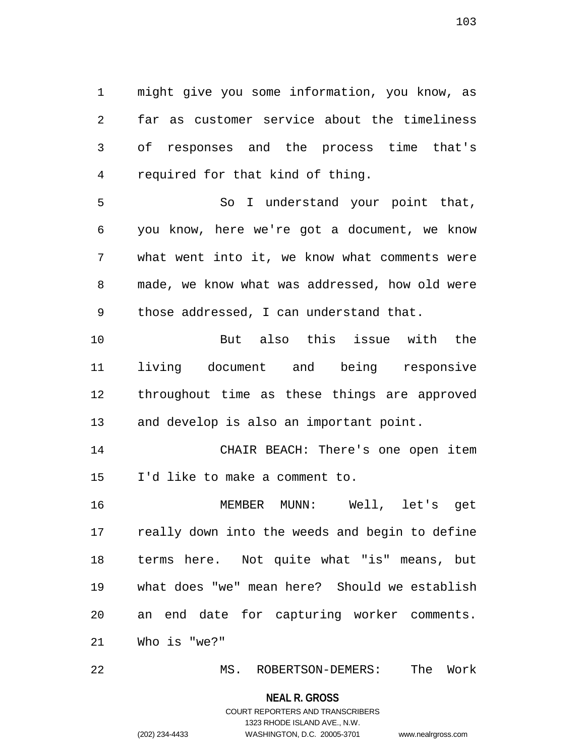1 might give you some information, you know, as 2 far as customer service about the timeliness 3 of responses and the process time that's 4 required for that kind of thing.

5 So I understand your point that, 6 you know, here we're got a document, we know 7 what went into it, we know what comments were 8 made, we know what was addressed, how old were 9 those addressed, I can understand that.

10 But also this issue with the 11 living document and being responsive 12 throughout time as these things are approved 13 and develop is also an important point.

14 CHAIR BEACH: There's one open item 15 I'd like to make a comment to.

16 MEMBER MUNN: Well, let's get 17 really down into the weeds and begin to define 18 terms here. Not quite what "is" means, but 19 what does "we" mean here? Should we establish 20 an end date for capturing worker comments. 21 Who is "we?"

22 MS. ROBERTSON-DEMERS: The Work

**NEAL R. GROSS**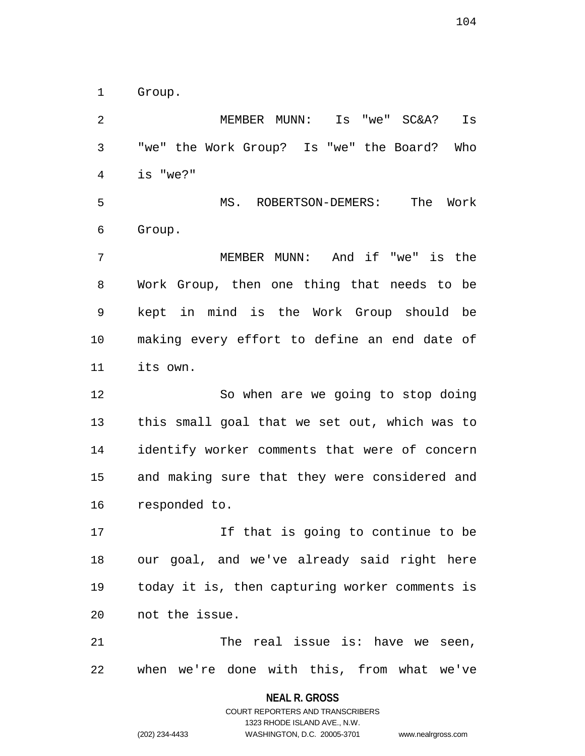1 Group.

2 MEMBER MUNN: Is "we" SC&A? Is 3 "we" the Work Group? Is "we" the Board? Who 4 is "we?" 5 MS. ROBERTSON-DEMERS: The Work 6 Group. 7 MEMBER MUNN: And if "we" is the 8 Work Group, then one thing that needs to be

9 kept in mind is the Work Group should be 10 making every effort to define an end date of 11 its own.

12 So when are we going to stop doing 13 this small goal that we set out, which was to 14 identify worker comments that were of concern 15 and making sure that they were considered and 16 responded to.

17 If that is going to continue to be 18 our goal, and we've already said right here 19 today it is, then capturing worker comments is 20 not the issue.

21 The real issue is: have we seen, 22 when we're done with this, from what we've

**NEAL R. GROSS**

COURT REPORTERS AND TRANSCRIBERS 1323 RHODE ISLAND AVE., N.W. (202) 234-4433 WASHINGTON, D.C. 20005-3701 www.nealrgross.com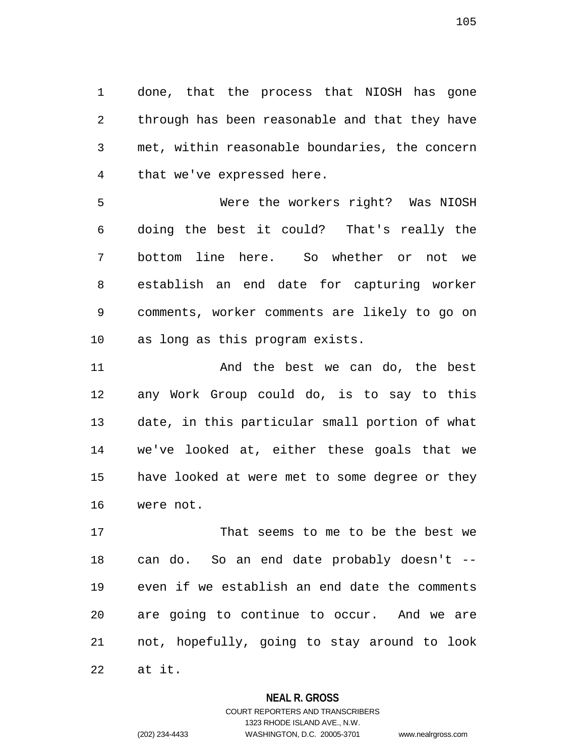1 done, that the process that NIOSH has gone 2 through has been reasonable and that they have 3 met, within reasonable boundaries, the concern 4 that we've expressed here.

5 Were the workers right? Was NIOSH 6 doing the best it could? That's really the 7 bottom line here. So whether or not we 8 establish an end date for capturing worker 9 comments, worker comments are likely to go on 10 as long as this program exists.

11 And the best we can do, the best 12 any Work Group could do, is to say to this 13 date, in this particular small portion of what 14 we've looked at, either these goals that we 15 have looked at were met to some degree or they 16 were not.

17 That seems to me to be the best we 18 can do. So an end date probably doesn't -- 19 even if we establish an end date the comments 20 are going to continue to occur. And we are 21 not, hopefully, going to stay around to look 22 at it.

### **NEAL R. GROSS**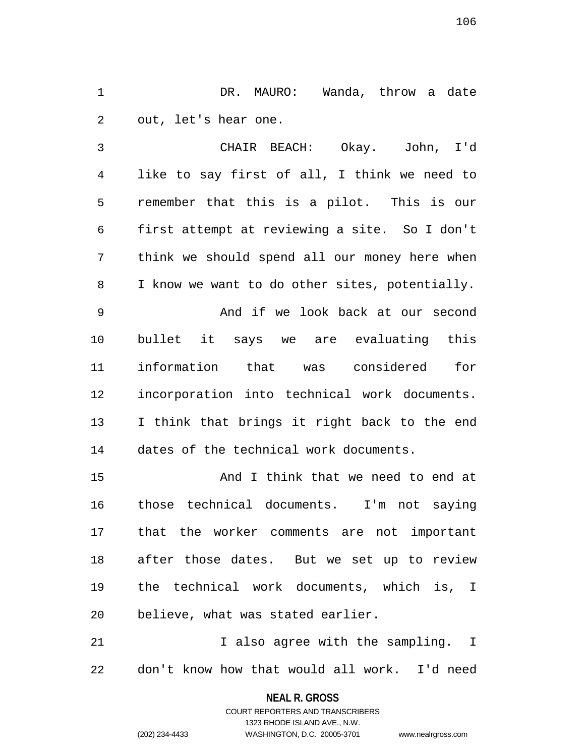1 DR. MAURO: Wanda, throw a date 2 out, let's hear one.

3 CHAIR BEACH: Okay. John, I'd 4 like to say first of all, I think we need to 5 remember that this is a pilot. This is our 6 first attempt at reviewing a site. So I don't 7 think we should spend all our money here when 8 I know we want to do other sites, potentially. 9 And if we look back at our second 10 bullet it says we are evaluating this 11 information that was considered for 12 incorporation into technical work documents. 13 I think that brings it right back to the end

14 dates of the technical work documents.

15 And I think that we need to end at 16 those technical documents. I'm not saying 17 that the worker comments are not important 18 after those dates. But we set up to review 19 the technical work documents, which is, I 20 believe, what was stated earlier.

21 Talso agree with the sampling. I 22 don't know how that would all work. I'd need

**NEAL R. GROSS**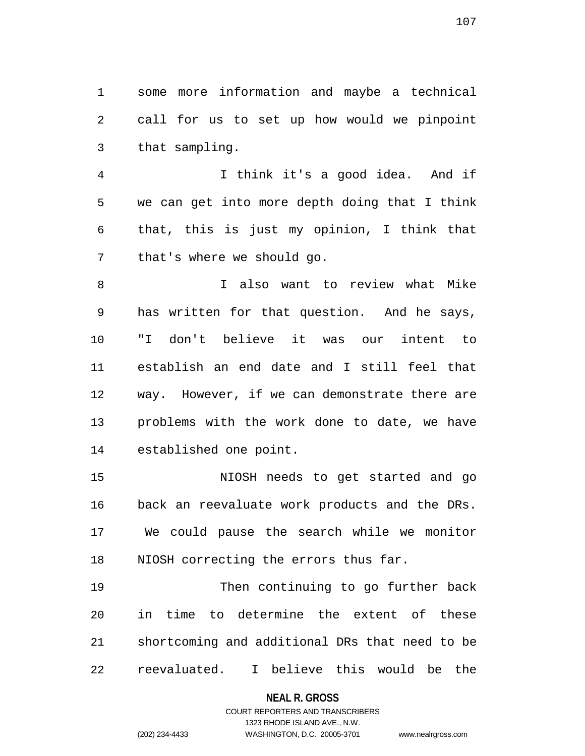1 some more information and maybe a technical 2 call for us to set up how would we pinpoint 3 that sampling.

4 I think it's a good idea. And if 5 we can get into more depth doing that I think 6 that, this is just my opinion, I think that 7 that's where we should go.

8 I also want to review what Mike 9 has written for that question. And he says, 10 "I don't believe it was our intent to 11 establish an end date and I still feel that 12 way. However, if we can demonstrate there are 13 problems with the work done to date, we have 14 established one point.

15 NIOSH needs to get started and go 16 back an reevaluate work products and the DRs. 17 We could pause the search while we monitor 18 NIOSH correcting the errors thus far.

19 Then continuing to go further back 20 in time to determine the extent of these 21 shortcoming and additional DRs that need to be 22 reevaluated. I believe this would be the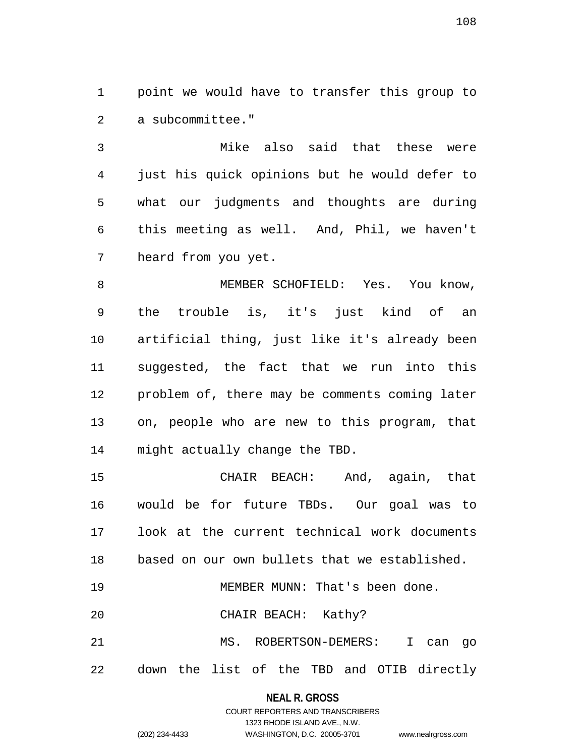1 point we would have to transfer this group to 2 a subcommittee."

3 Mike also said that these were 4 just his quick opinions but he would defer to 5 what our judgments and thoughts are during 6 this meeting as well. And, Phil, we haven't 7 heard from you yet.

8 MEMBER SCHOFIELD: Yes. You know, 9 the trouble is, it's just kind of an 10 artificial thing, just like it's already been 11 suggested, the fact that we run into this 12 problem of, there may be comments coming later 13 on, people who are new to this program, that 14 might actually change the TBD.

15 CHAIR BEACH: And, again, that 16 would be for future TBDs. Our goal was to 17 look at the current technical work documents 18 based on our own bullets that we established. 19 MEMBER MUNN: That's been done.

20 CHAIR BEACH: Kathy?

21 MS. ROBERTSON-DEMERS: I can go 22 down the list of the TBD and OTIB directly

### **NEAL R. GROSS**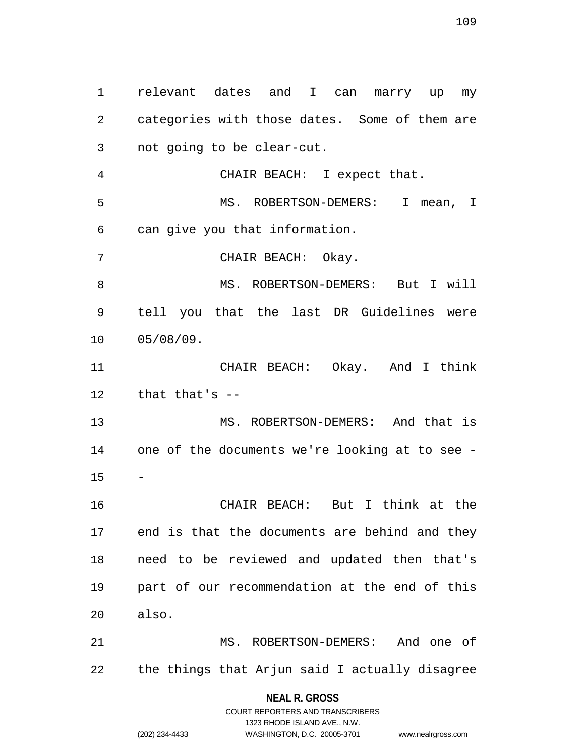1 relevant dates and I can marry up my 2 categories with those dates. Some of them are 3 not going to be clear-cut. 4 CHAIR BEACH: I expect that. 5 MS. ROBERTSON-DEMERS: I mean, I 6 can give you that information. 7 CHAIR BEACH: Okay. 8 MS. ROBERTSON-DEMERS: But I will 9 tell you that the last DR Guidelines were 10 05/08/09. 11 CHAIR BEACH: Okay. And I think 12 that that's -- 13 MS. ROBERTSON-DEMERS: And that is 14 one of the documents we're looking at to see - 15 16 CHAIR BEACH: But I think at the 17 end is that the documents are behind and they 18 need to be reviewed and updated then that's 19 part of our recommendation at the end of this 20 also. 21 MS. ROBERTSON-DEMERS: And one of 22 the things that Arjun said I actually disagree

## **NEAL R. GROSS** COURT REPORTERS AND TRANSCRIBERS

1323 RHODE ISLAND AVE., N.W. (202) 234-4433 WASHINGTON, D.C. 20005-3701 www.nealrgross.com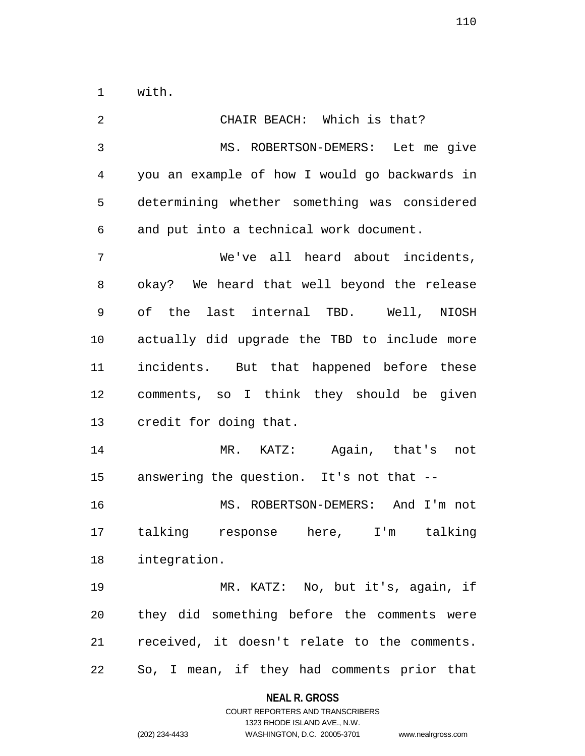1 with.

2 CHAIR BEACH: Which is that? 3 MS. ROBERTSON-DEMERS: Let me give 4 you an example of how I would go backwards in 5 determining whether something was considered 6 and put into a technical work document. 7 We've all heard about incidents, 8 okay? We heard that well beyond the release 9 of the last internal TBD. Well, NIOSH 10 actually did upgrade the TBD to include more 11 incidents. But that happened before these 12 comments, so I think they should be given 13 credit for doing that. 14 MR. KATZ: Again, that's not 15 answering the question. It's not that -- 16 MS. ROBERTSON-DEMERS: And I'm not 17 talking response here, I'm talking 18 integration. 19 MR. KATZ: No, but it's, again, if 20 they did something before the comments were 21 received, it doesn't relate to the comments. 22 So, I mean, if they had comments prior that

**NEAL R. GROSS**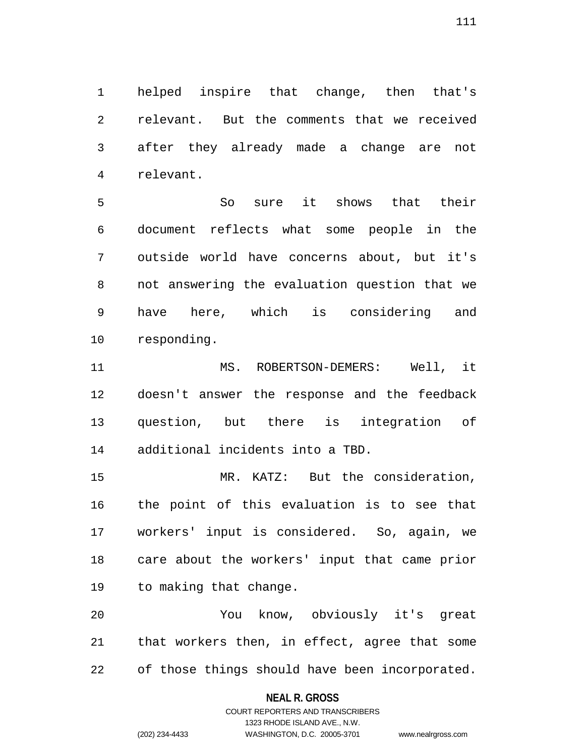1 helped inspire that change, then that's 2 relevant. But the comments that we received 3 after they already made a change are not 4 relevant.

5 So sure it shows that their 6 document reflects what some people in the 7 outside world have concerns about, but it's 8 not answering the evaluation question that we 9 have here, which is considering and 10 responding.

11 MS. ROBERTSON-DEMERS: Well, it 12 doesn't answer the response and the feedback 13 question, but there is integration of 14 additional incidents into a TBD.

15 MR. KATZ: But the consideration, 16 the point of this evaluation is to see that 17 workers' input is considered. So, again, we 18 care about the workers' input that came prior 19 to making that change.

20 You know, obviously it's great 21 that workers then, in effect, agree that some 22 of those things should have been incorporated.

### **NEAL R. GROSS**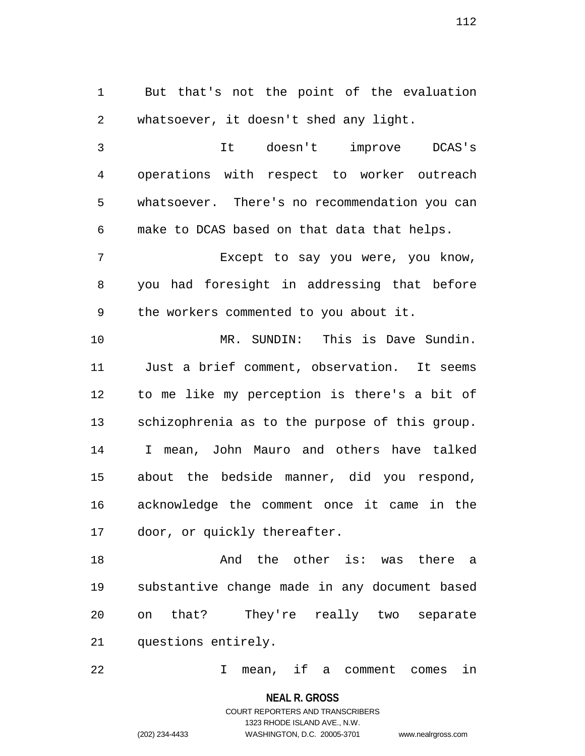1 But that's not the point of the evaluation 2 whatsoever, it doesn't shed any light.

3 It doesn't improve DCAS's 4 operations with respect to worker outreach 5 whatsoever. There's no recommendation you can 6 make to DCAS based on that data that helps.

7 Except to say you were, you know, 8 you had foresight in addressing that before 9 the workers commented to you about it.

10 MR. SUNDIN: This is Dave Sundin. 11 Just a brief comment, observation. It seems 12 to me like my perception is there's a bit of 13 schizophrenia as to the purpose of this group. 14 I mean, John Mauro and others have talked 15 about the bedside manner, did you respond, 16 acknowledge the comment once it came in the 17 door, or quickly thereafter.

18 **18** And the other is: was there a 19 substantive change made in any document based 20 on that? They're really two separate 21 questions entirely.

22 I mean, if a comment comes in

**NEAL R. GROSS** COURT REPORTERS AND TRANSCRIBERS 1323 RHODE ISLAND AVE., N.W. (202) 234-4433 WASHINGTON, D.C. 20005-3701 www.nealrgross.com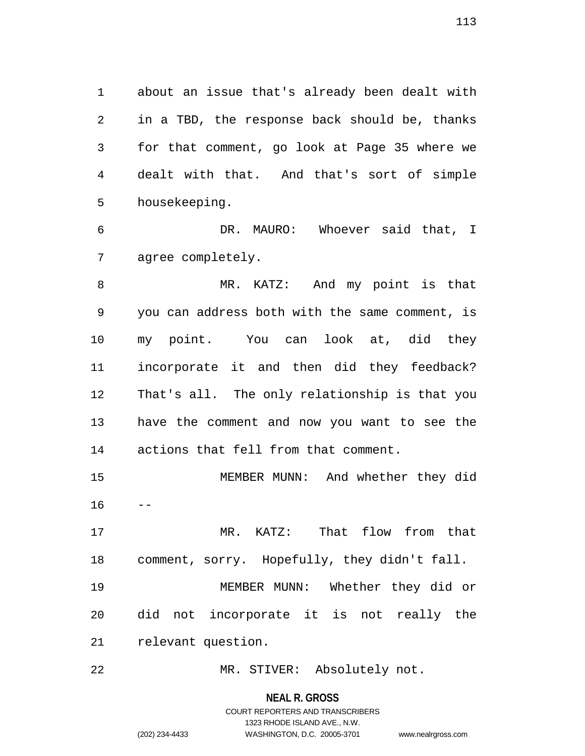1 about an issue that's already been dealt with 2 in a TBD, the response back should be, thanks 3 for that comment, go look at Page 35 where we 4 dealt with that. And that's sort of simple 5 housekeeping.

6 DR. MAURO: Whoever said that, I 7 agree completely.

8 MR. KATZ: And my point is that 9 you can address both with the same comment, is 10 my point. You can look at, did they 11 incorporate it and then did they feedback? 12 That's all. The only relationship is that you 13 have the comment and now you want to see the 14 actions that fell from that comment.

15 MEMBER MUNN: And whether they did  $16$ 

17 MR. KATZ: That flow from that 18 comment, sorry. Hopefully, they didn't fall.

19 MEMBER MUNN: Whether they did or 20 did not incorporate it is not really the 21 relevant question.

22 MR. STIVER: Absolutely not.

**NEAL R. GROSS**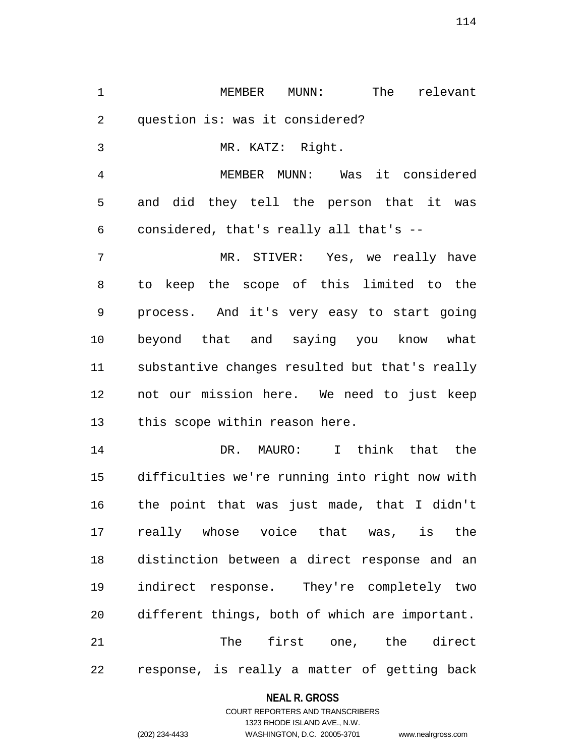1 MEMBER MUNN: The relevant 2 question is: was it considered? 3 MR. KATZ: Right.

4 MEMBER MUNN: Was it considered 5 and did they tell the person that it was 6 considered, that's really all that's --

7 MR. STIVER: Yes, we really have 8 to keep the scope of this limited to the 9 process. And it's very easy to start going 10 beyond that and saying you know what 11 substantive changes resulted but that's really 12 not our mission here. We need to just keep 13 this scope within reason here.

14 DR. MAURO: I think that the 15 difficulties we're running into right now with 16 the point that was just made, that I didn't 17 really whose voice that was, is the 18 distinction between a direct response and an 19 indirect response. They're completely two 20 different things, both of which are important. 21 The first one, the direct 22 response, is really a matter of getting back

### **NEAL R. GROSS**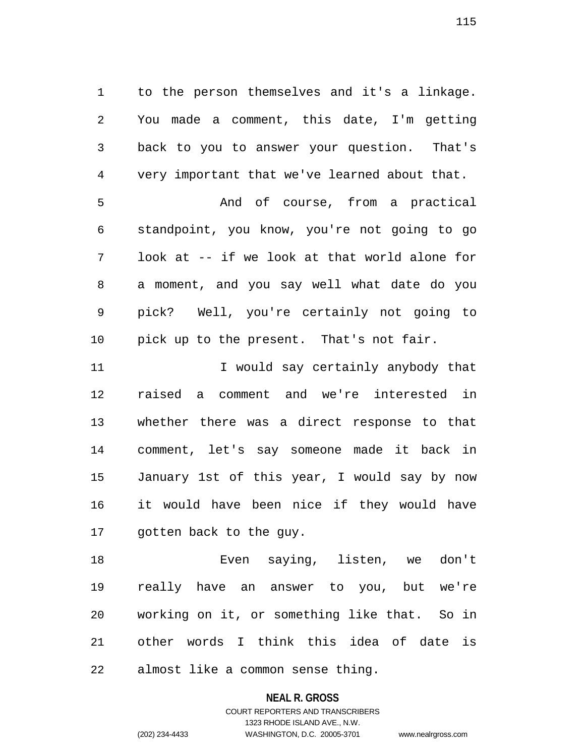1 to the person themselves and it's a linkage. 2 You made a comment, this date, I'm getting 3 back to you to answer your question. That's 4 very important that we've learned about that. 5 And of course, from a practical 6 standpoint, you know, you're not going to go 7 look at -- if we look at that world alone for

8 a moment, and you say well what date do you 9 pick? Well, you're certainly not going to 10 pick up to the present. That's not fair.

11 I would say certainly anybody that 12 raised a comment and we're interested in 13 whether there was a direct response to that 14 comment, let's say someone made it back in 15 January 1st of this year, I would say by now 16 it would have been nice if they would have 17 gotten back to the guy.

18 Even saying, listen, we don't 19 really have an answer to you, but we're 20 working on it, or something like that. So in 21 other words I think this idea of date is 22 almost like a common sense thing.

### **NEAL R. GROSS**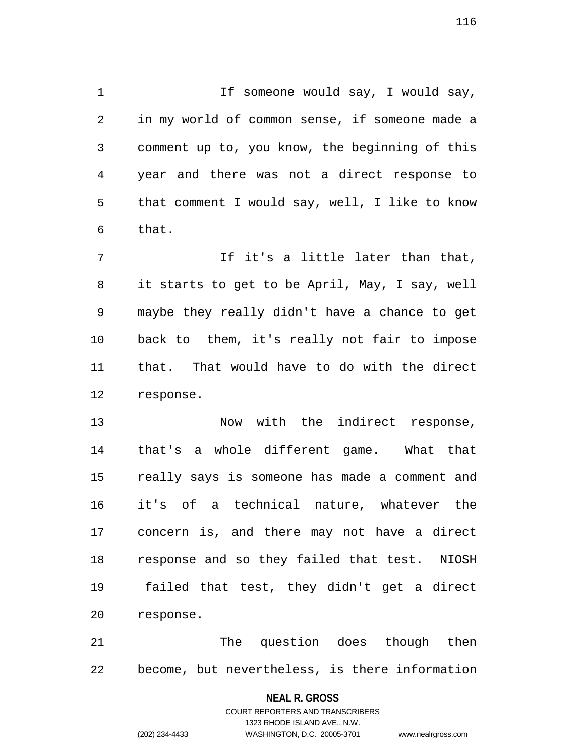1 1 If someone would say, I would say, 2 in my world of common sense, if someone made a 3 comment up to, you know, the beginning of this 4 year and there was not a direct response to 5 that comment I would say, well, I like to know 6 that.

7 The It's a little later than that, 8 it starts to get to be April, May, I say, well 9 maybe they really didn't have a chance to get 10 back to them, it's really not fair to impose 11 that. That would have to do with the direct 12 response.

13 Now with the indirect response, 14 that's a whole different game. What that 15 really says is someone has made a comment and 16 it's of a technical nature, whatever the 17 concern is, and there may not have a direct 18 response and so they failed that test. NIOSH 19 failed that test, they didn't get a direct 20 response.

21 The question does though then 22 become, but nevertheless, is there information

### **NEAL R. GROSS**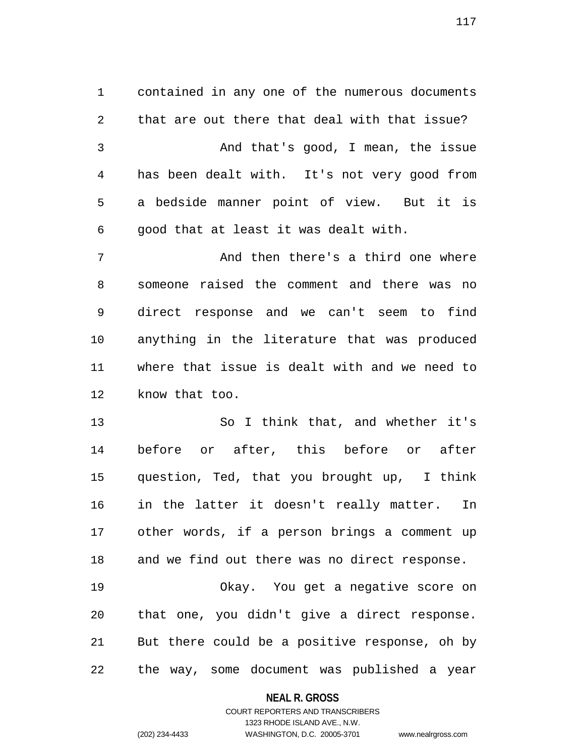1 contained in any one of the numerous documents 2 that are out there that deal with that issue? 3 And that's good, I mean, the issue 4 has been dealt with. It's not very good from 5 a bedside manner point of view. But it is 6 good that at least it was dealt with.

7 And then there's a third one where 8 someone raised the comment and there was no 9 direct response and we can't seem to find 10 anything in the literature that was produced 11 where that issue is dealt with and we need to 12 know that too.

13 So I think that, and whether it's 14 before or after, this before or after 15 question, Ted, that you brought up, I think 16 in the latter it doesn't really matter. In 17 other words, if a person brings a comment up 18 and we find out there was no direct response.

19 Okay. You get a negative score on 20 that one, you didn't give a direct response. 21 But there could be a positive response, oh by 22 the way, some document was published a year

### **NEAL R. GROSS**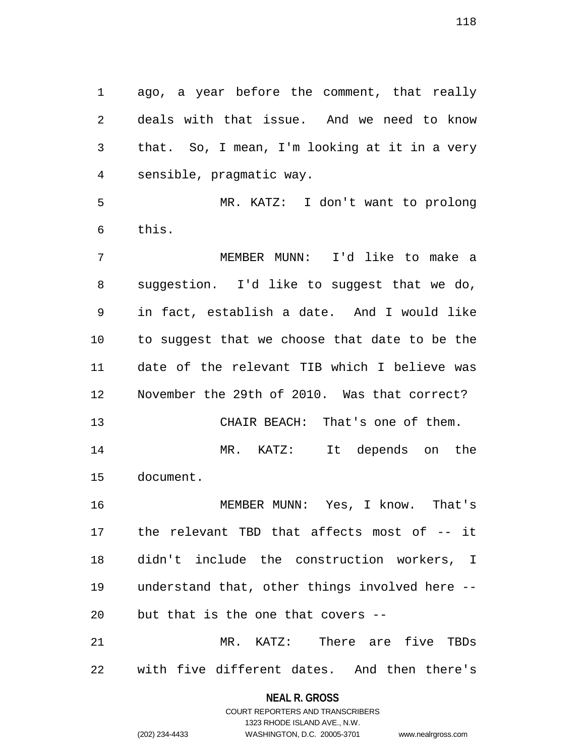1 ago, a year before the comment, that really 2 deals with that issue. And we need to know 3 that. So, I mean, I'm looking at it in a very 4 sensible, pragmatic way.

5 MR. KATZ: I don't want to prolong 6 this.

7 MEMBER MUNN: I'd like to make a 8 suggestion. I'd like to suggest that we do, 9 in fact, establish a date. And I would like 10 to suggest that we choose that date to be the 11 date of the relevant TIB which I believe was 12 November the 29th of 2010. Was that correct?

13 CHAIR BEACH: That's one of them. 14 MR. KATZ: It depends on the 15 document.

16 MEMBER MUNN: Yes, I know. That's 17 the relevant TBD that affects most of -- it 18 didn't include the construction workers, I 19 understand that, other things involved here -- 20 but that is the one that covers --

21 MR. KATZ: There are five TBDs 22 with five different dates. And then there's

## **NEAL R. GROSS** COURT REPORTERS AND TRANSCRIBERS

1323 RHODE ISLAND AVE., N.W. (202) 234-4433 WASHINGTON, D.C. 20005-3701 www.nealrgross.com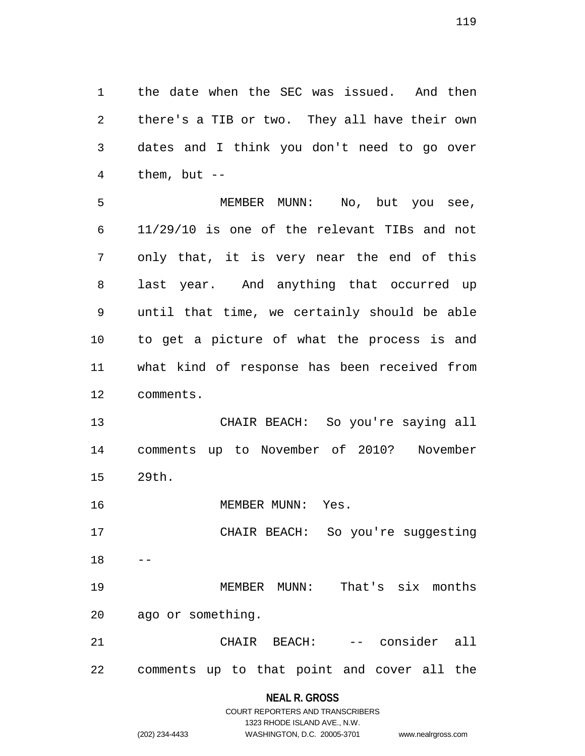1 the date when the SEC was issued. And then 2 there's a TIB or two. They all have their own 3 dates and I think you don't need to go over 4 them, but --

5 MEMBER MUNN: No, but you see, 6 11/29/10 is one of the relevant TIBs and not 7 only that, it is very near the end of this 8 last year. And anything that occurred up 9 until that time, we certainly should be able 10 to get a picture of what the process is and 11 what kind of response has been received from 12 comments.

13 CHAIR BEACH: So you're saying all 14 comments up to November of 2010? November 15 29th.

16 MEMBER MUNN: Yes.

17 CHAIR BEACH: So you're suggesting  $18$ 

19 MEMBER MUNN: That's six months 20 ago or something.

21 CHAIR BEACH: -- consider all 22 comments up to that point and cover all the

### **NEAL R. GROSS**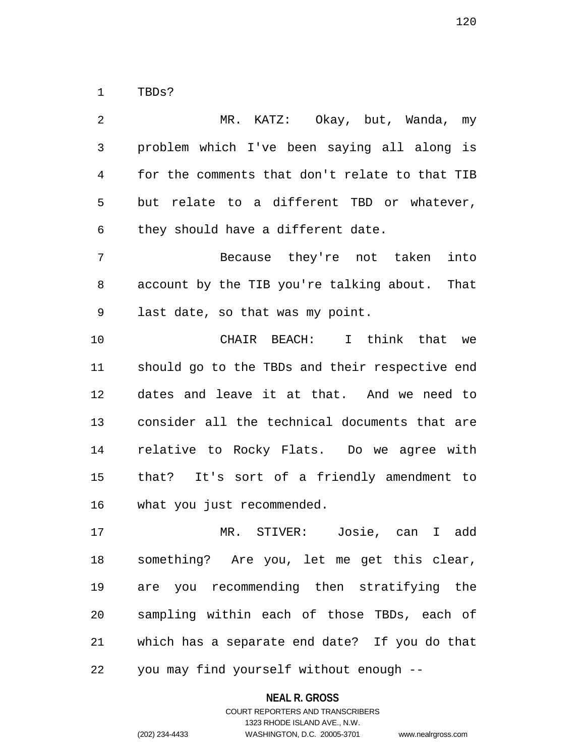1 TBDs?

2 MR. KATZ: Okay, but, Wanda, my 3 problem which I've been saying all along is 4 for the comments that don't relate to that TIB 5 but relate to a different TBD or whatever, 6 they should have a different date. 7 Because they're not taken into 8 account by the TIB you're talking about. That 9 last date, so that was my point. 10 CHAIR BEACH: I think that we 11 should go to the TBDs and their respective end 12 dates and leave it at that. And we need to 13 consider all the technical documents that are 14 relative to Rocky Flats. Do we agree with 15 that? It's sort of a friendly amendment to 16 what you just recommended. 17 MR. STIVER: Josie, can I add 18 something? Are you, let me get this clear, 19 are you recommending then stratifying the 20 sampling within each of those TBDs, each of

22 you may find yourself without enough --

**NEAL R. GROSS**

21 which has a separate end date? If you do that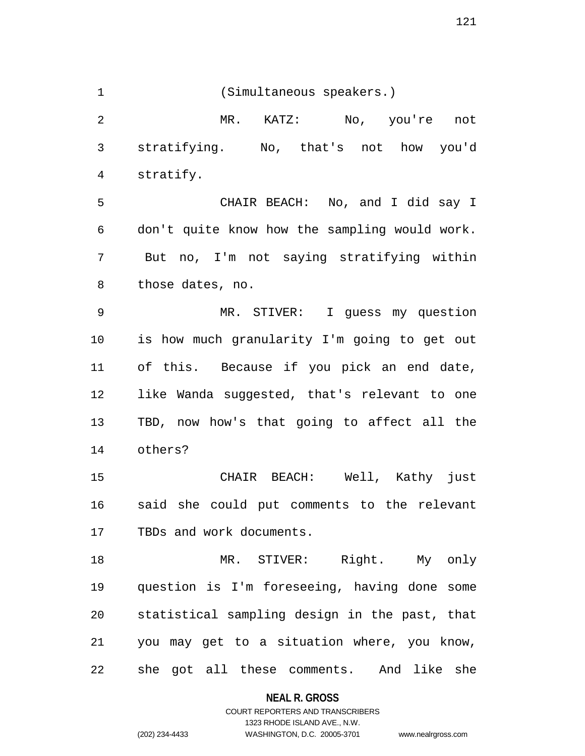121

1 (Simultaneous speakers.) 2 MR. KATZ: No, you're not 3 stratifying. No, that's not how you'd 4 stratify. 5 CHAIR BEACH: No, and I did say I 6 don't quite know how the sampling would work. 7 But no, I'm not saying stratifying within 8 those dates, no. 9 MR. STIVER: I guess my question 10 is how much granularity I'm going to get out 11 of this. Because if you pick an end date, 12 like Wanda suggested, that's relevant to one 13 TBD, now how's that going to affect all the 14 others? 15 CHAIR BEACH: Well, Kathy just 16 said she could put comments to the relevant 17 TBDs and work documents. 18 MR. STIVER: Right. My only 19 question is I'm foreseeing, having done some 20 statistical sampling design in the past, that 21 you may get to a situation where, you know, 22 she got all these comments. And like she

**NEAL R. GROSS**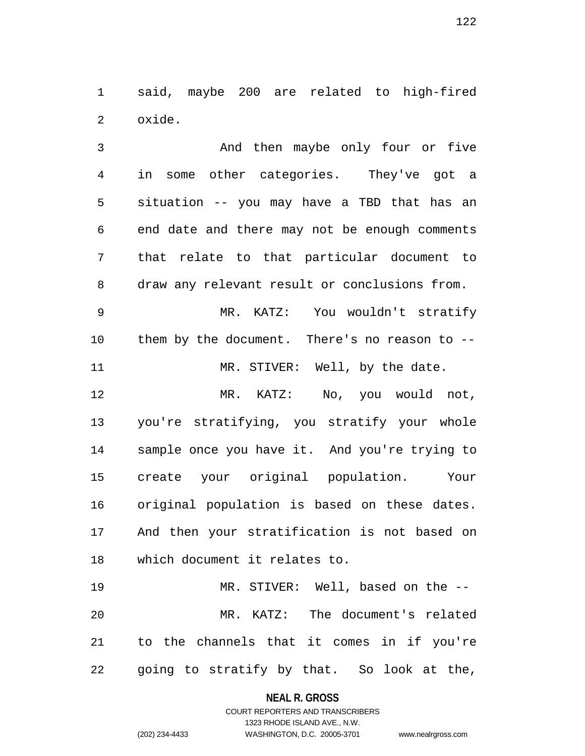1 said, maybe 200 are related to high-fired 2 oxide.

3 And then maybe only four or five 4 in some other categories. They've got a 5 situation -- you may have a TBD that has an 6 end date and there may not be enough comments 7 that relate to that particular document to 8 draw any relevant result or conclusions from.

9 MR. KATZ: You wouldn't stratify 10 them by the document. There's no reason to -- 11 MR. STIVER: Well, by the date.

12 MR. KATZ: No, you would not, 13 you're stratifying, you stratify your whole 14 sample once you have it. And you're trying to 15 create your original population. Your 16 original population is based on these dates. 17 And then your stratification is not based on 18 which document it relates to.

19 MR. STIVER: Well, based on the -- 20 MR. KATZ: The document's related 21 to the channels that it comes in if you're 22 going to stratify by that. So look at the,

**NEAL R. GROSS**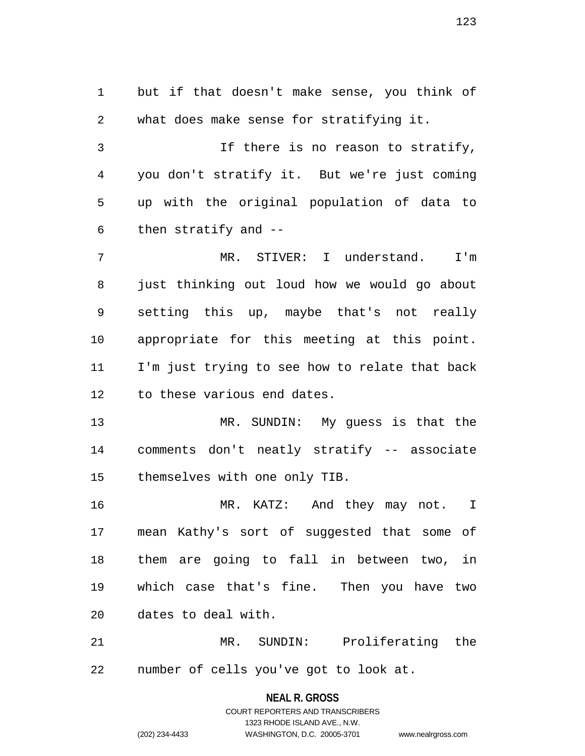1 but if that doesn't make sense, you think of 2 what does make sense for stratifying it. 3 If there is no reason to stratify, 4 you don't stratify it. But we're just coming 5 up with the original population of data to 6 then stratify and -- 7 MR. STIVER: I understand. I'm 8 just thinking out loud how we would go about 9 setting this up, maybe that's not really 10 appropriate for this meeting at this point. 11 I'm just trying to see how to relate that back 12 to these various end dates.

13 MR. SUNDIN: My guess is that the 14 comments don't neatly stratify -- associate 15 themselves with one only TIB.

16 MR. KATZ: And they may not. I 17 mean Kathy's sort of suggested that some of 18 them are going to fall in between two, in 19 which case that's fine. Then you have two 20 dates to deal with.

21 MR. SUNDIN: Proliferating the 22 number of cells you've got to look at.

> **NEAL R. GROSS** COURT REPORTERS AND TRANSCRIBERS 1323 RHODE ISLAND AVE., N.W. (202) 234-4433 WASHINGTON, D.C. 20005-3701 www.nealrgross.com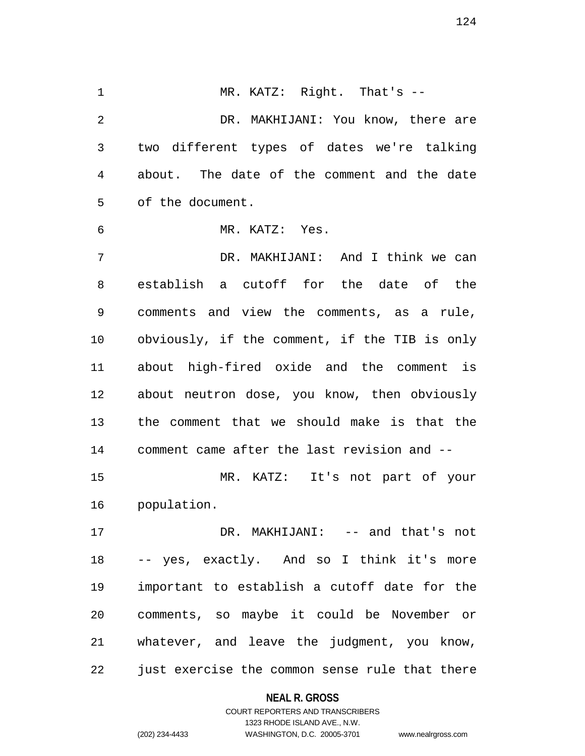1 MR. KATZ: Right. That's --2 DR. MAKHIJANI: You know, there are 3 two different types of dates we're talking 4 about. The date of the comment and the date 5 of the document. 6 MR. KATZ: Yes. 7 DR. MAKHIJANI: And I think we can 8 establish a cutoff for the date of the 9 comments and view the comments, as a rule, 10 obviously, if the comment, if the TIB is only 11 about high-fired oxide and the comment is 12 about neutron dose, you know, then obviously 13 the comment that we should make is that the 14 comment came after the last revision and -- 15 MR. KATZ: It's not part of your 16 population. 17 DR. MAKHIJANI: -- and that's not 18 -- yes, exactly. And so I think it's more 19 important to establish a cutoff date for the 20 comments, so maybe it could be November or 21 whatever, and leave the judgment, you know,

22 just exercise the common sense rule that there

#### **NEAL R. GROSS**

COURT REPORTERS AND TRANSCRIBERS 1323 RHODE ISLAND AVE., N.W. (202) 234-4433 WASHINGTON, D.C. 20005-3701 www.nealrgross.com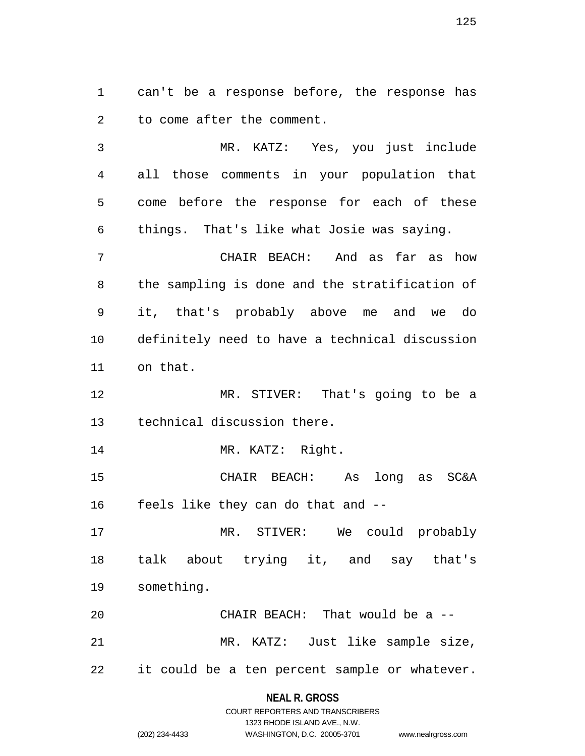1 can't be a response before, the response has 2 to come after the comment.

3 MR. KATZ: Yes, you just include 4 all those comments in your population that 5 come before the response for each of these 6 things. That's like what Josie was saying.

7 CHAIR BEACH: And as far as how 8 the sampling is done and the stratification of 9 it, that's probably above me and we do 10 definitely need to have a technical discussion 11 on that.

12 MR. STIVER: That's going to be a 13 technical discussion there.

14 MR. KATZ: Right.

15 CHAIR BEACH: As long as SC&A 16 feels like they can do that and --

17 MR. STIVER: We could probably 18 talk about trying it, and say that's 19 something.

20 CHAIR BEACH: That would be a -- 21 MR. KATZ: Just like sample size, 22 it could be a ten percent sample or whatever.

### **NEAL R. GROSS**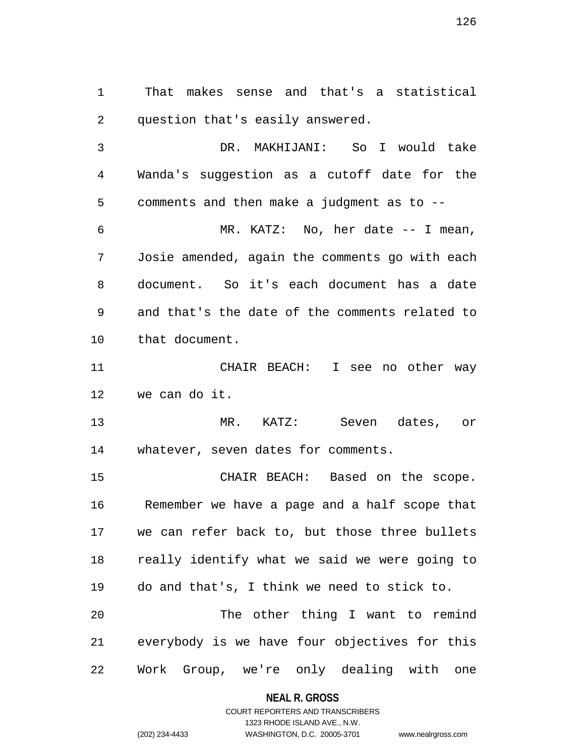1 That makes sense and that's a statistical 2 question that's easily answered.

3 DR. MAKHIJANI: So I would take 4 Wanda's suggestion as a cutoff date for the 5 comments and then make a judgment as to -- 6 MR. KATZ: No, her date -- I mean, 7 Josie amended, again the comments go with each 8 document. So it's each document has a date 9 and that's the date of the comments related to 10 that document.

11 CHAIR BEACH: I see no other way 12 we can do it.

13 MR. KATZ: Seven dates, or 14 whatever, seven dates for comments.

15 CHAIR BEACH: Based on the scope. 16 Remember we have a page and a half scope that 17 we can refer back to, but those three bullets 18 really identify what we said we were going to 19 do and that's, I think we need to stick to. 20 The other thing I want to remind 21 everybody is we have four objectives for this

22 Work Group, we're only dealing with one

**NEAL R. GROSS**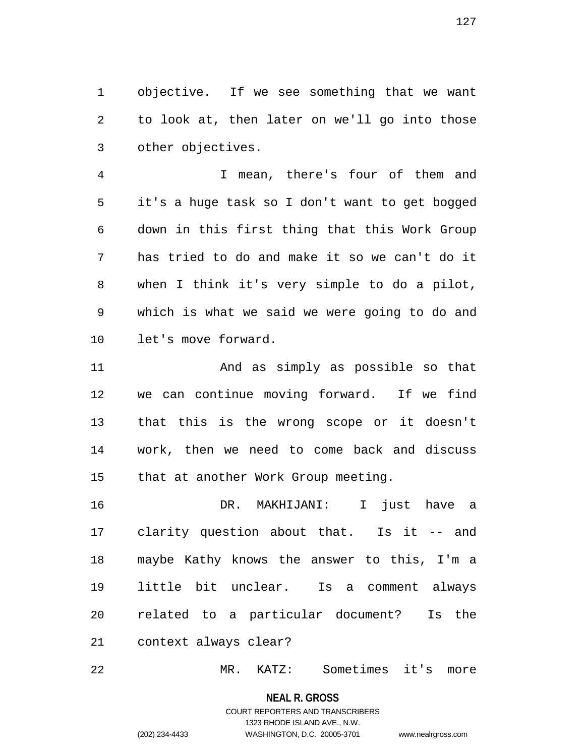1 objective. If we see something that we want 2 to look at, then later on we'll go into those 3 other objectives.

4 I mean, there's four of them and 5 it's a huge task so I don't want to get bogged 6 down in this first thing that this Work Group 7 has tried to do and make it so we can't do it 8 when I think it's very simple to do a pilot, 9 which is what we said we were going to do and 10 let's move forward.

11 And as simply as possible so that 12 we can continue moving forward. If we find 13 that this is the wrong scope or it doesn't 14 work, then we need to come back and discuss 15 that at another Work Group meeting.

16 DR. MAKHIJANI: I just have a 17 clarity question about that. Is it -- and 18 maybe Kathy knows the answer to this, I'm a 19 little bit unclear. Is a comment always 20 related to a particular document? Is the 21 context always clear?

22 MR. KATZ: Sometimes it's more

**NEAL R. GROSS** COURT REPORTERS AND TRANSCRIBERS 1323 RHODE ISLAND AVE., N.W. (202) 234-4433 WASHINGTON, D.C. 20005-3701 www.nealrgross.com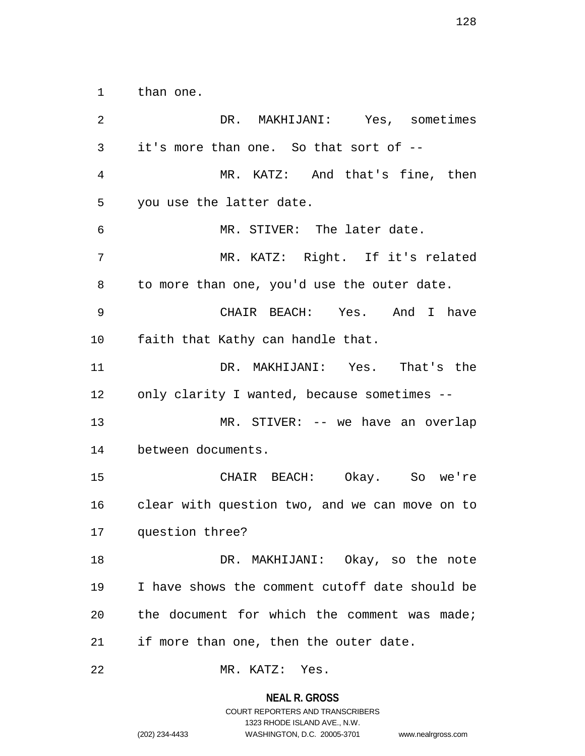1 than one.

2 DR. MAKHIJANI: Yes, sometimes 3 it's more than one. So that sort of -- 4 MR. KATZ: And that's fine, then 5 you use the latter date. 6 MR. STIVER: The later date. 7 MR. KATZ: Right. If it's related 8 to more than one, you'd use the outer date. 9 CHAIR BEACH: Yes. And I have 10 faith that Kathy can handle that. 11 DR. MAKHIJANI: Yes. That's the 12 only clarity I wanted, because sometimes -- 13 MR. STIVER: -- we have an overlap 14 between documents. 15 CHAIR BEACH: Okay. So we're 16 clear with question two, and we can move on to 17 question three? 18 DR. MAKHIJANI: Okay, so the note 19 I have shows the comment cutoff date should be 20 the document for which the comment was made; 21 if more than one, then the outer date. 22 MR. KATZ: Yes.

1323 RHODE ISLAND AVE., N.W.

(202) 234-4433 WASHINGTON, D.C. 20005-3701 www.nealrgross.com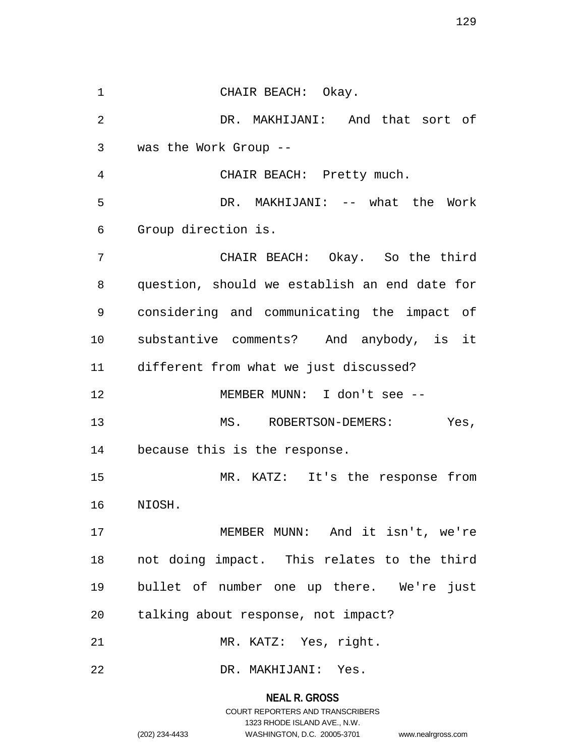1 CHAIR BEACH: Okay. 2 DR. MAKHIJANI: And that sort of 3 was the Work Group -- 4 CHAIR BEACH: Pretty much. 5 DR. MAKHIJANI: -- what the Work 6 Group direction is. 7 CHAIR BEACH: Okay. So the third 8 question, should we establish an end date for 9 considering and communicating the impact of 10 substantive comments? And anybody, is it 11 different from what we just discussed? 12 MEMBER MUNN: I don't see -- 13 MS. ROBERTSON-DEMERS: Yes, 14 because this is the response. 15 MR. KATZ: It's the response from 16 NIOSH. 17 MEMBER MUNN: And it isn't, we're 18 not doing impact. This relates to the third 19 bullet of number one up there. We're just 20 talking about response, not impact? 21 MR. KATZ: Yes, right. 22 DR. MAKHIJANI: Yes.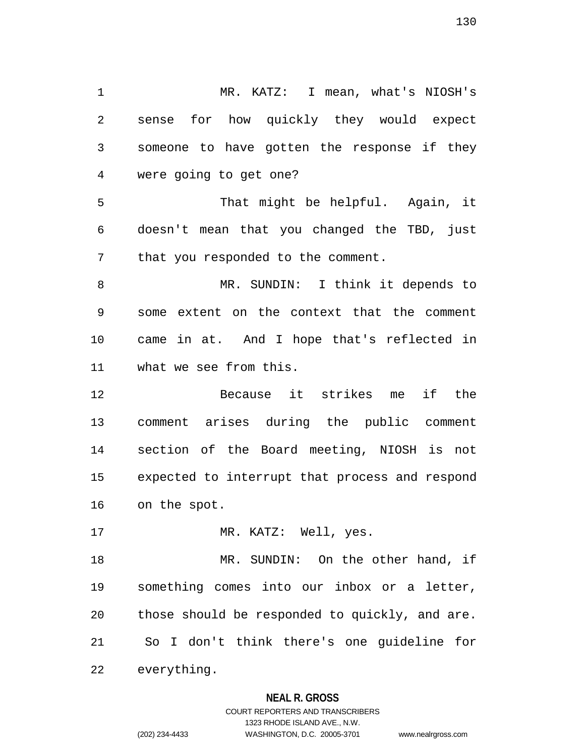1 MR. KATZ: I mean, what's NIOSH's 2 sense for how quickly they would expect 3 someone to have gotten the response if they 4 were going to get one? 5 That might be helpful. Again, it 6 doesn't mean that you changed the TBD, just 7 that you responded to the comment. 8 MR. SUNDIN: I think it depends to 9 some extent on the context that the comment 10 came in at. And I hope that's reflected in 11 what we see from this. 12 Because it strikes me if the 13 comment arises during the public comment 14 section of the Board meeting, NIOSH is not 15 expected to interrupt that process and respond 16 on the spot. 17 MR. KATZ: Well, yes. 18 MR. SUNDIN: On the other hand, if 19 something comes into our inbox or a letter, 20 those should be responded to quickly, and are. 21 So I don't think there's one guideline for 22 everything.

### **NEAL R. GROSS**

COURT REPORTERS AND TRANSCRIBERS 1323 RHODE ISLAND AVE., N.W. (202) 234-4433 WASHINGTON, D.C. 20005-3701 www.nealrgross.com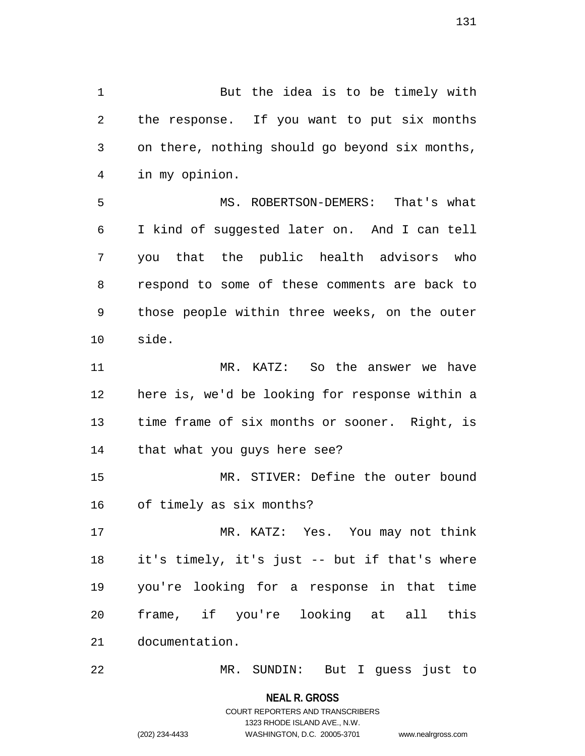1 But the idea is to be timely with 2 the response. If you want to put six months 3 on there, nothing should go beyond six months, 4 in my opinion. 5 MS. ROBERTSON-DEMERS: That's what 6 I kind of suggested later on. And I can tell 7 you that the public health advisors who 8 respond to some of these comments are back to

9 those people within three weeks, on the outer 10 side.

11 MR. KATZ: So the answer we have 12 here is, we'd be looking for response within a 13 time frame of six months or sooner. Right, is 14 that what you guys here see?

15 MR. STIVER: Define the outer bound 16 of timely as six months?

17 MR. KATZ: Yes. You may not think 18 it's timely, it's just -- but if that's where 19 you're looking for a response in that time 20 frame, if you're looking at all this 21 documentation.

22 MR. SUNDIN: But I guess just to

**NEAL R. GROSS**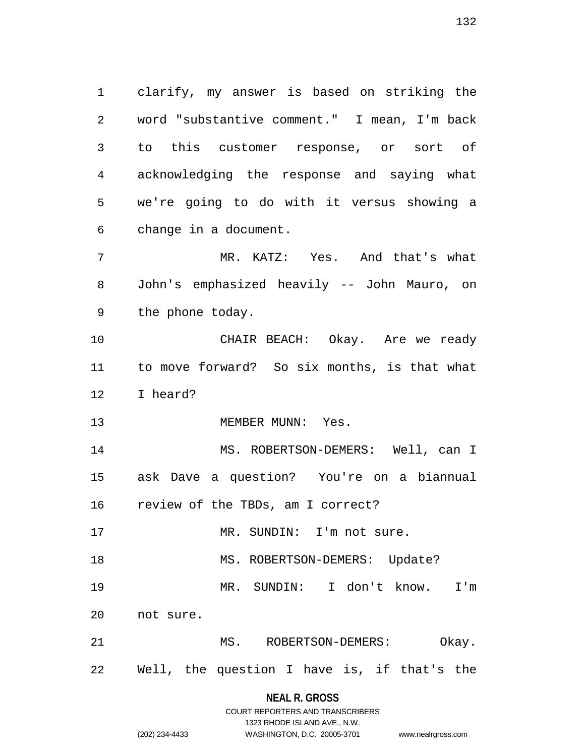1 clarify, my answer is based on striking the 2 word "substantive comment." I mean, I'm back 3 to this customer response, or sort of 4 acknowledging the response and saying what 5 we're going to do with it versus showing a 6 change in a document. 7 MR. KATZ: Yes. And that's what

8 John's emphasized heavily -- John Mauro, on 9 the phone today.

10 CHAIR BEACH: Okay. Are we ready 11 to move forward? So six months, is that what 12 I heard?

13 MEMBER MUNN: Yes.

14 MS. ROBERTSON-DEMERS: Well, can I 15 ask Dave a question? You're on a biannual 16 review of the TBDs, am I correct?

17 MR. SUNDIN: I'm not sure.

18 MS. ROBERTSON-DEMERS: Update?

19 MR. SUNDIN: I don't know. I'm

20 not sure.

21 MS. ROBERTSON-DEMERS: Okay. 22 Well, the question I have is, if that's the

## **NEAL R. GROSS** COURT REPORTERS AND TRANSCRIBERS

1323 RHODE ISLAND AVE., N.W. (202) 234-4433 WASHINGTON, D.C. 20005-3701 www.nealrgross.com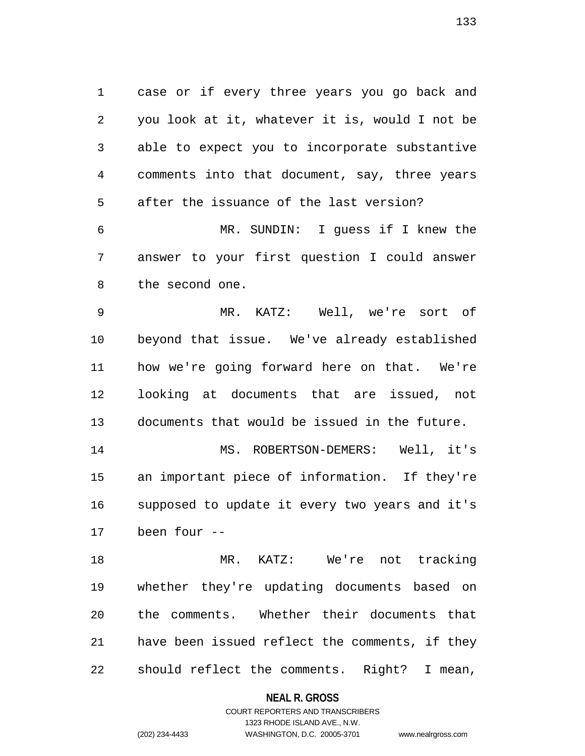1 case or if every three years you go back and 2 you look at it, whatever it is, would I not be 3 able to expect you to incorporate substantive 4 comments into that document, say, three years 5 after the issuance of the last version? 6 MR. SUNDIN: I guess if I knew the

7 answer to your first question I could answer 8 the second one.

9 MR. KATZ: Well, we're sort of 10 beyond that issue. We've already established 11 how we're going forward here on that. We're 12 looking at documents that are issued, not 13 documents that would be issued in the future.

14 MS. ROBERTSON-DEMERS: Well, it's 15 an important piece of information. If they're 16 supposed to update it every two years and it's 17 been four --

18 MR. KATZ: We're not tracking 19 whether they're updating documents based on 20 the comments. Whether their documents that 21 have been issued reflect the comments, if they 22 should reflect the comments. Right? I mean,

**NEAL R. GROSS**

COURT REPORTERS AND TRANSCRIBERS 1323 RHODE ISLAND AVE., N.W. (202) 234-4433 WASHINGTON, D.C. 20005-3701 www.nealrgross.com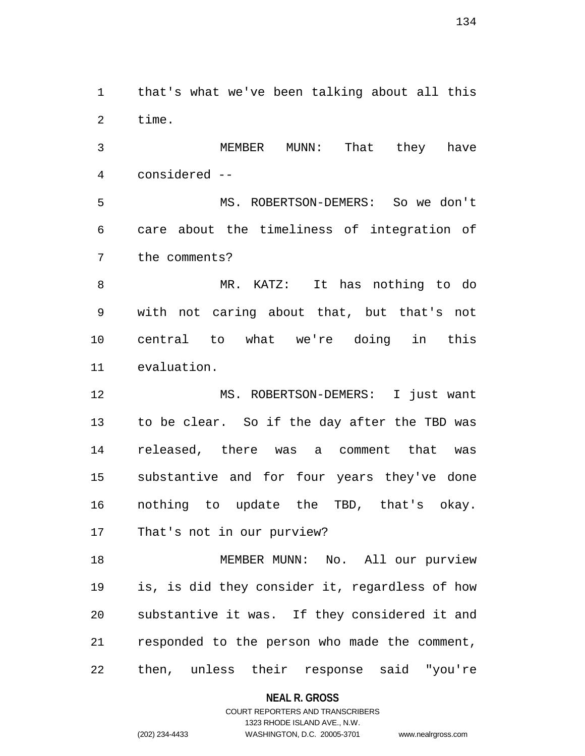1 that's what we've been talking about all this 2 time.

3 MEMBER MUNN: That they have 4 considered --

5 MS. ROBERTSON-DEMERS: So we don't 6 care about the timeliness of integration of 7 the comments?

8 MR. KATZ: It has nothing to do 9 with not caring about that, but that's not 10 central to what we're doing in this 11 evaluation.

12 MS. ROBERTSON-DEMERS: I just want 13 to be clear. So if the day after the TBD was 14 released, there was a comment that was 15 substantive and for four years they've done 16 nothing to update the TBD, that's okay. 17 That's not in our purview?

18 MEMBER MUNN: No. All our purview 19 is, is did they consider it, regardless of how 20 substantive it was. If they considered it and 21 responded to the person who made the comment, 22 then, unless their response said "you're

### **NEAL R. GROSS**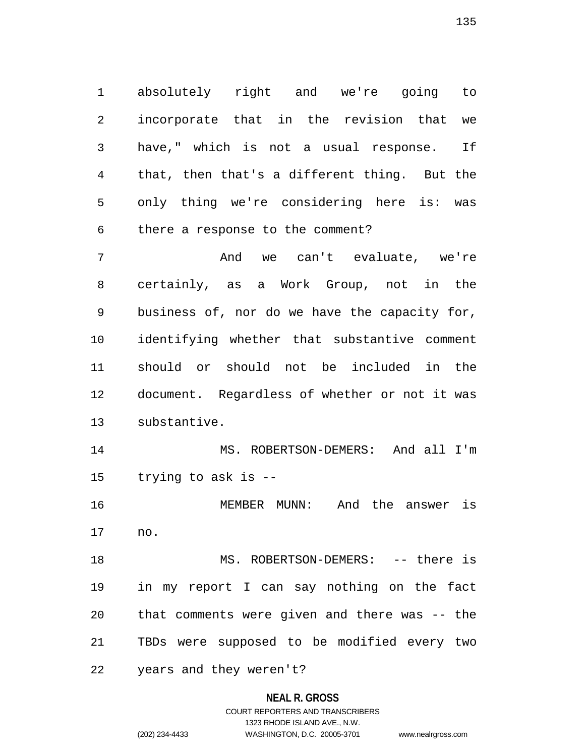1 absolutely right and we're going to 2 incorporate that in the revision that we 3 have," which is not a usual response. If 4 that, then that's a different thing. But the 5 only thing we're considering here is: was 6 there a response to the comment?

7 And we can't evaluate, we're 8 certainly, as a Work Group, not in the 9 business of, nor do we have the capacity for, 10 identifying whether that substantive comment 11 should or should not be included in the 12 document. Regardless of whether or not it was 13 substantive.

14 MS. ROBERTSON-DEMERS: And all I'm 15 trying to ask is --

16 MEMBER MUNN: And the answer is 17 no.

18 MS. ROBERTSON-DEMERS: -- there is 19 in my report I can say nothing on the fact 20 that comments were given and there was -- the 21 TBDs were supposed to be modified every two

22 years and they weren't?

### **NEAL R. GROSS**

COURT REPORTERS AND TRANSCRIBERS 1323 RHODE ISLAND AVE., N.W. (202) 234-4433 WASHINGTON, D.C. 20005-3701 www.nealrgross.com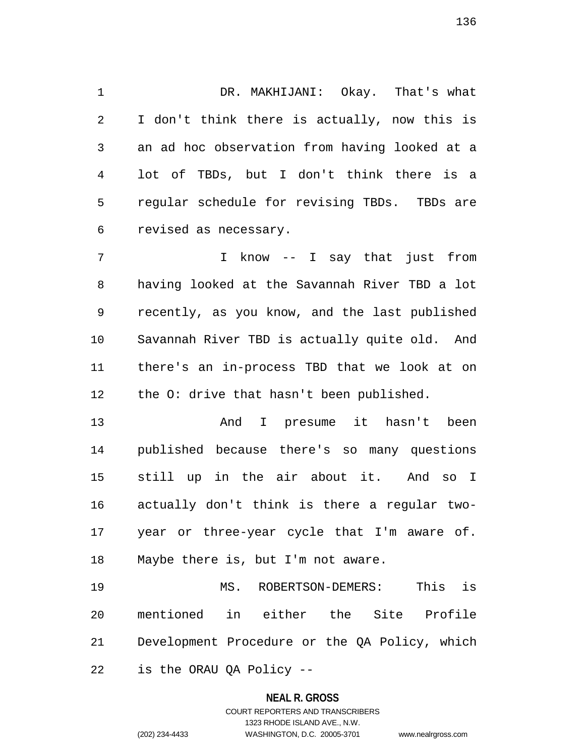1 DR. MAKHIJANI: Okay. That's what 2 I don't think there is actually, now this is 3 an ad hoc observation from having looked at a 4 lot of TBDs, but I don't think there is a 5 regular schedule for revising TBDs. TBDs are 6 revised as necessary.

7 I know -- I say that just from 8 having looked at the Savannah River TBD a lot 9 recently, as you know, and the last published 10 Savannah River TBD is actually quite old. And 11 there's an in-process TBD that we look at on 12 the O: drive that hasn't been published.

13 And I presume it hasn't been 14 published because there's so many questions 15 still up in the air about it. And so I 16 actually don't think is there a regular two-17 year or three-year cycle that I'm aware of. 18 Maybe there is, but I'm not aware.

19 MS. ROBERTSON-DEMERS: This is 20 mentioned in either the Site Profile 21 Development Procedure or the QA Policy, which 22 is the ORAU QA Policy --

#### **NEAL R. GROSS**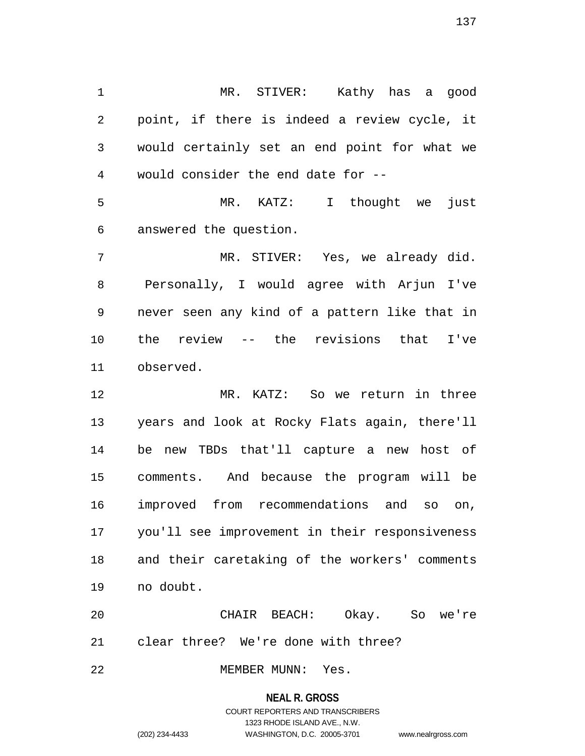1 MR. STIVER: Kathy has a good 2 point, if there is indeed a review cycle, it 3 would certainly set an end point for what we 4 would consider the end date for --

5 MR. KATZ: I thought we just 6 answered the question.

7 MR. STIVER: Yes, we already did. 8 Personally, I would agree with Arjun I've 9 never seen any kind of a pattern like that in 10 the review -- the revisions that I've 11 observed.

12 MR. KATZ: So we return in three 13 years and look at Rocky Flats again, there'll 14 be new TBDs that'll capture a new host of 15 comments. And because the program will be 16 improved from recommendations and so on, 17 you'll see improvement in their responsiveness 18 and their caretaking of the workers' comments 19 no doubt.

20 CHAIR BEACH: Okay. So we're 21 clear three? We're done with three?

22 MEMBER MUNN: Yes.

#### **NEAL R. GROSS**

# COURT REPORTERS AND TRANSCRIBERS 1323 RHODE ISLAND AVE., N.W. (202) 234-4433 WASHINGTON, D.C. 20005-3701 www.nealrgross.com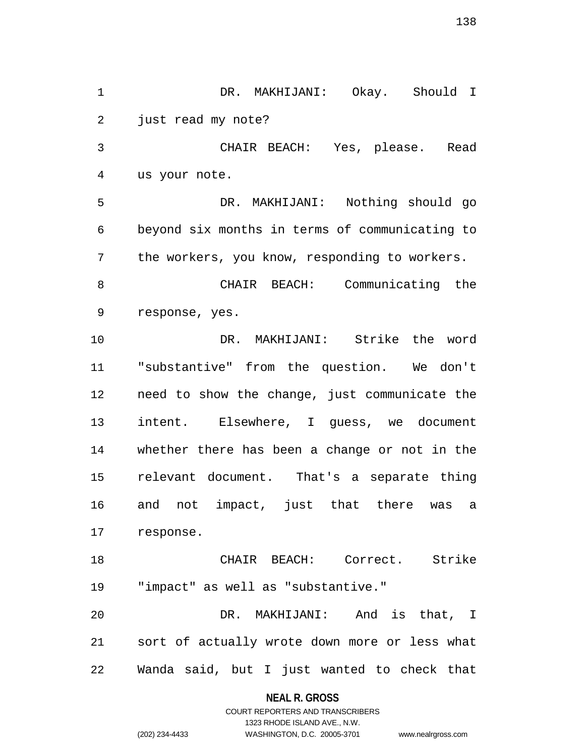1 DR. MAKHIJANI: Okay. Should I 2 just read my note? 3 CHAIR BEACH: Yes, please. Read 4 us your note. 5 DR. MAKHIJANI: Nothing should go 6 beyond six months in terms of communicating to 7 the workers, you know, responding to workers. 8 CHAIR BEACH: Communicating the 9 response, yes. 10 DR. MAKHIJANI: Strike the word 11 "substantive" from the question. We don't 12 need to show the change, just communicate the 13 intent. Elsewhere, I guess, we document 14 whether there has been a change or not in the 15 relevant document. That's a separate thing 16 and not impact, just that there was a 17 response. 18 CHAIR BEACH: Correct. Strike 19 "impact" as well as "substantive." 20 DR. MAKHIJANI: And is that, I 21 sort of actually wrote down more or less what 22 Wanda said, but I just wanted to check that

**NEAL R. GROSS**

COURT REPORTERS AND TRANSCRIBERS 1323 RHODE ISLAND AVE., N.W. (202) 234-4433 WASHINGTON, D.C. 20005-3701 www.nealrgross.com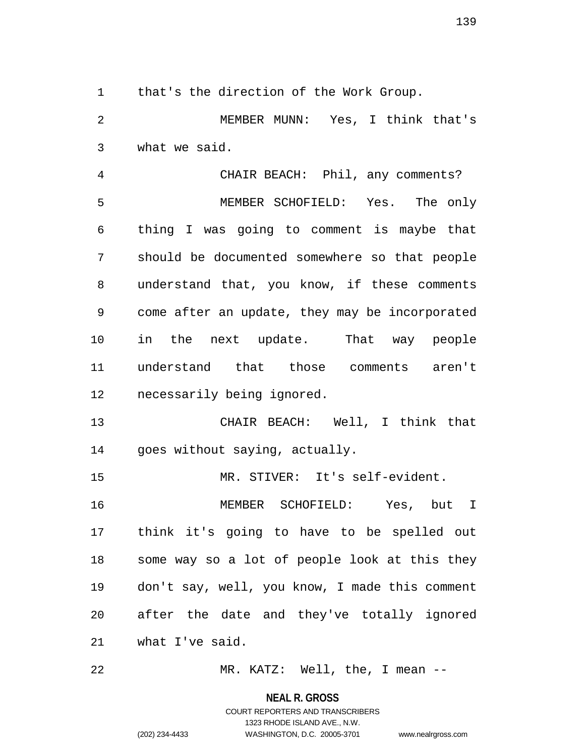1 that's the direction of the Work Group.

2 MEMBER MUNN: Yes, I think that's 3 what we said.

4 CHAIR BEACH: Phil, any comments? 5 MEMBER SCHOFIELD: Yes. The only 6 thing I was going to comment is maybe that 7 should be documented somewhere so that people 8 understand that, you know, if these comments 9 come after an update, they may be incorporated 10 in the next update. That way people 11 understand that those comments aren't 12 necessarily being ignored.

13 CHAIR BEACH: Well, I think that 14 goes without saying, actually.

15 MR. STIVER: It's self-evident.

16 MEMBER SCHOFIELD: Yes, but I 17 think it's going to have to be spelled out 18 some way so a lot of people look at this they 19 don't say, well, you know, I made this comment 20 after the date and they've totally ignored 21 what I've said.

22 MR. KATZ: Well, the, I mean --

**NEAL R. GROSS**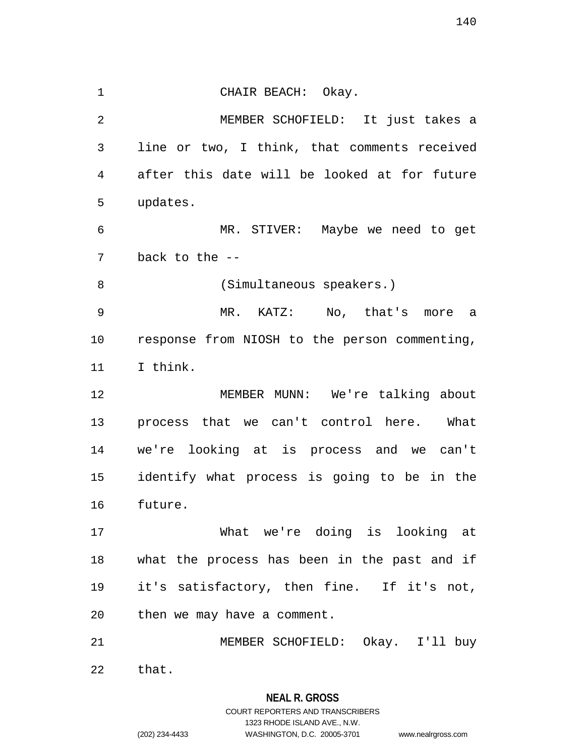1 CHAIR BEACH: Okay. 2 MEMBER SCHOFIELD: It just takes a 3 line or two, I think, that comments received 4 after this date will be looked at for future 5 updates. 6 MR. STIVER: Maybe we need to get 7 back to the -- 8 (Simultaneous speakers.) 9 MR. KATZ: No, that's more a 10 response from NIOSH to the person commenting, 11 I think. 12 MEMBER MUNN: We're talking about 13 process that we can't control here. What 14 we're looking at is process and we can't 15 identify what process is going to be in the 16 future. 17 What we're doing is looking at 18 what the process has been in the past and if 19 it's satisfactory, then fine. If it's not, 20 then we may have a comment. 21 MEMBER SCHOFIELD: Okay. I'll buy 22 that.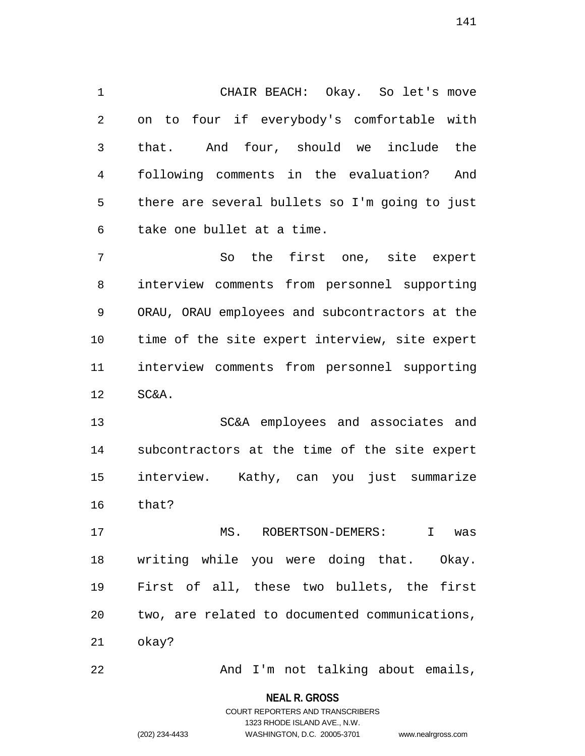1 CHAIR BEACH: Okay. So let's move 2 on to four if everybody's comfortable with 3 that. And four, should we include the 4 following comments in the evaluation? And 5 there are several bullets so I'm going to just 6 take one bullet at a time.

7 So the first one, site expert 8 interview comments from personnel supporting 9 ORAU, ORAU employees and subcontractors at the 10 time of the site expert interview, site expert 11 interview comments from personnel supporting 12 SC&A.

13 SC&A employees and associates and 14 subcontractors at the time of the site expert 15 interview. Kathy, can you just summarize 16 that?

17 MS. ROBERTSON-DEMERS: I was 18 writing while you were doing that. Okay. 19 First of all, these two bullets, the first 20 two, are related to documented communications, 21 okay?

22 And I'm not talking about emails,

**NEAL R. GROSS** COURT REPORTERS AND TRANSCRIBERS

1323 RHODE ISLAND AVE., N.W.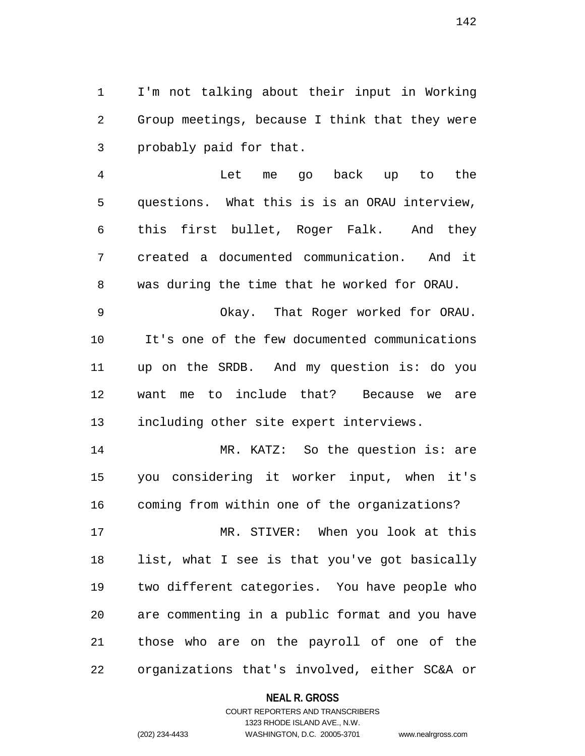1 I'm not talking about their input in Working 2 Group meetings, because I think that they were 3 probably paid for that.

4 Let me go back up to the 5 questions. What this is is an ORAU interview, 6 this first bullet, Roger Falk. And they 7 created a documented communication. And it 8 was during the time that he worked for ORAU.

9 Okay. That Roger worked for ORAU. 10 It's one of the few documented communications 11 up on the SRDB. And my question is: do you 12 want me to include that? Because we are 13 including other site expert interviews.

14 MR. KATZ: So the question is: are 15 you considering it worker input, when it's 16 coming from within one of the organizations?

17 MR. STIVER: When you look at this 18 list, what I see is that you've got basically 19 two different categories. You have people who 20 are commenting in a public format and you have 21 those who are on the payroll of one of the 22 organizations that's involved, either SC&A or

### **NEAL R. GROSS**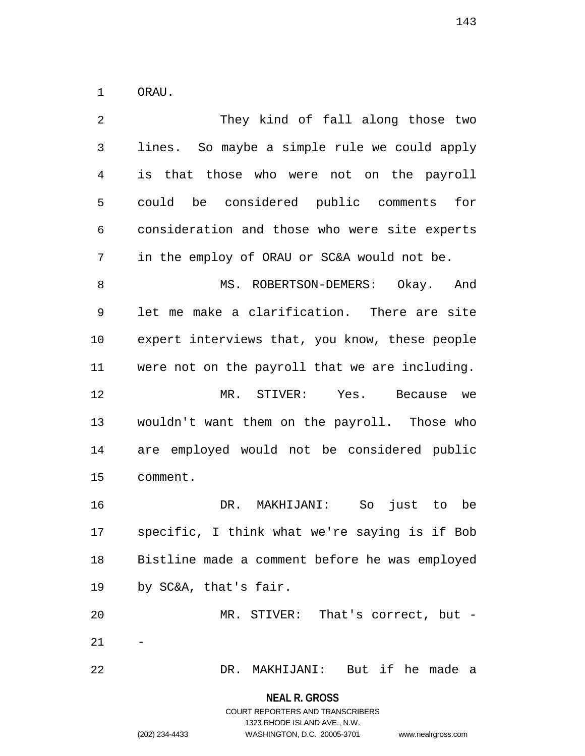1 ORAU.

| 2              | They kind of fall along those two              |
|----------------|------------------------------------------------|
| $\mathfrak{Z}$ | lines. So maybe a simple rule we could apply   |
| 4              | is that those who were not on the payroll      |
| 5              | could be considered public comments for        |
| 6              | consideration and those who were site experts  |
| 7              | in the employ of ORAU or SC&A would not be.    |
| 8              | MS. ROBERTSON-DEMERS: Okay. And                |
| 9              | let me make a clarification. There are site    |
| 10             | expert interviews that, you know, these people |
| 11             | were not on the payroll that we are including. |
| 12             | MR. STIVER: Yes. Because we                    |
|                |                                                |
| 13             | wouldn't want them on the payroll. Those who   |
| 14             | are employed would not be considered public    |
| 15             | comment.                                       |
| 16             | DR. MAKHIJANI: So<br>just to be                |
| 17             | specific, I think what we're saying is if Bob  |
| 18             | Bistline made a comment before he was employed |
| 19             | by SC&A, that's fair.                          |
| 20             | MR. STIVER: That's correct, but -              |
| 21             |                                                |

**NEAL R. GROSS** COURT REPORTERS AND TRANSCRIBERS

1323 RHODE ISLAND AVE., N.W.

(202) 234-4433 WASHINGTON, D.C. 20005-3701 www.nealrgross.com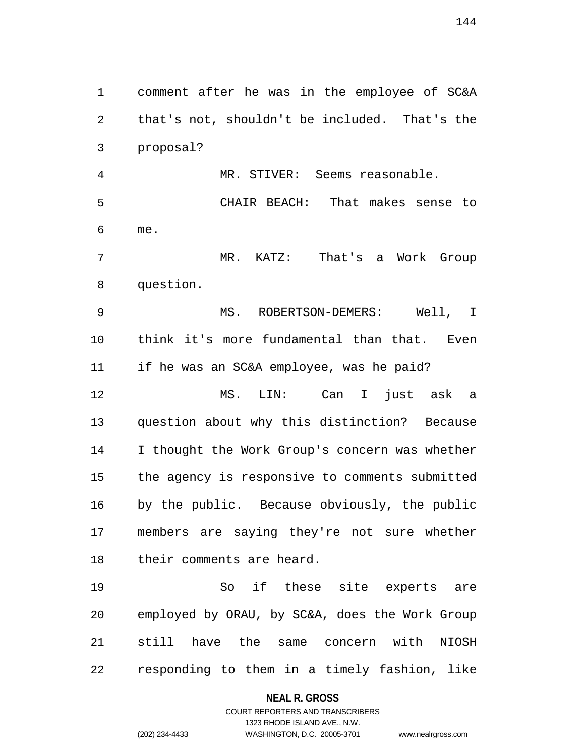1 comment after he was in the employee of SC&A 2 that's not, shouldn't be included. That's the 3 proposal?

4 MR. STIVER: Seems reasonable. 5 CHAIR BEACH: That makes sense to 6 me.

7 MR. KATZ: That's a Work Group 8 question.

9 MS. ROBERTSON-DEMERS: Well, I 10 think it's more fundamental than that. Even 11 if he was an SC&A employee, was he paid?

12 MS. LIN: Can I just ask a 13 question about why this distinction? Because 14 I thought the Work Group's concern was whether 15 the agency is responsive to comments submitted 16 by the public. Because obviously, the public 17 members are saying they're not sure whether 18 their comments are heard.

19 So if these site experts are 20 employed by ORAU, by SC&A, does the Work Group 21 still have the same concern with NIOSH 22 responding to them in a timely fashion, like

### **NEAL R. GROSS**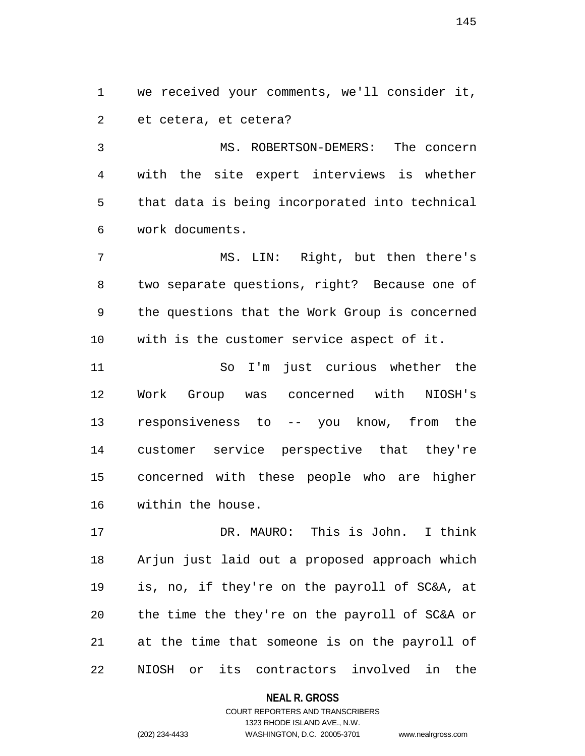1 we received your comments, we'll consider it, 2 et cetera, et cetera?

3 MS. ROBERTSON-DEMERS: The concern 4 with the site expert interviews is whether 5 that data is being incorporated into technical 6 work documents.

7 MS. LIN: Right, but then there's 8 two separate questions, right? Because one of 9 the questions that the Work Group is concerned 10 with is the customer service aspect of it.

11 So I'm just curious whether the 12 Work Group was concerned with NIOSH's 13 responsiveness to -- you know, from the 14 customer service perspective that they're 15 concerned with these people who are higher 16 within the house.

17 DR. MAURO: This is John. I think 18 Arjun just laid out a proposed approach which 19 is, no, if they're on the payroll of SC&A, at 20 the time the they're on the payroll of SC&A or 21 at the time that someone is on the payroll of 22 NIOSH or its contractors involved in the

**NEAL R. GROSS**

## COURT REPORTERS AND TRANSCRIBERS 1323 RHODE ISLAND AVE., N.W. (202) 234-4433 WASHINGTON, D.C. 20005-3701 www.nealrgross.com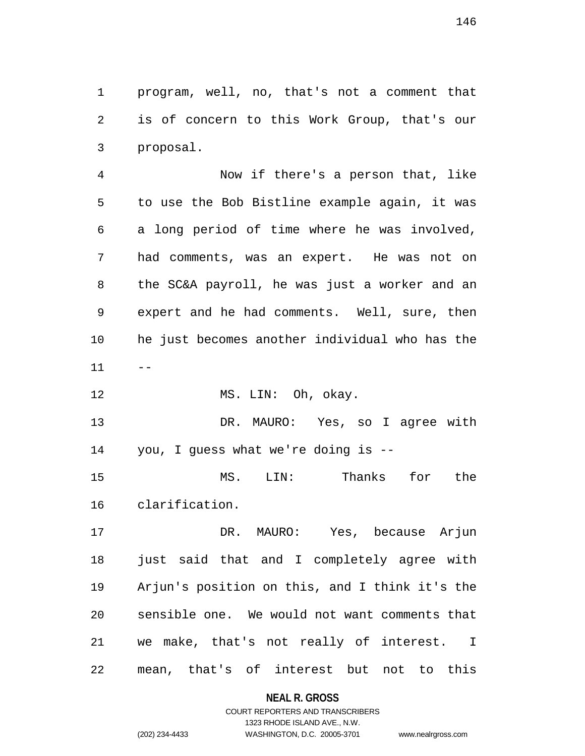1 program, well, no, that's not a comment that 2 is of concern to this Work Group, that's our 3 proposal.

4 Now if there's a person that, like 5 to use the Bob Bistline example again, it was 6 a long period of time where he was involved, 7 had comments, was an expert. He was not on 8 the SC&A payroll, he was just a worker and an 9 expert and he had comments. Well, sure, then 10 he just becomes another individual who has the  $11 - -$ 

12 MS. LIN: Oh, okay.

13 DR. MAURO: Yes, so I agree with 14 you, I guess what we're doing is --

15 MS. LIN: Thanks for the 16 clarification.

17 DR. MAURO: Yes, because Arjun 18 just said that and I completely agree with 19 Arjun's position on this, and I think it's the 20 sensible one. We would not want comments that 21 we make, that's not really of interest. I 22 mean, that's of interest but not to this

### **NEAL R. GROSS**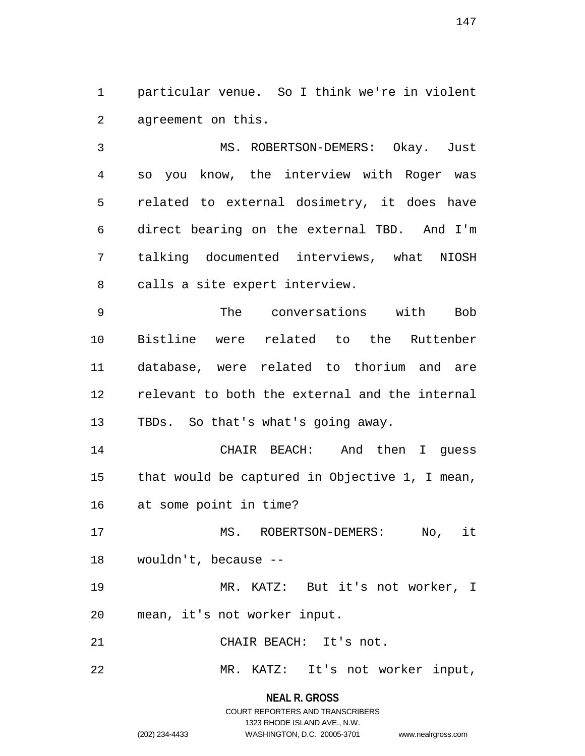1 particular venue. So I think we're in violent 2 agreement on this.

3 MS. ROBERTSON-DEMERS: Okay. Just 4 so you know, the interview with Roger was 5 related to external dosimetry, it does have 6 direct bearing on the external TBD. And I'm 7 talking documented interviews, what NIOSH 8 calls a site expert interview.

9 The conversations with Bob 10 Bistline were related to the Ruttenber 11 database, were related to thorium and are 12 relevant to both the external and the internal 13 TBDs. So that's what's going away.

14 CHAIR BEACH: And then I guess 15 that would be captured in Objective 1, I mean, 16 at some point in time?

17 MS. ROBERTSON-DEMERS: No, it 18 wouldn't, because --

19 MR. KATZ: But it's not worker, I 20 mean, it's not worker input.

21 CHAIR BEACH: It's not.

22 MR. KATZ: It's not worker input,

**NEAL R. GROSS** COURT REPORTERS AND TRANSCRIBERS

1323 RHODE ISLAND AVE., N.W. (202) 234-4433 WASHINGTON, D.C. 20005-3701 www.nealrgross.com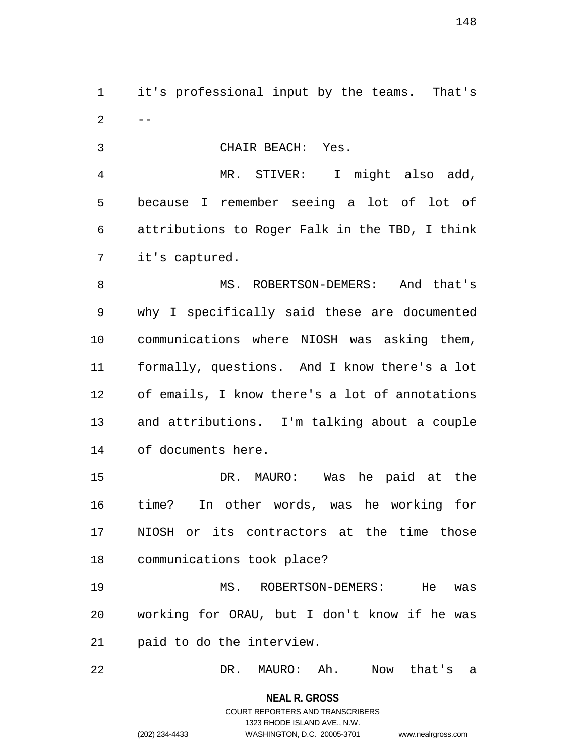1 it's professional input by the teams. That's  $2 - -$ 

3 CHAIR BEACH: Yes.

4 MR. STIVER: I might also add, 5 because I remember seeing a lot of lot of 6 attributions to Roger Falk in the TBD, I think 7 it's captured.

8 MS. ROBERTSON-DEMERS: And that's 9 why I specifically said these are documented 10 communications where NIOSH was asking them, 11 formally, questions. And I know there's a lot 12 of emails, I know there's a lot of annotations 13 and attributions. I'm talking about a couple 14 of documents here.

15 DR. MAURO: Was he paid at the 16 time? In other words, was he working for 17 NIOSH or its contractors at the time those 18 communications took place?

19 MS. ROBERTSON-DEMERS: He was 20 working for ORAU, but I don't know if he was 21 paid to do the interview.

22 DR. MAURO: Ah. Now that's a

**NEAL R. GROSS**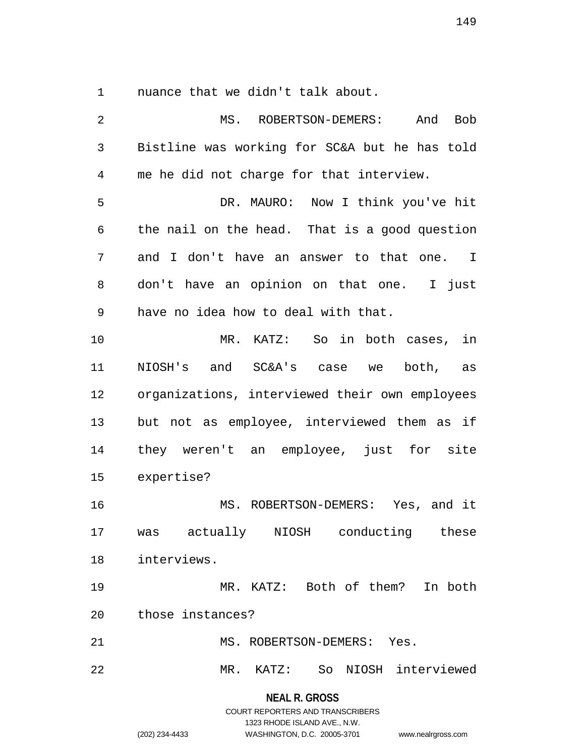1 nuance that we didn't talk about.

**NEAL R. GROSS** 2 MS. ROBERTSON-DEMERS: And Bob 3 Bistline was working for SC&A but he has told 4 me he did not charge for that interview. 5 DR. MAURO: Now I think you've hit 6 the nail on the head. That is a good question 7 and I don't have an answer to that one. I 8 don't have an opinion on that one. I just 9 have no idea how to deal with that. 10 MR. KATZ: So in both cases, in 11 NIOSH's and SC&A's case we both, as 12 organizations, interviewed their own employees 13 but not as employee, interviewed them as if 14 they weren't an employee, just for site 15 expertise? 16 MS. ROBERTSON-DEMERS: Yes, and it 17 was actually NIOSH conducting these 18 interviews. 19 MR. KATZ: Both of them? In both 20 those instances? 21 MS. ROBERTSON-DEMERS: Yes. 22 MR. KATZ: So NIOSH interviewed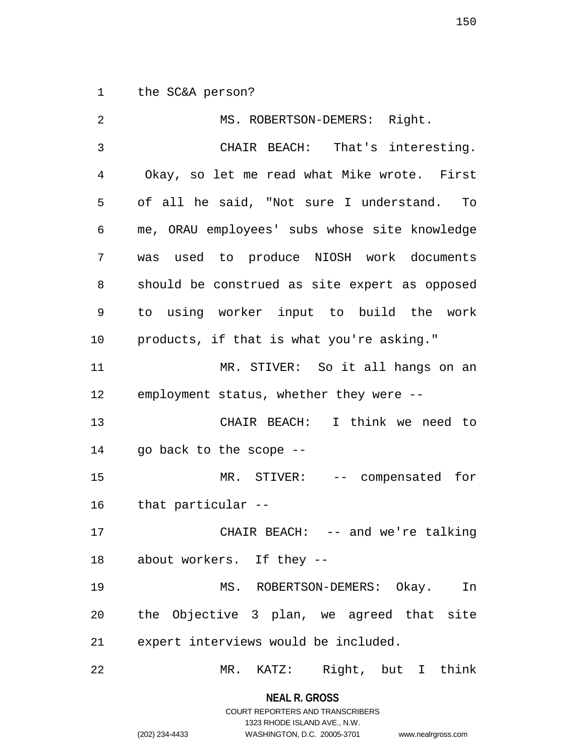1 the SC&A person?

| 2  | MS. ROBERTSON-DEMERS: Right.                  |
|----|-----------------------------------------------|
| 3  | CHAIR BEACH: That's interesting.              |
| 4  | Okay, so let me read what Mike wrote. First   |
| 5  | of all he said, "Not sure I understand. To    |
| 6  | me, ORAU employees' subs whose site knowledge |
| 7  | was used to produce NIOSH work documents      |
| 8  | should be construed as site expert as opposed |
| 9  | to using worker input to build the work       |
| 10 | products, if that is what you're asking."     |
| 11 | MR. STIVER: So it all hangs on an             |
| 12 | employment status, whether they were --       |
| 13 | CHAIR BEACH: I think we need to               |
| 14 | go back to the scope --                       |
| 15 | MR. STIVER: -- compensated for                |
| 16 | that particular --                            |
| 17 | CHAIR BEACH: -- and we're talking             |
| 18 | about workers. If they --                     |
| 19 | MS. ROBERTSON-DEMERS: Okay.<br>In             |
| 20 | the Objective 3 plan, we agreed that site     |
| 21 | expert interviews would be included.          |
| 22 | MR. KATZ: Right, but I think                  |

**NEAL R. GROSS** COURT REPORTERS AND TRANSCRIBERS

1323 RHODE ISLAND AVE., N.W.

(202) 234-4433 WASHINGTON, D.C. 20005-3701 www.nealrgross.com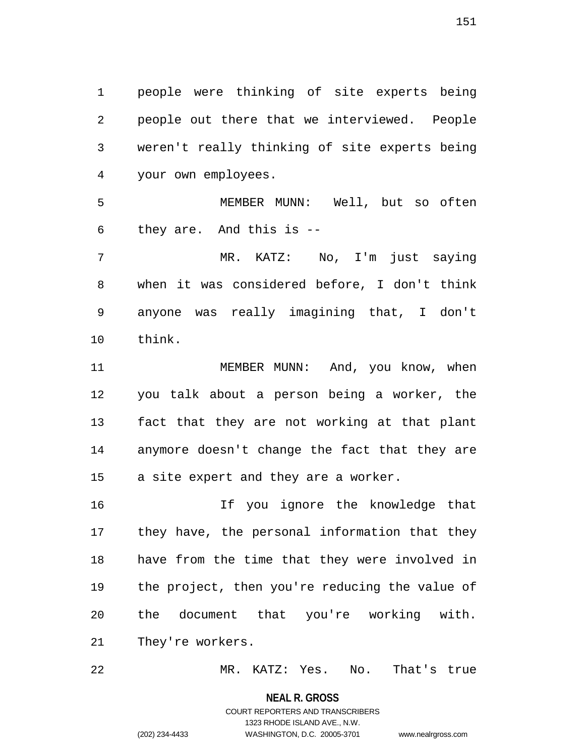1 people were thinking of site experts being 2 people out there that we interviewed. People 3 weren't really thinking of site experts being 4 your own employees.

5 MEMBER MUNN: Well, but so often 6 they are. And this is --

7 MR. KATZ: No, I'm just saying 8 when it was considered before, I don't think 9 anyone was really imagining that, I don't 10 think.

11 MEMBER MUNN: And, you know, when 12 you talk about a person being a worker, the 13 fact that they are not working at that plant 14 anymore doesn't change the fact that they are 15 a site expert and they are a worker.

16 If you ignore the knowledge that 17 they have, the personal information that they 18 have from the time that they were involved in 19 the project, then you're reducing the value of 20 the document that you're working with. 21 They're workers.

22 MR. KATZ: Yes. No. That's true

**NEAL R. GROSS**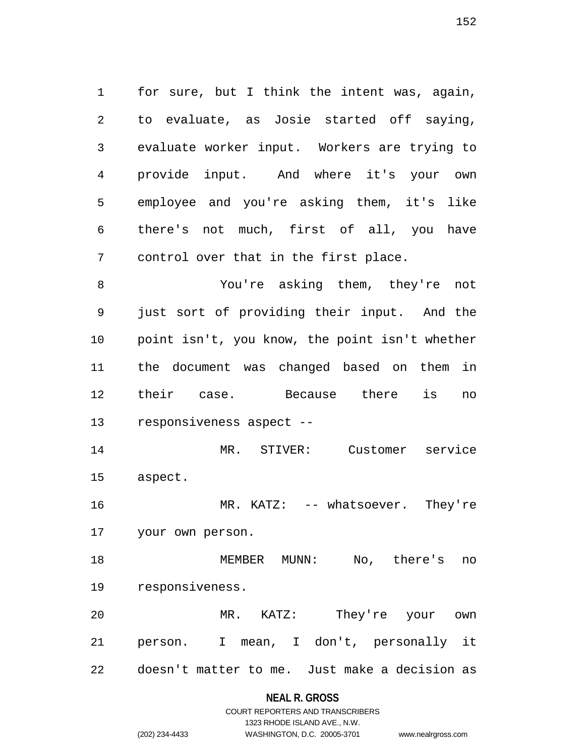1 for sure, but I think the intent was, again, 2 to evaluate, as Josie started off saying, 3 evaluate worker input. Workers are trying to 4 provide input. And where it's your own 5 employee and you're asking them, it's like 6 there's not much, first of all, you have 7 control over that in the first place.

8 You're asking them, they're not 9 just sort of providing their input. And the 10 point isn't, you know, the point isn't whether 11 the document was changed based on them in 12 their case. Because there is no 13 responsiveness aspect --

14 MR. STIVER: Customer service 15 aspect.

16 MR. KATZ: -- whatsoever. They're 17 your own person.

18 MEMBER MUNN: No, there's no 19 responsiveness.

20 MR. KATZ: They're your own 21 person. I mean, I don't, personally it 22 doesn't matter to me. Just make a decision as

## **NEAL R. GROSS**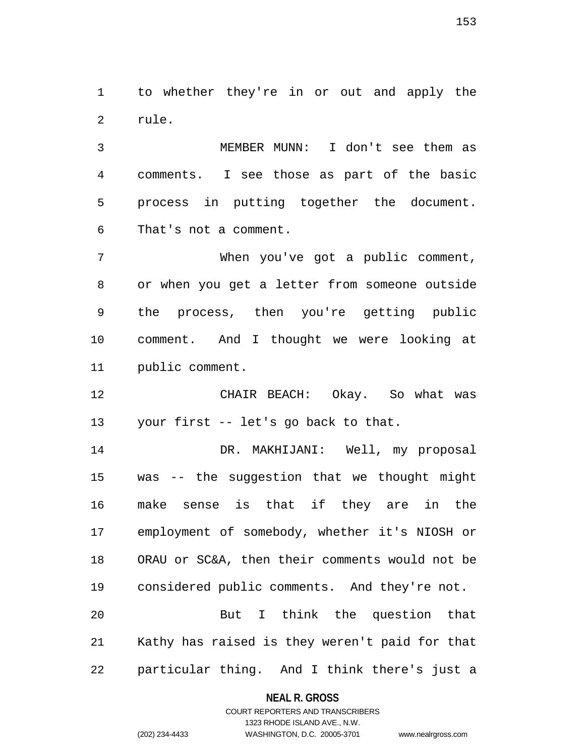1 to whether they're in or out and apply the 2 rule.

3 MEMBER MUNN: I don't see them as 4 comments. I see those as part of the basic 5 process in putting together the document. 6 That's not a comment.

7 When you've got a public comment, 8 or when you get a letter from someone outside 9 the process, then you're getting public 10 comment. And I thought we were looking at 11 public comment.

12 CHAIR BEACH: Okay. So what was 13 your first -- let's go back to that.

14 DR. MAKHIJANI: Well, my proposal 15 was -- the suggestion that we thought might 16 make sense is that if they are in the 17 employment of somebody, whether it's NIOSH or 18 ORAU or SC&A, then their comments would not be 19 considered public comments. And they're not.

20 But I think the question that 21 Kathy has raised is they weren't paid for that 22 particular thing. And I think there's just a

**NEAL R. GROSS**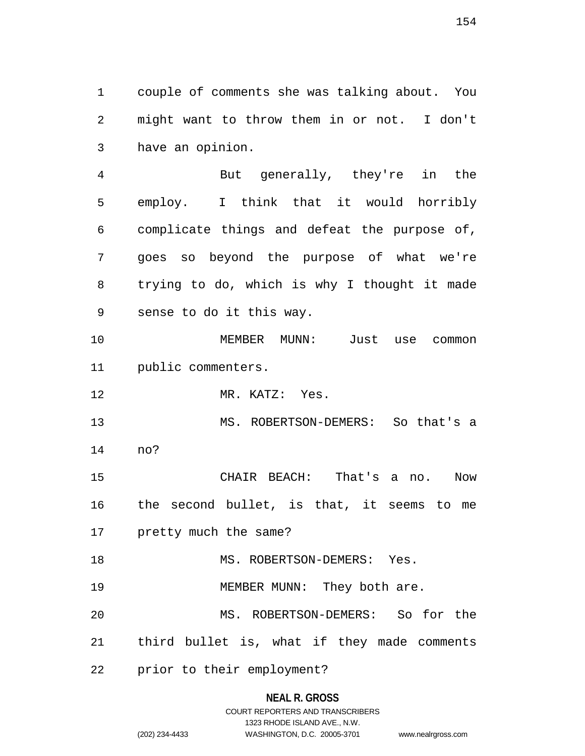1 couple of comments she was talking about. You 2 might want to throw them in or not. I don't 3 have an opinion.

4 But generally, they're in the 5 employ. I think that it would horribly 6 complicate things and defeat the purpose of, 7 goes so beyond the purpose of what we're 8 trying to do, which is why I thought it made 9 sense to do it this way.

10 MEMBER MUNN: Just use common 11 public commenters.

12 MR. KATZ: Yes.

13 MS. ROBERTSON-DEMERS: So that's a 14 no?

15 CHAIR BEACH: That's a no. Now 16 the second bullet, is that, it seems to me 17 pretty much the same?

18 MS. ROBERTSON-DEMERS: Yes.

19 MEMBER MUNN: They both are.

20 MS. ROBERTSON-DEMERS: So for the

21 third bullet is, what if they made comments

22 prior to their employment?

### **NEAL R. GROSS**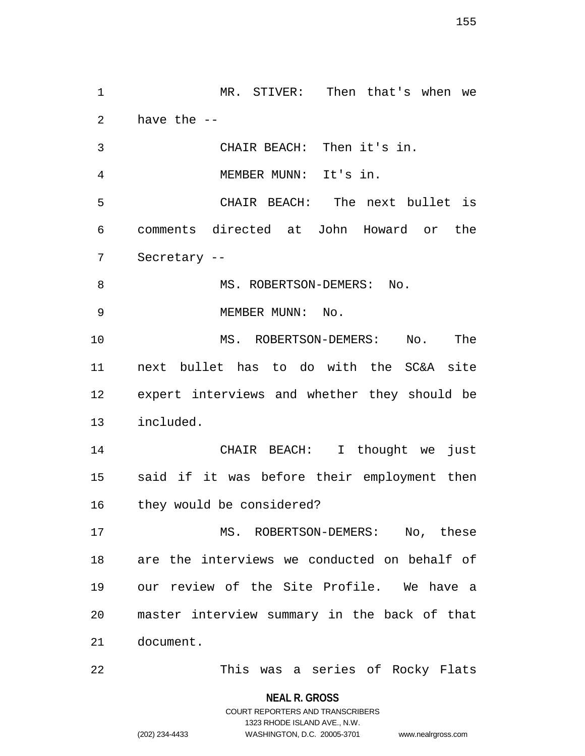1 MR. STIVER: Then that's when we 2 have the -- 3 CHAIR BEACH: Then it's in. 4 MEMBER MUNN: It's in. 5 CHAIR BEACH: The next bullet is 6 comments directed at John Howard or the 7 Secretary -- 8 MS. ROBERTSON-DEMERS: No. 9 MEMBER MUNN: No. 10 MS. ROBERTSON-DEMERS: No. The 11 next bullet has to do with the SC&A site 12 expert interviews and whether they should be 13 included. 14 CHAIR BEACH: I thought we just 15 said if it was before their employment then 16 they would be considered? 17 MS. ROBERTSON-DEMERS: No, these 18 are the interviews we conducted on behalf of 19 our review of the Site Profile. We have a 20 master interview summary in the back of that 21 document. 22 This was a series of Rocky Flats

**NEAL R. GROSS**

COURT REPORTERS AND TRANSCRIBERS 1323 RHODE ISLAND AVE., N.W. (202) 234-4433 WASHINGTON, D.C. 20005-3701 www.nealrgross.com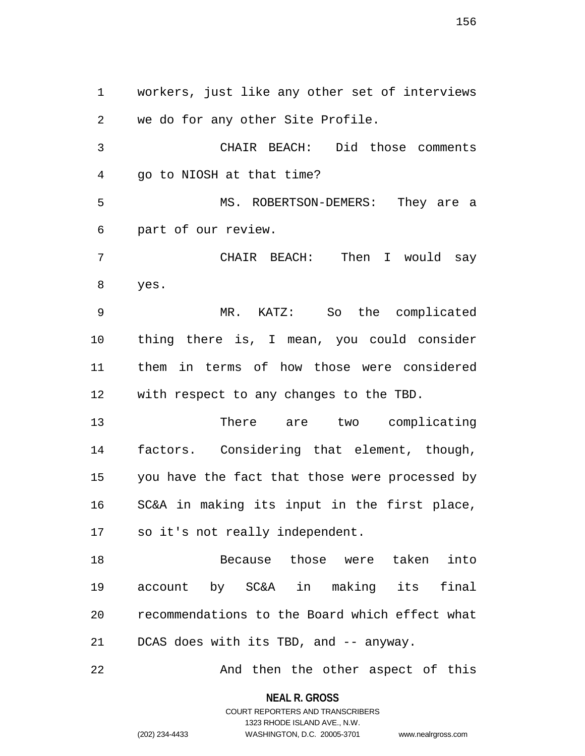1 workers, just like any other set of interviews 2 we do for any other Site Profile. 3 CHAIR BEACH: Did those comments 4 go to NIOSH at that time? 5 MS. ROBERTSON-DEMERS: They are a 6 part of our review. 7 CHAIR BEACH: Then I would say 8 yes. 9 MR. KATZ: So the complicated 10 thing there is, I mean, you could consider 11 them in terms of how those were considered 12 with respect to any changes to the TBD. 13 There are two complicating 14 factors. Considering that element, though, 15 you have the fact that those were processed by 16 SC&A in making its input in the first place, 17 so it's not really independent. 18 Because those were taken into 19 account by SC&A in making its final 20 recommendations to the Board which effect what 21 DCAS does with its TBD, and -- anyway. 22 And then the other aspect of this

> **NEAL R. GROSS** COURT REPORTERS AND TRANSCRIBERS

> > 1323 RHODE ISLAND AVE., N.W.

(202) 234-4433 WASHINGTON, D.C. 20005-3701 www.nealrgross.com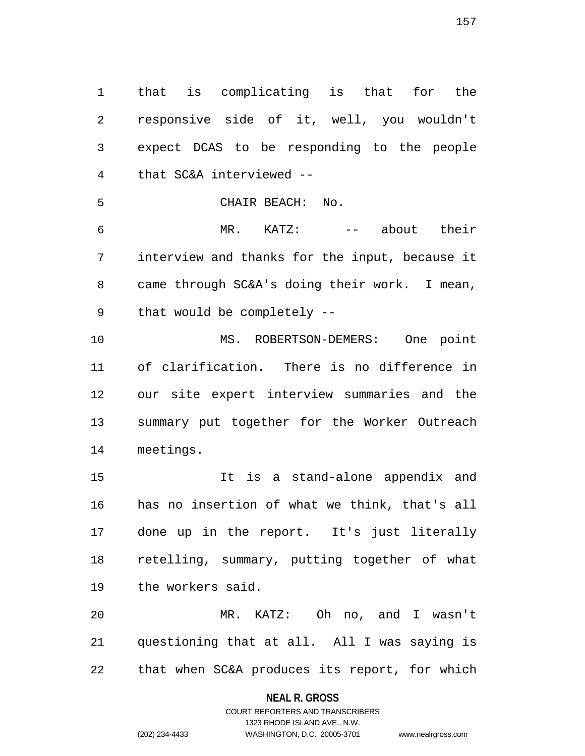1 that is complicating is that for the 2 responsive side of it, well, you wouldn't 3 expect DCAS to be responding to the people 4 that SC&A interviewed --

5 CHAIR BEACH: No.

6 MR. KATZ: -- about their 7 interview and thanks for the input, because it 8 came through SC&A's doing their work. I mean, 9 that would be completely --

10 MS. ROBERTSON-DEMERS: One point 11 of clarification. There is no difference in 12 our site expert interview summaries and the 13 summary put together for the Worker Outreach 14 meetings.

15 It is a stand-alone appendix and 16 has no insertion of what we think, that's all 17 done up in the report. It's just literally 18 retelling, summary, putting together of what 19 the workers said.

20 MR. KATZ: Oh no, and I wasn't 21 questioning that at all. All I was saying is 22 that when SC&A produces its report, for which

### **NEAL R. GROSS**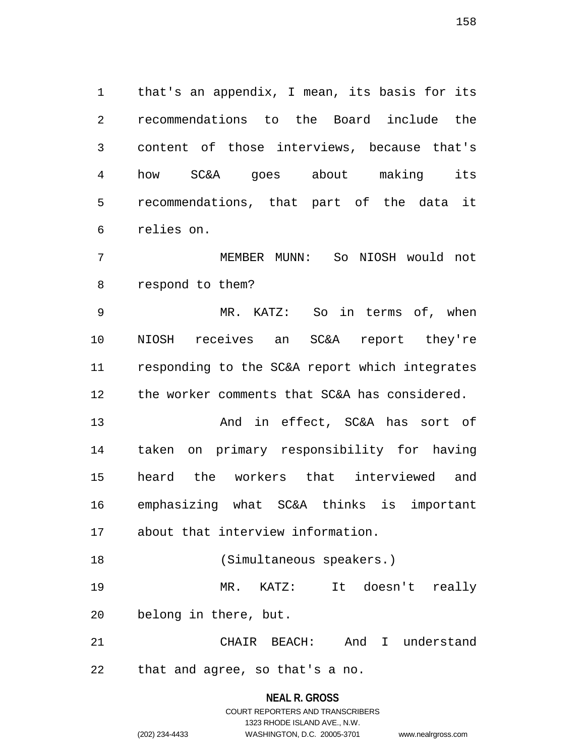1 that's an appendix, I mean, its basis for its 2 recommendations to the Board include the 3 content of those interviews, because that's 4 how SC&A goes about making its 5 recommendations, that part of the data it 6 relies on.

7 MEMBER MUNN: So NIOSH would not 8 respond to them?

9 MR. KATZ: So in terms of, when 10 NIOSH receives an SC&A report they're 11 responding to the SC&A report which integrates 12 the worker comments that SC&A has considered.

13 And in effect, SC&A has sort of 14 taken on primary responsibility for having 15 heard the workers that interviewed and 16 emphasizing what SC&A thinks is important 17 about that interview information.

18 (Simultaneous speakers.) 19 MR. KATZ: It doesn't really 20 belong in there, but.

21 CHAIR BEACH: And I understand 22 that and agree, so that's a no.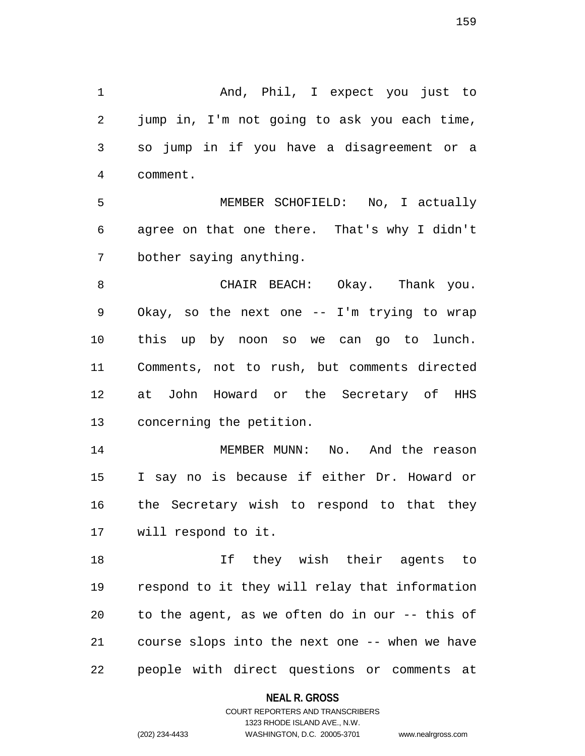1 And, Phil, I expect you just to 2 jump in, I'm not going to ask you each time, 3 so jump in if you have a disagreement or a 4 comment.

5 MEMBER SCHOFIELD: No, I actually 6 agree on that one there. That's why I didn't 7 bother saying anything.

8 CHAIR BEACH: Okay. Thank you. 9 Okay, so the next one -- I'm trying to wrap 10 this up by noon so we can go to lunch. 11 Comments, not to rush, but comments directed 12 at John Howard or the Secretary of HHS 13 concerning the petition.

14 MEMBER MUNN: No. And the reason 15 I say no is because if either Dr. Howard or 16 the Secretary wish to respond to that they 17 will respond to it.

18 If they wish their agents to 19 respond to it they will relay that information 20 to the agent, as we often do in our -- this of 21 course slops into the next one -- when we have 22 people with direct questions or comments at

### **NEAL R. GROSS**

## COURT REPORTERS AND TRANSCRIBERS 1323 RHODE ISLAND AVE., N.W. (202) 234-4433 WASHINGTON, D.C. 20005-3701 www.nealrgross.com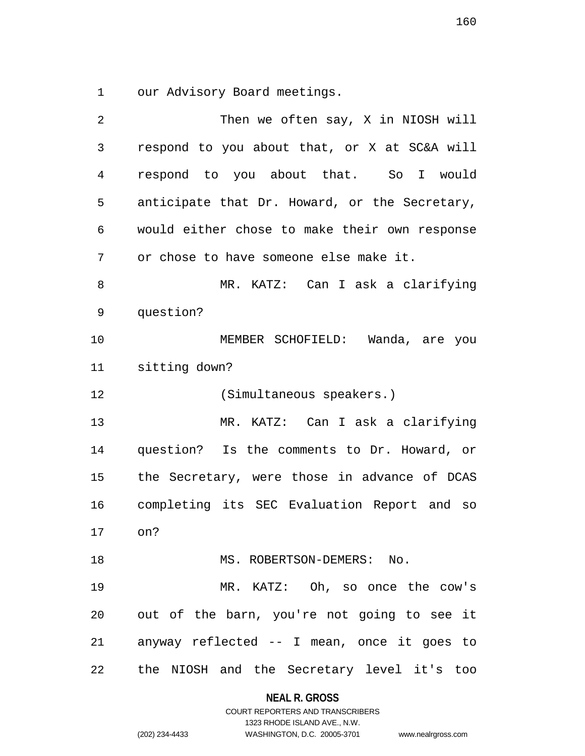1 our Advisory Board meetings.

| 2  | Then we often say, X in NIOSH will            |
|----|-----------------------------------------------|
| 3  | respond to you about that, or X at SC&A will  |
| 4  | respond to you about that. So I<br>would      |
| 5  | anticipate that Dr. Howard, or the Secretary, |
| 6  | would either chose to make their own response |
| 7  | or chose to have someone else make it.        |
| 8  | MR. KATZ: Can I ask a clarifying              |
| 9  | question?                                     |
| 10 | MEMBER SCHOFIELD: Wanda, are you              |
| 11 | sitting down?                                 |
| 12 | (Simultaneous speakers.)                      |
| 13 | MR. KATZ: Can I ask a clarifying              |
| 14 | question? Is the comments to Dr. Howard, or   |
| 15 | the Secretary, were those in advance of DCAS  |
| 16 | completing its SEC Evaluation Report and so   |
| 17 | on?                                           |
| 18 | MS. ROBERTSON-DEMERS: No.                     |
| 19 | MR. KATZ: Oh, so once the cow's               |
| 20 | out of the barn, you're not going to see it   |
| 21 | anyway reflected -- I mean, once it goes to   |
| 22 | the NIOSH and the Secretary level it's too    |

**NEAL R. GROSS**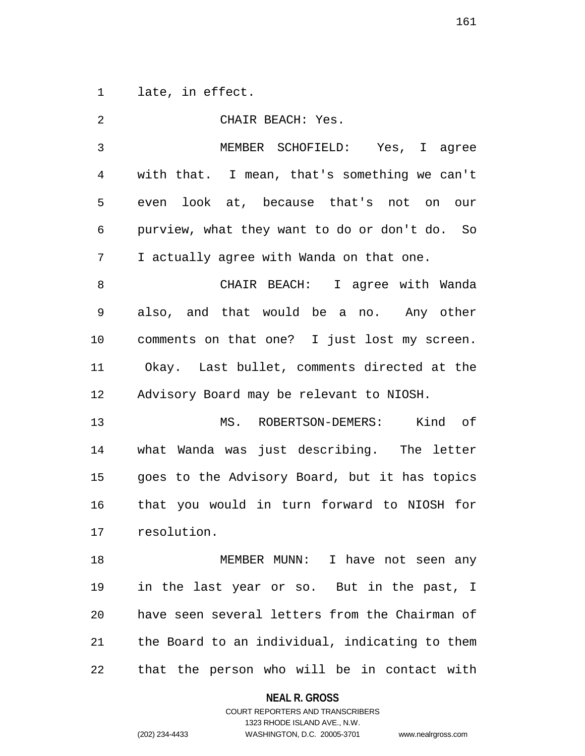1 late, in effect.

| 2  | CHAIR BEACH: Yes.                              |
|----|------------------------------------------------|
| 3  | MEMBER SCHOFIELD: Yes, I agree                 |
| 4  | with that. I mean, that's something we can't   |
| 5  | even look at, because that's not on our        |
| 6  | purview, what they want to do or don't do. So  |
| 7  | I actually agree with Wanda on that one.       |
| 8  | CHAIR BEACH: I agree with Wanda                |
| 9  | also, and that would be a no. Any other        |
| 10 | comments on that one? I just lost my screen.   |
| 11 | Okay. Last bullet, comments directed at the    |
| 12 | Advisory Board may be relevant to NIOSH.       |
| 13 | MS. ROBERTSON-DEMERS: Kind of                  |
| 14 | what Wanda was just describing. The letter     |
| 15 | goes to the Advisory Board, but it has topics  |
| 16 | that you would in turn forward to NIOSH for    |
| 17 | resolution.                                    |
| 18 | MEMBER MUNN: I have not seen any               |
| 19 | in the last year or so. But in the past, I     |
| 20 | have seen several letters from the Chairman of |
| 21 | the Board to an individual, indicating to them |
| 22 | that the person who will be in contact with    |

**NEAL R. GROSS**

## COURT REPORTERS AND TRANSCRIBERS 1323 RHODE ISLAND AVE., N.W. (202) 234-4433 WASHINGTON, D.C. 20005-3701 www.nealrgross.com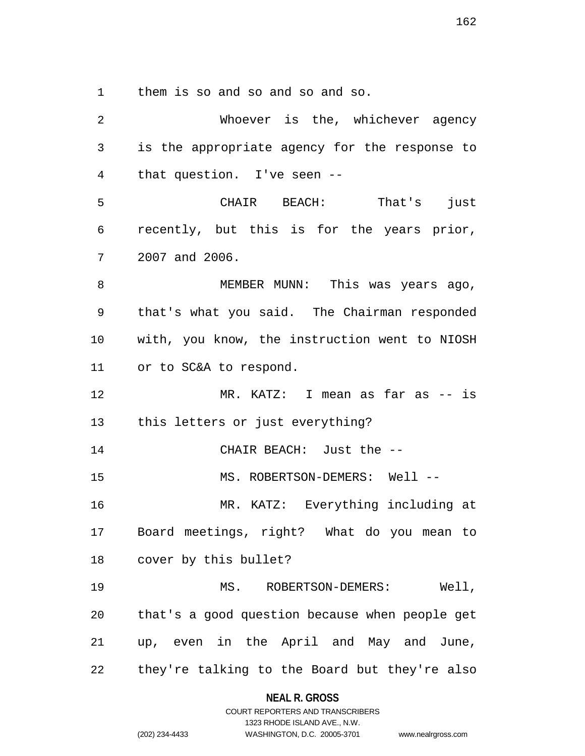1 them is so and so and so and so.

| $\overline{2}$ | Whoever is the, whichever agency               |
|----------------|------------------------------------------------|
| 3              | is the appropriate agency for the response to  |
| 4              | that question. I've seen --                    |
| 5              | CHAIR BEACH: That's<br>just                    |
| 6              | recently, but this is for the years prior,     |
| 7              | 2007 and 2006.                                 |
| 8              | MEMBER MUNN: This was years ago,               |
| 9              | that's what you said. The Chairman responded   |
| 10             | with, you know, the instruction went to NIOSH  |
| 11             | or to SC&A to respond.                         |
| 12             | MR. KATZ: I mean as far as -- is               |
|                | 13 this letters or just everything?            |
| 14             | CHAIR BEACH: Just the --                       |
| 15             | MS. ROBERTSON-DEMERS: Well --                  |
| 16             | MR. KATZ: Everything including at              |
| 17             | Board meetings, right? What do you mean to     |
|                | cover by this bullet?                          |
| 19             | MS. ROBERTSON-DEMERS: Well,                    |
| 20             | that's a good question because when people get |
| 21             | up, even in the April and May and June,        |
| 22             | they're talking to the Board but they're also  |

**NEAL R. GROSS** COURT REPORTERS AND TRANSCRIBERS

1323 RHODE ISLAND AVE., N.W.

(202) 234-4433 WASHINGTON, D.C. 20005-3701 www.nealrgross.com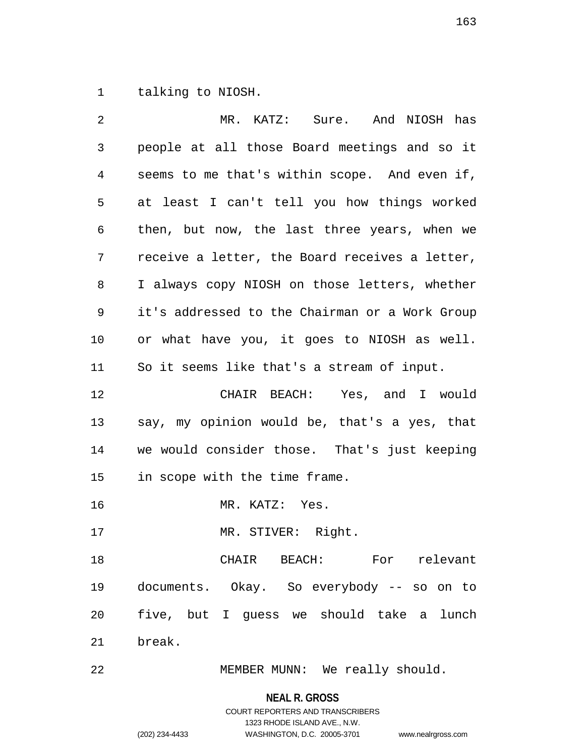1 talking to NIOSH.

| 2  | MR. KATZ: Sure. And NIOSH has                  |
|----|------------------------------------------------|
| 3  | people at all those Board meetings and so it   |
| 4  | seems to me that's within scope. And even if,  |
| 5  | at least I can't tell you how things worked    |
| 6  | then, but now, the last three years, when we   |
| 7  | receive a letter, the Board receives a letter, |
| 8  | I always copy NIOSH on those letters, whether  |
| 9  | it's addressed to the Chairman or a Work Group |
| 10 | or what have you, it goes to NIOSH as well.    |
| 11 | So it seems like that's a stream of input.     |
| 12 | CHAIR BEACH: Yes, and I would                  |
| 13 | say, my opinion would be, that's a yes, that   |
| 14 | we would consider those. That's just keeping   |
| 15 | in scope with the time frame.                  |
| 16 | MR. KATZ: Yes.                                 |
| 17 | MR. STIVER: Right.                             |
| 18 | CHAIR BEACH: For relevant                      |
| 19 | documents. Okay. So everybody -- so on to      |
| 20 | five, but I guess we should take a lunch       |
| 21 | break.                                         |
| 22 | MEMBER MUNN: We really should.                 |

**NEAL R. GROSS** COURT REPORTERS AND TRANSCRIBERS

1323 RHODE ISLAND AVE., N.W.

(202) 234-4433 WASHINGTON, D.C. 20005-3701 www.nealrgross.com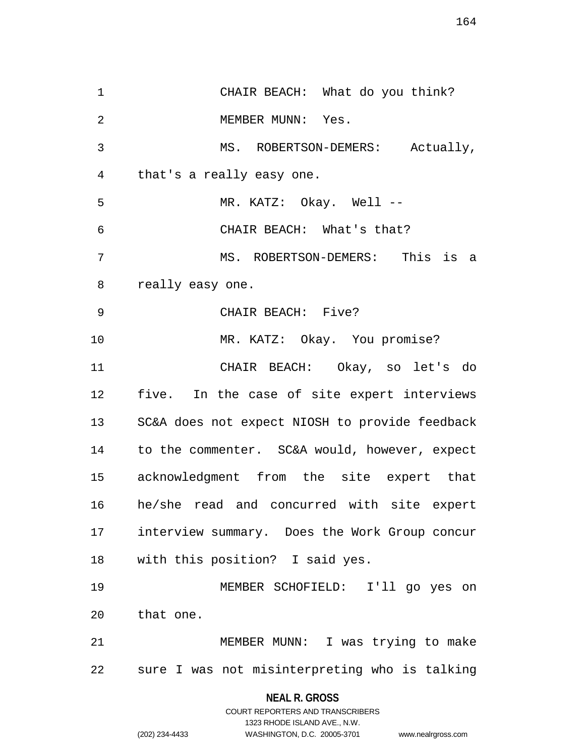1 CHAIR BEACH: What do you think? 2 MEMBER MUNN: Yes. 3 MS. ROBERTSON-DEMERS: Actually, 4 that's a really easy one. 5 MR. KATZ: Okay. Well -- 6 CHAIR BEACH: What's that? 7 MS. ROBERTSON-DEMERS: This is a 8 really easy one. 9 CHAIR BEACH: Five? 10 MR. KATZ: Okay. You promise? 11 CHAIR BEACH: Okay, so let's do 12 five. In the case of site expert interviews 13 SC&A does not expect NIOSH to provide feedback 14 to the commenter. SC&A would, however, expect 15 acknowledgment from the site expert that 16 he/she read and concurred with site expert 17 interview summary. Does the Work Group concur 18 with this position? I said yes. 19 MEMBER SCHOFIELD: I'll go yes on 20 that one. 21 MEMBER MUNN: I was trying to make 22 sure I was not misinterpreting who is talking

### **NEAL R. GROSS**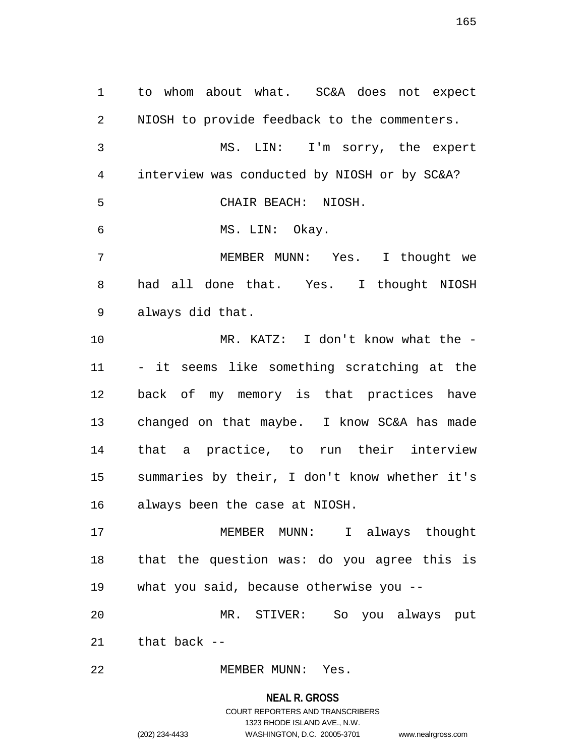1 to whom about what. SC&A does not expect 2 NIOSH to provide feedback to the commenters. 3 MS. LIN: I'm sorry, the expert 4 interview was conducted by NIOSH or by SC&A? 5 CHAIR BEACH: NIOSH. 6 MS. LIN: Okay. 7 MEMBER MUNN: Yes. I thought we 8 had all done that. Yes. I thought NIOSH 9 always did that. 10 MR. KATZ: I don't know what the - 11 - it seems like something scratching at the 12 back of my memory is that practices have 13 changed on that maybe. I know SC&A has made 14 that a practice, to run their interview 15 summaries by their, I don't know whether it's 16 always been the case at NIOSH. 17 MEMBER MUNN: I always thought 18 that the question was: do you agree this is 19 what you said, because otherwise you -- 20 MR. STIVER: So you always put 21 that back -- 22 MEMBER MUNN: Yes.

## **NEAL R. GROSS** COURT REPORTERS AND TRANSCRIBERS 1323 RHODE ISLAND AVE., N.W. (202) 234-4433 WASHINGTON, D.C. 20005-3701 www.nealrgross.com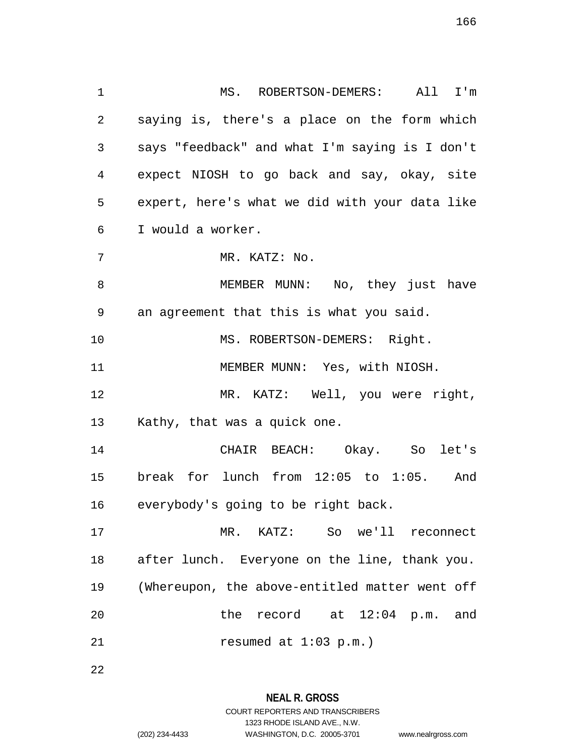1 MS. ROBERTSON-DEMERS: All I'm 2 saying is, there's a place on the form which 3 says "feedback" and what I'm saying is I don't 4 expect NIOSH to go back and say, okay, site 5 expert, here's what we did with your data like 6 I would a worker. 7 MR. KATZ: No. 8 MEMBER MUNN: No, they just have 9 an agreement that this is what you said. 10 MS. ROBERTSON-DEMERS: Right. 11 MEMBER MUNN: Yes, with NIOSH. 12 MR. KATZ: Well, you were right, 13 Kathy, that was a quick one. 14 CHAIR BEACH: Okay. So let's 15 break for lunch from 12:05 to 1:05. And 16 everybody's going to be right back. 17 MR. KATZ: So we'll reconnect 18 after lunch. Everyone on the line, thank you. 19 (Whereupon, the above-entitled matter went off 20 the record at 12:04 p.m. and

21 resumed at 1:03 p.m.)

22

**NEAL R. GROSS** COURT REPORTERS AND TRANSCRIBERS

1323 RHODE ISLAND AVE., N.W.

(202) 234-4433 WASHINGTON, D.C. 20005-3701 www.nealrgross.com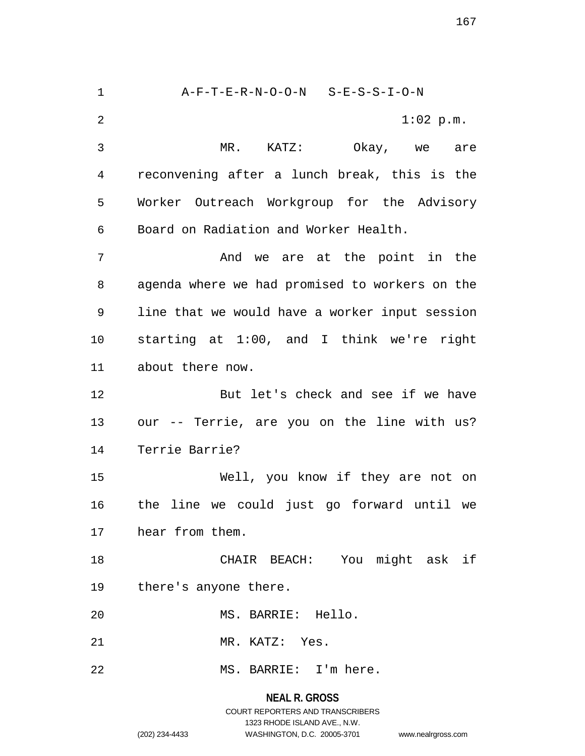1 A-F-T-E-R-N-O-O-N S-E-S-S-I-O-N 2 1:02 p.m. 3 MR. KATZ: Okay, we are 4 reconvening after a lunch break, this is the 5 Worker Outreach Workgroup for the Advisory 6 Board on Radiation and Worker Health. 7 and we are at the point in the 8 agenda where we had promised to workers on the 9 line that we would have a worker input session 10 starting at 1:00, and I think we're right 11 about there now. 12 But let's check and see if we have 13 our -- Terrie, are you on the line with us? 14 Terrie Barrie? 15 Well, you know if they are not on 16 the line we could just go forward until we 17 hear from them. 18 CHAIR BEACH: You might ask if 19 there's anyone there. 20 MS. BARRIE: Hello. 21 MR. KATZ: Yes. 22 MS. BARRIE: I'm here.

## **NEAL R. GROSS** COURT REPORTERS AND TRANSCRIBERS 1323 RHODE ISLAND AVE., N.W. (202) 234-4433 WASHINGTON, D.C. 20005-3701 www.nealrgross.com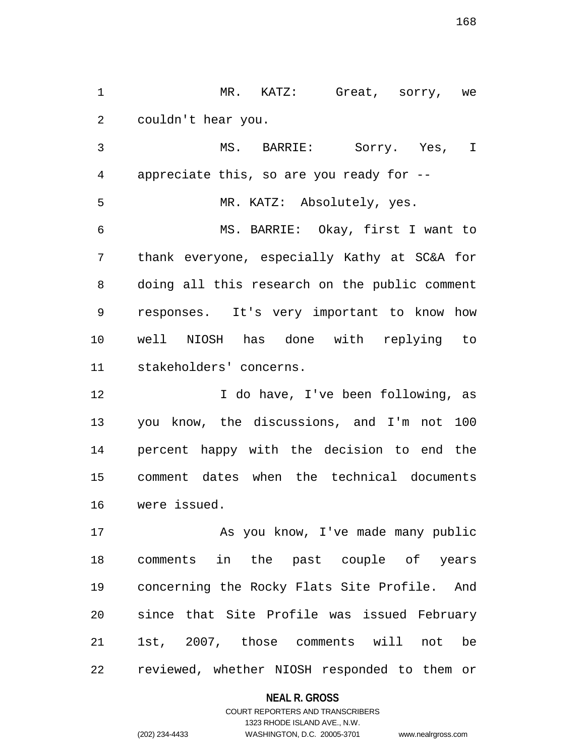1 MR. KATZ: Great, sorry, we 2 couldn't hear you.

3 MS. BARRIE: Sorry. Yes, I 4 appreciate this, so are you ready for -- 5 MR. KATZ: Absolutely, yes. 6 MS. BARRIE: Okay, first I want to 7 thank everyone, especially Kathy at SC&A for 8 doing all this research on the public comment 9 responses. It's very important to know how 10 well NIOSH has done with replying to 11 stakeholders' concerns.

12 I do have, I've been following, as 13 you know, the discussions, and I'm not 100 14 percent happy with the decision to end the 15 comment dates when the technical documents 16 were issued.

17 As you know, I've made many public 18 comments in the past couple of years 19 concerning the Rocky Flats Site Profile. And 20 since that Site Profile was issued February 21 1st, 2007, those comments will not be 22 reviewed, whether NIOSH responded to them or

### **NEAL R. GROSS**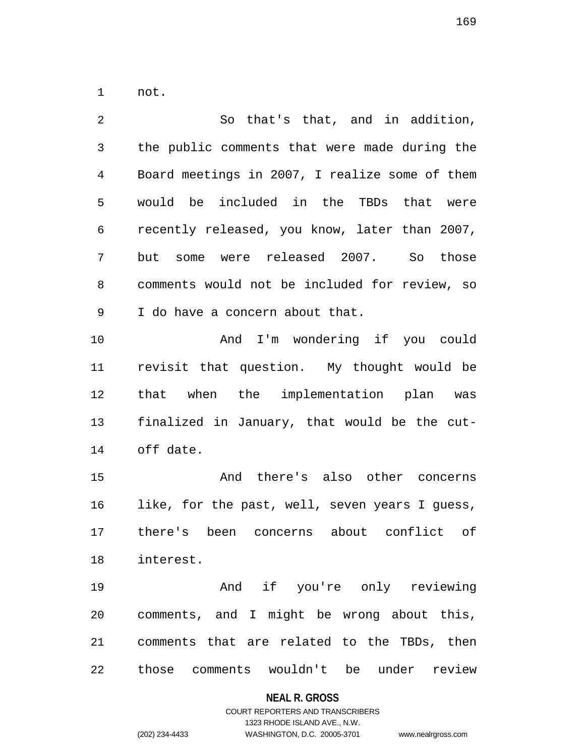1 not.

2 So that's that, and in addition, 3 the public comments that were made during the 4 Board meetings in 2007, I realize some of them 5 would be included in the TBDs that were 6 recently released, you know, later than 2007, 7 but some were released 2007. So those 8 comments would not be included for review, so 9 I do have a concern about that. 10 And I'm wondering if you could 11 revisit that question. My thought would be 12 that when the implementation plan was 13 finalized in January, that would be the cut-14 off date. 15 And there's also other concerns 16 like, for the past, well, seven years I guess, 17 there's been concerns about conflict of 18 interest. 19 And if you're only reviewing 20 comments, and I might be wrong about this, 21 comments that are related to the TBDs, then

22 those comments wouldn't be under review

### **NEAL R. GROSS**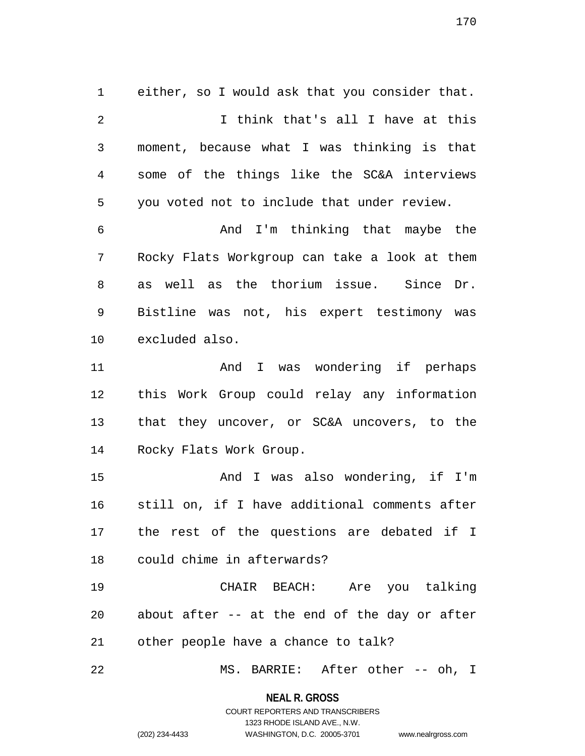1 either, so I would ask that you consider that. 2 I think that's all I have at this 3 moment, because what I was thinking is that 4 some of the things like the SC&A interviews 5 you voted not to include that under review. 6 And I'm thinking that maybe the 7 Rocky Flats Workgroup can take a look at them 8 as well as the thorium issue. Since Dr. 9 Bistline was not, his expert testimony was 10 excluded also. 11 and I was wondering if perhaps 12 this Work Group could relay any information 13 that they uncover, or SC&A uncovers, to the 14 Rocky Flats Work Group. 15 And I was also wondering, if I'm 16 still on, if I have additional comments after 17 the rest of the questions are debated if I 18 could chime in afterwards? 19 CHAIR BEACH: Are you talking 20 about after -- at the end of the day or after 21 other people have a chance to talk? 22 MS. BARRIE: After other -- oh, I

> **NEAL R. GROSS** COURT REPORTERS AND TRANSCRIBERS

> > 1323 RHODE ISLAND AVE., N.W.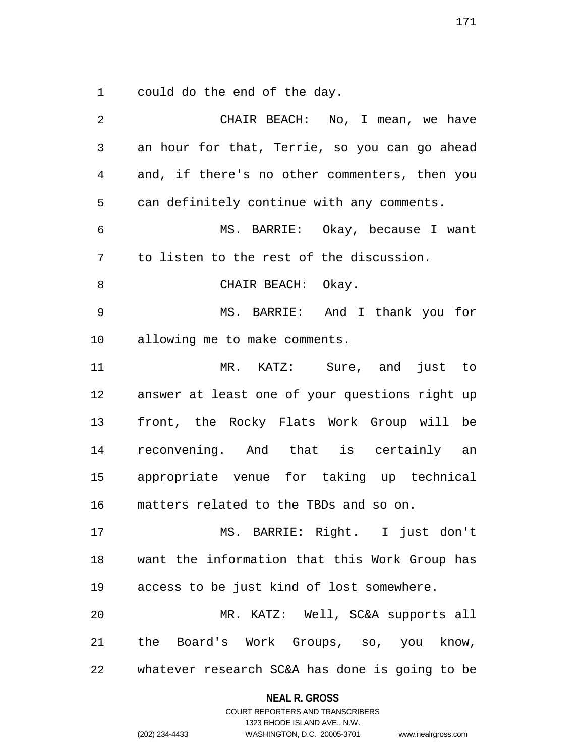1 could do the end of the day.

| 2              | CHAIR BEACH: No, I mean, we have               |
|----------------|------------------------------------------------|
| $\mathfrak{Z}$ | an hour for that, Terrie, so you can go ahead  |
| 4              | and, if there's no other commenters, then you  |
| 5              | can definitely continue with any comments.     |
| $\epsilon$     | MS. BARRIE: Okay, because I want               |
| 7              | to listen to the rest of the discussion.       |
| 8              | CHAIR BEACH: Okay.                             |
| 9              | MS. BARRIE: And I thank you for                |
| 10             | allowing me to make comments.                  |
| 11             | MR. KATZ: Sure, and just to                    |
| 12             | answer at least one of your questions right up |
| 13             | front, the Rocky Flats Work Group will be      |
| 14             | reconvening. And that is certainly an          |
| 15             | appropriate venue for taking up technical      |
| 16             | matters related to the TBDs and so on.         |
| 17             | MS. BARRIE: Right. I just don't                |
| 18             | want the information that this Work Group has  |
| 19             | access to be just kind of lost somewhere.      |
| 20             | MR. KATZ: Well, SC&A supports all              |
| 21             | the Board's Work Groups, so, you know,         |
| 22             | whatever research SC&A has done is going to be |

**NEAL R. GROSS** COURT REPORTERS AND TRANSCRIBERS

1323 RHODE ISLAND AVE., N.W.

(202) 234-4433 WASHINGTON, D.C. 20005-3701 www.nealrgross.com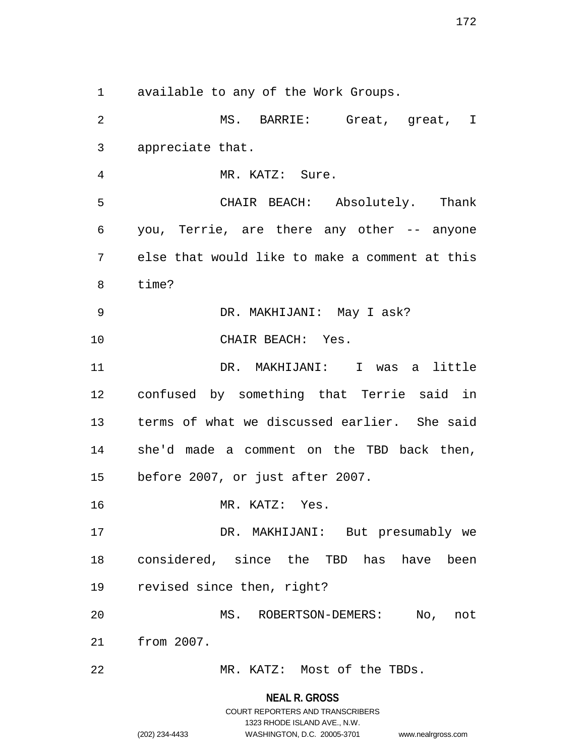1 available to any of the Work Groups.

2 MS. BARRIE: Great, great, I 3 appreciate that. 4 MR. KATZ: Sure. 5 CHAIR BEACH: Absolutely. Thank 6 you, Terrie, are there any other -- anyone 7 else that would like to make a comment at this 8 time? 9 DR. MAKHIJANI: May I ask? 10 CHAIR BEACH: Yes. 11 DR. MAKHIJANI: I was a little 12 confused by something that Terrie said in 13 terms of what we discussed earlier. She said 14 she'd made a comment on the TBD back then, 15 before 2007, or just after 2007. 16 MR. KATZ: Yes. 17 DR. MAKHIJANI: But presumably we 18 considered, since the TBD has have been 19 revised since then, right? 20 MS. ROBERTSON-DEMERS: No, not 21 from 2007. 22 MR. KATZ: Most of the TBDs.

> **NEAL R. GROSS** COURT REPORTERS AND TRANSCRIBERS 1323 RHODE ISLAND AVE., N.W.

(202) 234-4433 WASHINGTON, D.C. 20005-3701 www.nealrgross.com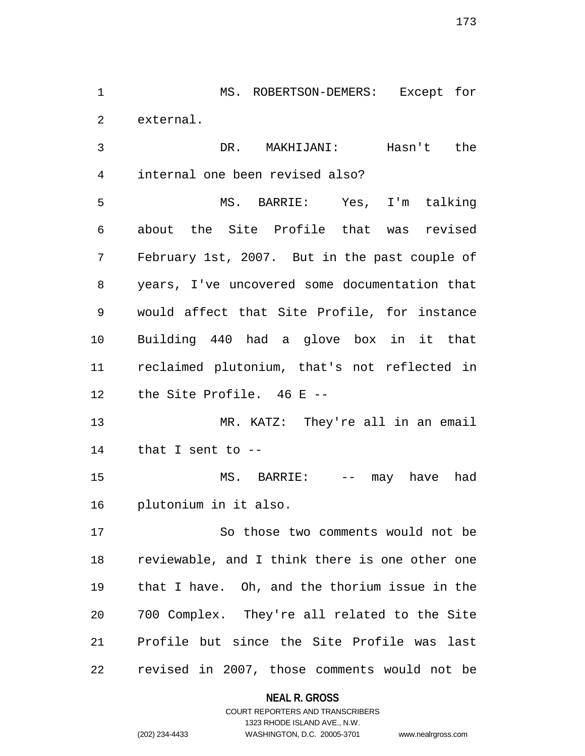1 MS. ROBERTSON-DEMERS: Except for 2 external.

3 DR. MAKHIJANI: Hasn't the 4 internal one been revised also?

5 MS. BARRIE: Yes, I'm talking 6 about the Site Profile that was revised 7 February 1st, 2007. But in the past couple of 8 years, I've uncovered some documentation that 9 would affect that Site Profile, for instance 10 Building 440 had a glove box in it that 11 reclaimed plutonium, that's not reflected in 12 the Site Profile. 46 E --

13 MR. KATZ: They're all in an email 14 that I sent to --

15 MS. BARRIE: -- may have had 16 plutonium in it also.

17 So those two comments would not be 18 reviewable, and I think there is one other one 19 that I have. Oh, and the thorium issue in the 20 700 Complex. They're all related to the Site 21 Profile but since the Site Profile was last 22 revised in 2007, those comments would not be

### **NEAL R. GROSS**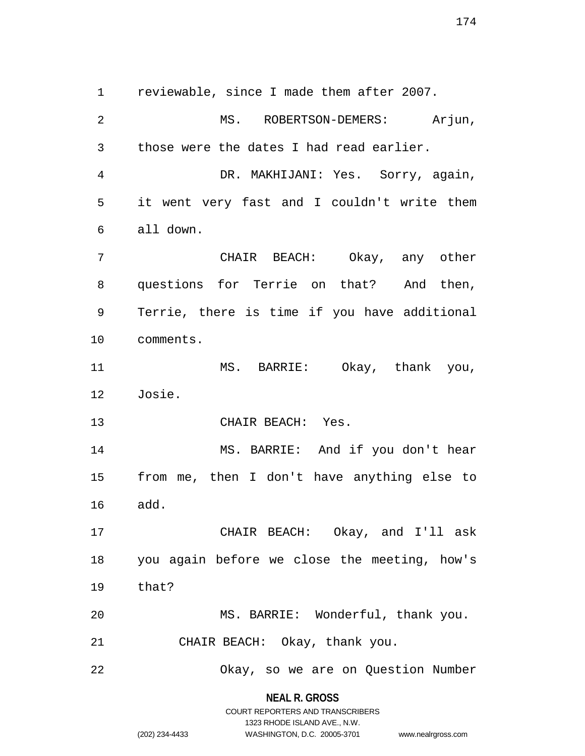1 reviewable, since I made them after 2007. 2 MS. ROBERTSON-DEMERS: Arjun, 3 those were the dates I had read earlier. 4 DR. MAKHIJANI: Yes. Sorry, again, 5 it went very fast and I couldn't write them 6 all down. 7 CHAIR BEACH: Okay, any other 8 questions for Terrie on that? And then, 9 Terrie, there is time if you have additional 10 comments. 11 MS. BARRIE: Okay, thank you, 12 Josie. 13 CHAIR BEACH: Yes. 14 MS. BARRIE: And if you don't hear 15 from me, then I don't have anything else to 16 add. 17 CHAIR BEACH: Okay, and I'll ask 18 you again before we close the meeting, how's 19 that? 20 MS. BARRIE: Wonderful, thank you. 21 CHAIR BEACH: Okay, thank you. 22 Okay, so we are on Question Number

> **NEAL R. GROSS** COURT REPORTERS AND TRANSCRIBERS

> > 1323 RHODE ISLAND AVE., N.W.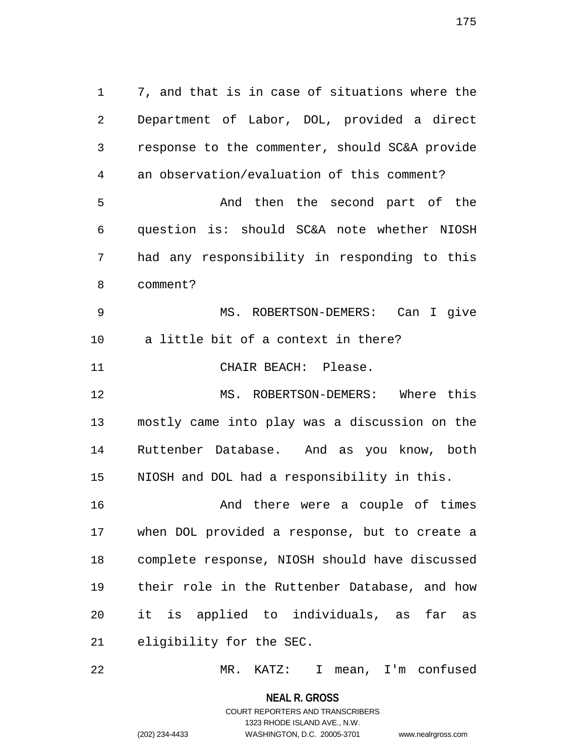1 7, and that is in case of situations where the 2 Department of Labor, DOL, provided a direct 3 response to the commenter, should SC&A provide 4 an observation/evaluation of this comment? 5 And then the second part of the 6 question is: should SC&A note whether NIOSH 7 had any responsibility in responding to this 8 comment? 9 MS. ROBERTSON-DEMERS: Can I give 10 a little bit of a context in there? 11 CHAIR BEACH: Please. 12 MS. ROBERTSON-DEMERS: Where this 13 mostly came into play was a discussion on the 14 Ruttenber Database. And as you know, both 15 NIOSH and DOL had a responsibility in this. 16 And there were a couple of times 17 when DOL provided a response, but to create a 18 complete response, NIOSH should have discussed 19 their role in the Ruttenber Database, and how 20 it is applied to individuals, as far as 21 eligibility for the SEC.

22 MR. KATZ: I mean, I'm confused

**NEAL R. GROSS** COURT REPORTERS AND TRANSCRIBERS

1323 RHODE ISLAND AVE., N.W.

(202) 234-4433 WASHINGTON, D.C. 20005-3701 www.nealrgross.com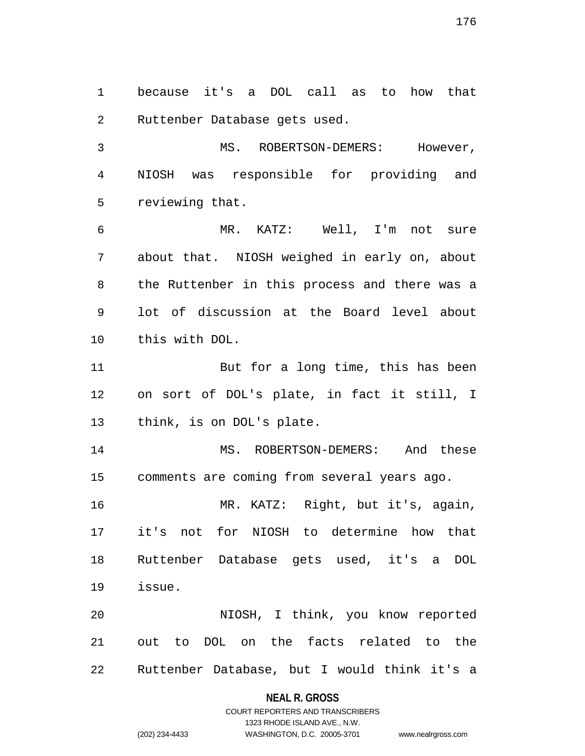1 because it's a DOL call as to how that 2 Ruttenber Database gets used.

3 MS. ROBERTSON-DEMERS: However, 4 NIOSH was responsible for providing and 5 reviewing that.

6 MR. KATZ: Well, I'm not sure 7 about that. NIOSH weighed in early on, about 8 the Ruttenber in this process and there was a 9 lot of discussion at the Board level about 10 this with DOL.

11 But for a long time, this has been 12 on sort of DOL's plate, in fact it still, I 13 think, is on DOL's plate.

14 MS. ROBERTSON-DEMERS: And these 15 comments are coming from several years ago.

16 MR. KATZ: Right, but it's, again, 17 it's not for NIOSH to determine how that 18 Ruttenber Database gets used, it's a DOL 19 issue.

20 NIOSH, I think, you know reported 21 out to DOL on the facts related to the 22 Ruttenber Database, but I would think it's a

### **NEAL R. GROSS**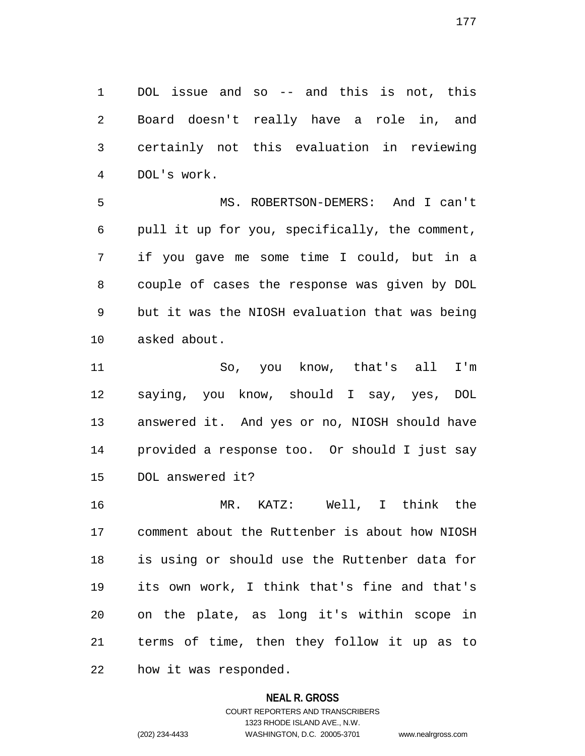1 DOL issue and so -- and this is not, this 2 Board doesn't really have a role in, and 3 certainly not this evaluation in reviewing 4 DOL's work.

5 MS. ROBERTSON-DEMERS: And I can't 6 pull it up for you, specifically, the comment, 7 if you gave me some time I could, but in a 8 couple of cases the response was given by DOL 9 but it was the NIOSH evaluation that was being 10 asked about.

11 So, you know, that's all I'm 12 saying, you know, should I say, yes, DOL 13 answered it. And yes or no, NIOSH should have 14 provided a response too. Or should I just say 15 DOL answered it?

16 MR. KATZ: Well, I think the 17 comment about the Ruttenber is about how NIOSH 18 is using or should use the Ruttenber data for 19 its own work, I think that's fine and that's 20 on the plate, as long it's within scope in 21 terms of time, then they follow it up as to 22 how it was responded.

# **NEAL R. GROSS**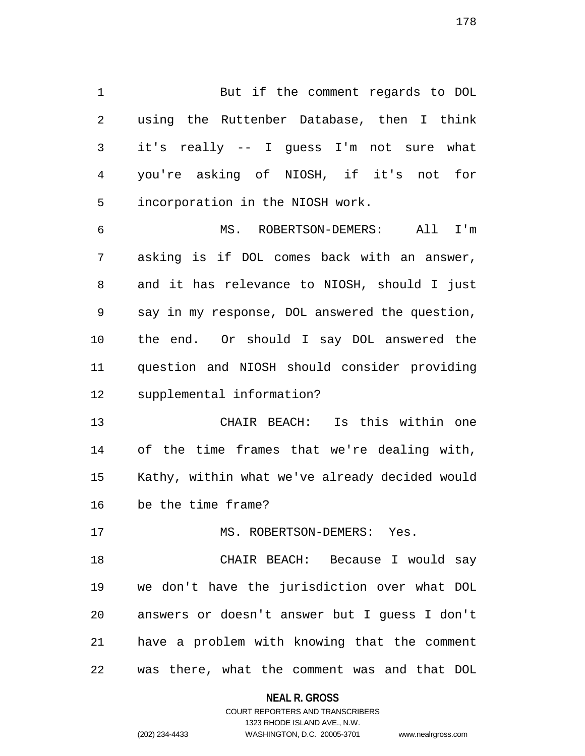1 But if the comment regards to DOL 2 using the Ruttenber Database, then I think 3 it's really -- I guess I'm not sure what 4 you're asking of NIOSH, if it's not for 5 incorporation in the NIOSH work. 6 MS. ROBERTSON-DEMERS: All I'm 7 asking is if DOL comes back with an answer,

9 say in my response, DOL answered the question, 10 the end. Or should I say DOL answered the 11 question and NIOSH should consider providing 12 supplemental information?

8 and it has relevance to NIOSH, should I just

13 CHAIR BEACH: Is this within one 14 of the time frames that we're dealing with, 15 Kathy, within what we've already decided would 16 be the time frame?

17 MS. ROBERTSON-DEMERS: Yes.

18 CHAIR BEACH: Because I would say 19 we don't have the jurisdiction over what DOL 20 answers or doesn't answer but I guess I don't 21 have a problem with knowing that the comment 22 was there, what the comment was and that DOL

**NEAL R. GROSS**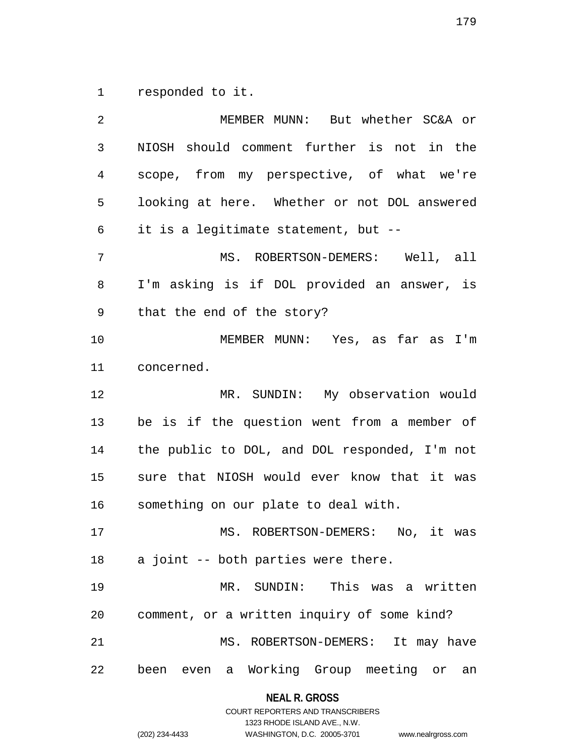1 responded to it.

2 MEMBER MUNN: But whether SC&A or 3 NIOSH should comment further is not in the 4 scope, from my perspective, of what we're 5 looking at here. Whether or not DOL answered 6 it is a legitimate statement, but -- 7 MS. ROBERTSON-DEMERS: Well, all 8 I'm asking is if DOL provided an answer, is 9 that the end of the story? 10 MEMBER MUNN: Yes, as far as I'm 11 concerned. 12 MR. SUNDIN: My observation would 13 be is if the question went from a member of 14 the public to DOL, and DOL responded, I'm not 15 sure that NIOSH would ever know that it was 16 something on our plate to deal with. 17 MS. ROBERTSON-DEMERS: No, it was 18 a joint -- both parties were there. 19 MR. SUNDIN: This was a written 20 comment, or a written inquiry of some kind? 21 MS. ROBERTSON-DEMERS: It may have 22 been even a Working Group meeting or an

### **NEAL R. GROSS**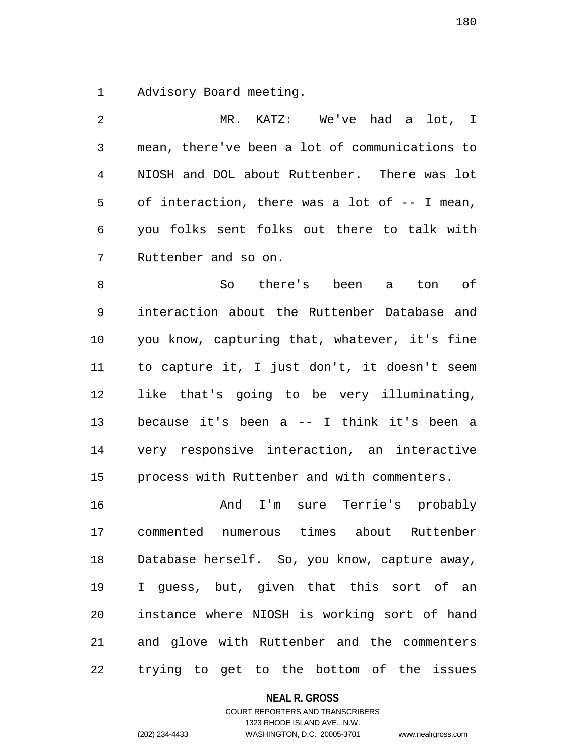1 Advisory Board meeting.

2 MR. KATZ: We've had a lot, I 3 mean, there've been a lot of communications to 4 NIOSH and DOL about Ruttenber. There was lot 5 of interaction, there was a lot of -- I mean, 6 you folks sent folks out there to talk with 7 Ruttenber and so on.

8 So there's been a ton of 9 interaction about the Ruttenber Database and 10 you know, capturing that, whatever, it's fine 11 to capture it, I just don't, it doesn't seem 12 like that's going to be very illuminating, 13 because it's been a -- I think it's been a 14 very responsive interaction, an interactive 15 process with Ruttenber and with commenters.

16 And I'm sure Terrie's probably 17 commented numerous times about Ruttenber 18 Database herself. So, you know, capture away, 19 I guess, but, given that this sort of an 20 instance where NIOSH is working sort of hand 21 and glove with Ruttenber and the commenters 22 trying to get to the bottom of the issues

**NEAL R. GROSS**

## COURT REPORTERS AND TRANSCRIBERS 1323 RHODE ISLAND AVE., N.W. (202) 234-4433 WASHINGTON, D.C. 20005-3701 www.nealrgross.com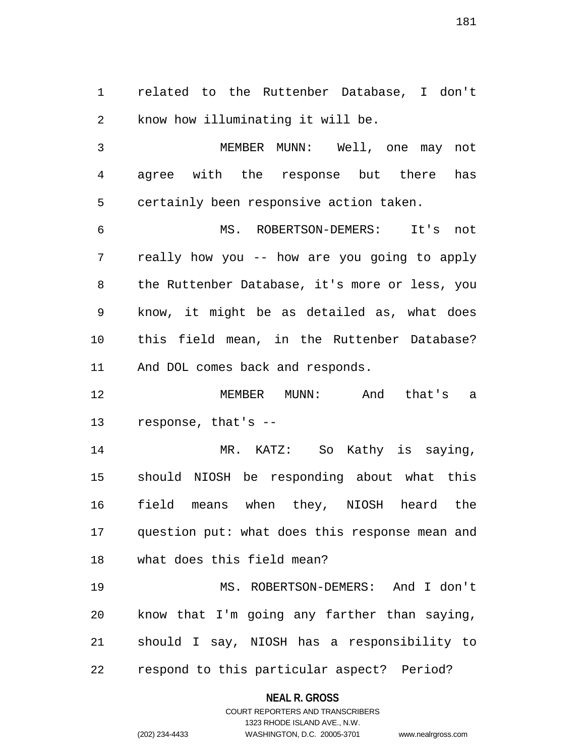1 related to the Ruttenber Database, I don't 2 know how illuminating it will be.

3 MEMBER MUNN: Well, one may not 4 agree with the response but there has 5 certainly been responsive action taken.

6 MS. ROBERTSON-DEMERS: It's not 7 really how you -- how are you going to apply 8 the Ruttenber Database, it's more or less, you 9 know, it might be as detailed as, what does 10 this field mean, in the Ruttenber Database? 11 And DOL comes back and responds.

12 MEMBER MUNN: And that's a 13 response, that's --

14 MR. KATZ: So Kathy is saying, 15 should NIOSH be responding about what this 16 field means when they, NIOSH heard the 17 question put: what does this response mean and 18 what does this field mean?

19 MS. ROBERTSON-DEMERS: And I don't 20 know that I'm going any farther than saying, 21 should I say, NIOSH has a responsibility to 22 respond to this particular aspect? Period?

#### **NEAL R. GROSS**

### COURT REPORTERS AND TRANSCRIBERS 1323 RHODE ISLAND AVE., N.W. (202) 234-4433 WASHINGTON, D.C. 20005-3701 www.nealrgross.com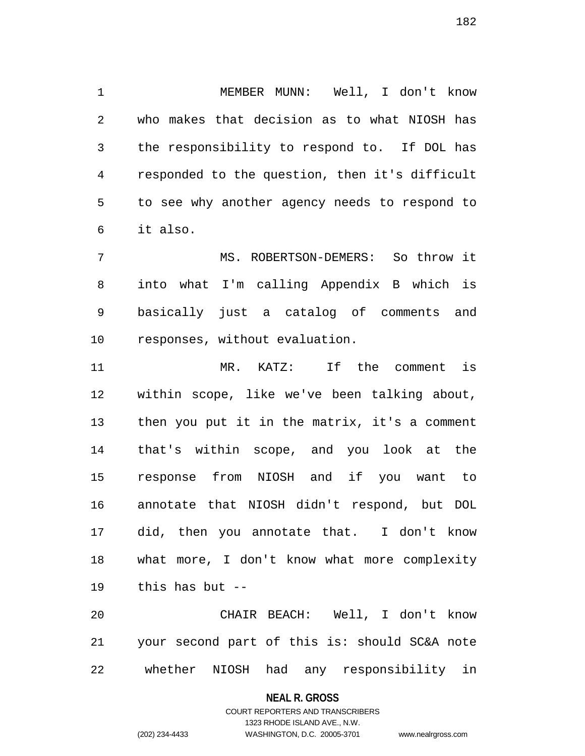1 MEMBER MUNN: Well, I don't know 2 who makes that decision as to what NIOSH has 3 the responsibility to respond to. If DOL has 4 responded to the question, then it's difficult 5 to see why another agency needs to respond to 6 it also.

7 MS. ROBERTSON-DEMERS: So throw it 8 into what I'm calling Appendix B which is 9 basically just a catalog of comments and 10 responses, without evaluation.

11 MR. KATZ: If the comment is 12 within scope, like we've been talking about, 13 then you put it in the matrix, it's a comment 14 that's within scope, and you look at the 15 response from NIOSH and if you want to 16 annotate that NIOSH didn't respond, but DOL 17 did, then you annotate that. I don't know 18 what more, I don't know what more complexity 19 this has but --

20 CHAIR BEACH: Well, I don't know 21 your second part of this is: should SC&A note 22 whether NIOSH had any responsibility in

#### **NEAL R. GROSS**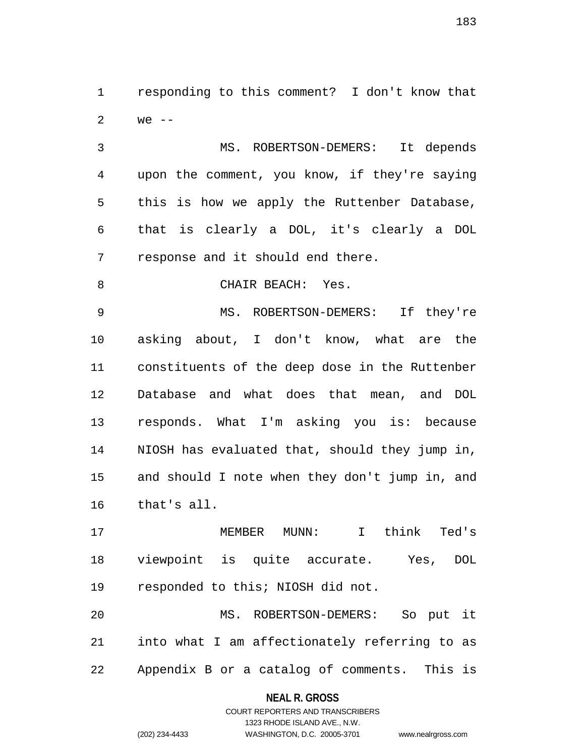1 responding to this comment? I don't know that 2 we --

3 MS. ROBERTSON-DEMERS: It depends 4 upon the comment, you know, if they're saying 5 this is how we apply the Ruttenber Database, 6 that is clearly a DOL, it's clearly a DOL 7 response and it should end there.

8 CHAIR BEACH: Yes.

9 MS. ROBERTSON-DEMERS: If they're 10 asking about, I don't know, what are the 11 constituents of the deep dose in the Ruttenber 12 Database and what does that mean, and DOL 13 responds. What I'm asking you is: because 14 NIOSH has evaluated that, should they jump in, 15 and should I note when they don't jump in, and 16 that's all.

17 MEMBER MUNN: I think Ted's 18 viewpoint is quite accurate. Yes, DOL 19 responded to this; NIOSH did not.

20 MS. ROBERTSON-DEMERS: So put it 21 into what I am affectionately referring to as 22 Appendix B or a catalog of comments. This is

# **NEAL R. GROSS**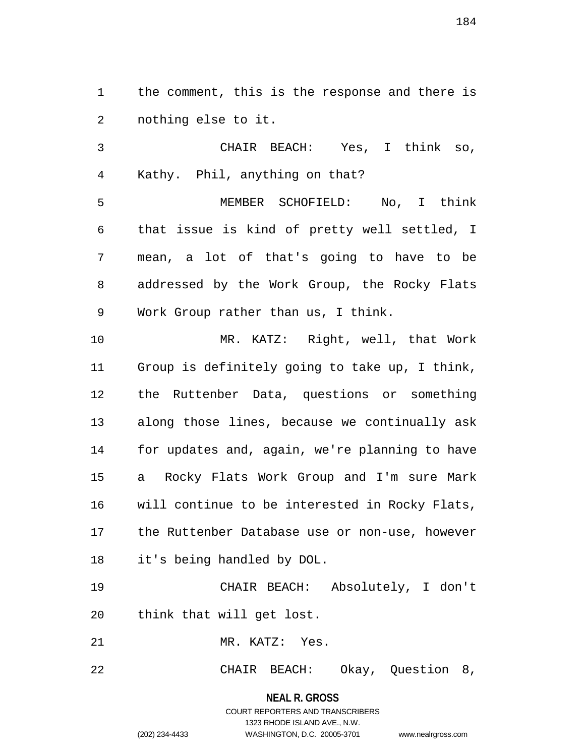1 the comment, this is the response and there is 2 nothing else to it.

3 CHAIR BEACH: Yes, I think so, 4 Kathy. Phil, anything on that?

5 MEMBER SCHOFIELD: No, I think 6 that issue is kind of pretty well settled, I 7 mean, a lot of that's going to have to be 8 addressed by the Work Group, the Rocky Flats 9 Work Group rather than us, I think.

10 MR. KATZ: Right, well, that Work 11 Group is definitely going to take up, I think, 12 the Ruttenber Data, questions or something 13 along those lines, because we continually ask 14 for updates and, again, we're planning to have 15 a Rocky Flats Work Group and I'm sure Mark 16 will continue to be interested in Rocky Flats, 17 the Ruttenber Database use or non-use, however 18 it's being handled by DOL.

19 CHAIR BEACH: Absolutely, I don't 20 think that will get lost.

21 MR. KATZ: Yes.

22 CHAIR BEACH: Okay, Question 8,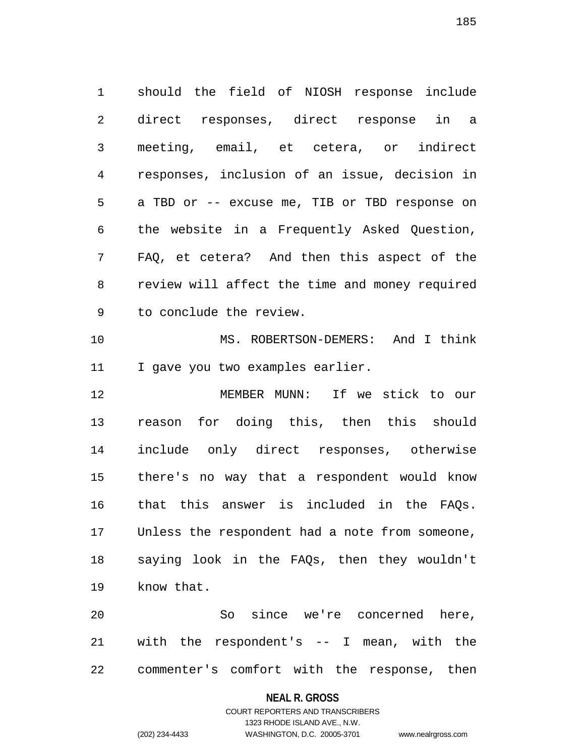1 should the field of NIOSH response include 2 direct responses, direct response in a 3 meeting, email, et cetera, or indirect 4 responses, inclusion of an issue, decision in 5 a TBD or -- excuse me, TIB or TBD response on 6 the website in a Frequently Asked Question, 7 FAQ, et cetera? And then this aspect of the 8 review will affect the time and money required 9 to conclude the review. 10 MS. ROBERTSON-DEMERS: And I think 11 I gave you two examples earlier. 12 MEMBER MUNN: If we stick to our 13 reason for doing this, then this should 14 include only direct responses, otherwise 15 there's no way that a respondent would know

20 So since we're concerned here, 21 with the respondent's -- I mean, with the 22 commenter's comfort with the response, then

16 that this answer is included in the FAQs.

17 Unless the respondent had a note from someone,

18 saying look in the FAQs, then they wouldn't

#### **NEAL R. GROSS**

### COURT REPORTERS AND TRANSCRIBERS 1323 RHODE ISLAND AVE., N.W. (202) 234-4433 WASHINGTON, D.C. 20005-3701 www.nealrgross.com

19 know that.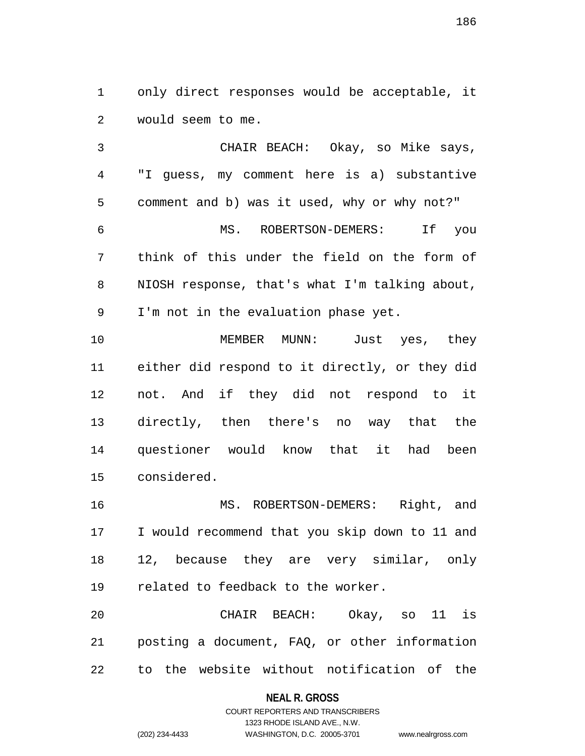1 only direct responses would be acceptable, it 2 would seem to me.

3 CHAIR BEACH: Okay, so Mike says, 4 "I guess, my comment here is a) substantive 5 comment and b) was it used, why or why not?" 6 MS. ROBERTSON-DEMERS: If you 7 think of this under the field on the form of 8 NIOSH response, that's what I'm talking about, 9 I'm not in the evaluation phase yet.

10 MEMBER MUNN: Just yes, they 11 either did respond to it directly, or they did 12 not. And if they did not respond to it 13 directly, then there's no way that the 14 questioner would know that it had been 15 considered.

16 MS. ROBERTSON-DEMERS: Right, and 17 I would recommend that you skip down to 11 and 18 12, because they are very similar, only 19 related to feedback to the worker.

20 CHAIR BEACH: Okay, so 11 is 21 posting a document, FAQ, or other information 22 to the website without notification of the

**NEAL R. GROSS**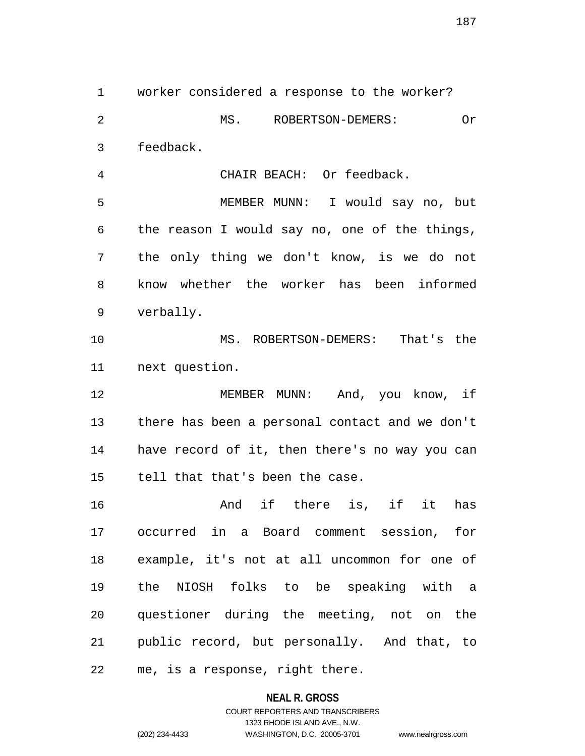1 worker considered a response to the worker? 2 MS. ROBERTSON-DEMERS: Or 3 feedback. 4 CHAIR BEACH: Or feedback. 5 MEMBER MUNN: I would say no, but 6 the reason I would say no, one of the things, 7 the only thing we don't know, is we do not 8 know whether the worker has been informed 9 verbally. 10 MS. ROBERTSON-DEMERS: That's the 11 next question. 12 MEMBER MUNN: And, you know, if 13 there has been a personal contact and we don't 14 have record of it, then there's no way you can 15 tell that that's been the case. 16 and if there is, if it has 17 occurred in a Board comment session, for 18 example, it's not at all uncommon for one of 19 the NIOSH folks to be speaking with a 20 questioner during the meeting, not on the 21 public record, but personally. And that, to 22 me, is a response, right there.

**NEAL R. GROSS**

COURT REPORTERS AND TRANSCRIBERS 1323 RHODE ISLAND AVE., N.W. (202) 234-4433 WASHINGTON, D.C. 20005-3701 www.nealrgross.com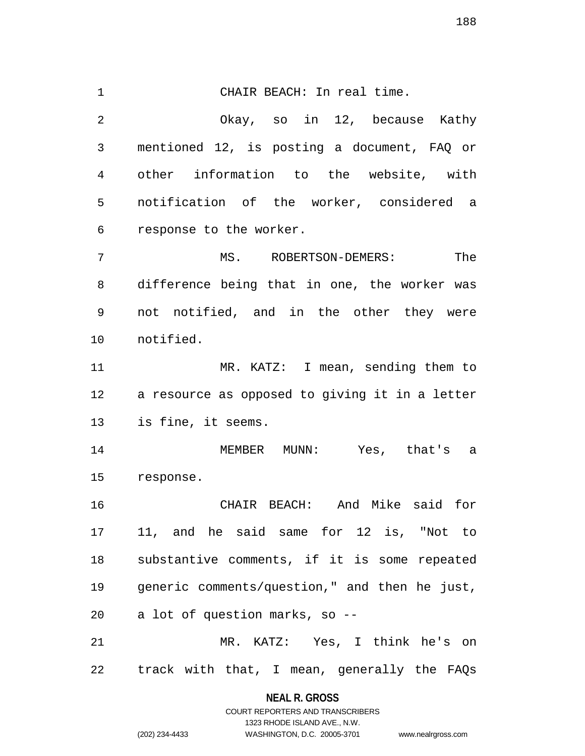1 CHAIR BEACH: In real time. 2 Okay, so in 12, because Kathy 3 mentioned 12, is posting a document, FAQ or 4 other information to the website, with 5 notification of the worker, considered a 6 response to the worker. 7 MS. ROBERTSON-DEMERS: The 8 difference being that in one, the worker was 9 not notified, and in the other they were 10 notified. 11 MR. KATZ: I mean, sending them to 12 a resource as opposed to giving it in a letter 13 is fine, it seems. 14 MEMBER MUNN: Yes, that's a 15 response. 16 CHAIR BEACH: And Mike said for 17 11, and he said same for 12 is, "Not to 18 substantive comments, if it is some repeated 19 generic comments/question," and then he just, 20 a lot of question marks, so -- 21 MR. KATZ: Yes, I think he's on 22 track with that, I mean, generally the FAQs

> **NEAL R. GROSS** COURT REPORTERS AND TRANSCRIBERS

> > 1323 RHODE ISLAND AVE., N.W.

(202) 234-4433 WASHINGTON, D.C. 20005-3701 www.nealrgross.com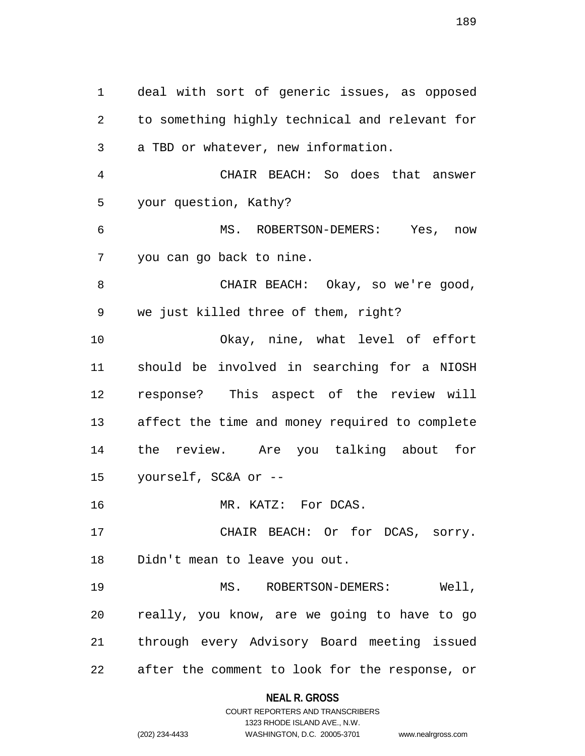1 deal with sort of generic issues, as opposed 2 to something highly technical and relevant for 3 a TBD or whatever, new information. 4 CHAIR BEACH: So does that answer 5 your question, Kathy? 6 MS. ROBERTSON-DEMERS: Yes, now 7 you can go back to nine. 8 CHAIR BEACH: Okay, so we're good, 9 we just killed three of them, right? 10 Okay, nine, what level of effort 11 should be involved in searching for a NIOSH 12 response? This aspect of the review will 13 affect the time and money required to complete 14 the review. Are you talking about for 15 yourself, SC&A or -- 16 MR. KATZ: For DCAS. 17 CHAIR BEACH: Or for DCAS, sorry. 18 Didn't mean to leave you out. 19 MS. ROBERTSON-DEMERS: Well, 20 really, you know, are we going to have to go 21 through every Advisory Board meeting issued 22 after the comment to look for the response, or

# **NEAL R. GROSS** COURT REPORTERS AND TRANSCRIBERS

1323 RHODE ISLAND AVE., N.W. (202) 234-4433 WASHINGTON, D.C. 20005-3701 www.nealrgross.com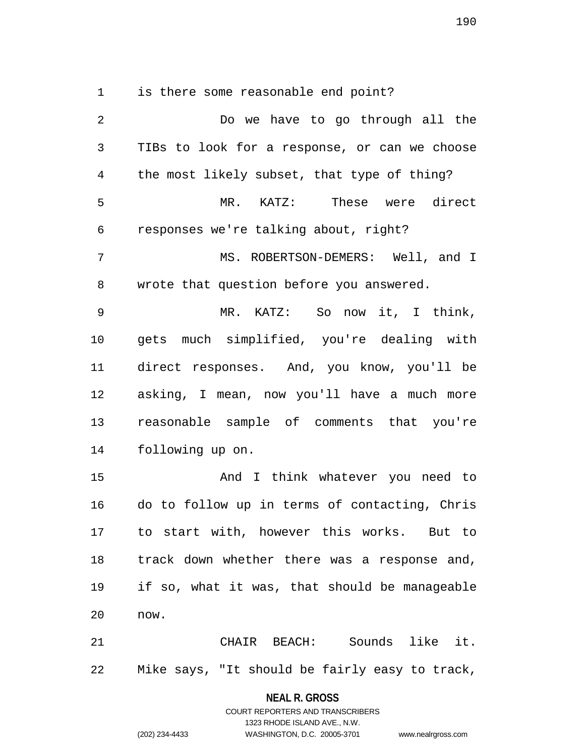1 is there some reasonable end point?

2 Do we have to go through all the 3 TIBs to look for a response, or can we choose 4 the most likely subset, that type of thing? 5 MR. KATZ: These were direct 6 responses we're talking about, right? 7 MS. ROBERTSON-DEMERS: Well, and I 8 wrote that question before you answered. 9 MR. KATZ: So now it, I think, 10 gets much simplified, you're dealing with 11 direct responses. And, you know, you'll be 12 asking, I mean, now you'll have a much more 13 reasonable sample of comments that you're 14 following up on. 15 And I think whatever you need to 16 do to follow up in terms of contacting, Chris 17 to start with, however this works. But to 18 track down whether there was a response and, 19 if so, what it was, that should be manageable 20 now. 21 CHAIR BEACH: Sounds like it. 22 Mike says, "It should be fairly easy to track,

> **NEAL R. GROSS** COURT REPORTERS AND TRANSCRIBERS

> > 1323 RHODE ISLAND AVE., N.W.

(202) 234-4433 WASHINGTON, D.C. 20005-3701 www.nealrgross.com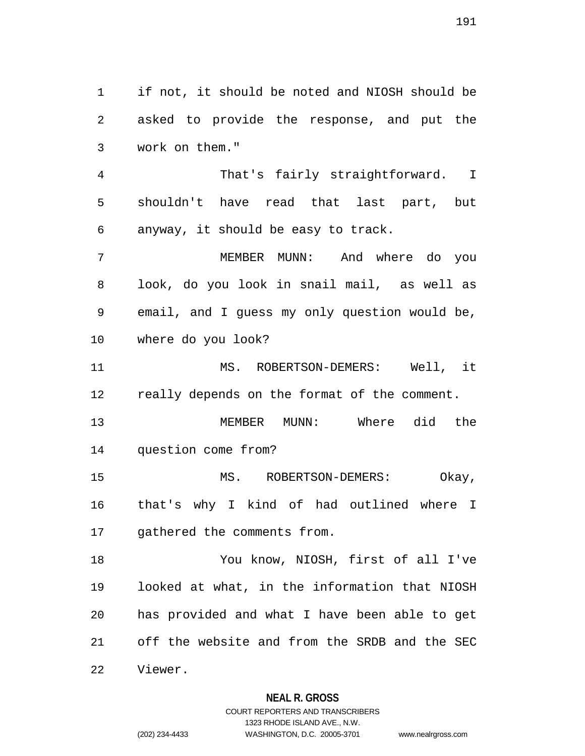1 if not, it should be noted and NIOSH should be 2 asked to provide the response, and put the 3 work on them." 4 That's fairly straightforward. I 5 shouldn't have read that last part, but 6 anyway, it should be easy to track. 7 MEMBER MUNN: And where do you 8 look, do you look in snail mail, as well as 9 email, and I guess my only question would be, 10 where do you look? 11 MS. ROBERTSON-DEMERS: Well, it 12 really depends on the format of the comment. 13 MEMBER MUNN: Where did the 14 question come from? 15 MS. ROBERTSON-DEMERS: Okay, 16 that's why I kind of had outlined where I 17 gathered the comments from. 18 You know, NIOSH, first of all I've 19 looked at what, in the information that NIOSH 20 has provided and what I have been able to get 21 off the website and from the SRDB and the SEC 22 Viewer.

> **NEAL R. GROSS** COURT REPORTERS AND TRANSCRIBERS

> > 1323 RHODE ISLAND AVE., N.W.

(202) 234-4433 WASHINGTON, D.C. 20005-3701 www.nealrgross.com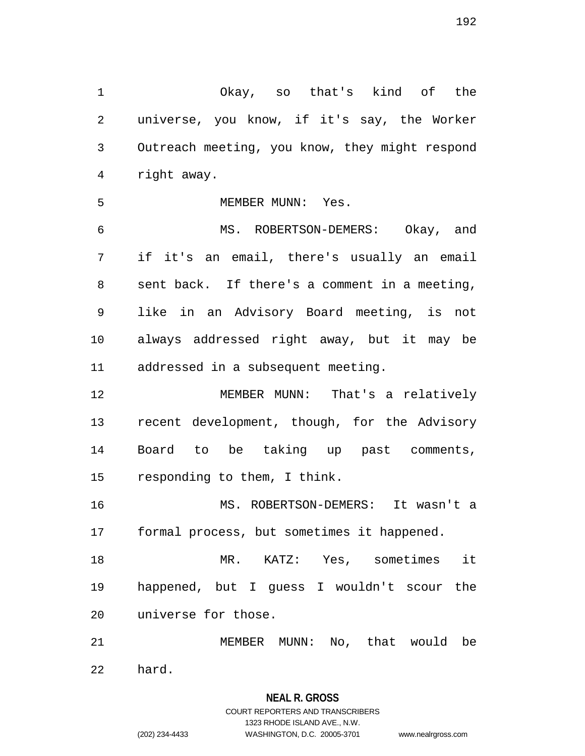1 Okay, so that's kind of the 2 universe, you know, if it's say, the Worker 3 Outreach meeting, you know, they might respond 4 right away.

5 MEMBER MUNN: Yes.

6 MS. ROBERTSON-DEMERS: Okay, and 7 if it's an email, there's usually an email 8 sent back. If there's a comment in a meeting, 9 like in an Advisory Board meeting, is not 10 always addressed right away, but it may be 11 addressed in a subsequent meeting.

12 MEMBER MUNN: That's a relatively 13 recent development, though, for the Advisory 14 Board to be taking up past comments, 15 responding to them, I think.

16 MS. ROBERTSON-DEMERS: It wasn't a 17 formal process, but sometimes it happened.

18 MR. KATZ: Yes, sometimes it 19 happened, but I guess I wouldn't scour the 20 universe for those.

21 MEMBER MUNN: No, that would be 22 hard.

# **NEAL R. GROSS** COURT REPORTERS AND TRANSCRIBERS 1323 RHODE ISLAND AVE., N.W.

(202) 234-4433 WASHINGTON, D.C. 20005-3701 www.nealrgross.com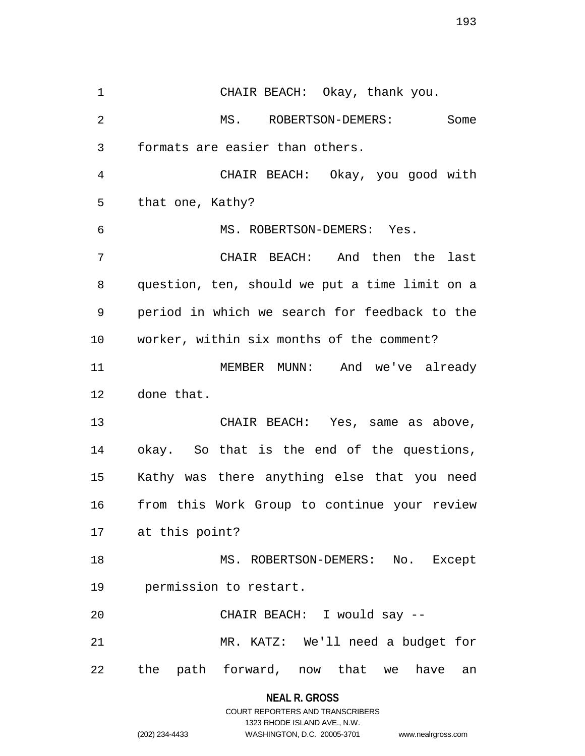1 CHAIR BEACH: Okay, thank you. 2 MS. ROBERTSON-DEMERS: Some 3 formats are easier than others. 4 CHAIR BEACH: Okay, you good with 5 that one, Kathy? 6 MS. ROBERTSON-DEMERS: Yes. 7 CHAIR BEACH: And then the last 8 question, ten, should we put a time limit on a 9 period in which we search for feedback to the 10 worker, within six months of the comment? 11 MEMBER MUNN: And we've already 12 done that. 13 CHAIR BEACH: Yes, same as above, 14 okay. So that is the end of the questions, 15 Kathy was there anything else that you need 16 from this Work Group to continue your review 17 at this point? 18 MS. ROBERTSON-DEMERS: No. Except 19 permission to restart. 20 CHAIR BEACH: I would say -- 21 MR. KATZ: We'll need a budget for 22 the path forward, now that we have an

> **NEAL R. GROSS** COURT REPORTERS AND TRANSCRIBERS

> > 1323 RHODE ISLAND AVE., N.W.

(202) 234-4433 WASHINGTON, D.C. 20005-3701 www.nealrgross.com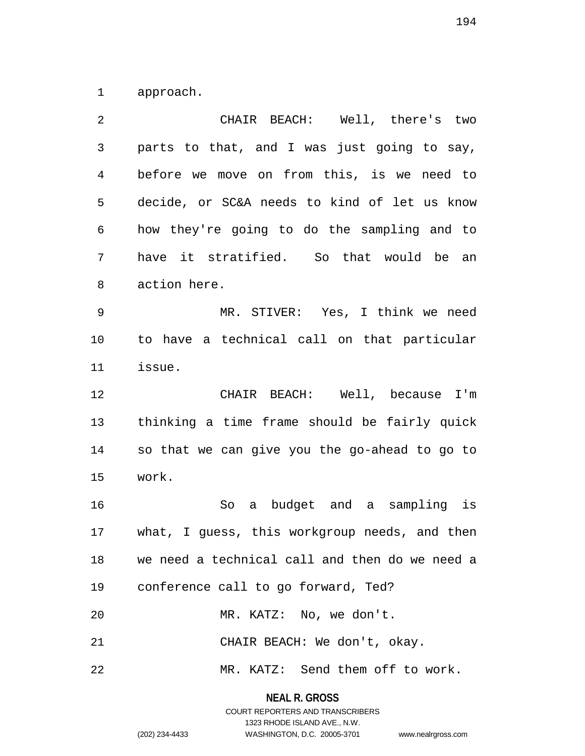1 approach.

| 2            | CHAIR BEACH: Well, there's two                 |
|--------------|------------------------------------------------|
| $\mathsf{3}$ | parts to that, and I was just going to say,    |
| 4            | before we move on from this, is we need to     |
| 5            | decide, or SC&A needs to kind of let us know   |
| 6            | how they're going to do the sampling and to    |
| 7            | have it stratified. So that would be an        |
| 8            | action here.                                   |
| 9            | MR. STIVER: Yes, I think we need               |
| 10           | to have a technical call on that particular    |
| 11           | issue.                                         |
| 12           | CHAIR BEACH: Well, because I'm                 |
| 13           | thinking a time frame should be fairly quick   |
| 14           | so that we can give you the go-ahead to go to  |
| 15           | work.                                          |
| 16           | a budget and a sampling is<br>So               |
| 17           | what, I guess, this workgroup needs, and then  |
| 18           | we need a technical call and then do we need a |
| 19           | conference call to go forward, Ted?            |
| 20           | MR. KATZ: No, we don't.                        |
| 21           | CHAIR BEACH: We don't, okay.                   |
|              |                                                |

**NEAL R. GROSS** COURT REPORTERS AND TRANSCRIBERS

1323 RHODE ISLAND AVE., N.W.

(202) 234-4433 WASHINGTON, D.C. 20005-3701 www.nealrgross.com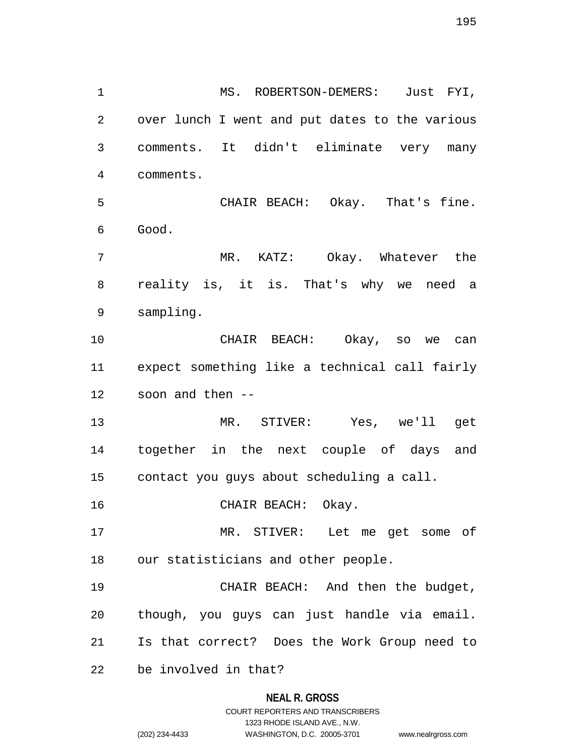**NEAL R. GROSS** 2 over lunch I went and put dates to the various 3 comments. It didn't eliminate very many 4 comments. 5 CHAIR BEACH: Okay. That's fine. 6 Good. 7 MR. KATZ: Okay. Whatever the 8 reality is, it is. That's why we need a 9 sampling. 10 CHAIR BEACH: Okay, so we can 11 expect something like a technical call fairly 12 soon and then -- 13 MR. STIVER: Yes, we'll get 14 together in the next couple of days and 15 contact you guys about scheduling a call. 16 CHAIR BEACH: Okay. 17 MR. STIVER: Let me get some of 18 our statisticians and other people. 19 CHAIR BEACH: And then the budget, 20 though, you guys can just handle via email. 21 Is that correct? Does the Work Group need to 22 be involved in that?

1 MS. ROBERTSON-DEMERS: Just FYI,

# COURT REPORTERS AND TRANSCRIBERS 1323 RHODE ISLAND AVE., N.W.

<sup>(202) 234-4433</sup> WASHINGTON, D.C. 20005-3701 www.nealrgross.com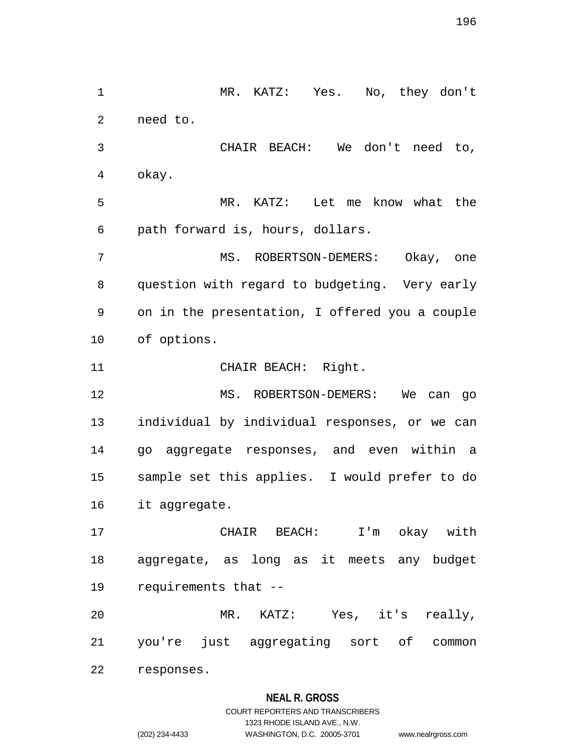1 MR. KATZ: Yes. No, they don't 2 need to. 3 CHAIR BEACH: We don't need to, 4 okay. 5 MR. KATZ: Let me know what the 6 path forward is, hours, dollars. 7 MS. ROBERTSON-DEMERS: Okay, one 8 question with regard to budgeting. Very early 9 on in the presentation, I offered you a couple 10 of options. 11 CHAIR BEACH: Right. 12 MS. ROBERTSON-DEMERS: We can go 13 individual by individual responses, or we can 14 go aggregate responses, and even within a 15 sample set this applies. I would prefer to do 16 it aggregate. 17 CHAIR BEACH: I'm okay with 18 aggregate, as long as it meets any budget 19 requirements that -- 20 MR. KATZ: Yes, it's really, 21 you're just aggregating sort of common 22 responses.

#### **NEAL R. GROSS**

# COURT REPORTERS AND TRANSCRIBERS 1323 RHODE ISLAND AVE., N.W. (202) 234-4433 WASHINGTON, D.C. 20005-3701 www.nealrgross.com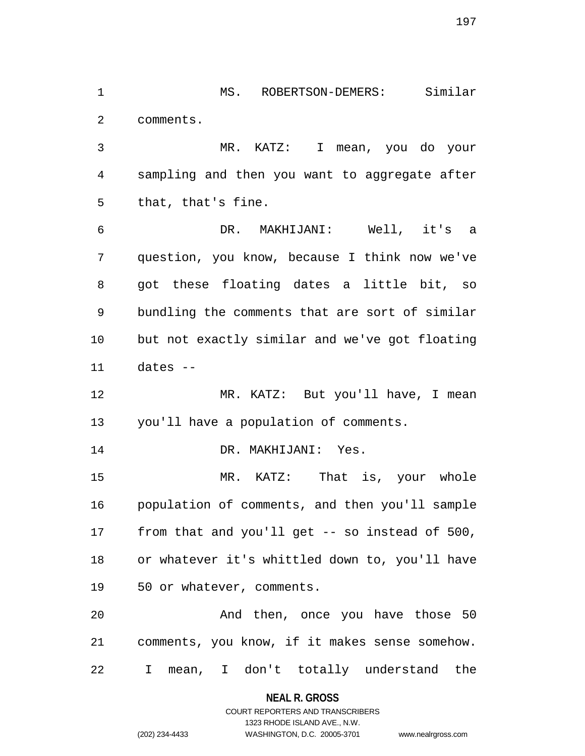1 MS. ROBERTSON-DEMERS: Similar 2 comments.

3 MR. KATZ: I mean, you do your 4 sampling and then you want to aggregate after 5 that, that's fine.

6 DR. MAKHIJANI: Well, it's a 7 question, you know, because I think now we've 8 got these floating dates a little bit, so 9 bundling the comments that are sort of similar 10 but not exactly similar and we've got floating 11 dates --

12 MR. KATZ: But you'll have, I mean 13 you'll have a population of comments.

14 DR. MAKHIJANI: Yes.

15 MR. KATZ: That is, your whole 16 population of comments, and then you'll sample 17 from that and you'll get -- so instead of 500, 18 or whatever it's whittled down to, you'll have 19 50 or whatever, comments.

20 And then, once you have those 50 21 comments, you know, if it makes sense somehow. 22 I mean, I don't totally understand the

**NEAL R. GROSS**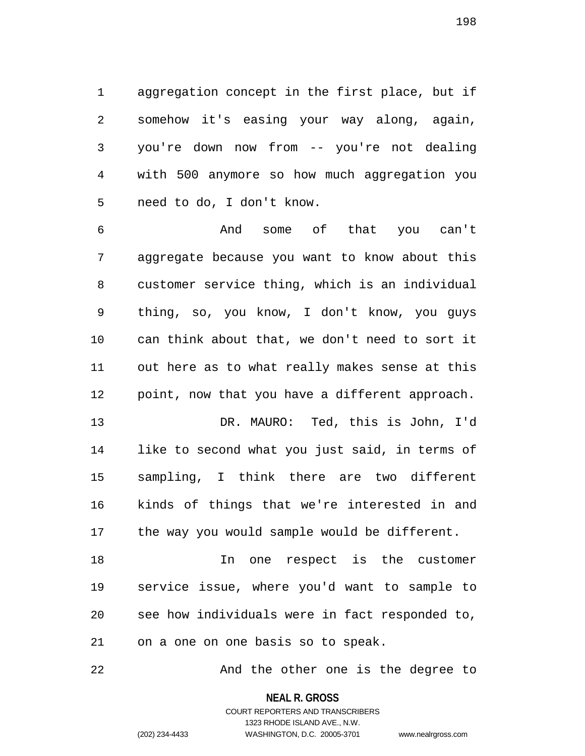1 aggregation concept in the first place, but if 2 somehow it's easing your way along, again, 3 you're down now from -- you're not dealing 4 with 500 anymore so how much aggregation you 5 need to do, I don't know.

6 And some of that you can't 7 aggregate because you want to know about this 8 customer service thing, which is an individual 9 thing, so, you know, I don't know, you guys 10 can think about that, we don't need to sort it 11 out here as to what really makes sense at this 12 point, now that you have a different approach.

13 DR. MAURO: Ted, this is John, I'd 14 like to second what you just said, in terms of 15 sampling, I think there are two different 16 kinds of things that we're interested in and 17 the way you would sample would be different.

18 In one respect is the customer 19 service issue, where you'd want to sample to 20 see how individuals were in fact responded to, 21 on a one on one basis so to speak.

22 And the other one is the degree to

#### **NEAL R. GROSS**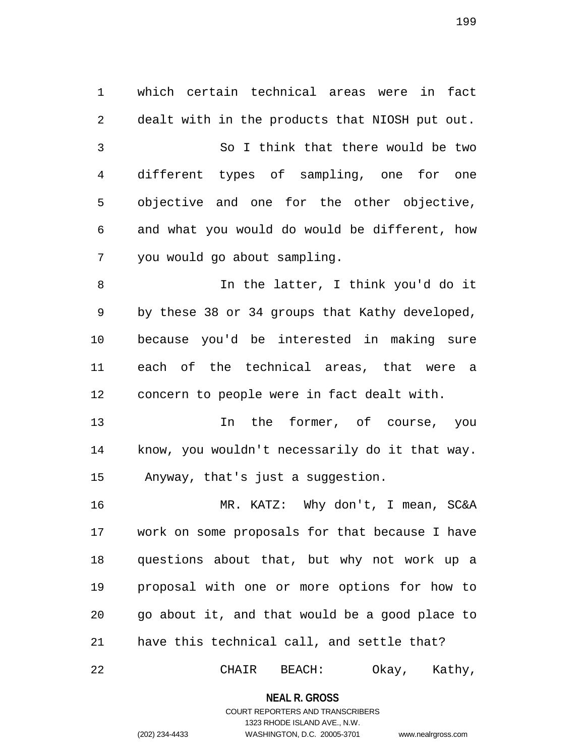1 which certain technical areas were in fact 2 dealt with in the products that NIOSH put out. 3 So I think that there would be two 4 different types of sampling, one for one 5 objective and one for the other objective, 6 and what you would do would be different, how 7 you would go about sampling. 8 In the latter, I think you'd do it 9 by these 38 or 34 groups that Kathy developed, 10 because you'd be interested in making sure 11 each of the technical areas, that were a 12 concern to people were in fact dealt with. 13 13 In the former, of course, you 14 know, you wouldn't necessarily do it that way. 15 Anyway, that's just a suggestion. 16 MR. KATZ: Why don't, I mean, SC&A 17 work on some proposals for that because I have

18 questions about that, but why not work up a 19 proposal with one or more options for how to 20 go about it, and that would be a good place to 21 have this technical call, and settle that?

22 CHAIR BEACH: Okay, Kathy,

**NEAL R. GROSS**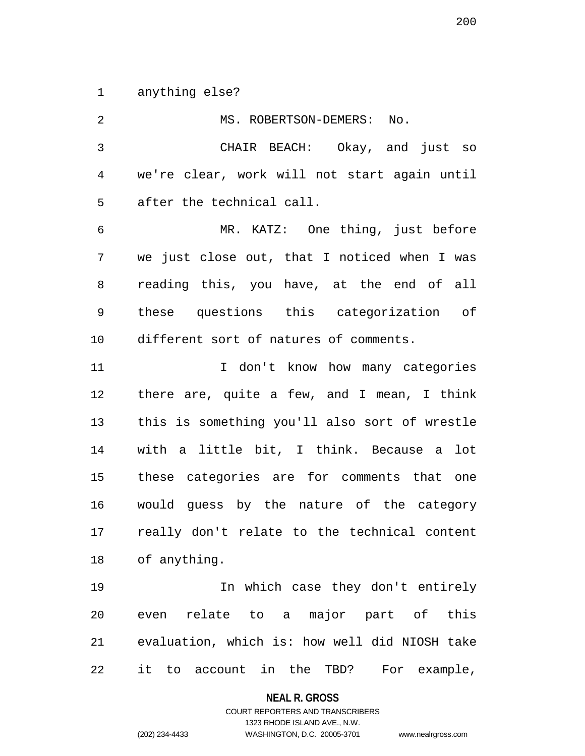1 anything else?

2 MS. ROBERTSON-DEMERS: No. 3 CHAIR BEACH: Okay, and just so 4 we're clear, work will not start again until 5 after the technical call. 6 MR. KATZ: One thing, just before 7 we just close out, that I noticed when I was 8 reading this, you have, at the end of all 9 these questions this categorization of 10 different sort of natures of comments. 11 1 I don't know how many categories 12 there are, quite a few, and I mean, I think 13 this is something you'll also sort of wrestle 14 with a little bit, I think. Because a lot 15 these categories are for comments that one 16 would guess by the nature of the category 17 really don't relate to the technical content 18 of anything. 19 In which case they don't entirely 20 even relate to a major part of this 21 evaluation, which is: how well did NIOSH take 22 it to account in the TBD? For example,

**NEAL R. GROSS**

COURT REPORTERS AND TRANSCRIBERS 1323 RHODE ISLAND AVE., N.W. (202) 234-4433 WASHINGTON, D.C. 20005-3701 www.nealrgross.com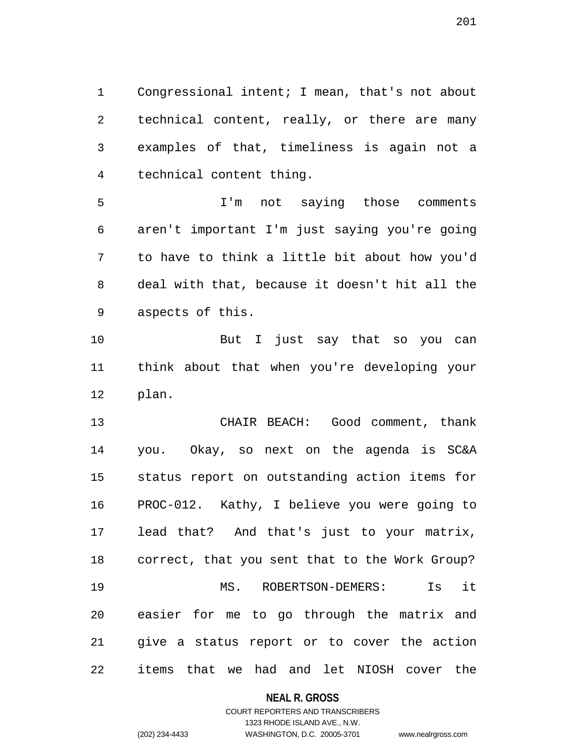1 Congressional intent; I mean, that's not about 2 technical content, really, or there are many 3 examples of that, timeliness is again not a 4 technical content thing.

5 I'm not saying those comments 6 aren't important I'm just saying you're going 7 to have to think a little bit about how you'd 8 deal with that, because it doesn't hit all the 9 aspects of this.

10 But I just say that so you can 11 think about that when you're developing your 12 plan.

13 CHAIR BEACH: Good comment, thank 14 you. Okay, so next on the agenda is SC&A 15 status report on outstanding action items for 16 PROC-012. Kathy, I believe you were going to 17 lead that? And that's just to your matrix, 18 correct, that you sent that to the Work Group? 19 MS. ROBERTSON-DEMERS: Is it 20 easier for me to go through the matrix and 21 give a status report or to cover the action 22 items that we had and let NIOSH cover the

#### **NEAL R. GROSS**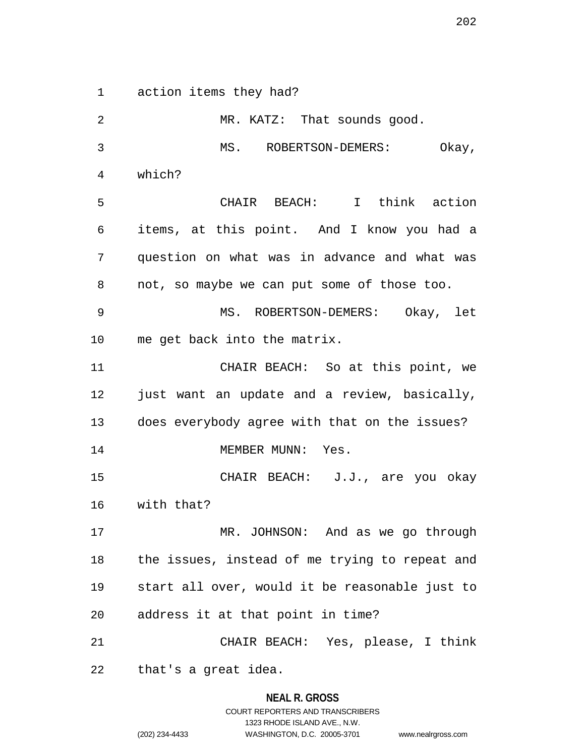1 action items they had?

2 MR. KATZ: That sounds good.

**NEAL R. GROSS** 3 MS. ROBERTSON-DEMERS: Okay, 4 which? 5 CHAIR BEACH: I think action 6 items, at this point. And I know you had a 7 question on what was in advance and what was 8 not, so maybe we can put some of those too. 9 MS. ROBERTSON-DEMERS: Okay, let 10 me get back into the matrix. 11 CHAIR BEACH: So at this point, we 12 just want an update and a review, basically, 13 does everybody agree with that on the issues? 14 MEMBER MUNN: Yes. 15 CHAIR BEACH: J.J., are you okay 16 with that? 17 MR. JOHNSON: And as we go through 18 the issues, instead of me trying to repeat and 19 start all over, would it be reasonable just to 20 address it at that point in time? 21 CHAIR BEACH: Yes, please, I think 22 that's a great idea.

COURT REPORTERS AND TRANSCRIBERS 1323 RHODE ISLAND AVE., N.W. (202) 234-4433 WASHINGTON, D.C. 20005-3701 www.nealrgross.com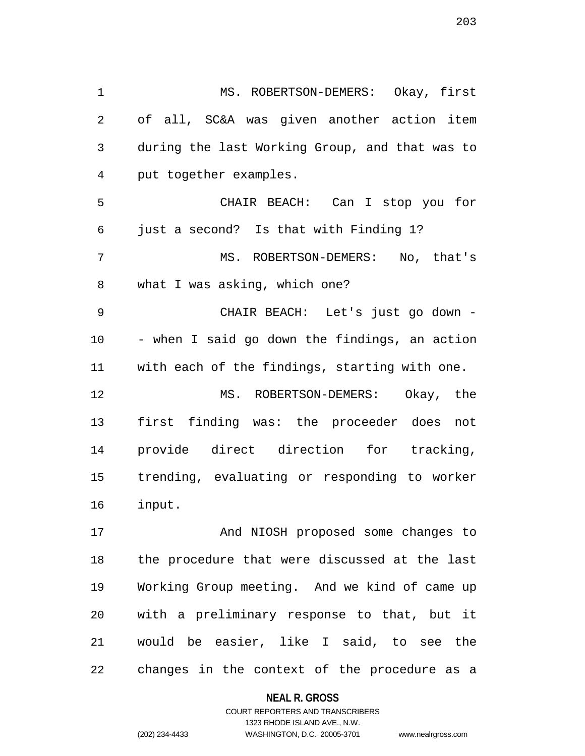1 MS. ROBERTSON-DEMERS: Okay, first 2 of all, SC&A was given another action item 3 during the last Working Group, and that was to 4 put together examples. 5 CHAIR BEACH: Can I stop you for 6 just a second? Is that with Finding 1? 7 MS. ROBERTSON-DEMERS: No, that's 8 what I was asking, which one? 9 CHAIR BEACH: Let's just go down - 10 - when I said go down the findings, an action 11 with each of the findings, starting with one. 12 MS. ROBERTSON-DEMERS: Okay, the 13 first finding was: the proceeder does not 14 provide direct direction for tracking, 15 trending, evaluating or responding to worker 16 input. 17 And NIOSH proposed some changes to

18 the procedure that were discussed at the last 19 Working Group meeting. And we kind of came up 20 with a preliminary response to that, but it 21 would be easier, like I said, to see the 22 changes in the context of the procedure as a

**NEAL R. GROSS**

COURT REPORTERS AND TRANSCRIBERS 1323 RHODE ISLAND AVE., N.W. (202) 234-4433 WASHINGTON, D.C. 20005-3701 www.nealrgross.com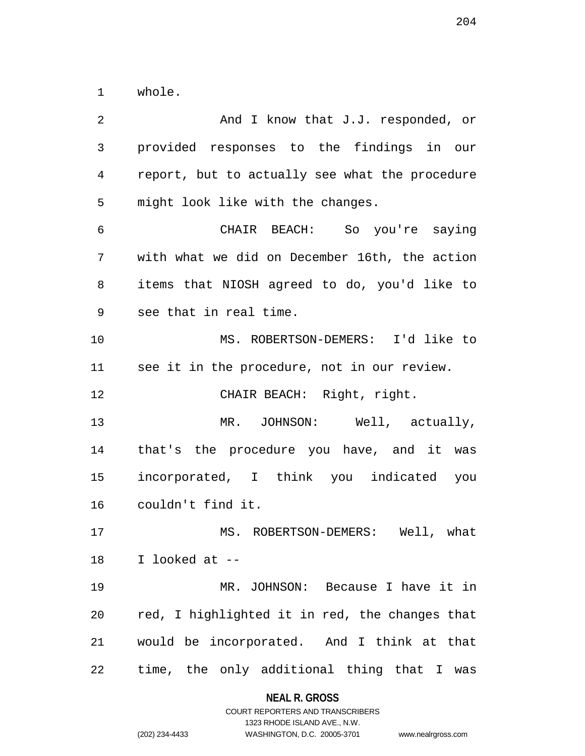1 whole.

2 And I know that J.J. responded, or 3 provided responses to the findings in our 4 report, but to actually see what the procedure 5 might look like with the changes. 6 CHAIR BEACH: So you're saying 7 with what we did on December 16th, the action 8 items that NIOSH agreed to do, you'd like to 9 see that in real time. 10 MS. ROBERTSON-DEMERS: I'd like to 11 see it in the procedure, not in our review. 12 CHAIR BEACH: Right, right. 13 MR. JOHNSON: Well, actually, 14 that's the procedure you have, and it was 15 incorporated, I think you indicated you 16 couldn't find it. 17 MS. ROBERTSON-DEMERS: Well, what 18 I looked at -- 19 MR. JOHNSON: Because I have it in 20 red, I highlighted it in red, the changes that 21 would be incorporated. And I think at that 22 time, the only additional thing that I was

**NEAL R. GROSS**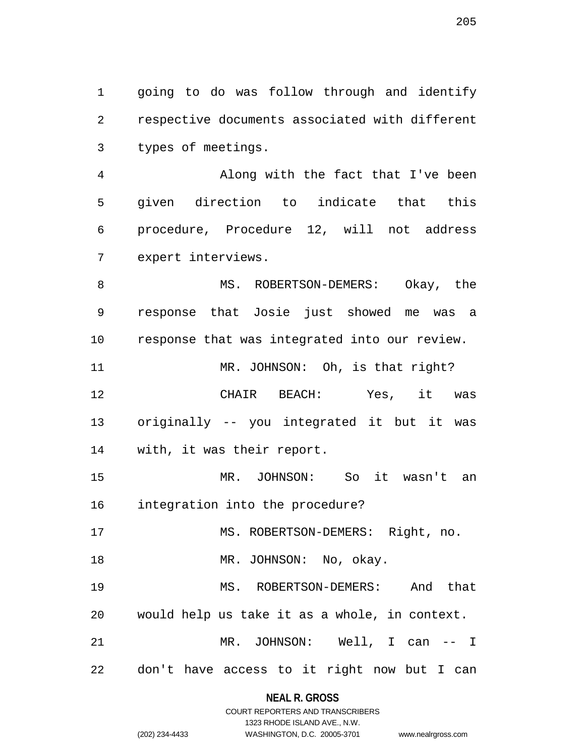1 going to do was follow through and identify 2 respective documents associated with different 3 types of meetings.

4 Along with the fact that I've been 5 given direction to indicate that this 6 procedure, Procedure 12, will not address 7 expert interviews.

8 MS. ROBERTSON-DEMERS: Okay, the 9 response that Josie just showed me was a 10 response that was integrated into our review.

11 MR. JOHNSON: Oh, is that right? 12 CHAIR BEACH: Yes, it was 13 originally -- you integrated it but it was 14 with, it was their report.

15 MR. JOHNSON: So it wasn't an 16 integration into the procedure?

17 MS. ROBERTSON-DEMERS: Right, no.

18 MR. JOHNSON: No, okay.

19 MS. ROBERTSON-DEMERS: And that 20 would help us take it as a whole, in context. 21 MR. JOHNSON: Well, I can -- I

22 don't have access to it right now but I can

# **NEAL R. GROSS** COURT REPORTERS AND TRANSCRIBERS

1323 RHODE ISLAND AVE., N.W.

| (202) 234-4433 |  |
|----------------|--|

WASHINGTON, D.C. 20005-3701 www.nealrgross.com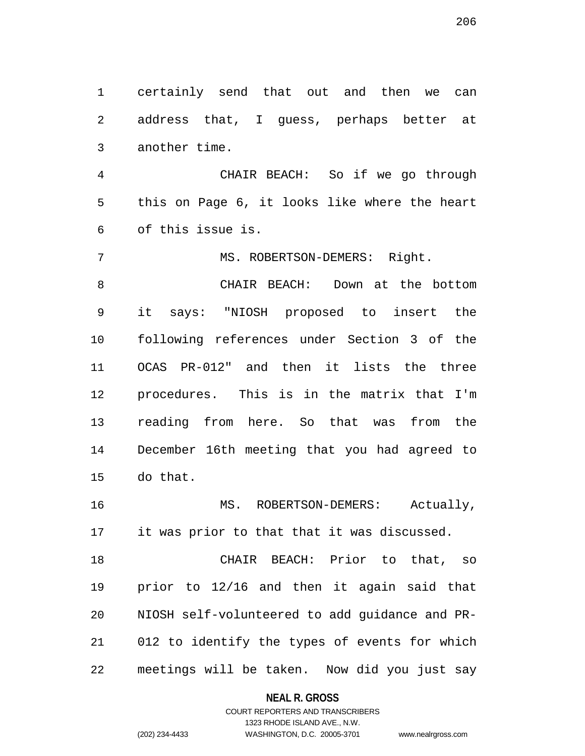1 certainly send that out and then we can 2 address that, I guess, perhaps better at 3 another time.

4 CHAIR BEACH: So if we go through 5 this on Page 6, it looks like where the heart 6 of this issue is.

7 MS. ROBERTSON-DEMERS: Right.

8 CHAIR BEACH: Down at the bottom 9 it says: "NIOSH proposed to insert the 10 following references under Section 3 of the 11 OCAS PR-012" and then it lists the three 12 procedures. This is in the matrix that I'm 13 reading from here. So that was from the 14 December 16th meeting that you had agreed to 15 do that.

16 MS. ROBERTSON-DEMERS: Actually, 17 it was prior to that that it was discussed.

18 CHAIR BEACH: Prior to that, so 19 prior to 12/16 and then it again said that 20 NIOSH self-volunteered to add guidance and PR-21 012 to identify the types of events for which 22 meetings will be taken. Now did you just say

**NEAL R. GROSS**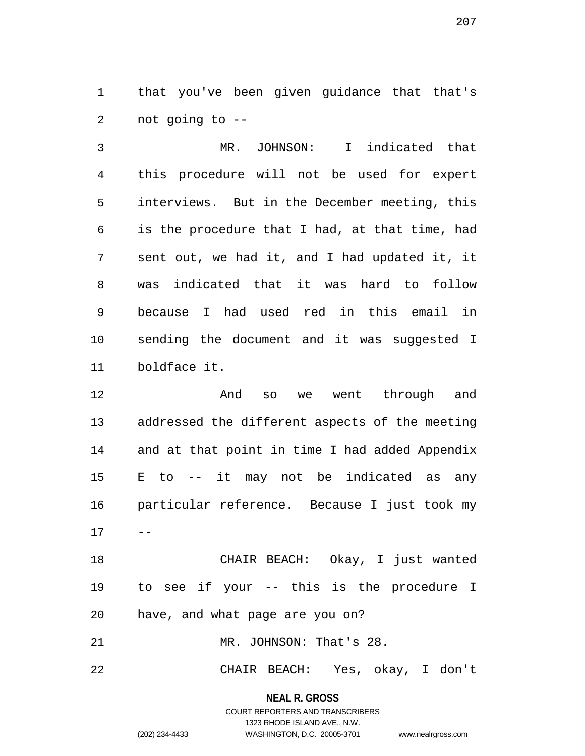1 that you've been given guidance that that's 2 not going to --

3 MR. JOHNSON: I indicated that 4 this procedure will not be used for expert 5 interviews. But in the December meeting, this 6 is the procedure that I had, at that time, had 7 sent out, we had it, and I had updated it, it 8 was indicated that it was hard to follow 9 because I had used red in this email in 10 sending the document and it was suggested I 11 boldface it.

12 And so we went through and 13 addressed the different aspects of the meeting 14 and at that point in time I had added Appendix 15 E to -- it may not be indicated as any 16 particular reference. Because I just took my  $17 - -$ 

18 CHAIR BEACH: Okay, I just wanted 19 to see if your -- this is the procedure I 20 have, and what page are you on?

21 MR. JOHNSON: That's 28.

22 CHAIR BEACH: Yes, okay, I don't

**NEAL R. GROSS** COURT REPORTERS AND TRANSCRIBERS

1323 RHODE ISLAND AVE., N.W.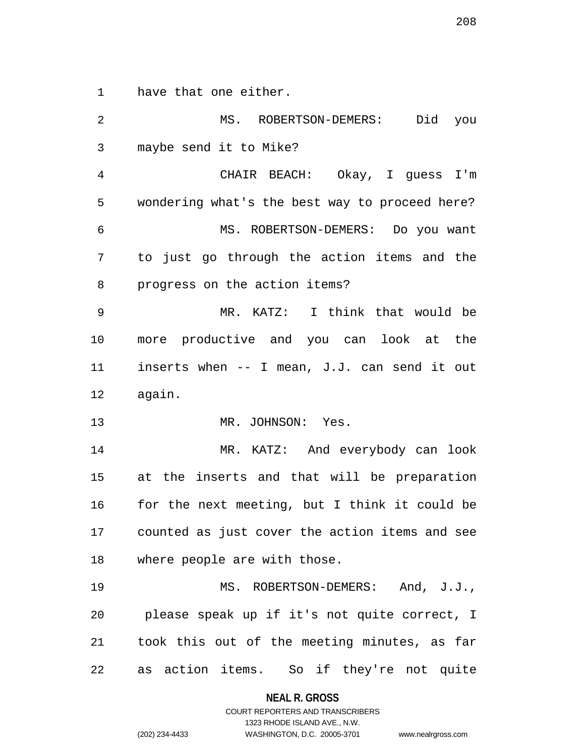1 have that one either.

2 MS. ROBERTSON-DEMERS: Did you 3 maybe send it to Mike? 4 CHAIR BEACH: Okay, I guess I'm 5 wondering what's the best way to proceed here? 6 MS. ROBERTSON-DEMERS: Do you want 7 to just go through the action items and the 8 progress on the action items? 9 MR. KATZ: I think that would be 10 more productive and you can look at the 11 inserts when -- I mean, J.J. can send it out 12 again. 13 MR. JOHNSON: Yes. 14 MR. KATZ: And everybody can look 15 at the inserts and that will be preparation 16 for the next meeting, but I think it could be 17 counted as just cover the action items and see 18 where people are with those. 19 MS. ROBERTSON-DEMERS: And, J.J., 20 please speak up if it's not quite correct, I 21 took this out of the meeting minutes, as far 22 as action items. So if they're not quite

> **NEAL R. GROSS** COURT REPORTERS AND TRANSCRIBERS

> > 1323 RHODE ISLAND AVE., N.W.

(202) 234-4433 WASHINGTON, D.C. 20005-3701 www.nealrgross.com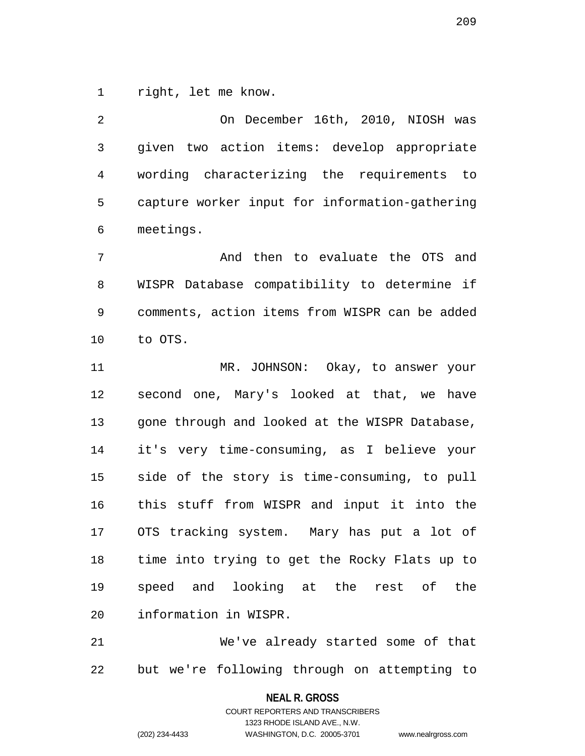1 right, let me know.

2 On December 16th, 2010, NIOSH was 3 given two action items: develop appropriate 4 wording characterizing the requirements to 5 capture worker input for information-gathering 6 meetings.

7 And then to evaluate the OTS and 8 WISPR Database compatibility to determine if 9 comments, action items from WISPR can be added 10 to OTS.

11 MR. JOHNSON: Okay, to answer your 12 second one, Mary's looked at that, we have 13 gone through and looked at the WISPR Database, 14 it's very time-consuming, as I believe your 15 side of the story is time-consuming, to pull 16 this stuff from WISPR and input it into the 17 OTS tracking system. Mary has put a lot of 18 time into trying to get the Rocky Flats up to 19 speed and looking at the rest of the 20 information in WISPR.

21 We've already started some of that 22 but we're following through on attempting to

> **NEAL R. GROSS** COURT REPORTERS AND TRANSCRIBERS

> > 1323 RHODE ISLAND AVE., N.W.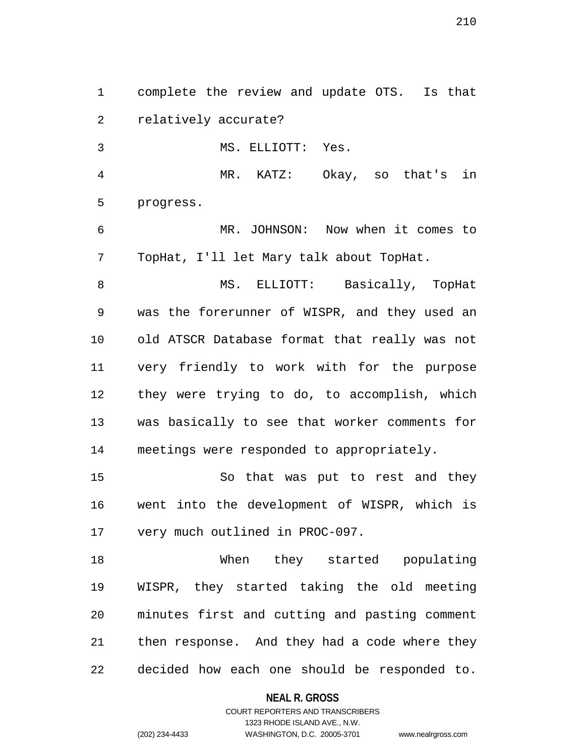1 complete the review and update OTS. Is that 2 relatively accurate?

3 MS. ELLIOTT: Yes.

4 MR. KATZ: Okay, so that's in 5 progress.

6 MR. JOHNSON: Now when it comes to 7 TopHat, I'll let Mary talk about TopHat.

8 MS. ELLIOTT: Basically, TopHat 9 was the forerunner of WISPR, and they used an 10 old ATSCR Database format that really was not 11 very friendly to work with for the purpose 12 they were trying to do, to accomplish, which 13 was basically to see that worker comments for 14 meetings were responded to appropriately.

15 So that was put to rest and they 16 went into the development of WISPR, which is 17 very much outlined in PROC-097.

18 When they started populating 19 WISPR, they started taking the old meeting 20 minutes first and cutting and pasting comment 21 then response. And they had a code where they 22 decided how each one should be responded to.

#### **NEAL R. GROSS**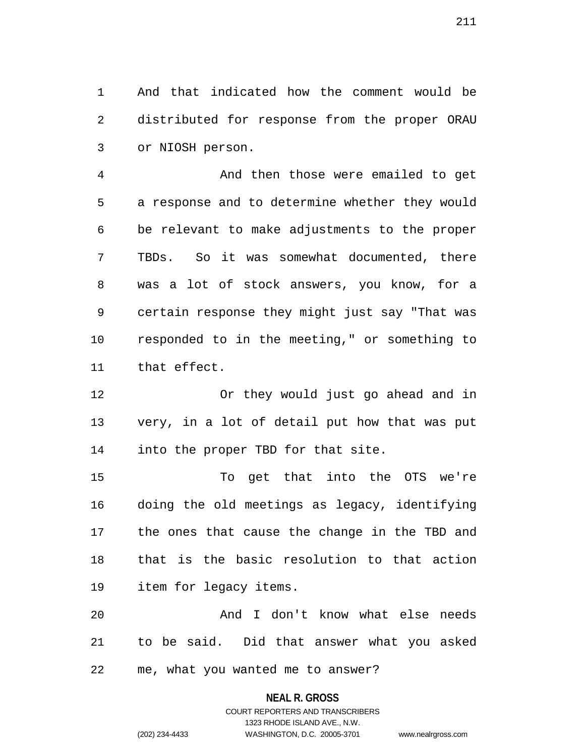1 And that indicated how the comment would be 2 distributed for response from the proper ORAU 3 or NIOSH person.

4 And then those were emailed to get 5 a response and to determine whether they would 6 be relevant to make adjustments to the proper 7 TBDs. So it was somewhat documented, there 8 was a lot of stock answers, you know, for a 9 certain response they might just say "That was 10 responded to in the meeting," or something to 11 that effect.

12 Or they would just go ahead and in 13 very, in a lot of detail put how that was put 14 into the proper TBD for that site.

15 To get that into the OTS we're 16 doing the old meetings as legacy, identifying 17 the ones that cause the change in the TBD and 18 that is the basic resolution to that action 19 item for legacy items.

20 And I don't know what else needs 21 to be said. Did that answer what you asked 22 me, what you wanted me to answer?

# **NEAL R. GROSS**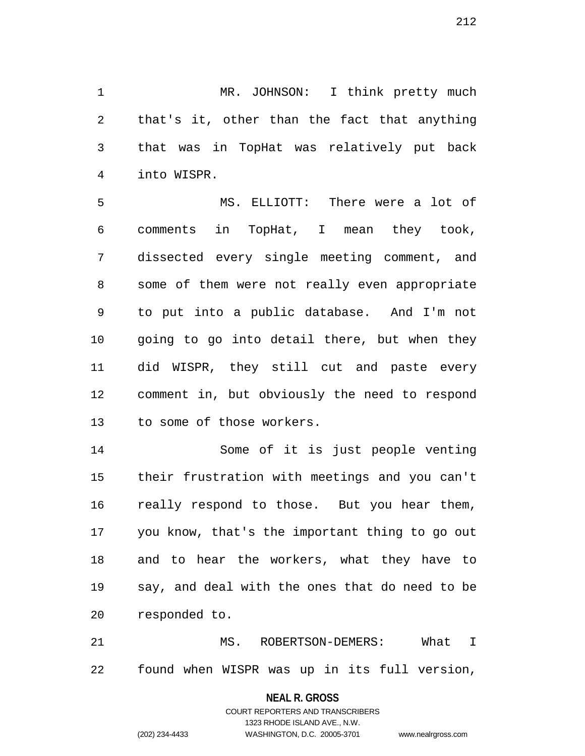1 MR. JOHNSON: I think pretty much 2 that's it, other than the fact that anything 3 that was in TopHat was relatively put back 4 into WISPR.

5 MS. ELLIOTT: There were a lot of 6 comments in TopHat, I mean they took, 7 dissected every single meeting comment, and 8 some of them were not really even appropriate 9 to put into a public database. And I'm not 10 going to go into detail there, but when they 11 did WISPR, they still cut and paste every 12 comment in, but obviously the need to respond 13 to some of those workers.

14 Some of it is just people venting 15 their frustration with meetings and you can't 16 really respond to those. But you hear them, 17 you know, that's the important thing to go out 18 and to hear the workers, what they have to 19 say, and deal with the ones that do need to be 20 responded to.

21 MS. ROBERTSON-DEMERS: What I 22 found when WISPR was up in its full version,

#### **NEAL R. GROSS**

COURT REPORTERS AND TRANSCRIBERS 1323 RHODE ISLAND AVE., N.W. (202) 234-4433 WASHINGTON, D.C. 20005-3701 www.nealrgross.com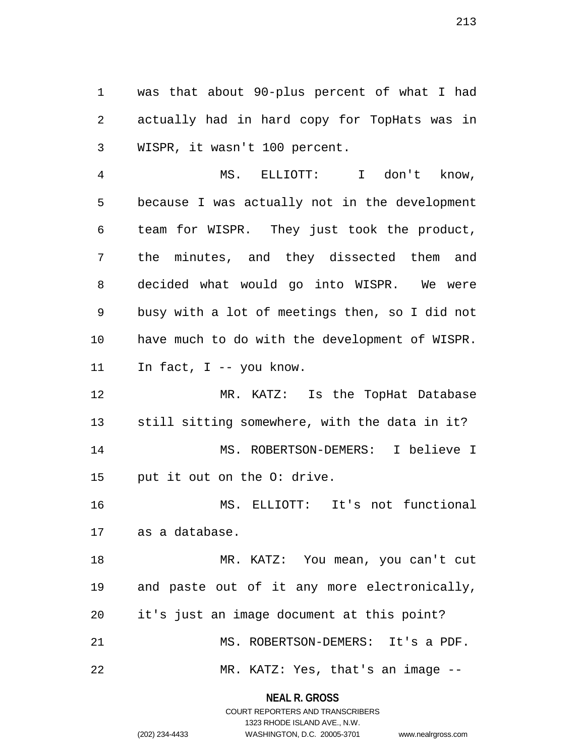1 was that about 90-plus percent of what I had 2 actually had in hard copy for TopHats was in 3 WISPR, it wasn't 100 percent.

4 MS. ELLIOTT: I don't know, 5 because I was actually not in the development 6 team for WISPR. They just took the product, 7 the minutes, and they dissected them and 8 decided what would go into WISPR. We were 9 busy with a lot of meetings then, so I did not 10 have much to do with the development of WISPR. 11 In fact, I -- you know.

12 MR. KATZ: Is the TopHat Database 13 still sitting somewhere, with the data in it? 14 MS. ROBERTSON-DEMERS: I believe I 15 put it out on the O: drive.

16 MS. ELLIOTT: It's not functional 17 as a database.

18 MR. KATZ: You mean, you can't cut 19 and paste out of it any more electronically, 20 it's just an image document at this point? 21 MS. ROBERTSON-DEMERS: It's a PDF.

22 MR. KATZ: Yes, that's an image --

**NEAL R. GROSS** COURT REPORTERS AND TRANSCRIBERS

1323 RHODE ISLAND AVE., N.W.

| (202) 234-4433 |
|----------------|
|                |

```
WASHINGTON, D.C. 20005-3701 www.nealrgross.com
```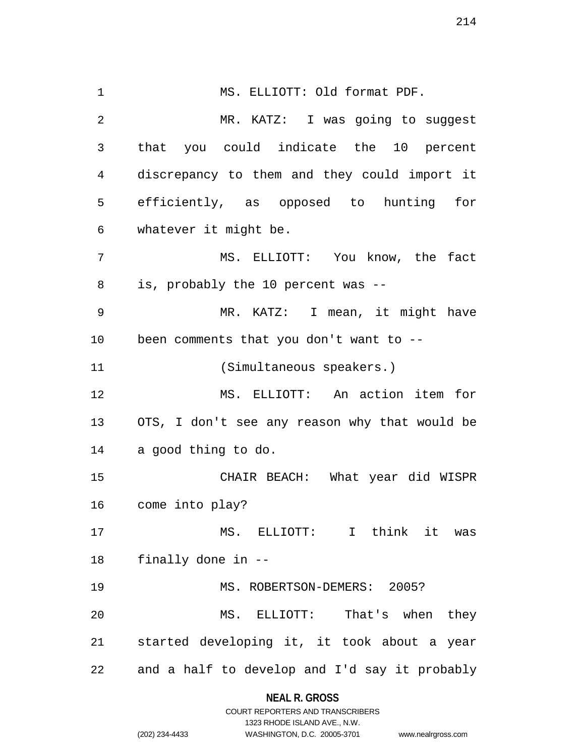1 MS. ELLIOTT: Old format PDF. 2 MR. KATZ: I was going to suggest 3 that you could indicate the 10 percent 4 discrepancy to them and they could import it 5 efficiently, as opposed to hunting for 6 whatever it might be. 7 MS. ELLIOTT: You know, the fact 8 is, probably the 10 percent was -- 9 MR. KATZ: I mean, it might have 10 been comments that you don't want to -- 11 (Simultaneous speakers.) 12 MS. ELLIOTT: An action item for 13 OTS, I don't see any reason why that would be 14 a good thing to do. 15 CHAIR BEACH: What year did WISPR 16 come into play? 17 MS. ELLIOTT: I think it was 18 finally done in -- 19 MS. ROBERTSON-DEMERS: 2005? 20 MS. ELLIOTT: That's when they 21 started developing it, it took about a year 22 and a half to develop and I'd say it probably

#### **NEAL R. GROSS**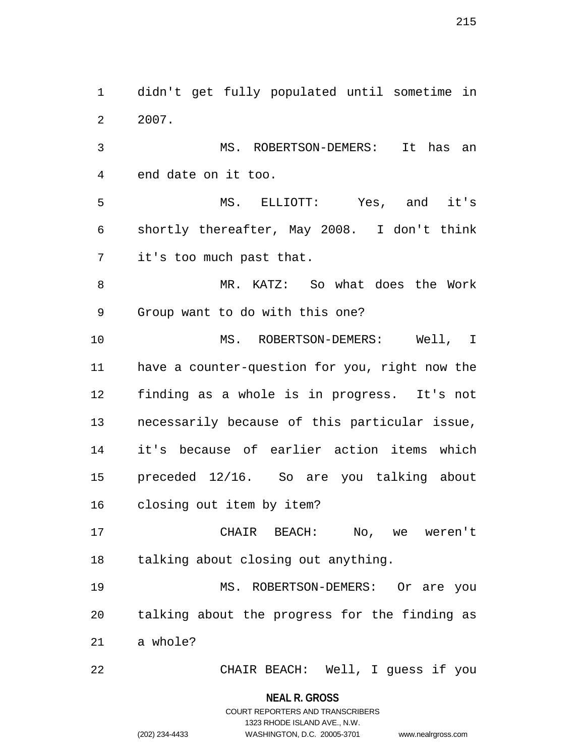1 didn't get fully populated until sometime in 2 2007.

3 MS. ROBERTSON-DEMERS: It has an 4 end date on it too.

5 MS. ELLIOTT: Yes, and it's 6 shortly thereafter, May 2008. I don't think 7 it's too much past that.

8 MR. KATZ: So what does the Work 9 Group want to do with this one?

10 MS. ROBERTSON-DEMERS: Well, I 11 have a counter-question for you, right now the 12 finding as a whole is in progress. It's not 13 necessarily because of this particular issue, 14 it's because of earlier action items which 15 preceded 12/16. So are you talking about 16 closing out item by item?

17 CHAIR BEACH: No, we weren't 18 talking about closing out anything.

19 MS. ROBERTSON-DEMERS: Or are you 20 talking about the progress for the finding as 21 a whole?

22 CHAIR BEACH: Well, I guess if you

**NEAL R. GROSS**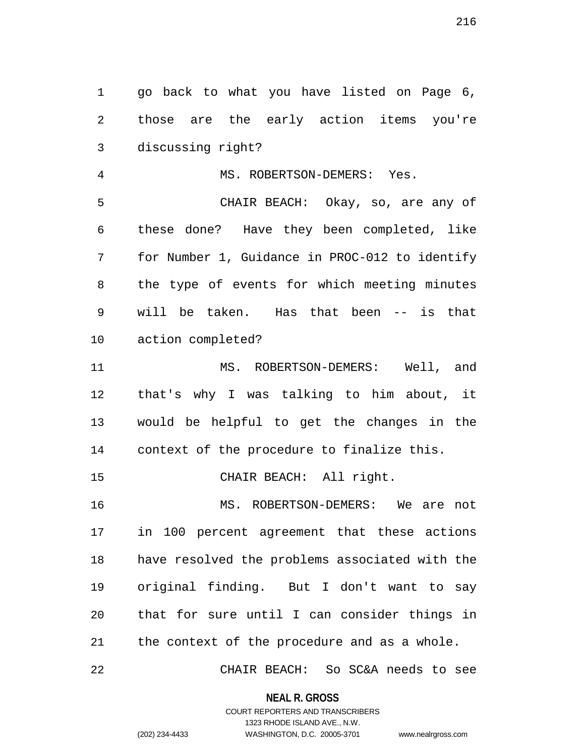1 go back to what you have listed on Page 6, 2 those are the early action items you're 3 discussing right?

4 MS. ROBERTSON-DEMERS: Yes. 5 CHAIR BEACH: Okay, so, are any of 6 these done? Have they been completed, like 7 for Number 1, Guidance in PROC-012 to identify 8 the type of events for which meeting minutes 9 will be taken. Has that been -- is that 10 action completed?

11 MS. ROBERTSON-DEMERS: Well, and 12 that's why I was talking to him about, it 13 would be helpful to get the changes in the 14 context of the procedure to finalize this.

15 CHAIR BEACH: All right.

16 MS. ROBERTSON-DEMERS: We are not 17 in 100 percent agreement that these actions 18 have resolved the problems associated with the 19 original finding. But I don't want to say 20 that for sure until I can consider things in 21 the context of the procedure and as a whole.

22 CHAIR BEACH: So SC&A needs to see

**NEAL R. GROSS** COURT REPORTERS AND TRANSCRIBERS

1323 RHODE ISLAND AVE., N.W.

(202) 234-4433 WASHINGTON, D.C. 20005-3701 www.nealrgross.com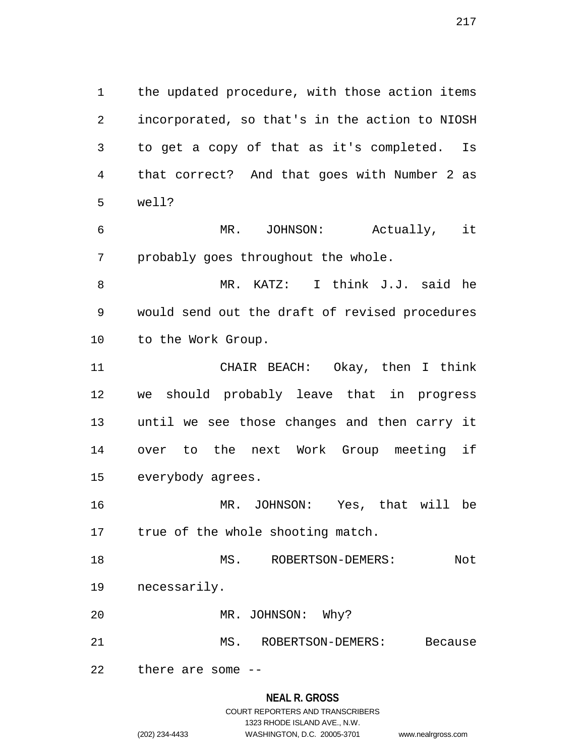1 the updated procedure, with those action items 2 incorporated, so that's in the action to NIOSH 3 to get a copy of that as it's completed. Is 4 that correct? And that goes with Number 2 as 5 well?

6 MR. JOHNSON: Actually, it 7 probably goes throughout the whole.

8 MR. KATZ: I think J.J. said he 9 would send out the draft of revised procedures 10 to the Work Group.

11 CHAIR BEACH: Okay, then I think 12 we should probably leave that in progress 13 until we see those changes and then carry it 14 over to the next Work Group meeting if 15 everybody agrees.

16 MR. JOHNSON: Yes, that will be 17 true of the whole shooting match.

18 MS. ROBERTSON-DEMERS: Not 19 necessarily.

20 MR. JOHNSON: Why?

21 MS. ROBERTSON-DEMERS: Because

22 there are some --

#### **NEAL R. GROSS**

## COURT REPORTERS AND TRANSCRIBERS 1323 RHODE ISLAND AVE., N.W. (202) 234-4433 WASHINGTON, D.C. 20005-3701 www.nealrgross.com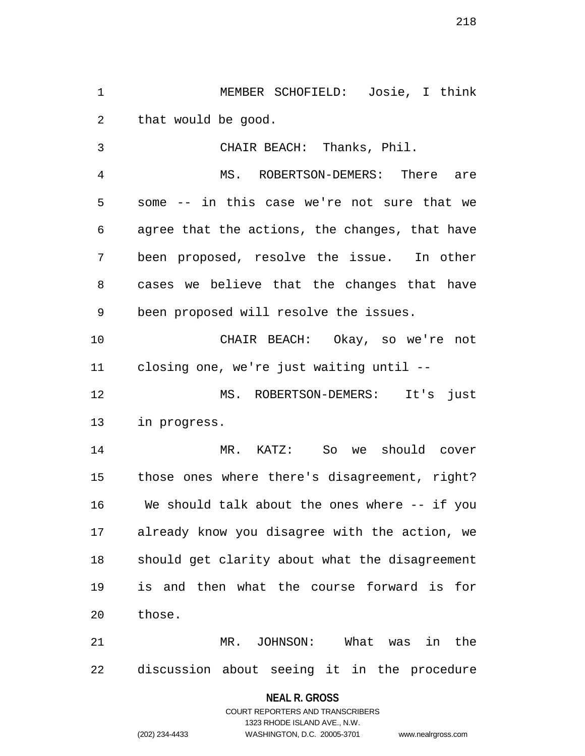1 MEMBER SCHOFIELD: Josie, I think 2 that would be good.

3 CHAIR BEACH: Thanks, Phil. 4 MS. ROBERTSON-DEMERS: There are 5 some -- in this case we're not sure that we 6 agree that the actions, the changes, that have 7 been proposed, resolve the issue. In other 8 cases we believe that the changes that have 9 been proposed will resolve the issues. 10 CHAIR BEACH: Okay, so we're not 11 closing one, we're just waiting until -- 12 MS. ROBERTSON-DEMERS: It's just 13 in progress. 14 MR. KATZ: So we should cover 15 those ones where there's disagreement, right? 16 We should talk about the ones where -- if you 17 already know you disagree with the action, we 18 should get clarity about what the disagreement 19 is and then what the course forward is for

21 MR. JOHNSON: What was in the 22 discussion about seeing it in the procedure

20 those.

# **NEAL R. GROSS** COURT REPORTERS AND TRANSCRIBERS 1323 RHODE ISLAND AVE., N.W. (202) 234-4433 WASHINGTON, D.C. 20005-3701 www.nealrgross.com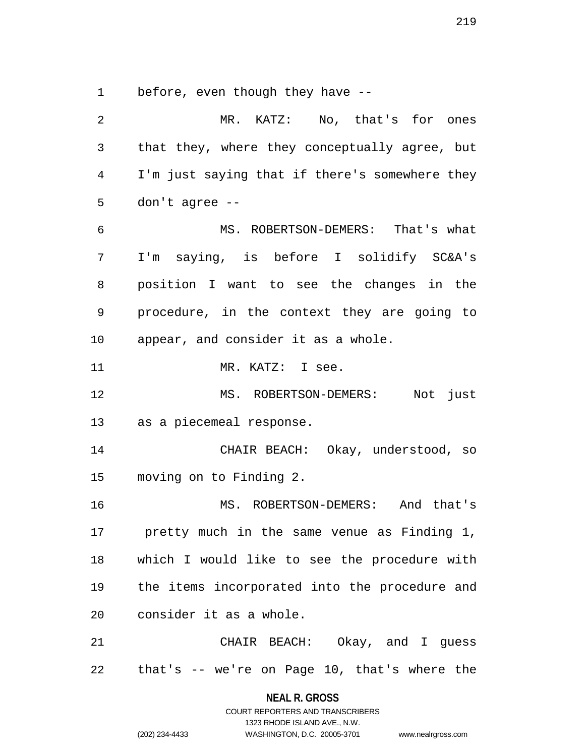1 before, even though they have --

2 MR. KATZ: No, that's for ones 3 that they, where they conceptually agree, but 4 I'm just saying that if there's somewhere they 5 don't agree -- 6 MS. ROBERTSON-DEMERS: That's what 7 I'm saying, is before I solidify SC&A's 8 position I want to see the changes in the 9 procedure, in the context they are going to 10 appear, and consider it as a whole. 11 MR. KATZ: I see. 12 MS. ROBERTSON-DEMERS: Not just 13 as a piecemeal response. 14 CHAIR BEACH: Okay, understood, so 15 moving on to Finding 2. 16 MS. ROBERTSON-DEMERS: And that's 17 pretty much in the same venue as Finding 1, 18 which I would like to see the procedure with 19 the items incorporated into the procedure and 20 consider it as a whole. 21 CHAIR BEACH: Okay, and I guess 22 that's -- we're on Page 10, that's where the

> **NEAL R. GROSS** COURT REPORTERS AND TRANSCRIBERS

> > 1323 RHODE ISLAND AVE., N.W.

(202) 234-4433 WASHINGTON, D.C. 20005-3701 www.nealrgross.com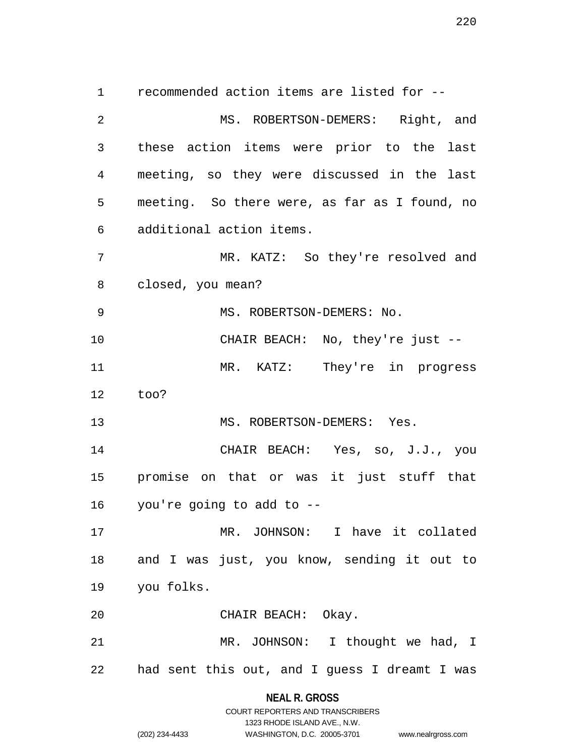1 recommended action items are listed for -- 2 MS. ROBERTSON-DEMERS: Right, and 3 these action items were prior to the last 4 meeting, so they were discussed in the last 5 meeting. So there were, as far as I found, no 6 additional action items. 7 MR. KATZ: So they're resolved and 8 closed, you mean? 9 MS. ROBERTSON-DEMERS: No. 10 CHAIR BEACH: No, they're just -- 11 MR. KATZ: They're in progress 12 too? 13 MS. ROBERTSON-DEMERS: Yes. 14 CHAIR BEACH: Yes, so, J.J., you 15 promise on that or was it just stuff that 16 you're going to add to -- 17 MR. JOHNSON: I have it collated 18 and I was just, you know, sending it out to 19 you folks. 20 CHAIR BEACH: Okay. 21 MR. JOHNSON: I thought we had, I 22 had sent this out, and I guess I dreamt I was

## **NEAL R. GROSS** COURT REPORTERS AND TRANSCRIBERS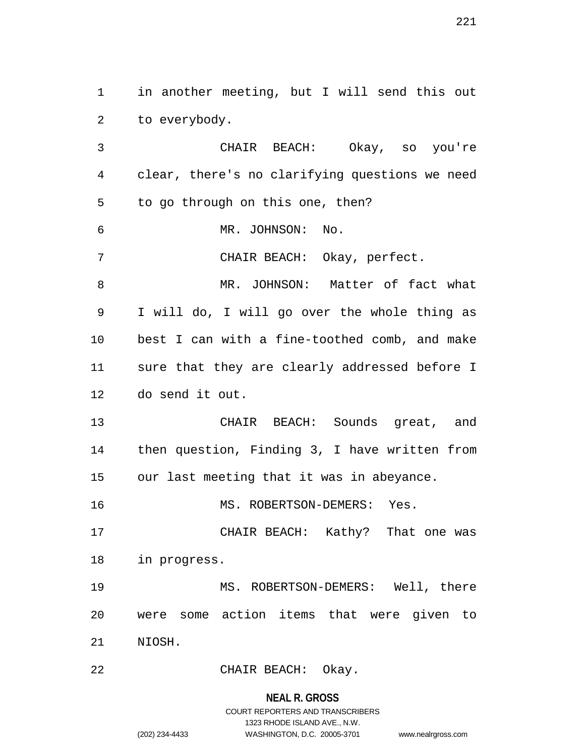1 in another meeting, but I will send this out 2 to everybody.

3 CHAIR BEACH: Okay, so you're 4 clear, there's no clarifying questions we need 5 to go through on this one, then? 6 MR. JOHNSON: No. 7 CHAIR BEACH: Okay, perfect. 8 MR. JOHNSON: Matter of fact what 9 I will do, I will go over the whole thing as 10 best I can with a fine-toothed comb, and make 11 sure that they are clearly addressed before I 12 do send it out. 13 CHAIR BEACH: Sounds great, and 14 then question, Finding 3, I have written from 15 our last meeting that it was in abeyance. 16 MS. ROBERTSON-DEMERS: Yes. 17 CHAIR BEACH: Kathy? That one was 18 in progress. 19 MS. ROBERTSON-DEMERS: Well, there 20 were some action items that were given to 21 NIOSH.

22 CHAIR BEACH: Okay.

**NEAL R. GROSS** COURT REPORTERS AND TRANSCRIBERS

1323 RHODE ISLAND AVE., N.W.

(202) 234-4433 WASHINGTON, D.C. 20005-3701 www.nealrgross.com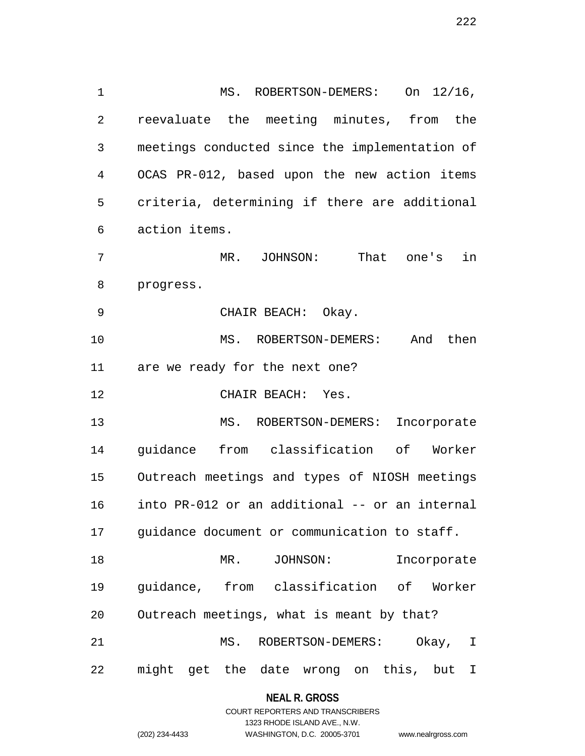1 MS. ROBERTSON-DEMERS: On  $12/16$ , 2 reevaluate the meeting minutes, from the 3 meetings conducted since the implementation of 4 OCAS PR-012, based upon the new action items 5 criteria, determining if there are additional 6 action items. 7 MR. JOHNSON: That one's in 8 progress. 9 CHAIR BEACH: Okay. 10 MS. ROBERTSON-DEMERS: And then 11 are we ready for the next one? 12 CHAIR BEACH: Yes. 13 MS. ROBERTSON-DEMERS: Incorporate 14 guidance from classification of Worker 15 Outreach meetings and types of NIOSH meetings 16 into PR-012 or an additional -- or an internal 17 guidance document or communication to staff. 18 MR. JOHNSON: Incorporate 19 guidance, from classification of Worker 20 Outreach meetings, what is meant by that? 21 MS. ROBERTSON-DEMERS: Okay, I 22 might get the date wrong on this, but I

#### **NEAL R. GROSS**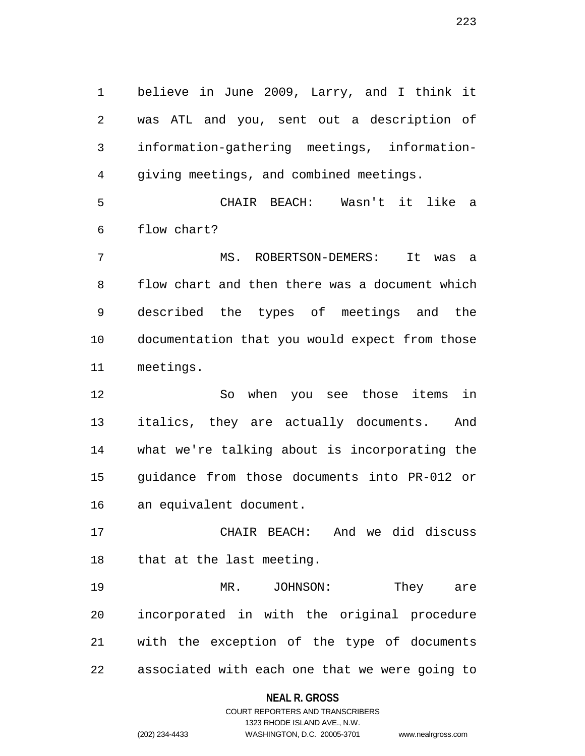1 believe in June 2009, Larry, and I think it 2 was ATL and you, sent out a description of 3 information-gathering meetings, information-4 giving meetings, and combined meetings.

5 CHAIR BEACH: Wasn't it like a 6 flow chart?

7 MS. ROBERTSON-DEMERS: It was a 8 flow chart and then there was a document which 9 described the types of meetings and the 10 documentation that you would expect from those 11 meetings.

12 So when you see those items in 13 italics, they are actually documents. And 14 what we're talking about is incorporating the 15 guidance from those documents into PR-012 or 16 an equivalent document.

17 CHAIR BEACH: And we did discuss 18 that at the last meeting.

19 MR. JOHNSON: They are 20 incorporated in with the original procedure 21 with the exception of the type of documents 22 associated with each one that we were going to

#### **NEAL R. GROSS**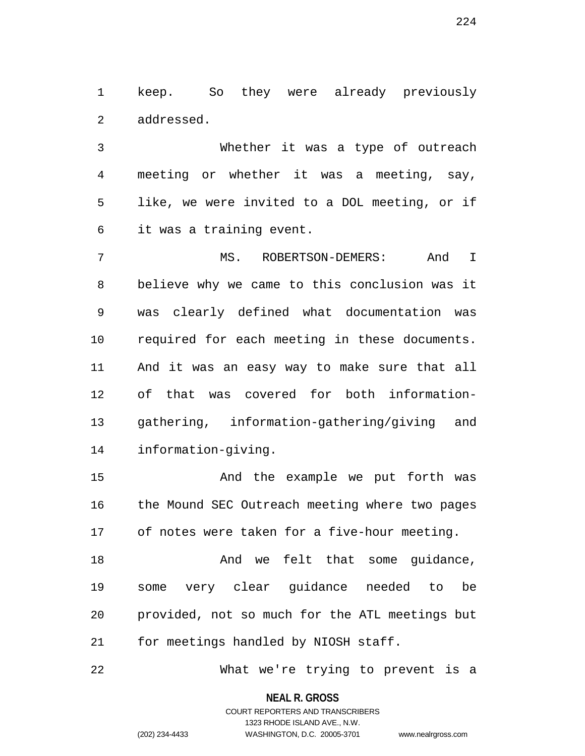1 keep. So they were already previously 2 addressed.

3 Whether it was a type of outreach 4 meeting or whether it was a meeting, say, 5 like, we were invited to a DOL meeting, or if 6 it was a training event.

7 MS. ROBERTSON-DEMERS: And I 8 believe why we came to this conclusion was it 9 was clearly defined what documentation was 10 required for each meeting in these documents. 11 And it was an easy way to make sure that all 12 of that was covered for both information-13 gathering, information-gathering/giving and 14 information-giving.

15 And the example we put forth was 16 the Mound SEC Outreach meeting where two pages 17 of notes were taken for a five-hour meeting.

18 and we felt that some quidance, 19 some very clear guidance needed to be 20 provided, not so much for the ATL meetings but 21 for meetings handled by NIOSH staff.

22 What we're trying to prevent is a

**NEAL R. GROSS** COURT REPORTERS AND TRANSCRIBERS

1323 RHODE ISLAND AVE., N.W.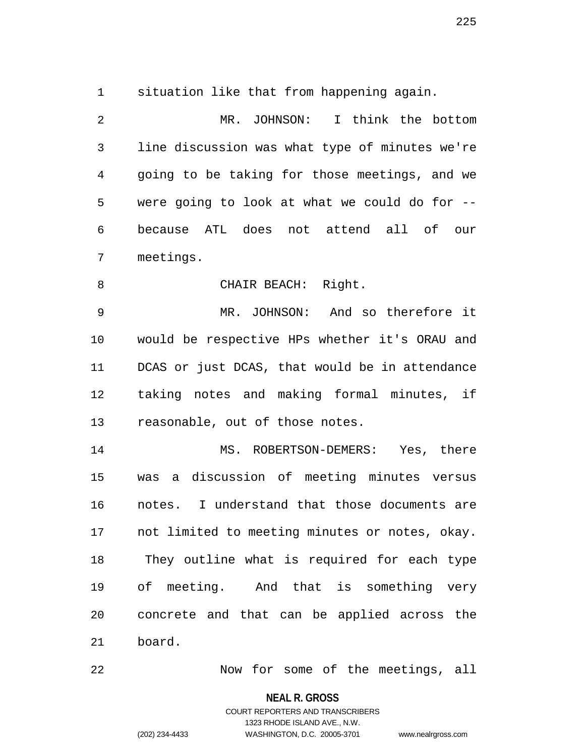1 situation like that from happening again.

2 MR. JOHNSON: I think the bottom 3 line discussion was what type of minutes we're 4 going to be taking for those meetings, and we 5 were going to look at what we could do for -- 6 because ATL does not attend all of our 7 meetings.

8 CHAIR BEACH: Right.

9 MR. JOHNSON: And so therefore it 10 would be respective HPs whether it's ORAU and 11 DCAS or just DCAS, that would be in attendance 12 taking notes and making formal minutes, if 13 reasonable, out of those notes.

14 MS. ROBERTSON-DEMERS: Yes, there 15 was a discussion of meeting minutes versus 16 notes. I understand that those documents are 17 not limited to meeting minutes or notes, okay. 18 They outline what is required for each type 19 of meeting. And that is something very 20 concrete and that can be applied across the 21 board.

22 Now for some of the meetings, all

**NEAL R. GROSS**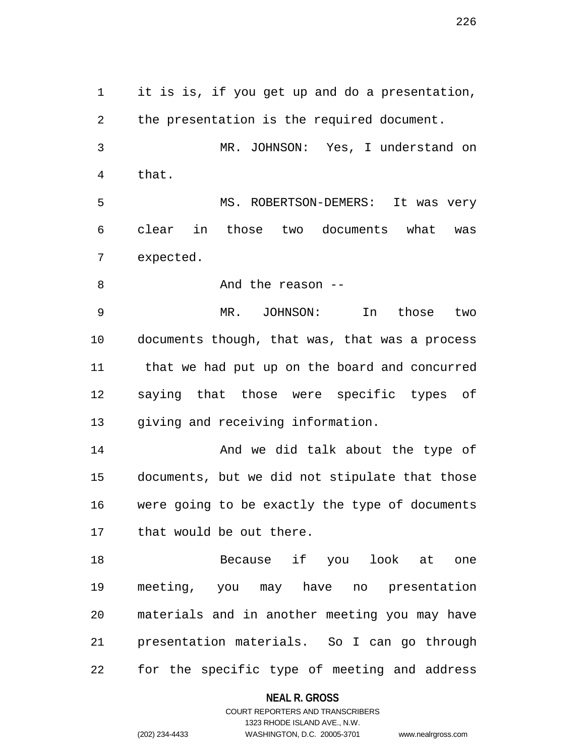1 it is is, if you get up and do a presentation, 2 the presentation is the required document. 3 MR. JOHNSON: Yes, I understand on 4 that. 5 MS. ROBERTSON-DEMERS: It was very 6 clear in those two documents what was 7 expected. 8 And the reason --9 MR. JOHNSON: In those two 11 that we had put up on the board and concurred 14 **And we did talk about the type of** 15 documents, but we did not stipulate that those 16 were going to be exactly the type of documents 18 Because if you look at one 19 meeting, you may have no presentation 20 materials and in another meeting you may have

22 for the specific type of meeting and address

21 presentation materials. So I can go through

**NEAL R. GROSS**

COURT REPORTERS AND TRANSCRIBERS 1323 RHODE ISLAND AVE., N.W. (202) 234-4433 WASHINGTON, D.C. 20005-3701 www.nealrgross.com

226

10 documents though, that was, that was a process 12 saying that those were specific types of 13 giving and receiving information.

17 that would be out there.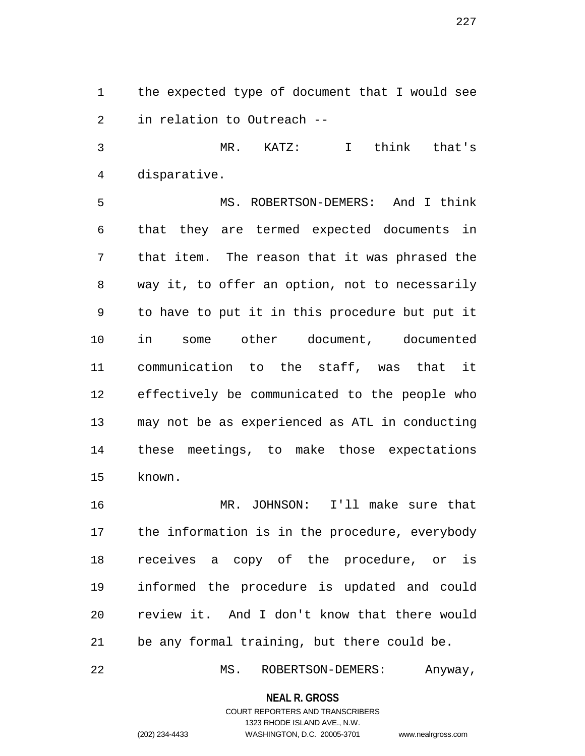1 the expected type of document that I would see 2 in relation to Outreach --

3 MR. KATZ: I think that's 4 disparative.

5 MS. ROBERTSON-DEMERS: And I think 6 that they are termed expected documents in 7 that item. The reason that it was phrased the 8 way it, to offer an option, not to necessarily 9 to have to put it in this procedure but put it 10 in some other document, documented 11 communication to the staff, was that it 12 effectively be communicated to the people who 13 may not be as experienced as ATL in conducting 14 these meetings, to make those expectations 15 known.

16 MR. JOHNSON: I'll make sure that 17 the information is in the procedure, everybody 18 receives a copy of the procedure, or is 19 informed the procedure is updated and could 20 review it. And I don't know that there would 21 be any formal training, but there could be.

22 MS. ROBERTSON-DEMERS: Anyway,

**NEAL R. GROSS**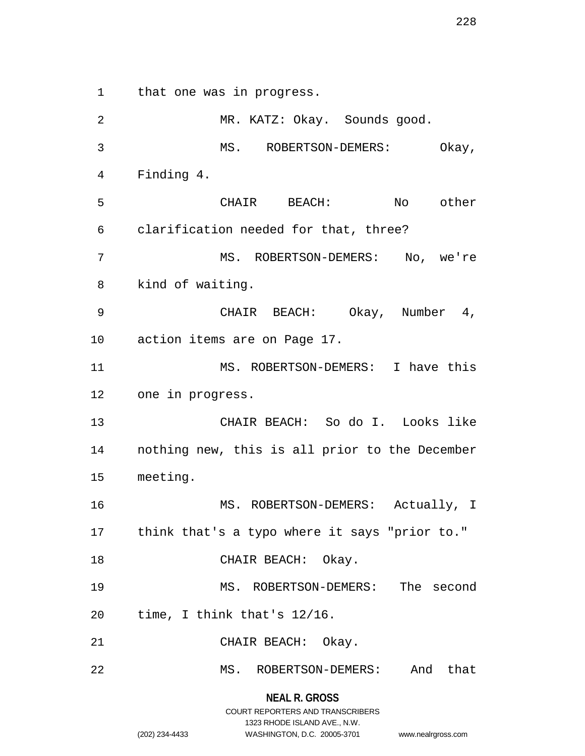1 that one was in progress.

**NEAL R. GROSS** 2 MR. KATZ: Okay. Sounds good. 3 MS. ROBERTSON-DEMERS: Okay, 4 Finding 4. 5 CHAIR BEACH: No other 6 clarification needed for that, three? 7 MS. ROBERTSON-DEMERS: No, we're 8 kind of waiting. 9 CHAIR BEACH: Okay, Number 4, 10 action items are on Page 17. 11 MS. ROBERTSON-DEMERS: I have this 12 one in progress. 13 CHAIR BEACH: So do I. Looks like 14 nothing new, this is all prior to the December 15 meeting. 16 MS. ROBERTSON-DEMERS: Actually, I 17 think that's a typo where it says "prior to." 18 CHAIR BEACH: Okay. 19 MS. ROBERTSON-DEMERS: The second 20 time, I think that's 12/16. 21 CHAIR BEACH: Okay. 22 MS. ROBERTSON-DEMERS: And that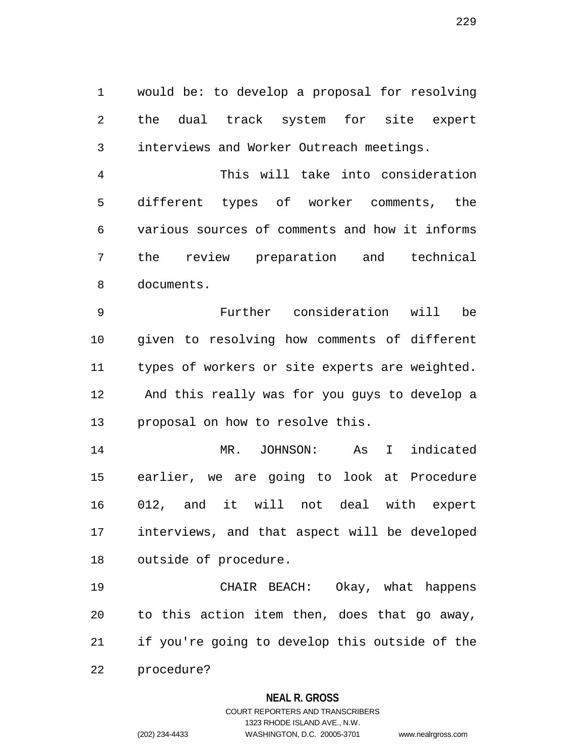1 would be: to develop a proposal for resolving 2 the dual track system for site expert 3 interviews and Worker Outreach meetings.

4 This will take into consideration 5 different types of worker comments, the 6 various sources of comments and how it informs 7 the review preparation and technical 8 documents.

9 Further consideration will be 10 given to resolving how comments of different 11 types of workers or site experts are weighted. 12 And this really was for you guys to develop a 13 proposal on how to resolve this.

14 MR. JOHNSON: As I indicated 15 earlier, we are going to look at Procedure 16 012, and it will not deal with expert 17 interviews, and that aspect will be developed 18 outside of procedure.

19 CHAIR BEACH: Okay, what happens 20 to this action item then, does that go away, 21 if you're going to develop this outside of the 22 procedure?

## **NEAL R. GROSS**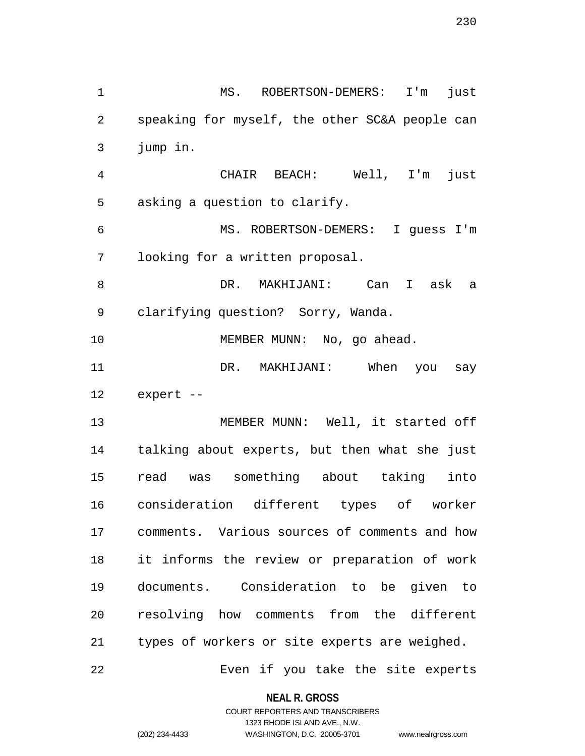1 MS. ROBERTSON-DEMERS: I'm just 2 speaking for myself, the other SC&A people can 3 jump in. 4 CHAIR BEACH: Well, I'm just 5 asking a question to clarify. 6 MS. ROBERTSON-DEMERS: I guess I'm 7 looking for a written proposal. 8 DR. MAKHIJANI: Can I ask a 9 clarifying question? Sorry, Wanda. 10 MEMBER MUNN: No, go ahead. 11 DR. MAKHIJANI: When you say 12 expert -- 13 MEMBER MUNN: Well, it started off 14 talking about experts, but then what she just 15 read was something about taking into 16 consideration different types of worker 17 comments. Various sources of comments and how 18 it informs the review or preparation of work 19 documents. Consideration to be given to 20 resolving how comments from the different 21 types of workers or site experts are weighed.

22 Even if you take the site experts

**NEAL R. GROSS**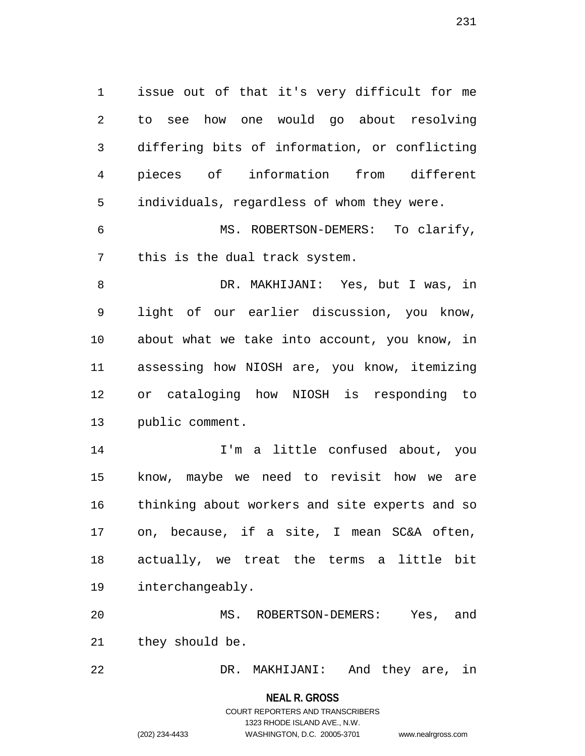1 issue out of that it's very difficult for me 2 to see how one would go about resolving 3 differing bits of information, or conflicting 4 pieces of information from different 5 individuals, regardless of whom they were.

6 MS. ROBERTSON-DEMERS: To clarify, 7 this is the dual track system.

8 DR. MAKHIJANI: Yes, but I was, in 9 light of our earlier discussion, you know, 10 about what we take into account, you know, in 11 assessing how NIOSH are, you know, itemizing 12 or cataloging how NIOSH is responding to 13 public comment.

14 I'm a little confused about, you 15 know, maybe we need to revisit how we are 16 thinking about workers and site experts and so 17 on, because, if a site, I mean SC&A often, 18 actually, we treat the terms a little bit 19 interchangeably.

20 MS. ROBERTSON-DEMERS: Yes, and 21 they should be.

22 DR. MAKHIJANI: And they are, in

#### **NEAL R. GROSS**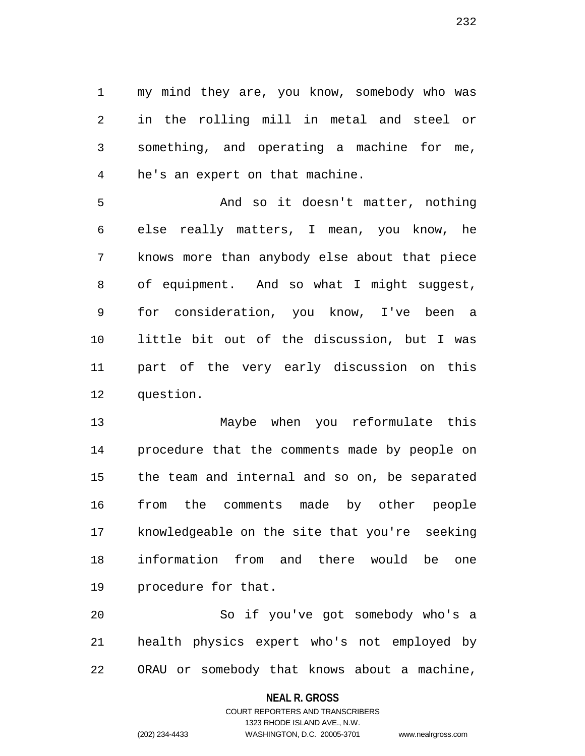1 my mind they are, you know, somebody who was 2 in the rolling mill in metal and steel or 3 something, and operating a machine for me, 4 he's an expert on that machine.

5 And so it doesn't matter, nothing 6 else really matters, I mean, you know, he 7 knows more than anybody else about that piece 8 of equipment. And so what I might suggest, 9 for consideration, you know, I've been a 10 little bit out of the discussion, but I was 11 part of the very early discussion on this 12 question.

13 Maybe when you reformulate this 14 procedure that the comments made by people on 15 the team and internal and so on, be separated 16 from the comments made by other people 17 knowledgeable on the site that you're seeking 18 information from and there would be one 19 procedure for that.

20 So if you've got somebody who's a 21 health physics expert who's not employed by 22 ORAU or somebody that knows about a machine,

#### **NEAL R. GROSS**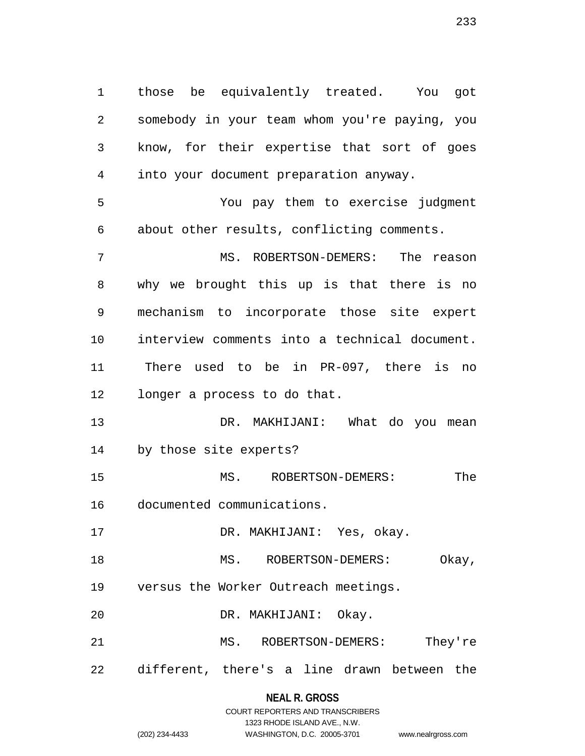1 those be equivalently treated. You got 2 somebody in your team whom you're paying, you 3 know, for their expertise that sort of goes 4 into your document preparation anyway. 5 You pay them to exercise judgment 6 about other results, conflicting comments. 7 MS. ROBERTSON-DEMERS: The reason 8 why we brought this up is that there is no 9 mechanism to incorporate those site expert 10 interview comments into a technical document. 11 There used to be in PR-097, there is no 12 longer a process to do that. 13 DR. MAKHIJANI: What do you mean 14 by those site experts? 15 MS. ROBERTSON-DEMERS: The 16 documented communications. 17 DR. MAKHIJANI: Yes, okay. 18 MS. ROBERTSON-DEMERS: Okay, 19 versus the Worker Outreach meetings. 20 DR. MAKHIJANI: Okay. 21 MS. ROBERTSON-DEMERS: They're 22 different, there's a line drawn between the

### **NEAL R. GROSS**

|                | COURT REPORTERS AND TRANSCRIBERS |                    |
|----------------|----------------------------------|--------------------|
|                | 1323 RHODE ISLAND AVE N.W.       |                    |
| (202) 234-4433 | WASHINGTON, D.C. 20005-3701      | www.nealrgross.com |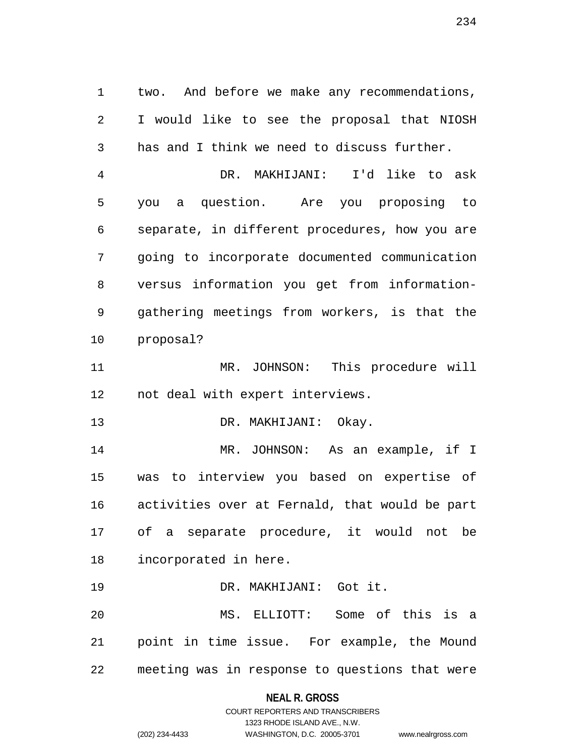1 two. And before we make any recommendations, 2 I would like to see the proposal that NIOSH 3 has and I think we need to discuss further.

4 DR. MAKHIJANI: I'd like to ask 5 you a question. Are you proposing to 6 separate, in different procedures, how you are 7 going to incorporate documented communication 8 versus information you get from information-9 gathering meetings from workers, is that the 10 proposal?

11 MR. JOHNSON: This procedure will 12 not deal with expert interviews.

13 DR. MAKHIJANI: Okay.

14 MR. JOHNSON: As an example, if I 15 was to interview you based on expertise of 16 activities over at Fernald, that would be part 17 of a separate procedure, it would not be 18 incorporated in here.

19 DR. MAKHIJANI: Got it. 20 MS. ELLIOTT: Some of this is a 21 point in time issue. For example, the Mound 22 meeting was in response to questions that were

### **NEAL R. GROSS**

# COURT REPORTERS AND TRANSCRIBERS 1323 RHODE ISLAND AVE., N.W. (202) 234-4433 WASHINGTON, D.C. 20005-3701 www.nealrgross.com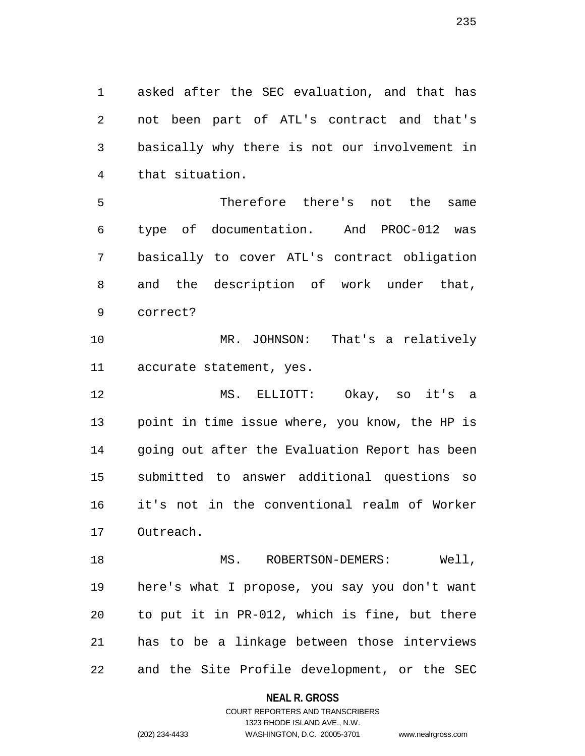1 asked after the SEC evaluation, and that has 2 not been part of ATL's contract and that's 3 basically why there is not our involvement in 4 that situation.

5 Therefore there's not the same 6 type of documentation. And PROC-012 was 7 basically to cover ATL's contract obligation 8 and the description of work under that, 9 correct?

10 MR. JOHNSON: That's a relatively 11 accurate statement, yes.

12 MS. ELLIOTT: Okay, so it's a 13 point in time issue where, you know, the HP is 14 going out after the Evaluation Report has been 15 submitted to answer additional questions so 16 it's not in the conventional realm of Worker 17 Outreach.

18 MS. ROBERTSON-DEMERS: Well, 19 here's what I propose, you say you don't want 20 to put it in PR-012, which is fine, but there 21 has to be a linkage between those interviews 22 and the Site Profile development, or the SEC

**NEAL R. GROSS**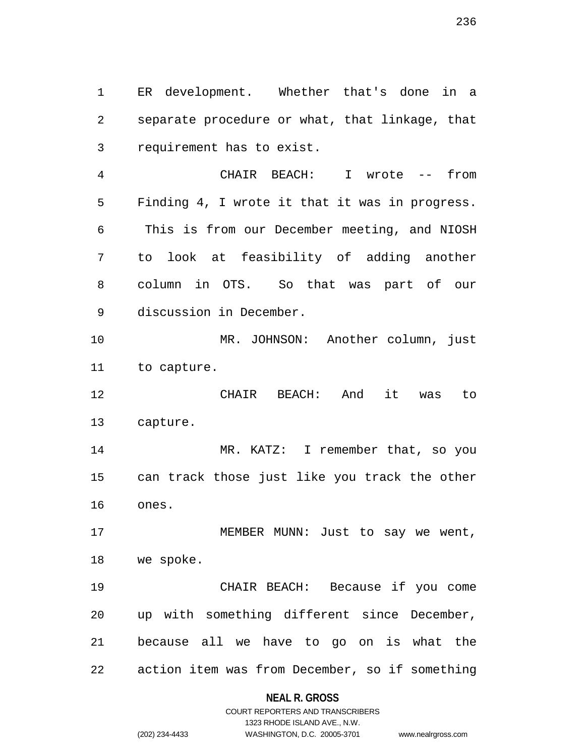1 ER development. Whether that's done in a 2 separate procedure or what, that linkage, that 3 requirement has to exist.

4 CHAIR BEACH: I wrote -- from 5 Finding 4, I wrote it that it was in progress. 6 This is from our December meeting, and NIOSH 7 to look at feasibility of adding another 8 column in OTS. So that was part of our 9 discussion in December.

10 MR. JOHNSON: Another column, just 11 to capture.

12 CHAIR BEACH: And it was to 13 capture.

14 MR. KATZ: I remember that, so you 15 can track those just like you track the other 16 ones.

17 MEMBER MUNN: Just to say we went, 18 we spoke.

19 CHAIR BEACH: Because if you come 20 up with something different since December, 21 because all we have to go on is what the 22 action item was from December, so if something

#### **NEAL R. GROSS**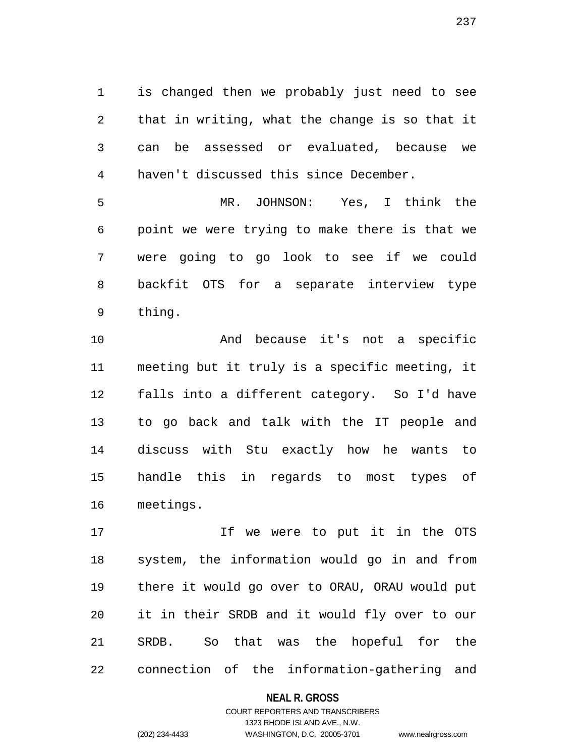1 is changed then we probably just need to see 2 that in writing, what the change is so that it 3 can be assessed or evaluated, because we 4 haven't discussed this since December.

5 MR. JOHNSON: Yes, I think the 6 point we were trying to make there is that we 7 were going to go look to see if we could 8 backfit OTS for a separate interview type 9 thing.

10 And because it's not a specific 11 meeting but it truly is a specific meeting, it 12 falls into a different category. So I'd have 13 to go back and talk with the IT people and 14 discuss with Stu exactly how he wants to 15 handle this in regards to most types of 16 meetings.

17 If we were to put it in the OTS 18 system, the information would go in and from 19 there it would go over to ORAU, ORAU would put 20 it in their SRDB and it would fly over to our 21 SRDB. So that was the hopeful for the 22 connection of the information-gathering and

#### **NEAL R. GROSS**

# COURT REPORTERS AND TRANSCRIBERS 1323 RHODE ISLAND AVE., N.W. (202) 234-4433 WASHINGTON, D.C. 20005-3701 www.nealrgross.com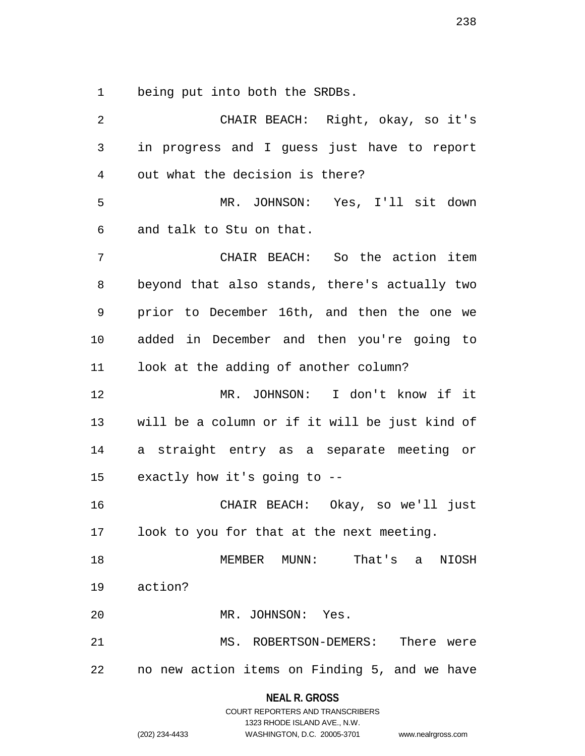1 being put into both the SRDBs.

| $\overline{2}$ | CHAIR BEACH: Right, okay, so it's              |
|----------------|------------------------------------------------|
| 3              | in progress and I guess just have to report    |
| 4              | out what the decision is there?                |
| 5              | MR. JOHNSON: Yes, I'll sit down                |
| 6              | and talk to Stu on that.                       |
| 7              | CHAIR BEACH: So the action item                |
| 8              | beyond that also stands, there's actually two  |
| 9              | prior to December 16th, and then the one we    |
| 10             | added in December and then you're going to     |
| 11             | look at the adding of another column?          |
| 12             | MR. JOHNSON: I don't know if it                |
| 13             | will be a column or if it will be just kind of |
| 14             | a straight entry as a separate meeting or      |
| 15             | exactly how it's going to --                   |
| 16             | CHAIR BEACH: Okay, so we'll just               |
| 17             | look to you for that at the next meeting.      |
| 18             | MEMBER MUNN: That's a NIOSH                    |
| 19             | action?                                        |
| 20             | MR. JOHNSON: Yes.                              |
| 21             | MS. ROBERTSON-DEMERS: There were               |
| 22             | no new action items on Finding 5, and we have  |
|                |                                                |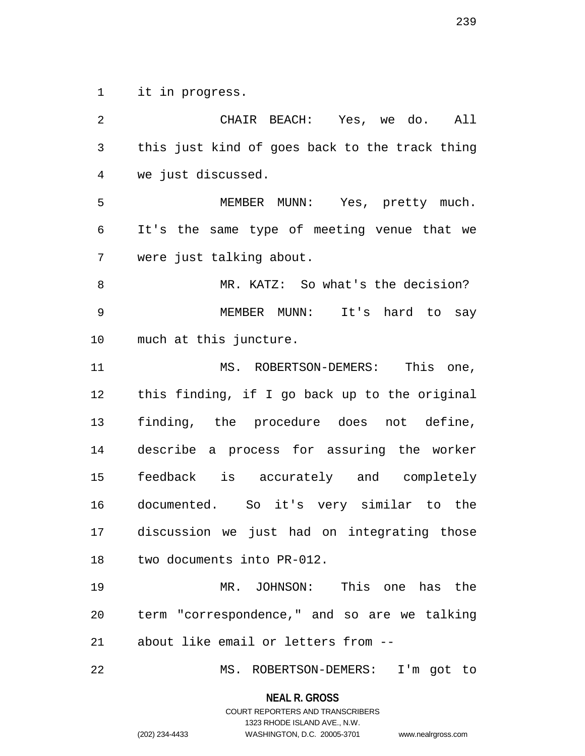1 it in progress.

2 CHAIR BEACH: Yes, we do. All 3 this just kind of goes back to the track thing 4 we just discussed. 5 MEMBER MUNN: Yes, pretty much. 6 It's the same type of meeting venue that we 7 were just talking about. 8 MR. KATZ: So what's the decision? 9 MEMBER MUNN: It's hard to say 10 much at this juncture. 11 MS. ROBERTSON-DEMERS: This one, 12 this finding, if I go back up to the original 13 finding, the procedure does not define, 14 describe a process for assuring the worker 15 feedback is accurately and completely 16 documented. So it's very similar to the 17 discussion we just had on integrating those 18 two documents into PR-012. 19 MR. JOHNSON: This one has the 20 term "correspondence," and so are we talking 21 about like email or letters from -- 22 MS. ROBERTSON-DEMERS: I'm got to

**NEAL R. GROSS**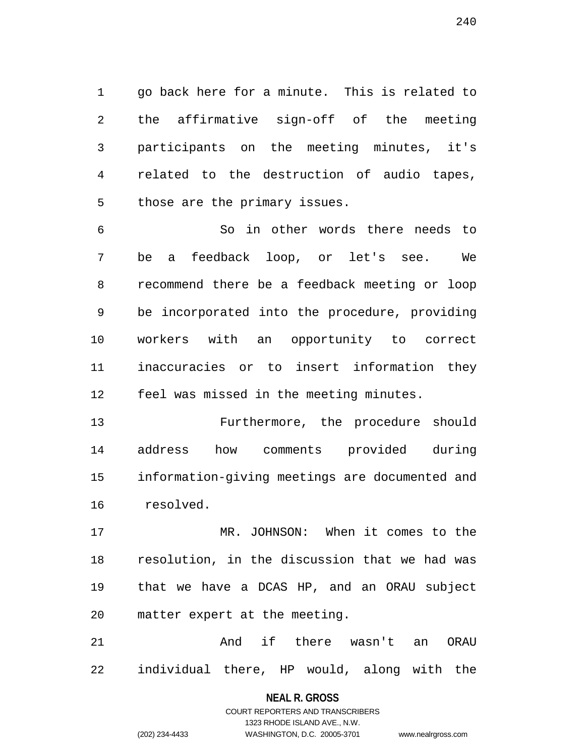1 go back here for a minute. This is related to 2 the affirmative sign-off of the meeting 3 participants on the meeting minutes, it's 4 related to the destruction of audio tapes, 5 those are the primary issues.

6 So in other words there needs to 7 be a feedback loop, or let's see. We 8 recommend there be a feedback meeting or loop 9 be incorporated into the procedure, providing 10 workers with an opportunity to correct 11 inaccuracies or to insert information they 12 feel was missed in the meeting minutes.

13 Furthermore, the procedure should 14 address how comments provided during 15 information-giving meetings are documented and 16 resolved.

17 MR. JOHNSON: When it comes to the 18 resolution, in the discussion that we had was 19 that we have a DCAS HP, and an ORAU subject 20 matter expert at the meeting.

21 and if there wasn't an ORAU 22 individual there, HP would, along with the

# **NEAL R. GROSS** COURT REPORTERS AND TRANSCRIBERS

1323 RHODE ISLAND AVE., N.W.

(202) 234-4433 WASHINGTON, D.C. 20005-3701 www.nealrgross.com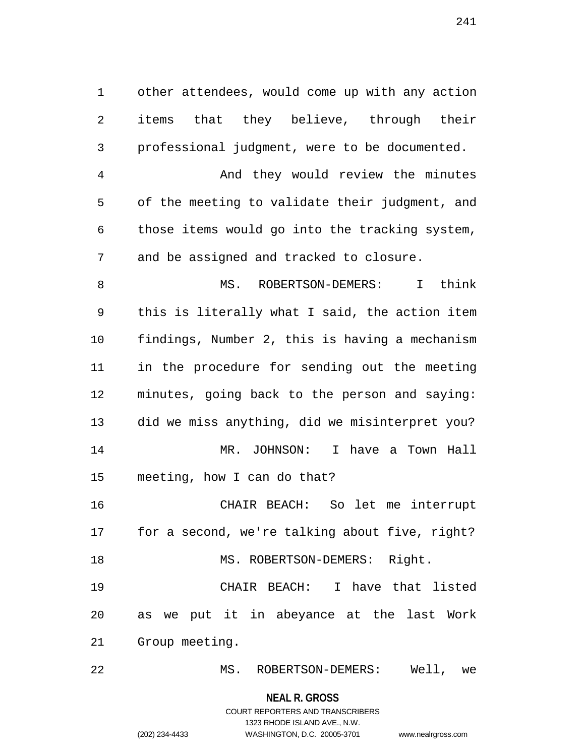1 other attendees, would come up with any action 2 items that they believe, through their 3 professional judgment, were to be documented.

4 And they would review the minutes 5 of the meeting to validate their judgment, and 6 those items would go into the tracking system, 7 and be assigned and tracked to closure.

8 MS. ROBERTSON-DEMERS: I think 9 this is literally what I said, the action item 10 findings, Number 2, this is having a mechanism 11 in the procedure for sending out the meeting 12 minutes, going back to the person and saying: 13 did we miss anything, did we misinterpret you? 14 MR. JOHNSON: I have a Town Hall 15 meeting, how I can do that?

16 CHAIR BEACH: So let me interrupt 17 for a second, we're talking about five, right? 18 MS. ROBERTSON-DEMERS: Right.

19 CHAIR BEACH: I have that listed 20 as we put it in abeyance at the last Work 21 Group meeting.

22 MS. ROBERTSON-DEMERS: Well, we

**NEAL R. GROSS**

# COURT REPORTERS AND TRANSCRIBERS 1323 RHODE ISLAND AVE., N.W. (202) 234-4433 WASHINGTON, D.C. 20005-3701 www.nealrgross.com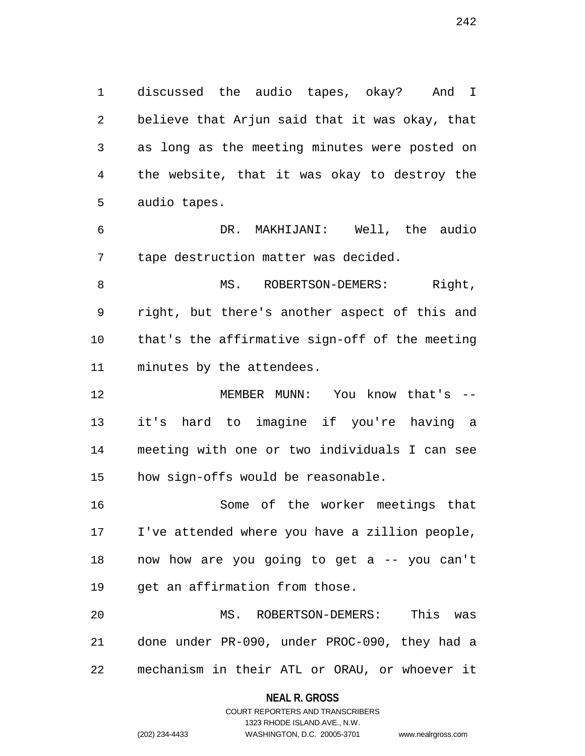1 discussed the audio tapes, okay? And I 2 believe that Arjun said that it was okay, that 3 as long as the meeting minutes were posted on 4 the website, that it was okay to destroy the 5 audio tapes.

6 DR. MAKHIJANI: Well, the audio 7 tape destruction matter was decided.

8 MS. ROBERTSON-DEMERS: Right, 9 right, but there's another aspect of this and 10 that's the affirmative sign-off of the meeting 11 minutes by the attendees.

12 MEMBER MUNN: You know that's -- 13 it's hard to imagine if you're having a 14 meeting with one or two individuals I can see 15 how sign-offs would be reasonable.

16 Some of the worker meetings that 17 I've attended where you have a zillion people, 18 now how are you going to get a -- you can't 19 get an affirmation from those.

20 MS. ROBERTSON-DEMERS: This was 21 done under PR-090, under PROC-090, they had a 22 mechanism in their ATL or ORAU, or whoever it

#### **NEAL R. GROSS**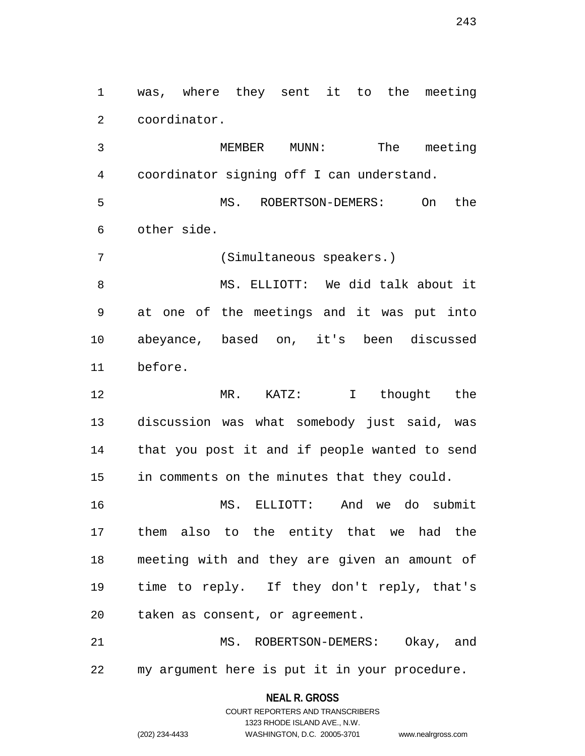1 was, where they sent it to the meeting 2 coordinator.

3 MEMBER MUNN: The meeting 4 coordinator signing off I can understand.

5 MS. ROBERTSON-DEMERS: On the 6 other side.

7 (Simultaneous speakers.)

8 MS. ELLIOTT: We did talk about it 9 at one of the meetings and it was put into 10 abeyance, based on, it's been discussed 11 before.

12 MR. KATZ: I thought the 13 discussion was what somebody just said, was 14 that you post it and if people wanted to send 15 in comments on the minutes that they could.

16 MS. ELLIOTT: And we do submit 17 them also to the entity that we had the 18 meeting with and they are given an amount of 19 time to reply. If they don't reply, that's 20 taken as consent, or agreement.

21 MS. ROBERTSON-DEMERS: Okay, and 22 my argument here is put it in your procedure.

### **NEAL R. GROSS**

COURT REPORTERS AND TRANSCRIBERS 1323 RHODE ISLAND AVE., N.W. (202) 234-4433 WASHINGTON, D.C. 20005-3701 www.nealrgross.com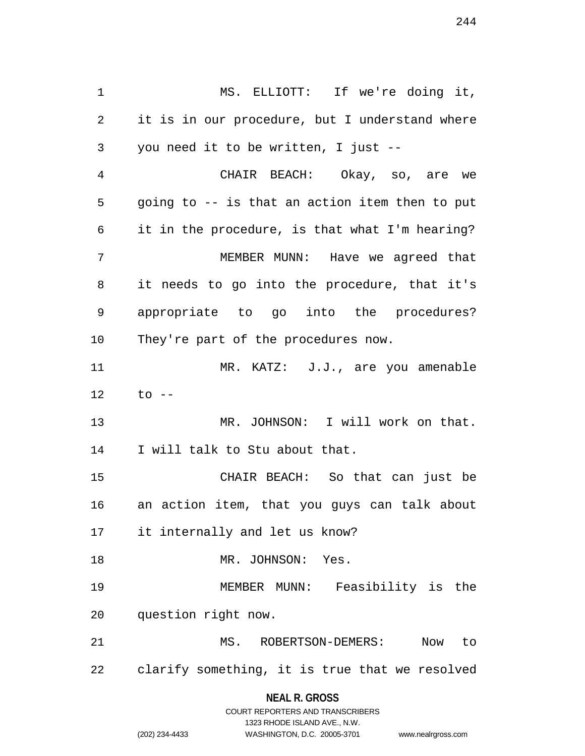1 MS. ELLIOTT: If we're doing it, 2 it is in our procedure, but I understand where 3 you need it to be written, I just -- 4 CHAIR BEACH: Okay, so, are we 5 going to -- is that an action item then to put 6 it in the procedure, is that what I'm hearing? 7 MEMBER MUNN: Have we agreed that 8 it needs to go into the procedure, that it's 9 appropriate to go into the procedures? 10 They're part of the procedures now. 11 MR. KATZ: J.J., are you amenable 12 to -- 13 MR. JOHNSON: I will work on that. 14 I will talk to Stu about that. 15 CHAIR BEACH: So that can just be 16 an action item, that you guys can talk about 17 it internally and let us know? 18 MR. JOHNSON: Yes. 19 MEMBER MUNN: Feasibility is the 20 question right now. 21 MS. ROBERTSON-DEMERS: Now to 22 clarify something, it is true that we resolved

## **NEAL R. GROSS** COURT REPORTERS AND TRANSCRIBERS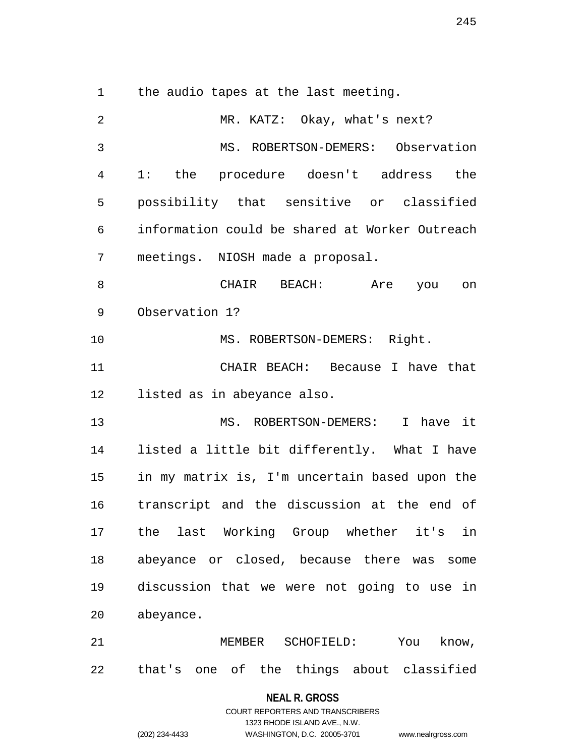1 the audio tapes at the last meeting.

2 MR. KATZ: Okay, what's next? 3 MS. ROBERTSON-DEMERS: Observation 4 1: the procedure doesn't address the 5 possibility that sensitive or classified 6 information could be shared at Worker Outreach 7 meetings. NIOSH made a proposal. 8 CHAIR BEACH: Are you on 9 Observation 1? 10 MS. ROBERTSON-DEMERS: Right. 11 CHAIR BEACH: Because I have that 12 listed as in abeyance also. 13 MS. ROBERTSON-DEMERS: I have it 14 listed a little bit differently. What I have 15 in my matrix is, I'm uncertain based upon the 16 transcript and the discussion at the end of 17 the last Working Group whether it's in 18 abeyance or closed, because there was some 19 discussion that we were not going to use in 20 abeyance. 21 MEMBER SCHOFIELD: You know, 22 that's one of the things about classified

**NEAL R. GROSS**

# COURT REPORTERS AND TRANSCRIBERS 1323 RHODE ISLAND AVE., N.W. (202) 234-4433 WASHINGTON, D.C. 20005-3701 www.nealrgross.com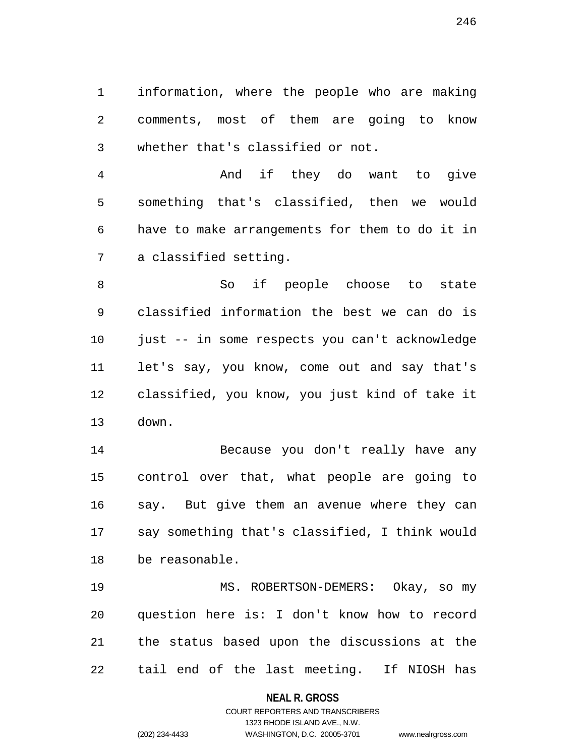1 information, where the people who are making 2 comments, most of them are going to know 3 whether that's classified or not.

4 And if they do want to give 5 something that's classified, then we would 6 have to make arrangements for them to do it in 7 a classified setting.

8 So if people choose to state 9 classified information the best we can do is 10 just -- in some respects you can't acknowledge 11 let's say, you know, come out and say that's 12 classified, you know, you just kind of take it 13 down.

14 Because you don't really have any 15 control over that, what people are going to 16 say. But give them an avenue where they can 17 say something that's classified, I think would 18 be reasonable.

19 MS. ROBERTSON-DEMERS: Okay, so my 20 question here is: I don't know how to record 21 the status based upon the discussions at the 22 tail end of the last meeting. If NIOSH has

**NEAL R. GROSS**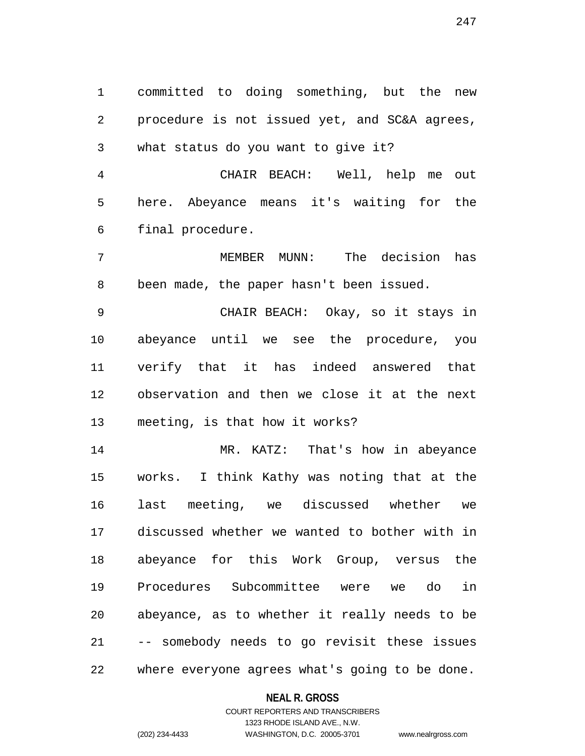1 committed to doing something, but the new 2 procedure is not issued yet, and SC&A agrees, 3 what status do you want to give it?

4 CHAIR BEACH: Well, help me out 5 here. Abeyance means it's waiting for the 6 final procedure.

7 MEMBER MUNN: The decision has 8 been made, the paper hasn't been issued.

9 CHAIR BEACH: Okay, so it stays in 10 abeyance until we see the procedure, you 11 verify that it has indeed answered that 12 observation and then we close it at the next 13 meeting, is that how it works?

14 MR. KATZ: That's how in abeyance 15 works. I think Kathy was noting that at the 16 last meeting, we discussed whether we 17 discussed whether we wanted to bother with in 18 abeyance for this Work Group, versus the 19 Procedures Subcommittee were we do in 20 abeyance, as to whether it really needs to be 21 -- somebody needs to go revisit these issues 22 where everyone agrees what's going to be done.

#### **NEAL R. GROSS**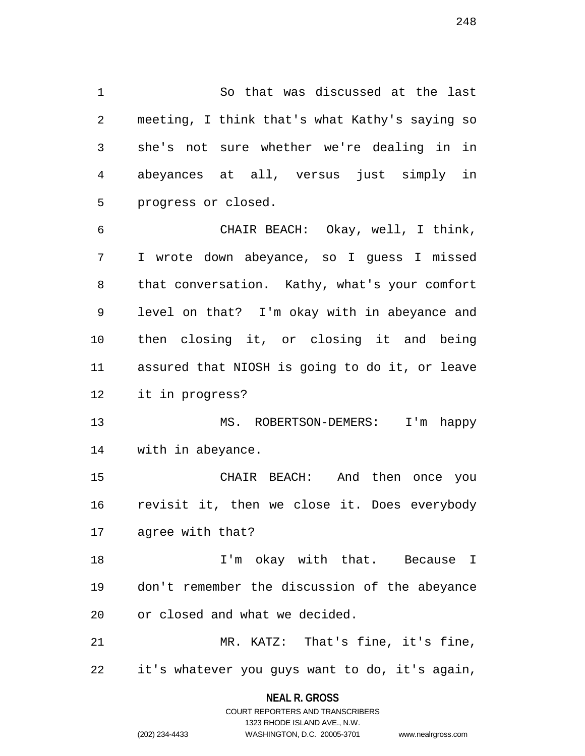1 So that was discussed at the last 2 meeting, I think that's what Kathy's saying so 3 she's not sure whether we're dealing in in 4 abeyances at all, versus just simply in 5 progress or closed.

6 CHAIR BEACH: Okay, well, I think, 7 I wrote down abeyance, so I guess I missed 8 that conversation. Kathy, what's your comfort 9 level on that? I'm okay with in abeyance and 10 then closing it, or closing it and being 11 assured that NIOSH is going to do it, or leave 12 it in progress?

13 MS. ROBERTSON-DEMERS: I'm happy 14 with in abeyance.

15 CHAIR BEACH: And then once you 16 revisit it, then we close it. Does everybody 17 agree with that?

18 1'm okay with that. Because I 19 don't remember the discussion of the abeyance 20 or closed and what we decided.

21 MR. KATZ: That's fine, it's fine, 22 it's whatever you guys want to do, it's again,

> **NEAL R. GROSS** COURT REPORTERS AND TRANSCRIBERS

> > 1323 RHODE ISLAND AVE., N.W.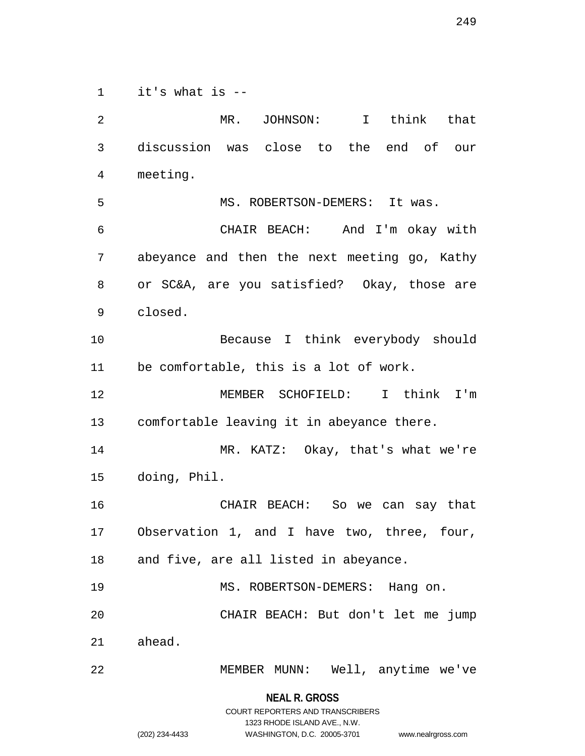1 it's what is --

2 MR. JOHNSON: I think that 3 discussion was close to the end of our 4 meeting. 5 MS. ROBERTSON-DEMERS: It was. 6 CHAIR BEACH: And I'm okay with 7 abeyance and then the next meeting go, Kathy 8 or SC&A, are you satisfied? Okay, those are 9 closed. 10 Because I think everybody should 11 be comfortable, this is a lot of work. 12 MEMBER SCHOFIELD: I think I'm 13 comfortable leaving it in abeyance there. 14 MR. KATZ: Okay, that's what we're 15 doing, Phil. 16 CHAIR BEACH: So we can say that 17 Observation 1, and I have two, three, four, 18 and five, are all listed in abeyance. 19 MS. ROBERTSON-DEMERS: Hang on. 20 CHAIR BEACH: But don't let me jump 21 ahead. 22 MEMBER MUNN: Well, anytime we've

> **NEAL R. GROSS** COURT REPORTERS AND TRANSCRIBERS

> > 1323 RHODE ISLAND AVE., N.W.

(202) 234-4433 WASHINGTON, D.C. 20005-3701 www.nealrgross.com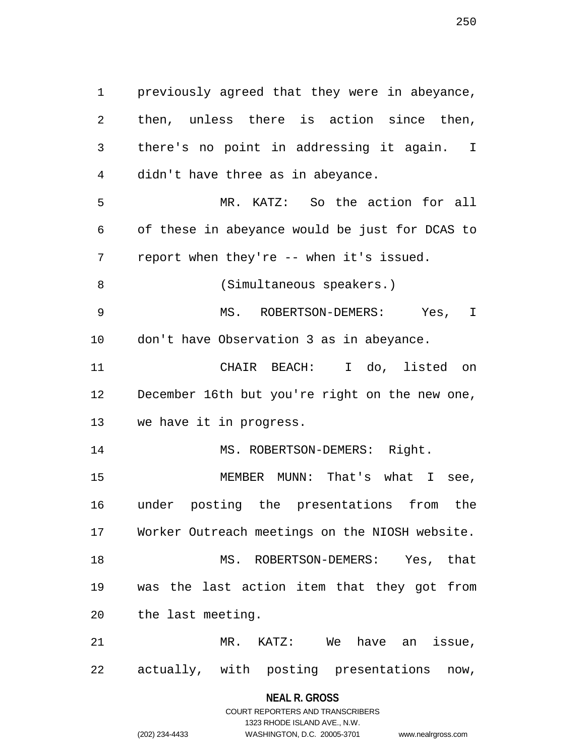1 previously agreed that they were in abeyance, 2 then, unless there is action since then, 3 there's no point in addressing it again. I 4 didn't have three as in abeyance. 5 MR. KATZ: So the action for all 6 of these in abeyance would be just for DCAS to 7 report when they're -- when it's issued. 8 (Simultaneous speakers.) 9 MS. ROBERTSON-DEMERS: Yes, I 10 don't have Observation 3 as in abeyance. 11 CHAIR BEACH: I do, listed on 12 December 16th but you're right on the new one, 13 we have it in progress. 14 MS. ROBERTSON-DEMERS: Right. 15 MEMBER MUNN: That's what I see, 16 under posting the presentations from the 17 Worker Outreach meetings on the NIOSH website. 18 MS. ROBERTSON-DEMERS: Yes, that 19 was the last action item that they got from 20 the last meeting. 21 MR. KATZ: We have an issue, 22 actually, with posting presentations now,

## **NEAL R. GROSS** COURT REPORTERS AND TRANSCRIBERS

1323 RHODE ISLAND AVE., N.W. (202) 234-4433 WASHINGTON, D.C. 20005-3701 www.nealrgross.com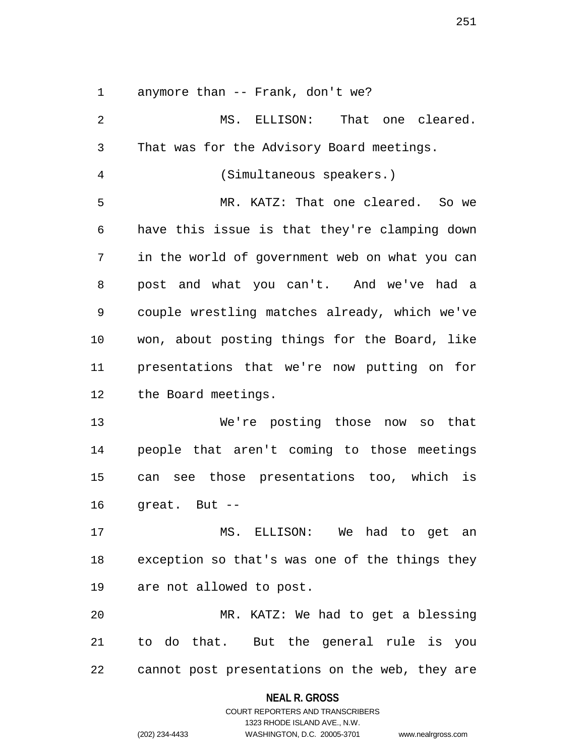1 anymore than -- Frank, don't we?

2 MS. ELLISON: That one cleared. 3 That was for the Advisory Board meetings. 4 (Simultaneous speakers.) 5 MR. KATZ: That one cleared. So we 6 have this issue is that they're clamping down 7 in the world of government web on what you can 8 post and what you can't. And we've had a 9 couple wrestling matches already, which we've 10 won, about posting things for the Board, like 11 presentations that we're now putting on for 12 the Board meetings. 13 We're posting those now so that 14 people that aren't coming to those meetings 15 can see those presentations too, which is 16 great. But -- 17 MS. ELLISON: We had to get an 18 exception so that's was one of the things they 19 are not allowed to post. 20 MR. KATZ: We had to get a blessing 21 to do that. But the general rule is you 22 cannot post presentations on the web, they are

**NEAL R. GROSS**

COURT REPORTERS AND TRANSCRIBERS 1323 RHODE ISLAND AVE., N.W. (202) 234-4433 WASHINGTON, D.C. 20005-3701 www.nealrgross.com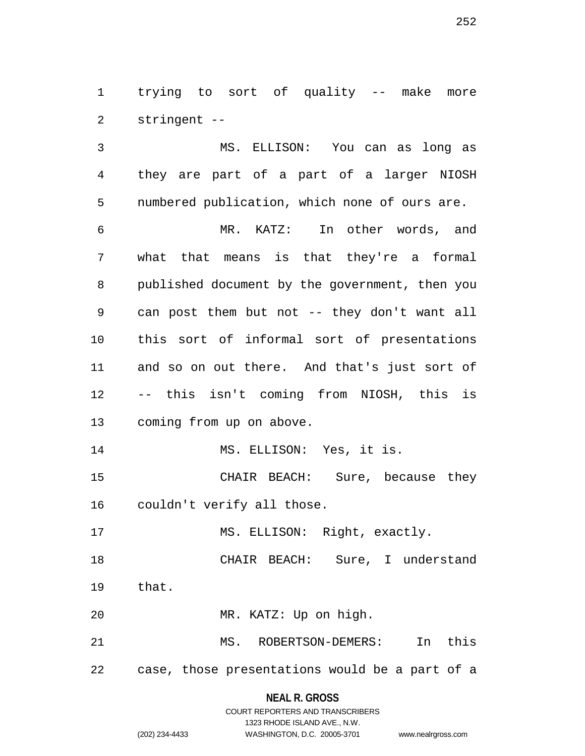1 trying to sort of quality -- make more 2 stringent --

3 MS. ELLISON: You can as long as 4 they are part of a part of a larger NIOSH 5 numbered publication, which none of ours are. 6 MR. KATZ: In other words, and 7 what that means is that they're a formal 8 published document by the government, then you 9 can post them but not -- they don't want all 10 this sort of informal sort of presentations 11 and so on out there. And that's just sort of 12 -- this isn't coming from NIOSH, this is 13 coming from up on above. 14 MS. ELLISON: Yes, it is.

15 CHAIR BEACH: Sure, because they 16 couldn't verify all those.

17 MS. ELLISON: Right, exactly.

18 CHAIR BEACH: Sure, I understand 19 that.

20 MR. KATZ: Up on high.

21 MS. ROBERTSON-DEMERS: In this

22 case, those presentations would be a part of a

## **NEAL R. GROSS**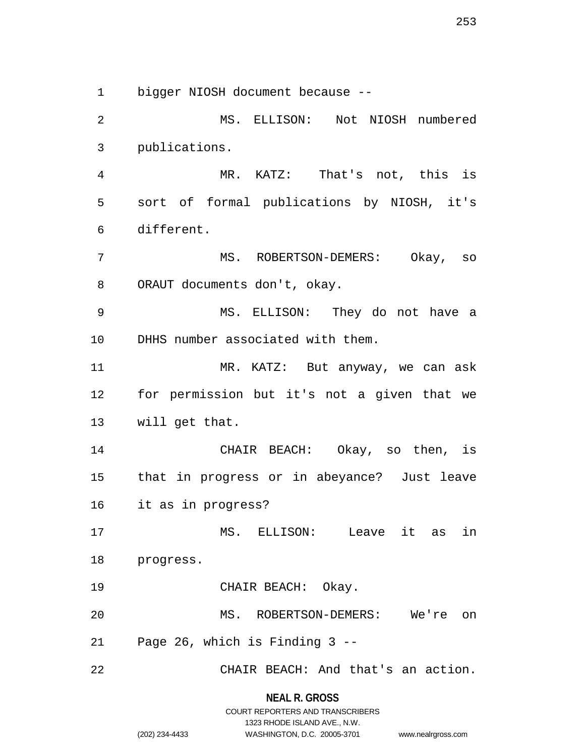1 bigger NIOSH document because --

2 MS. ELLISON: Not NIOSH numbered 3 publications. 4 MR. KATZ: That's not, this is 5 sort of formal publications by NIOSH, it's 6 different. 7 MS. ROBERTSON-DEMERS: Okay, so 8 ORAUT documents don't, okay. 9 MS. ELLISON: They do not have a 10 DHHS number associated with them. 11 MR. KATZ: But anyway, we can ask 12 for permission but it's not a given that we 13 will get that. 14 CHAIR BEACH: Okay, so then, is 15 that in progress or in abeyance? Just leave 16 it as in progress? 17 MS. ELLISON: Leave it as in 18 progress. 19 CHAIR BEACH: Okay. 20 MS. ROBERTSON-DEMERS: We're on 21 Page 26, which is Finding 3 -- 22 CHAIR BEACH: And that's an action.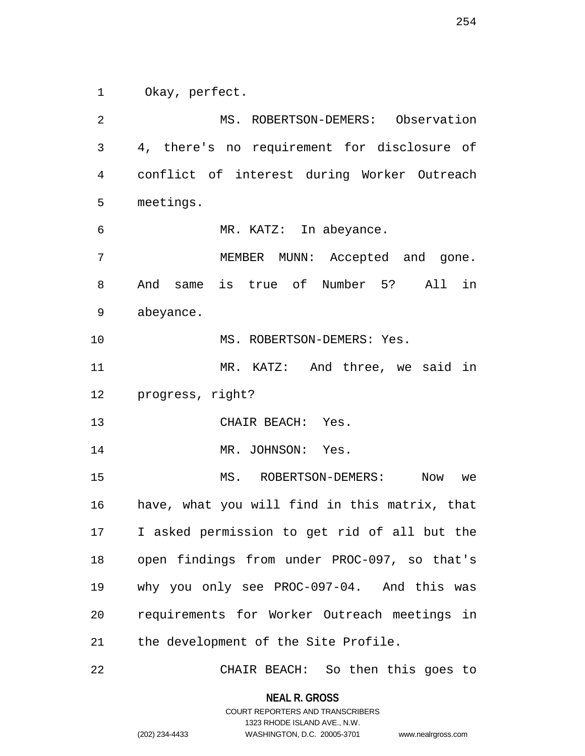1 Okay, perfect.

2 MS. ROBERTSON-DEMERS: Observation 3 4, there's no requirement for disclosure of 4 conflict of interest during Worker Outreach 5 meetings. 6 MR. KATZ: In abeyance. 7 MEMBER MUNN: Accepted and gone. 8 And same is true of Number 5? All in 9 abeyance. 10 MS. ROBERTSON-DEMERS: Yes. 11 MR. KATZ: And three, we said in 12 progress, right? 13 CHAIR BEACH: Yes. 14 MR. JOHNSON: Yes. 15 MS. ROBERTSON-DEMERS: Now we 16 have, what you will find in this matrix, that 17 I asked permission to get rid of all but the 18 open findings from under PROC-097, so that's 19 why you only see PROC-097-04. And this was 20 requirements for Worker Outreach meetings in 21 the development of the Site Profile.

22 CHAIR BEACH: So then this goes to

**NEAL R. GROSS** COURT REPORTERS AND TRANSCRIBERS

1323 RHODE ISLAND AVE., N.W.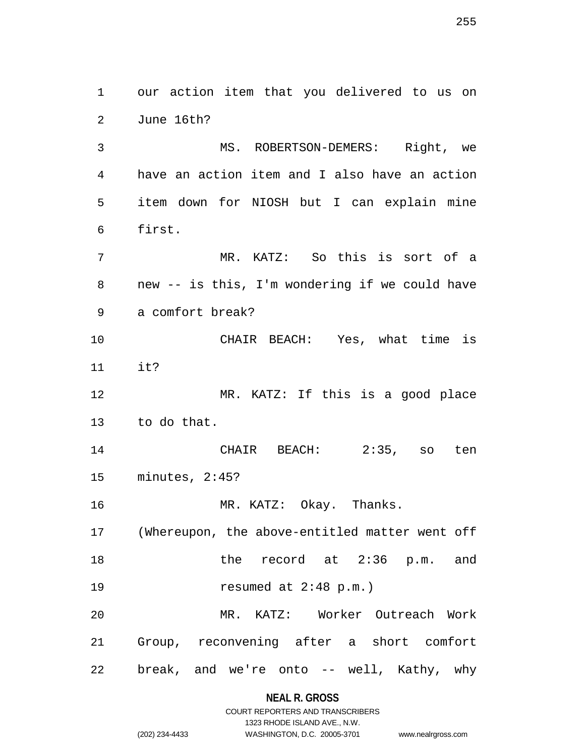3 MS. ROBERTSON-DEMERS: Right, we 4 have an action item and I also have an action 5 item down for NIOSH but I can explain mine 6 first. 7 MR. KATZ: So this is sort of a 8 new -- is this, I'm wondering if we could have 9 a comfort break? 10 CHAIR BEACH: Yes, what time is 11 it? 12 MR. KATZ: If this is a good place 13 to do that. 14 CHAIR BEACH: 2:35, so ten 15 minutes, 2:45? 16 MR. KATZ: Okay. Thanks. 17 (Whereupon, the above-entitled matter went off

1 our action item that you delivered to us on

2 June 16th?

18 the record at 2:36 p.m. and 19 resumed at 2:48 p.m.) 20 MR. KATZ: Worker Outreach Work 21 Group, reconvening after a short comfort 22 break, and we're onto -- well, Kathy, why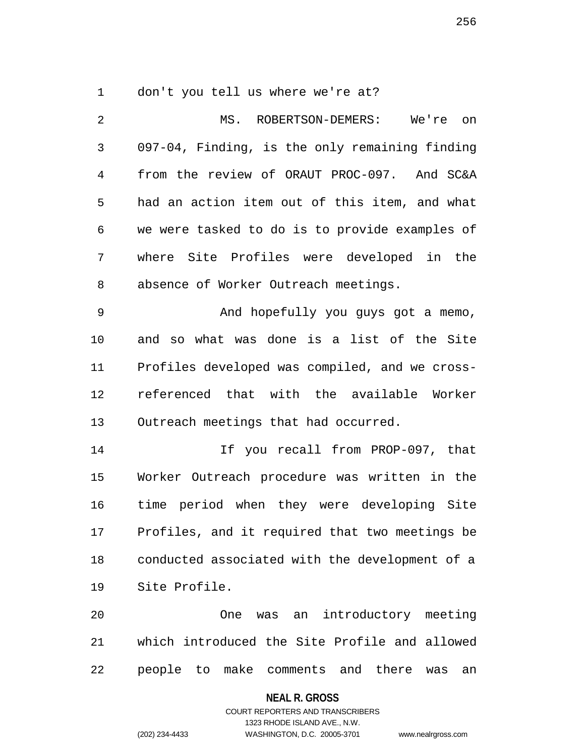1 don't you tell us where we're at?

| $\overline{2}$ | MS. ROBERTSON-DEMERS: We're on                             |  |  |
|----------------|------------------------------------------------------------|--|--|
| 3              | 097-04, Finding, is the only remaining finding             |  |  |
| 4              | from the review of ORAUT PROC-097. And SC&A                |  |  |
| 5              | had an action item out of this item, and what              |  |  |
| 6              | we were tasked to do is to provide examples of             |  |  |
| 7              | where Site Profiles were developed in the                  |  |  |
| 8              | absence of Worker Outreach meetings.                       |  |  |
| 9              | And hopefully you guys got a memo,                         |  |  |
| 10             | and so what was done is a list of the Site                 |  |  |
| 11             | Profiles developed was compiled, and we cross-             |  |  |
| 12             | referenced that with the available Worker                  |  |  |
| 13             | Outreach meetings that had occurred.                       |  |  |
| 14             | If you recall from PROP-097, that                          |  |  |
| 15             | Worker Outreach procedure was written in the               |  |  |
| 16             | time period when they were developing Site                 |  |  |
| 17             | Profiles, and it required that two meetings be             |  |  |
| 18             | conducted associated with the development of a             |  |  |
| 19             | Site Profile.                                              |  |  |
| 20             | introductory meeting<br>One<br>was an                      |  |  |
| 21             | which introduced the Site Profile and allowed              |  |  |
| 22             | people<br>make<br>comments and<br>there<br>to<br>was<br>an |  |  |

# **NEAL R. GROSS**

## COURT REPORTERS AND TRANSCRIBERS 1323 RHODE ISLAND AVE., N.W. (202) 234-4433 WASHINGTON, D.C. 20005-3701 www.nealrgross.com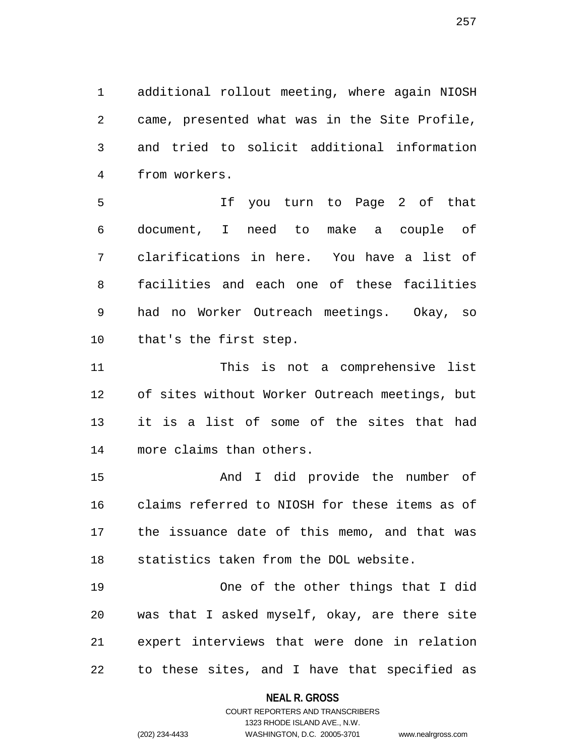1 additional rollout meeting, where again NIOSH 2 came, presented what was in the Site Profile, 3 and tried to solicit additional information 4 from workers.

5 If you turn to Page 2 of that 6 document, I need to make a couple of 7 clarifications in here. You have a list of 8 facilities and each one of these facilities 9 had no Worker Outreach meetings. Okay, so 10 that's the first step.

11 This is not a comprehensive list 12 of sites without Worker Outreach meetings, but 13 it is a list of some of the sites that had 14 more claims than others.

15 And I did provide the number of 16 claims referred to NIOSH for these items as of 17 the issuance date of this memo, and that was 18 statistics taken from the DOL website.

19 One of the other things that I did 20 was that I asked myself, okay, are there site 21 expert interviews that were done in relation 22 to these sites, and I have that specified as

### **NEAL R. GROSS**

## COURT REPORTERS AND TRANSCRIBERS 1323 RHODE ISLAND AVE., N.W. (202) 234-4433 WASHINGTON, D.C. 20005-3701 www.nealrgross.com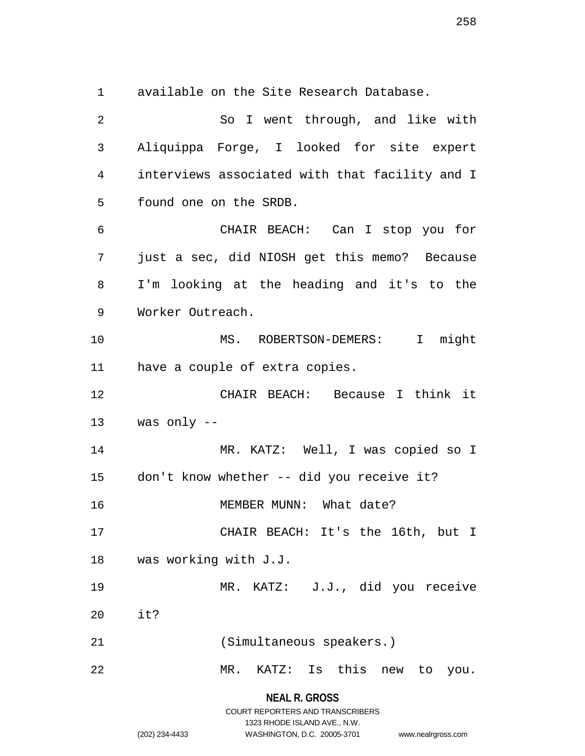1 available on the Site Research Database.

**NEAL R. GROSS** 2 So I went through, and like with 3 Aliquippa Forge, I looked for site expert 4 interviews associated with that facility and I 5 found one on the SRDB. 6 CHAIR BEACH: Can I stop you for 7 just a sec, did NIOSH get this memo? Because 8 I'm looking at the heading and it's to the 9 Worker Outreach. 10 MS. ROBERTSON-DEMERS: I might 11 have a couple of extra copies. 12 CHAIR BEACH: Because I think it 13 was only -- 14 MR. KATZ: Well, I was copied so I 15 don't know whether -- did you receive it? 16 MEMBER MUNN: What date? 17 CHAIR BEACH: It's the 16th, but I 18 was working with J.J. 19 MR. KATZ: J.J., did you receive 20 it? 21 (Simultaneous speakers.) 22 MR. KATZ: Is this new to you.

> COURT REPORTERS AND TRANSCRIBERS 1323 RHODE ISLAND AVE., N.W.

```
(202) 234-4433 WASHINGTON, D.C. 20005-3701 www.nealrgross.com
```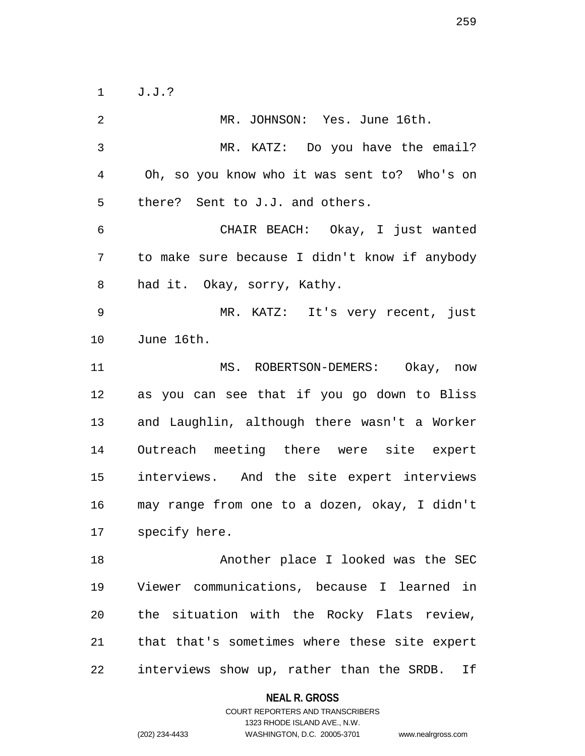1 J.J.?

2 MR. JOHNSON: Yes. June 16th. 3 MR. KATZ: Do you have the email? 4 Oh, so you know who it was sent to? Who's on 5 there? Sent to J.J. and others. 6 CHAIR BEACH: Okay, I just wanted 7 to make sure because I didn't know if anybody 8 had it. Okay, sorry, Kathy. 9 MR. KATZ: It's very recent, just 10 June 16th. 11 MS. ROBERTSON-DEMERS: Okay, now 12 as you can see that if you go down to Bliss 13 and Laughlin, although there wasn't a Worker 14 Outreach meeting there were site expert 15 interviews. And the site expert interviews 16 may range from one to a dozen, okay, I didn't 17 specify here. 18 Another place I looked was the SEC 19 Viewer communications, because I learned in 20 the situation with the Rocky Flats review, 21 that that's sometimes where these site expert 22 interviews show up, rather than the SRDB. If

**NEAL R. GROSS**

COURT REPORTERS AND TRANSCRIBERS 1323 RHODE ISLAND AVE., N.W. (202) 234-4433 WASHINGTON, D.C. 20005-3701 www.nealrgross.com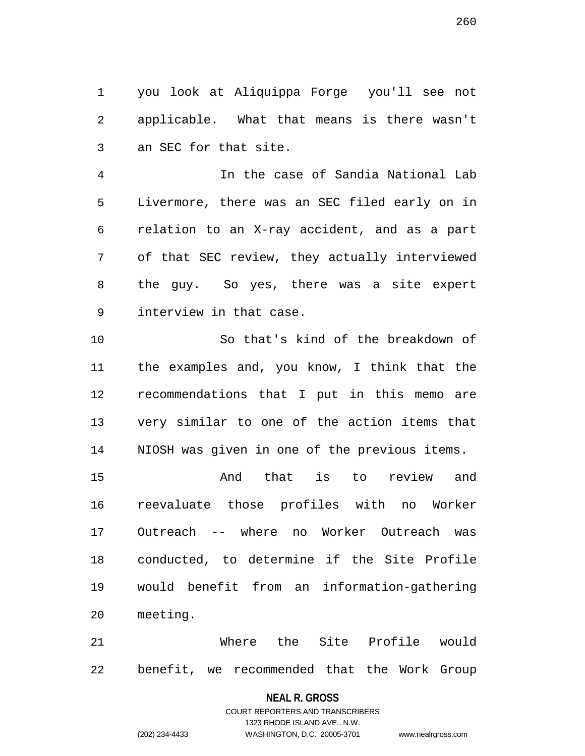1 you look at Aliquippa Forge you'll see not 2 applicable. What that means is there wasn't 3 an SEC for that site.

4 In the case of Sandia National Lab 5 Livermore, there was an SEC filed early on in 6 relation to an X-ray accident, and as a part 7 of that SEC review, they actually interviewed 8 the guy. So yes, there was a site expert 9 interview in that case.

10 So that's kind of the breakdown of 11 the examples and, you know, I think that the 12 recommendations that I put in this memo are 13 very similar to one of the action items that 14 NIOSH was given in one of the previous items.

15 And that is to review and 16 reevaluate those profiles with no Worker 17 Outreach -- where no Worker Outreach was 18 conducted, to determine if the Site Profile 19 would benefit from an information-gathering 20 meeting.

21 Where the Site Profile would 22 benefit, we recommended that the Work Group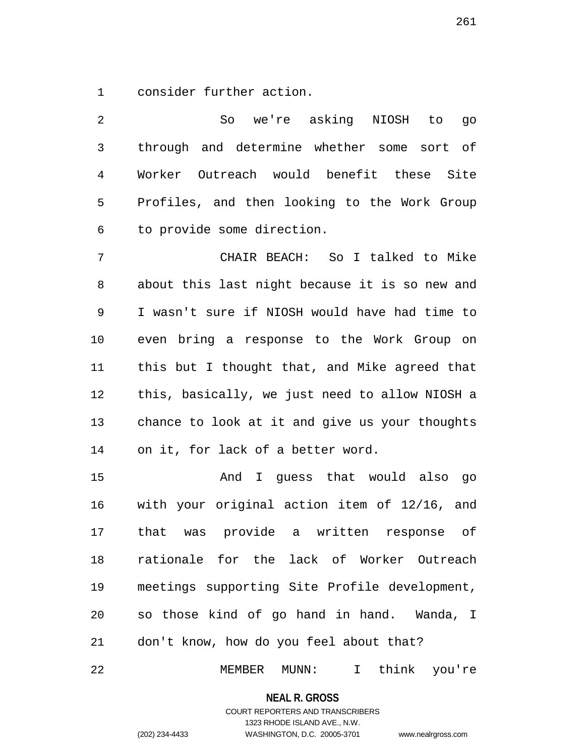1 consider further action.

2 So we're asking NIOSH to go 3 through and determine whether some sort of 4 Worker Outreach would benefit these Site 5 Profiles, and then looking to the Work Group 6 to provide some direction. 7 CHAIR BEACH: So I talked to Mike 8 about this last night because it is so new and 9 I wasn't sure if NIOSH would have had time to 10 even bring a response to the Work Group on 11 this but I thought that, and Mike agreed that 12 this, basically, we just need to allow NIOSH a 13 chance to look at it and give us your thoughts 14 on it, for lack of a better word.

15 And I guess that would also go 16 with your original action item of 12/16, and 17 that was provide a written response of 18 rationale for the lack of Worker Outreach 19 meetings supporting Site Profile development, 20 so those kind of go hand in hand. Wanda, I 21 don't know, how do you feel about that?

22 MEMBER MUNN: I think you're

**NEAL R. GROSS** COURT REPORTERS AND TRANSCRIBERS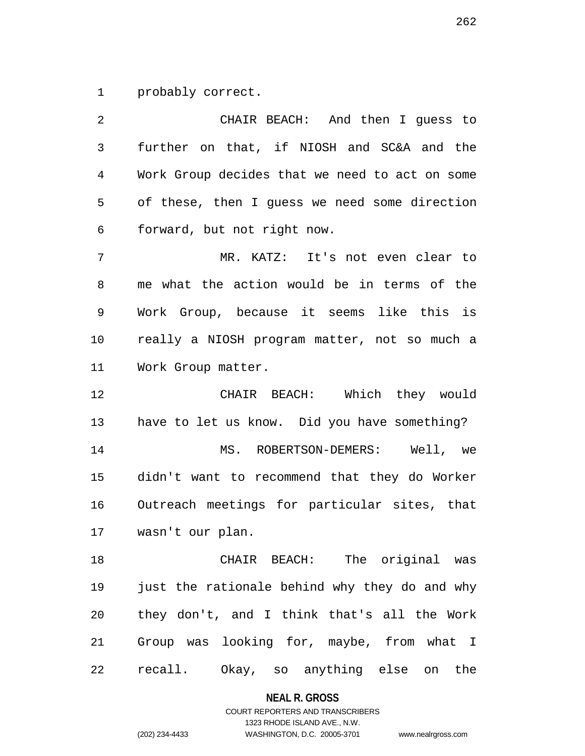1 probably correct.

2 CHAIR BEACH: And then I guess to 3 further on that, if NIOSH and SC&A and the 4 Work Group decides that we need to act on some 5 of these, then I guess we need some direction 6 forward, but not right now. 7 MR. KATZ: It's not even clear to 8 me what the action would be in terms of the 9 Work Group, because it seems like this is 10 really a NIOSH program matter, not so much a 11 Work Group matter. 12 CHAIR BEACH: Which they would 13 have to let us know. Did you have something? 14 MS. ROBERTSON-DEMERS: Well, we 15 didn't want to recommend that they do Worker 16 Outreach meetings for particular sites, that 17 wasn't our plan. 18 CHAIR BEACH: The original was 19 just the rationale behind why they do and why 20 they don't, and I think that's all the Work 21 Group was looking for, maybe, from what I

22 recall. Okay, so anything else on the

**NEAL R. GROSS** COURT REPORTERS AND TRANSCRIBERS

1323 RHODE ISLAND AVE., N.W. (202) 234-4433 WASHINGTON, D.C. 20005-3701 www.nealrgross.com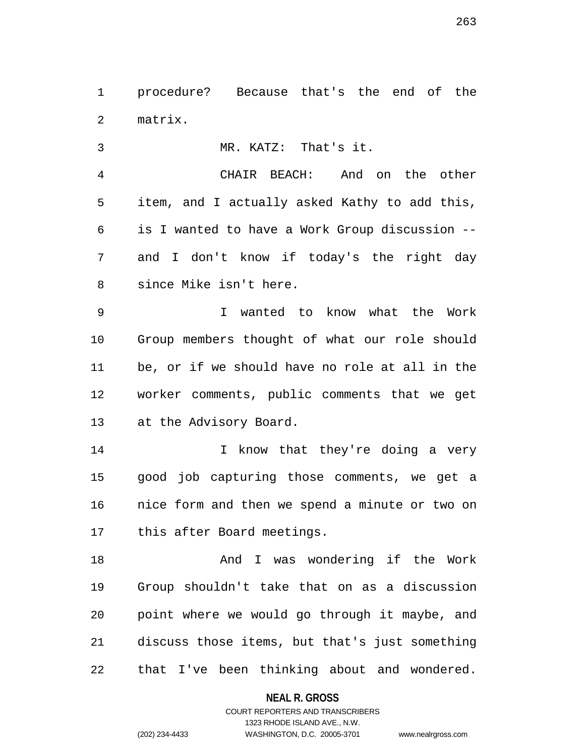1 procedure? Because that's the end of the 2 matrix.

3 MR. KATZ: That's it.

4 CHAIR BEACH: And on the other 5 item, and I actually asked Kathy to add this, 6 is I wanted to have a Work Group discussion -- 7 and I don't know if today's the right day 8 since Mike isn't here.

9 I wanted to know what the Work 10 Group members thought of what our role should 11 be, or if we should have no role at all in the 12 worker comments, public comments that we get 13 at the Advisory Board.

14 14 I know that they're doing a very 15 good job capturing those comments, we get a 16 nice form and then we spend a minute or two on 17 this after Board meetings.

18 And I was wondering if the Work 19 Group shouldn't take that on as a discussion 20 point where we would go through it maybe, and 21 discuss those items, but that's just something 22 that I've been thinking about and wondered.

> **NEAL R. GROSS** COURT REPORTERS AND TRANSCRIBERS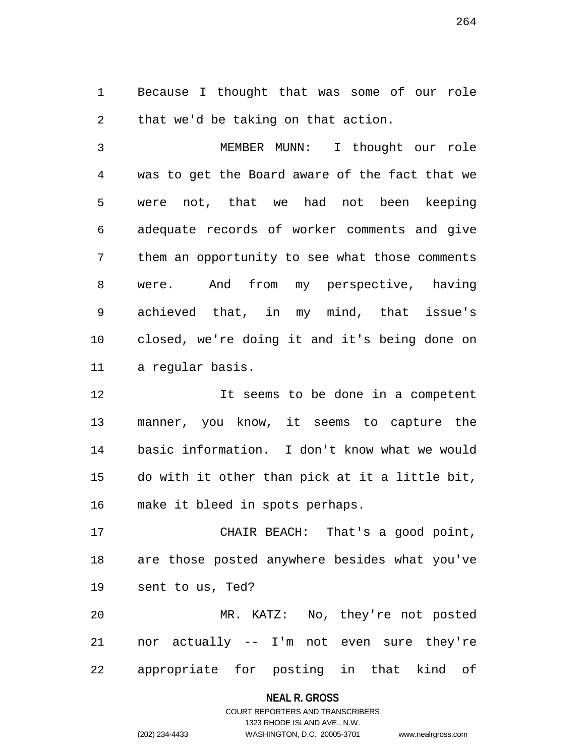1 Because I thought that was some of our role 2 that we'd be taking on that action.

3 MEMBER MUNN: I thought our role 4 was to get the Board aware of the fact that we 5 were not, that we had not been keeping 6 adequate records of worker comments and give 7 them an opportunity to see what those comments 8 were. And from my perspective, having 9 achieved that, in my mind, that issue's 10 closed, we're doing it and it's being done on 11 a regular basis.

12 It seems to be done in a competent 13 manner, you know, it seems to capture the 14 basic information. I don't know what we would 15 do with it other than pick at it a little bit, 16 make it bleed in spots perhaps.

17 CHAIR BEACH: That's a good point, 18 are those posted anywhere besides what you've 19 sent to us, Ted?

20 MR. KATZ: No, they're not posted 21 nor actually -- I'm not even sure they're 22 appropriate for posting in that kind of

### **NEAL R. GROSS**

### COURT REPORTERS AND TRANSCRIBERS 1323 RHODE ISLAND AVE., N.W. (202) 234-4433 WASHINGTON, D.C. 20005-3701 www.nealrgross.com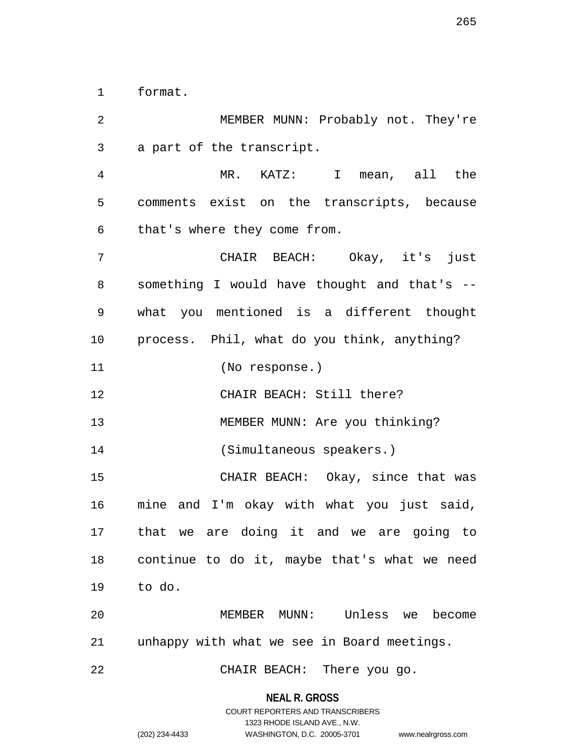1 format.

2 MEMBER MUNN: Probably not. They're 3 a part of the transcript. 4 MR. KATZ: I mean, all the 5 comments exist on the transcripts, because 6 that's where they come from. 7 CHAIR BEACH: Okay, it's just 8 something I would have thought and that's -- 9 what you mentioned is a different thought 10 process. Phil, what do you think, anything? 11 (No response.) 12 CHAIR BEACH: Still there? 13 MEMBER MUNN: Are you thinking? 14 (Simultaneous speakers.) 15 CHAIR BEACH: Okay, since that was 16 mine and I'm okay with what you just said, 17 that we are doing it and we are going to 18 continue to do it, maybe that's what we need 19 to do. 20 MEMBER MUNN: Unless we become 21 unhappy with what we see in Board meetings. 22 CHAIR BEACH: There you go.

> **NEAL R. GROSS** COURT REPORTERS AND TRANSCRIBERS

> > 1323 RHODE ISLAND AVE., N.W.

(202) 234-4433 WASHINGTON, D.C. 20005-3701 www.nealrgross.com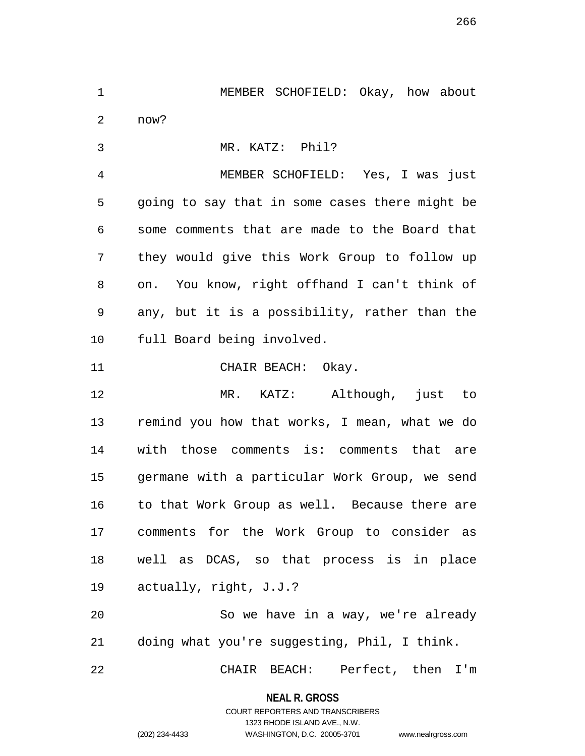1 MEMBER SCHOFIELD: Okay, how about 2 now?

3 MR. KATZ: Phil?

4 MEMBER SCHOFIELD: Yes, I was just 5 going to say that in some cases there might be 6 some comments that are made to the Board that 7 they would give this Work Group to follow up 8 on. You know, right offhand I can't think of 9 any, but it is a possibility, rather than the 10 full Board being involved.

11 CHAIR BEACH: Okay.

12 MR. KATZ: Although, just to 13 remind you how that works, I mean, what we do 14 with those comments is: comments that are 15 germane with a particular Work Group, we send 16 to that Work Group as well. Because there are 17 comments for the Work Group to consider as 18 well as DCAS, so that process is in place 19 actually, right, J.J.?

20 So we have in a way, we're already 21 doing what you're suggesting, Phil, I think.

22 CHAIR BEACH: Perfect, then I'm

**NEAL R. GROSS** COURT REPORTERS AND TRANSCRIBERS

1323 RHODE ISLAND AVE., N.W.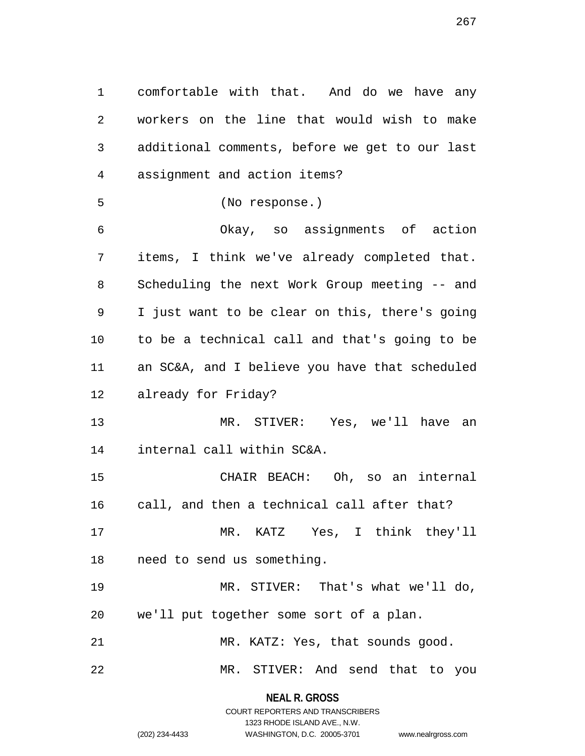1 comfortable with that. And do we have any 2 workers on the line that would wish to make 3 additional comments, before we get to our last 4 assignment and action items? 5 (No response.) 6 Okay, so assignments of action 7 items, I think we've already completed that. 8 Scheduling the next Work Group meeting -- and 9 I just want to be clear on this, there's going 10 to be a technical call and that's going to be 11 an SC&A, and I believe you have that scheduled 12 already for Friday? 13 MR. STIVER: Yes, we'll have an 14 internal call within SC&A. 15 CHAIR BEACH: Oh, so an internal 16 call, and then a technical call after that? 17 MR. KATZ Yes, I think they'll 18 need to send us something. 19 MR. STIVER: That's what we'll do, 20 we'll put together some sort of a plan. 21 MR. KATZ: Yes, that sounds good. 22 MR. STIVER: And send that to you

> **NEAL R. GROSS** COURT REPORTERS AND TRANSCRIBERS

> > 1323 RHODE ISLAND AVE., N.W.

(202) 234-4433 WASHINGTON, D.C. 20005-3701 www.nealrgross.com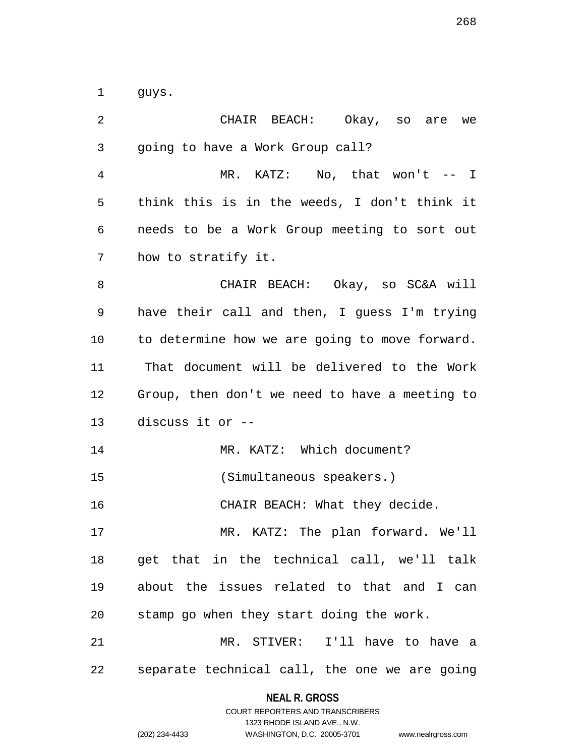1 guys.

| 2              | CHAIR BEACH: Okay, so are we                   |  |  |
|----------------|------------------------------------------------|--|--|
| 3              | going to have a Work Group call?               |  |  |
| $\overline{4}$ | MR. KATZ: No, that won't -- I                  |  |  |
| 5              | think this is in the weeds, I don't think it   |  |  |
| 6              | needs to be a Work Group meeting to sort out   |  |  |
| 7              | how to stratify it.                            |  |  |
| 8              | CHAIR BEACH: Okay, so SC&A will                |  |  |
| 9              | have their call and then, I guess I'm trying   |  |  |
| 10             | to determine how we are going to move forward. |  |  |
| 11             | That document will be delivered to the Work    |  |  |
| 12             | Group, then don't we need to have a meeting to |  |  |
| 13             | discuss it or --                               |  |  |
| 14             | MR. KATZ: Which document?                      |  |  |
| 15             | (Simultaneous speakers.)                       |  |  |
| 16             | CHAIR BEACH: What they decide.                 |  |  |
| 17             | MR. KATZ: The plan forward. We'll              |  |  |
| 18             | get that in the technical call, we'll talk     |  |  |
| 19             | about the issues related to that and I can     |  |  |
| 20             | stamp go when they start doing the work.       |  |  |
| 21             | MR. STIVER: I'll have to have a                |  |  |
|                |                                                |  |  |

**NEAL R. GROSS** COURT REPORTERS AND TRANSCRIBERS

|                | 1323 RHODE ISLAND AVE., N.W. |                    |
|----------------|------------------------------|--------------------|
| (202) 234-4433 | WASHINGTON, D.C. 20005-3701  | www.nealrgross.com |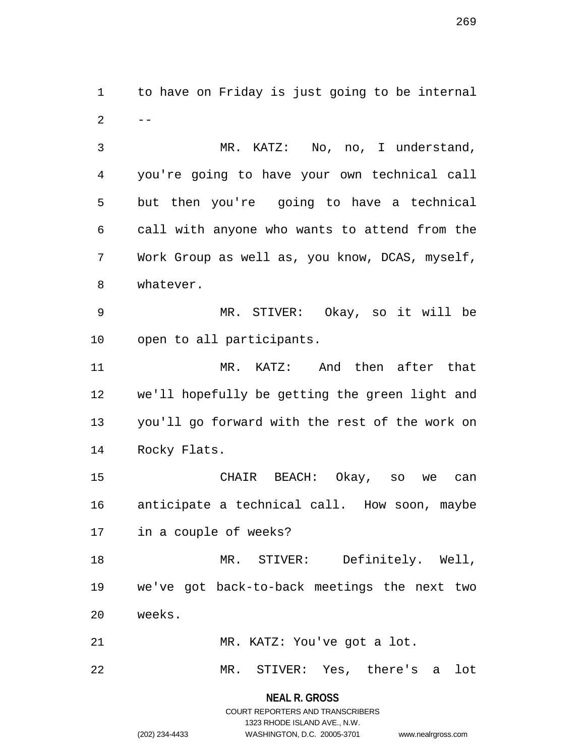1 to have on Friday is just going to be internal  $2 - -$ 

3 MR. KATZ: No, no, I understand, 4 you're going to have your own technical call 5 but then you're going to have a technical 6 call with anyone who wants to attend from the 7 Work Group as well as, you know, DCAS, myself, 8 whatever.

9 MR. STIVER: Okay, so it will be 10 open to all participants.

11 MR. KATZ: And then after that 12 we'll hopefully be getting the green light and 13 you'll go forward with the rest of the work on 14 Rocky Flats.

15 CHAIR BEACH: Okay, so we can 16 anticipate a technical call. How soon, maybe 17 in a couple of weeks?

18 MR. STIVER: Definitely. Well, 19 we've got back-to-back meetings the next two 20 weeks.

21 MR. KATZ: You've got a lot.

22 MR. STIVER: Yes, there's a lot

**NEAL R. GROSS** COURT REPORTERS AND TRANSCRIBERS

1323 RHODE ISLAND AVE., N.W.

(202) 234-4433 WASHINGTON, D.C. 20005-3701 www.nealrgross.com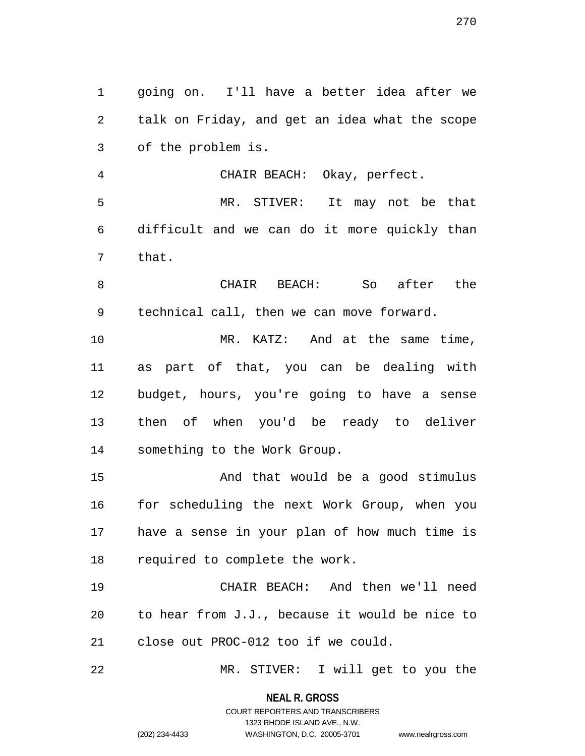1 going on. I'll have a better idea after we 2 talk on Friday, and get an idea what the scope 3 of the problem is.

4 CHAIR BEACH: Okay, perfect. 5 MR. STIVER: It may not be that 6 difficult and we can do it more quickly than 7 that.

8 CHAIR BEACH: So after the 9 technical call, then we can move forward.

10 MR. KATZ: And at the same time, 11 as part of that, you can be dealing with 12 budget, hours, you're going to have a sense 13 then of when you'd be ready to deliver 14 something to the Work Group.

15 And that would be a good stimulus 16 for scheduling the next Work Group, when you 17 have a sense in your plan of how much time is 18 required to complete the work.

19 CHAIR BEACH: And then we'll need 20 to hear from J.J., because it would be nice to 21 close out PROC-012 too if we could.

22 MR. STIVER: I will get to you the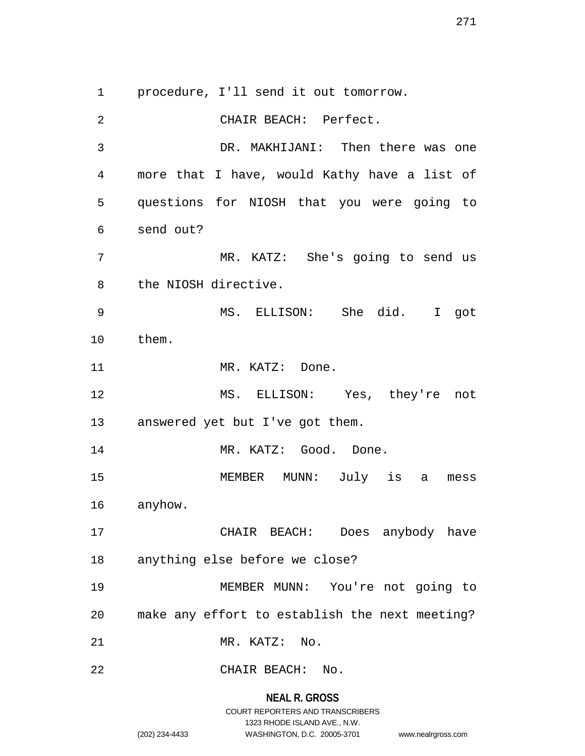1 procedure, I'll send it out tomorrow.

2 CHAIR BEACH: Perfect. 3 DR. MAKHIJANI: Then there was one 4 more that I have, would Kathy have a list of 5 questions for NIOSH that you were going to 6 send out? 7 MR. KATZ: She's going to send us 8 the NIOSH directive. 9 MS. ELLISON: She did. I got 10 them. 11 MR. KATZ: Done. 12 MS. ELLISON: Yes, they're not 13 answered yet but I've got them. 14 MR. KATZ: Good. Done. 15 MEMBER MUNN: July is a mess 16 anyhow. 17 CHAIR BEACH: Does anybody have 18 anything else before we close? 19 MEMBER MUNN: You're not going to 20 make any effort to establish the next meeting? 21 MR. KATZ: No. 22 CHAIR BEACH: No.

> **NEAL R. GROSS** COURT REPORTERS AND TRANSCRIBERS 1323 RHODE ISLAND AVE., N.W. (202) 234-4433 WASHINGTON, D.C. 20005-3701 www.nealrgross.com